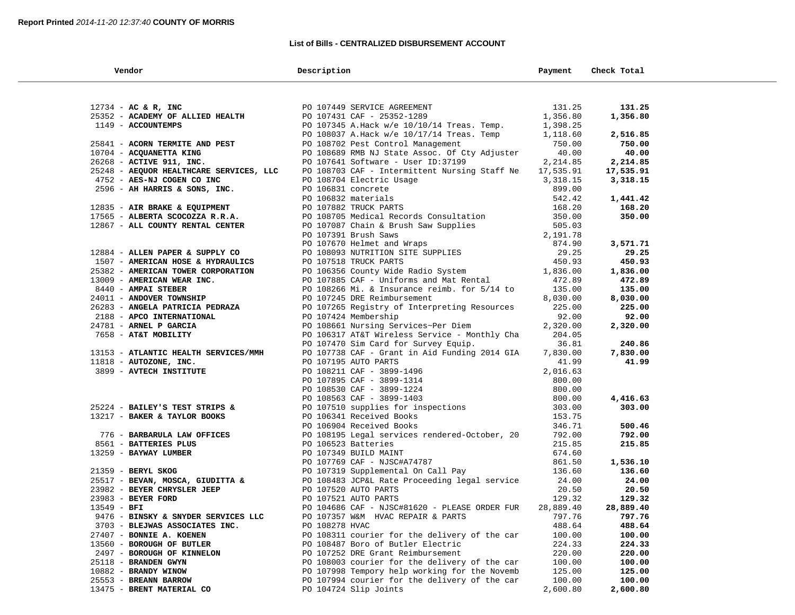### **List of Bills - CENTRALIZED DISBURSEMENT ACCOUNT**

| Vendor                                  | Description                                                                                    | Payment          | Check Total      |
|-----------------------------------------|------------------------------------------------------------------------------------------------|------------------|------------------|
|                                         |                                                                                                |                  |                  |
| $12734$ - AC & R, INC                   | PO 107449 SERVICE AGREEMENT                                                                    | 131.25           | 131.25           |
| 25352 - ACADEMY OF ALLIED HEALTH        | PO 107431 CAF - 25352-1289                                                                     | 1,356.80         | 1,356.80         |
| 1149 - ACCOUNTEMPS                      | PO 107345 A.Hack w/e 10/10/14 Treas. Temp.                                                     | 1,398.25         |                  |
|                                         | PO 108037 A.Hack w/e 10/17/14 Treas. Temp                                                      | 1,118.60         | 2,516.85         |
| 25841 - ACORN TERMITE AND PEST          | PO 108702 Pest Control Management                                                              | 750.00           | 750.00           |
| 10704 - ACQUANETTA KING                 | PO 108689 RMB NJ State Assoc. Of Cty Adjuster                                                  | 40.00            | 40.00            |
| 26268 - ACTIVE 911, INC.                | PO 107641 Software - User ID:37199                                                             | 2,214.85         | 2,214.85         |
| 25248 - AEQUOR HEALTHCARE SERVICES, LLC | PO 108703 CAF - Intermittent Nursing Staff Ne                                                  | 17,535.91        | 17,535.91        |
| 4752 - AES-NJ COGEN CO INC              |                                                                                                | 3,318.15         | 3,318.15         |
| 2596 - AH HARRIS & SONS, INC.           | PO 108704 Electric Usage<br>PO 106831 concrete<br>PO 106832 materials<br>PO 107882 TRUCK PARTS | 899.00           |                  |
|                                         |                                                                                                | 542.42           | 1,441.42         |
| 12835 - AIR BRAKE & EQUIPMENT           |                                                                                                | 168.20           | 168.20           |
| 17565 - ALBERTA SCOCOZZA R.R.A.         | PO 108705 Medical Records Consultation                                                         | 350.00           | 350.00           |
| 12867 - ALL COUNTY RENTAL CENTER        | PO 107087 Chain & Brush Saw Supplies                                                           | 505.03           |                  |
|                                         | PO 107391 Brush Saws                                                                           | 2,191.78         |                  |
|                                         | PO 107670 Helmet and Wraps                                                                     | 874.90           | 3,571.71         |
| 12884 - ALLEN PAPER & SUPPLY CO         | PO 108093 NUTRITION SITE SUPPLIES<br>PO 107518 TRUCK PARTS                                     | 29.25            | 29.25            |
| 1507 - AMERICAN HOSE & HYDRAULICS       |                                                                                                | 450.93           | 450.93           |
| 25382 - AMERICAN TOWER CORPORATION      | PO 106356 County Wide Radio System                                                             | 1,836.00         | 1,836.00         |
| 13009 - AMERICAN WEAR INC.              | PO 107885 CAF - Uniforms and Mat Rental                                                        | 472.89           | 472.89           |
| 8440 - AMPAI STEBER                     | PO 108266 Mi. & Insurance reimb. for 5/14 to                                                   | 135.00           | 135.00           |
| 24011 - ANDOVER TOWNSHIP                | PO 107245 DRE Reimbursement                                                                    | 8,030.00         | 8,030.00         |
| 26283 - ANGELA PATRICIA PEDRAZA         | PO 107265 Registry of Interpreting Resources                                                   | 225.00           | 225.00           |
| 2188 - APCO INTERNATIONAL               | PO 107424 Membership                                                                           | 92.00            | 92.00            |
| 24781 - ARNEL P GARCIA                  | PO 108661 Nursing Services~Per Diem                                                            | 2,320.00         | 2,320.00         |
| 7658 - AT&T MOBILITY                    | PO 106317 AT&T Wireless Service - Monthly Cha                                                  | 204.05           |                  |
|                                         | PO 107470 Sim Card for Survey Equip.                                                           | 36.81            | 240.86           |
| 13153 - ATLANTIC HEALTH SERVICES/MMH    | PO 107738 CAF - Grant in Aid Funding 2014 GIA                                                  | 7,830.00         | 7,830.00         |
| 11818 - AUTOZONE, INC.                  | PO 107195 AUTO PARTS                                                                           | 41.99            | 41.99            |
| 3899 - AVTECH INSTITUTE                 | PO 108211 CAF - 3899-1496                                                                      | 2,016.63         |                  |
|                                         | PO 107895 CAF - 3899-1314                                                                      | 800.00           |                  |
|                                         | PO 108530 CAF - 3899-1224<br>PO 108563 CAF - 3899-1403<br>PO 107510 supplies for inspections   | 800.00           |                  |
|                                         |                                                                                                | 800.00           | 4,416.63         |
| 25224 - BAILEY'S TEST STRIPS &          |                                                                                                | 303.00<br>153.75 | 303.00           |
| 13217 - BAKER & TAYLOR BOOKS            | PO 106341 Received Books<br>PO 106904 Received Books                                           | 346.71           |                  |
| 776 - BARBARULA LAW OFFICES             | PO 108195 Legal services rendered-October, 20                                                  | 792.00           | 500.46<br>792.00 |
| 8561 - BATTERIES PLUS                   | PO 106523 Batteries                                                                            | 215.85           | 215.85           |
| 13259 - BAYWAY LUMBER                   | PO 107349 BUILD MAINT                                                                          | 674.60           |                  |
|                                         | PO 107769 CAF - NJSC#A74787                                                                    | 861.50           | 1,536.10         |
| 21359 - BERYL SKOG                      | PO 107319 Supplemental On Call Pay                                                             | 136.60           | 136.60           |
| 25517 - BEVAN, MOSCA, GIUDITTA &        | PO 108483 JCP&L Rate Proceeding legal service                                                  | 24.00            | 24.00            |
| 23982 - BEYER CHRYSLER JEEP             | PO 107520 AUTO PARTS                                                                           | 20.50            | 20.50            |
| 23983 - BEYER FORD                      | PO 107521 AUTO PARTS                                                                           | 129.32           | 129.32           |
| $13549 - BFI$                           | PO 104686 CAF - NJSC#81620 - PLEASE ORDER FUR                                                  | 28,889.40        | 28,889.40        |
| 9476 - BINSKY & SNYDER SERVICES LLC     | PO 107357 W&M HVAC REPAIR & PARTS                                                              | 797.76           | 797.76           |
| 3703 - BLEJWAS ASSOCIATES INC.          | PO 108278 HVAC                                                                                 | 488.64           | 488.64           |
| 27407 - BONNIE A. KOENEN                | PO 108311 courier for the delivery of the car                                                  | 100.00           | 100.00           |
| 13560 - BOROUGH OF BUTLER               | PO 108487 Boro of Butler Electric                                                              | 224.33           | 224.33           |
| 2497 - BOROUGH OF KINNELON              | PO 107252 DRE Grant Reimbursement                                                              | 220.00           | 220.00           |
| 25118 - BRANDEN GWYN                    | PO 108003 courier for the delivery of the car                                                  | 100.00           | 100.00           |
| 10882 - BRANDY WINOW                    | PO 107998 Tempory help working for the Novemb                                                  | 125.00           | 125.00           |
| 25553 - BREANN BARROW                   | PO 107994 courier for the delivery of the car                                                  | 100.00           | 100.00           |
| 13475 - BRENT MATERIAL CO               | PO 104724 Slip Joints                                                                          | 2,600.80         | 2,600.80         |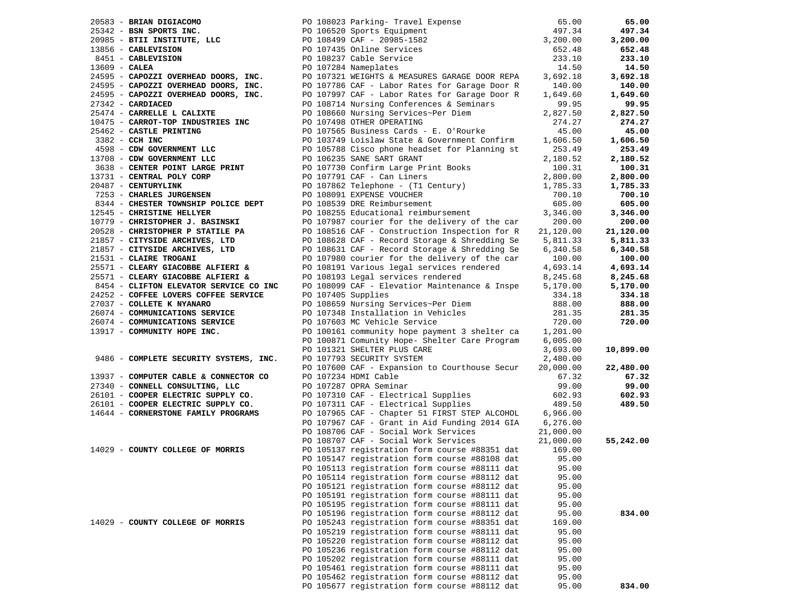|                 |                                        |                      |                                                                                                                                                                                                                                                  | 65.00     | 65.00     |
|-----------------|----------------------------------------|----------------------|--------------------------------------------------------------------------------------------------------------------------------------------------------------------------------------------------------------------------------------------------|-----------|-----------|
|                 |                                        |                      |                                                                                                                                                                                                                                                  | 497.34    | 497.34    |
|                 |                                        |                      |                                                                                                                                                                                                                                                  | 3,200.00  | 3,200.00  |
|                 |                                        |                      | 90 108023 Parking- Travel Expense<br>25342 - BSN SPORTS INC.<br>20985 - BTII INSTITUTE, LLC<br>20985 - CABLEVISION<br>2656 - CABLEVISION<br>2656 - CABLEVISION<br>2656 - CABLEVISION<br>2656 - CABLEVISION<br>26743 DO 107243 Online Service<br> | 652.48    | 652.48    |
|                 |                                        |                      |                                                                                                                                                                                                                                                  | 233.10    | 233.10    |
| $13609$ - CALEA |                                        | PO 107284 Nameplates |                                                                                                                                                                                                                                                  | 14.50     | 14.50     |
|                 |                                        |                      | 24595 - CAPOZZI OVERHEAD DOORS, INC. PO 107321 WEIGHTS & MEASURES GARAGE DOOR REPA                                                                                                                                                               | 3,692.18  | 3,692.18  |
|                 | 24595 - CAPOZZI OVERHEAD DOORS, INC.   |                      | PO 107786 CAF - Labor Rates for Garage Door R                                                                                                                                                                                                    | 140.00    | 140.00    |
|                 | 24595 - CAPOZZI OVERHEAD DOORS, INC.   |                      | PO 107997 CAF - Labor Rates for Garage Door R                                                                                                                                                                                                    | 1,649.60  | 1,649.60  |
|                 | $27342$ - CARDIACED                    |                      | PO 108714 Nursing Conferences & Seminars                                                                                                                                                                                                         | 99.95     | 99.95     |
|                 | 25474 - CARRELLE L CALIXTE             |                      | PO 108660 Nursing Services~Per Diem                                                                                                                                                                                                              | 2,827.50  | 2,827.50  |
|                 |                                        |                      |                                                                                                                                                                                                                                                  |           |           |
|                 | 10475 - CARROT-TOP INDUSTRIES INC      |                      | PO 107498 OTHER OPERATING                                                                                                                                                                                                                        | 274.27    | 274.27    |
|                 | 25462 - CASTLE PRINTING                |                      | PO 107565 Business Cards - E. O'Rourke                                                                                                                                                                                                           | 45.00     | 45.00     |
|                 | 3382 - CCH INC                         |                      | PO 103749 Loislaw State & Government Confirm                                                                                                                                                                                                     | 1,606.50  | 1,606.50  |
|                 | 4598 - CDW GOVERNMENT LLC              |                      | PO 105788 Cisco phone headset for Planning st                                                                                                                                                                                                    | 253.49    | 253.49    |
|                 | 13708 - CDW GOVERNMENT LLC             |                      | PO 106235 SANE SART GRANT                                                                                                                                                                                                                        | 2,180.52  | 2,180.52  |
|                 | 3638 - CENTER POINT LARGE PRINT        |                      | PO 107730 Confirm Large Print Books                                                                                                                                                                                                              | 100.31    | 100.31    |
|                 | 13731 - CENTRAL POLY CORP              |                      | PO 107791 CAF - Can Liners                                                                                                                                                                                                                       | 2,800.00  | 2,800.00  |
|                 | 20487 - CENTURYLINK                    |                      | PO 107862 Telephone - (T1 Century)                                                                                                                                                                                                               | 1,785.33  | 1,785.33  |
|                 | 7253 - CHARLES JURGENSEN               |                      | PO 108091 EXPENSE VOUCHER                                                                                                                                                                                                                        | 700.10    | 700.10    |
|                 | 8344 - CHESTER TOWNSHIP POLICE DEPT    |                      | PO 108539 DRE Reimbursement                                                                                                                                                                                                                      | 605.00    | 605.00    |
|                 | 12545 - CHRISTINE HELLYER              |                      | PO 108255 Educational reimbursement                                                                                                                                                                                                              | 3,346.00  | 3,346.00  |
|                 | 10779 - CHRISTOPHER J. BASINSKI        |                      | PO 107987 courier for the delivery of the car                                                                                                                                                                                                    | 200.00    | 200.00    |
|                 | 20528 - CHRISTOPHER P STATILE PA       |                      | PO 108516 CAF - Construction Inspection for R                                                                                                                                                                                                    | 21,120.00 | 21,120.00 |
|                 | 21857 - CITYSIDE ARCHIVES, LTD         |                      | PO 108628 CAF - Record Storage & Shredding Se                                                                                                                                                                                                    | 5,811.33  | 5,811.33  |
|                 | 21857 - CITYSIDE ARCHIVES, LTD         |                      | PO 108631 CAF - Record Storage & Shredding Se                                                                                                                                                                                                    | 6,340.58  | 6,340.58  |
|                 | 21531 - CLAIRE TROGANI                 |                      | PO 107980 courier for the delivery of the car                                                                                                                                                                                                    | 100.00    | 100.00    |
|                 |                                        |                      | PO 108191 Various legal services rendered                                                                                                                                                                                                        |           | 4,693.14  |
|                 | 25571 - CLEARY GIACOBBE ALFIERI &      |                      |                                                                                                                                                                                                                                                  | 4,693.14  |           |
|                 | 25571 - CLEARY GIACOBBE ALFIERI &      |                      | PO 108193 Legal services rendered                                                                                                                                                                                                                | 8,245.68  | 8,245.68  |
|                 |                                        |                      | 8454 - CLIFTON ELEVATOR SERVICE CO INC PO 108099 CAF - Elevatior Maintenance & Inspe                                                                                                                                                             | 5,170.00  | 5,170.00  |
|                 | 24252 - COFFEE LOVERS COFFEE SERVICE   | PO 107405 Supplies   |                                                                                                                                                                                                                                                  | 334.18    | 334.18    |
|                 | 27037 - COLLETE K NYANARO              |                      | PO 108659 Nursing Services~Per Diem                                                                                                                                                                                                              | 888.00    | 888.00    |
|                 | 26074 - COMMUNICATIONS SERVICE         |                      | PO 107348 Installation in Vehicles                                                                                                                                                                                                               | 281.35    | 281.35    |
|                 | 26074 - COMMUNICATIONS SERVICE         |                      | PO 107603 MC Vehicle Service                                                                                                                                                                                                                     | 720.00    | 720.00    |
|                 | 13917 - COMMUNITY HOPE INC.            |                      | PO 100161 community hope payment 3 shelter ca                                                                                                                                                                                                    | 1,201.00  |           |
|                 |                                        |                      | PO 100871 Comunity Hope- Shelter Care Program                                                                                                                                                                                                    | 6,005.00  |           |
|                 |                                        |                      | PO 101321 SHELTER PLUS CARE                                                                                                                                                                                                                      | 3,693.00  | 10,899.00 |
|                 | 9486 - COMPLETE SECURITY SYSTEMS, INC. |                      | PO 107793 SECURITY SYSTEM                                                                                                                                                                                                                        | 2,480.00  |           |
|                 |                                        |                      | PO 107600 CAF - Expansion to Courthouse Secur                                                                                                                                                                                                    | 20,000.00 | 22,480.00 |
|                 | 13937 - COMPUTER CABLE & CONNECTOR CO  |                      | PO 107234 HDMI Cable                                                                                                                                                                                                                             | 67.32     | 67.32     |
|                 | 27340 - CONNELL CONSULTING, LLC        |                      | PO 107287 OPRA Seminar                                                                                                                                                                                                                           | 99.00     | 99.00     |
|                 | 26101 - COOPER ELECTRIC SUPPLY CO.     |                      | PO 107310 CAF - Electrical Supplies                                                                                                                                                                                                              | 602.93    | 602.93    |
|                 | 26101 - COOPER ELECTRIC SUPPLY CO.     |                      | PO 107311 CAF - Electrical Supplies                                                                                                                                                                                                              | 489.50    | 489.50    |
|                 | 14644 - CORNERSTONE FAMILY PROGRAMS    |                      | PO 107965 CAF - Chapter 51 FIRST STEP ALCOHOL                                                                                                                                                                                                    | 6,966.00  |           |
|                 |                                        |                      | PO 107967 CAF - Grant in Aid Funding 2014 GIA $6,276.00$                                                                                                                                                                                         |           |           |
|                 |                                        |                      | PO 108706 CAF - Social Work Services                                                                                                                                                                                                             | 21,000.00 |           |
|                 |                                        |                      | PO 108707 CAF - Social Work Services                                                                                                                                                                                                             | 21,000.00 | 55,242.00 |
|                 | 14029 - COUNTY COLLEGE OF MORRIS       |                      | PO 105137 registration form course #88351 dat                                                                                                                                                                                                    | 169.00    |           |
|                 |                                        |                      | PO 105147 registration form course #88108 dat                                                                                                                                                                                                    | 95.00     |           |
|                 |                                        |                      |                                                                                                                                                                                                                                                  |           |           |
|                 |                                        |                      | PO 105113 registration form course #88111 dat                                                                                                                                                                                                    | 95.00     |           |
|                 |                                        |                      | PO 105114 registration form course #88112 dat                                                                                                                                                                                                    | 95.00     |           |
|                 |                                        |                      | PO 105121 registration form course #88112 dat                                                                                                                                                                                                    | 95.00     |           |
|                 |                                        |                      | PO 105191 registration form course #88111 dat                                                                                                                                                                                                    | 95.00     |           |
|                 |                                        |                      | PO 105195 registration form course #88111 dat                                                                                                                                                                                                    | 95.00     |           |
|                 |                                        |                      | PO 105196 registration form course #88112 dat                                                                                                                                                                                                    | 95.00     | 834.00    |
|                 | 14029 - COUNTY COLLEGE OF MORRIS       |                      | PO 105243 registration form course #88351 dat                                                                                                                                                                                                    | 169.00    |           |
|                 |                                        |                      | PO 105219 registration form course #88111 dat                                                                                                                                                                                                    | 95.00     |           |
|                 |                                        |                      | PO 105220 registration form course #88112 dat                                                                                                                                                                                                    | 95.00     |           |
|                 |                                        |                      | PO 105236 registration form course #88112 dat                                                                                                                                                                                                    | 95.00     |           |
|                 |                                        |                      | PO 105202 registration form course #88111 dat                                                                                                                                                                                                    | 95.00     |           |
|                 |                                        |                      | PO 105461 registration form course #88111 dat                                                                                                                                                                                                    | 95.00     |           |
|                 |                                        |                      | PO 105462 registration form course #88112 dat                                                                                                                                                                                                    | 95.00     |           |
|                 |                                        |                      | PO 105677 registration form course #88112 dat                                                                                                                                                                                                    | 95.00     | 834.00    |
|                 |                                        |                      |                                                                                                                                                                                                                                                  |           |           |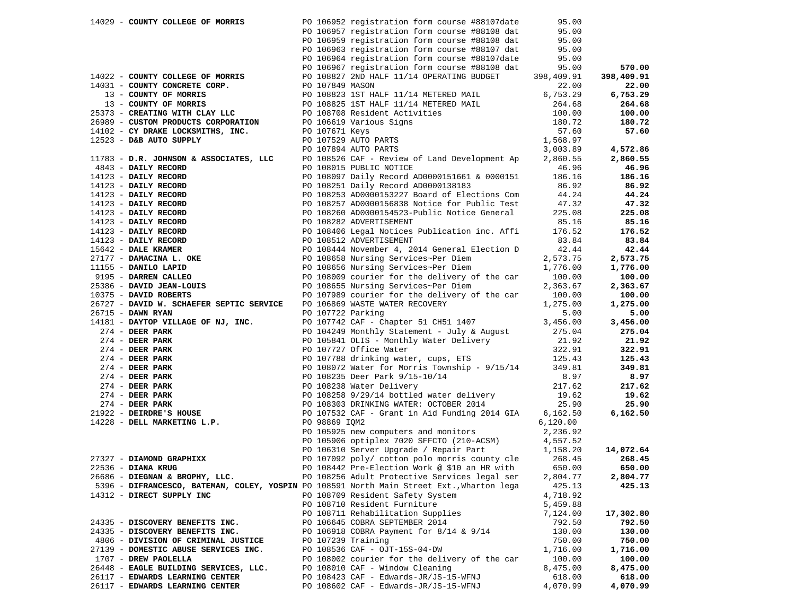| 14029 - COUNTY COLLEGE OF MORRIS                                                          |               | PO 106952 registration form course #88107date                                                                                                                                                                                                         | 95.00              |            |
|-------------------------------------------------------------------------------------------|---------------|-------------------------------------------------------------------------------------------------------------------------------------------------------------------------------------------------------------------------------------------------------|--------------------|------------|
|                                                                                           |               | PO 106957 registration form course #88108 dat                                                                                                                                                                                                         | 95.00              |            |
|                                                                                           |               | PO 106959 registration form course #88108 dat                                                                                                                                                                                                         | 95.00              |            |
|                                                                                           |               | PO 106963 registration form course #88107 dat                                                                                                                                                                                                         | 95.00              |            |
|                                                                                           |               | PO 106964 registration form course #88107date                                                                                                                                                                                                         | 95.00              |            |
|                                                                                           |               | PO 106967 registration form course #88108 dat                                                                                                                                                                                                         | 95.00              | 570.00     |
| 14022 - COUNTY COLLEGE OF MORRIS                                                          |               | PO 108827 2ND HALF 11/14 OPERATING BUDGET                                                                                                                                                                                                             | 398,409.91         | 398,409.91 |
|                                                                                           |               |                                                                                                                                                                                                                                                       | 22.00              | 22.00      |
|                                                                                           |               | 14031 - COUNTY CONCRETE CORP.<br>14031 - COUNTY OF MORRIS<br>13 - COUNTY OF MORRIS<br>13 - COUNTY OF MORRIS<br>13 - COUNTY OF MORRIS<br>13 - COUNTY OF MORRIS<br>14102 - CY DRAKE LOCKSMITHS, INC.<br>14102 - CY DRAKE LOCKSMITHS, INC.<br>141        | 6,753.29           | 6,753.29   |
|                                                                                           |               |                                                                                                                                                                                                                                                       | 264.68             | 264.68     |
|                                                                                           |               |                                                                                                                                                                                                                                                       | 100.00             | 100.00     |
|                                                                                           |               |                                                                                                                                                                                                                                                       | 180.72             | 180.72     |
|                                                                                           |               |                                                                                                                                                                                                                                                       | 57.60              | 57.60      |
|                                                                                           |               |                                                                                                                                                                                                                                                       | 1,568.97           |            |
|                                                                                           |               |                                                                                                                                                                                                                                                       | 3,003.89           | 4,572.86   |
|                                                                                           |               | 11783 - D.R. JOHNSON & ASSOCIATES, LLC PO 108526 CAF - Review of Land Development Ap<br>4843 - DAILY RECORD PO 108015 PUBLIC NOTICE                                                                                                                   | 2,860.55           | 2,860.55   |
|                                                                                           |               |                                                                                                                                                                                                                                                       | 46.96              | 46.96      |
|                                                                                           |               |                                                                                                                                                                                                                                                       | 186.16             | 186.16     |
|                                                                                           |               |                                                                                                                                                                                                                                                       | 86.92              | 86.92      |
|                                                                                           |               |                                                                                                                                                                                                                                                       |                    | 44.24      |
|                                                                                           |               |                                                                                                                                                                                                                                                       | $44.24$<br>$47.32$ | 47.32      |
|                                                                                           |               |                                                                                                                                                                                                                                                       | 225.08             | 225.08     |
|                                                                                           |               |                                                                                                                                                                                                                                                       | 85.16              | 85.16      |
|                                                                                           |               |                                                                                                                                                                                                                                                       | 176.52             | 176.52     |
|                                                                                           |               |                                                                                                                                                                                                                                                       | 83.84              | 83.84      |
|                                                                                           |               |                                                                                                                                                                                                                                                       | 42.44              | 42.44      |
|                                                                                           |               |                                                                                                                                                                                                                                                       | 2,573.75           | 2,573.75   |
|                                                                                           |               |                                                                                                                                                                                                                                                       | 1,776.00           | 1,776.00   |
|                                                                                           |               |                                                                                                                                                                                                                                                       | 100.00             | 100.00     |
| 9195 - DARREN CALLEO<br>25386 - DAVID JEAN-LOUIS<br>------ DOPPPTS                        |               | 483 - DRILY RECORD<br>14123 - DAILY RECORD<br>14123 - DAILY RECORD<br>14123 - DAILY RECORD<br>14123 - DAILY RECORD<br>14123 - DAILY RECORD<br>14123 - DAILY RECORD<br>14123 - DAILY RECORD<br>14123 - DAILY RECORD<br>14123 - DAILY RECORD<br>1412    |                    | 2,363.67   |
|                                                                                           |               | PO 108655 Nursing Services~Per Diem 2,363.67<br>PO 107989 courier for the delivery of the car 100.00                                                                                                                                                  |                    | 100.00     |
|                                                                                           |               | 26727 - DAVID W. SCHAEFER SEPTIC SERVICE PO 106869 WASTE WATER RECOVERY                                                                                                                                                                               | 1,275.00           | 1,275.00   |
| 26715 - DAWN RYAN                                                                         |               | PO 107722 Parking                                                                                                                                                                                                                                     | 5.00               | 5.00       |
|                                                                                           |               | 14181 - DAYTOP VILLAGE OF NJ, INC. PO 107742 CAF - Chapter 51 CH51 1407 3,456.00                                                                                                                                                                      |                    | 3,456.00   |
|                                                                                           |               | 14181 - DEER PARK<br>274 - DEER PARK<br>274 - DEER PARK<br>274 - DEER PARK<br>274 - DEER PARK<br>274 - DEER PARK<br>274 - DEER PARK<br>274 - DEER PARK<br>274 - DEER PARK<br>274 - DEER PARK<br>274 - DEER PARK<br>274 - DEER PARK<br>274 - DEER PARK |                    | 275.04     |
|                                                                                           |               |                                                                                                                                                                                                                                                       |                    | 21.92      |
|                                                                                           |               |                                                                                                                                                                                                                                                       |                    | 322.91     |
|                                                                                           |               |                                                                                                                                                                                                                                                       |                    | 125.43     |
|                                                                                           |               |                                                                                                                                                                                                                                                       |                    | 349.81     |
|                                                                                           |               |                                                                                                                                                                                                                                                       |                    | 8.97       |
|                                                                                           |               |                                                                                                                                                                                                                                                       |                    |            |
|                                                                                           |               |                                                                                                                                                                                                                                                       |                    | 217.62     |
|                                                                                           |               |                                                                                                                                                                                                                                                       |                    | 19.62      |
|                                                                                           |               |                                                                                                                                                                                                                                                       |                    | 25.90      |
|                                                                                           |               |                                                                                                                                                                                                                                                       |                    | 6,162.50   |
| $14228$ - DELL MARKETING L.P.                                                             | PO 98869 IOM2 |                                                                                                                                                                                                                                                       | 6,120.00           |            |
|                                                                                           |               | PO 105925 new computers and monitors                                                                                                                                                                                                                  | 2,236.92           |            |
|                                                                                           |               | PO 105906 optiplex 7020 SFFCTO (210-ACSM) 4,557.52<br>PO 106310 Server Upgrade / Repair Part 1,158.20                                                                                                                                                 |                    |            |
|                                                                                           |               |                                                                                                                                                                                                                                                       |                    | 14,072.64  |
| $27327 - DIAMOND GRAPHIXX$                                                                |               | PO 107092 poly/ cotton polo morris county cle                                                                                                                                                                                                         | 268.45             | 268.45     |
| 22536 - DIANA KRUG                                                                        |               | PO $108442$ Pre-Election Work @ \$10 an HR with 650.00                                                                                                                                                                                                |                    | 650.00     |
| 26686 - DIEGNAN & BROPHY, LLC.                                                            |               | PO 108256 Adult Protective Services legal ser                                                                                                                                                                                                         | 2,804.77           | 2,804.77   |
| 5396 - DIFRANCESCO, BATEMAN, COLEY, YOSPIN PO 108591 North Main Street Ext., Wharton lega |               |                                                                                                                                                                                                                                                       | 425.13             | 425.13     |
| 14312 - DIRECT SUPPLY INC                                                                 |               | PO 108709 Resident Safety System                                                                                                                                                                                                                      | 4,718.92           |            |
|                                                                                           |               | PO 108710 Resident Furniture                                                                                                                                                                                                                          | 5,459.88           |            |
|                                                                                           |               | PO 108711 Rehabilitation Supplies                                                                                                                                                                                                                     | 7,124.00           | 17,302.80  |
| 24335 - DISCOVERY BENEFITS INC.                                                           |               | PO 106645 COBRA SEPTEMBER 2014                                                                                                                                                                                                                        | 792.50             | 792.50     |
| 24335 - DISCOVERY BENEFITS INC.                                                           |               | PO 106918 COBRA Payment for 8/14 & 9/14                                                                                                                                                                                                               | 130.00             | 130.00     |
| 4806 - DIVISION OF CRIMINAL JUSTICE                                                       |               | PO 107239 Training                                                                                                                                                                                                                                    | 750.00             | 750.00     |
| 27139 - DOMESTIC ABUSE SERVICES INC.                                                      |               | PO 108536 CAF - OJT-15S-04-DW                                                                                                                                                                                                                         | 1,716.00           | 1,716.00   |
| 1707 - DREW PAOLELLA                                                                      |               | PO 108002 courier for the delivery of the car                                                                                                                                                                                                         | 100.00             | 100.00     |
| 26448 - EAGLE BUILDING SERVICES, LLC.                                                     |               | PO 108010 CAF - Window Cleaning                                                                                                                                                                                                                       | 8,475.00           | 8,475.00   |
| 26117 - EDWARDS LEARNING CENTER                                                           |               | PO 108423 CAF - Edwards-JR/JS-15-WFNJ                                                                                                                                                                                                                 | 618.00             | 618.00     |
| 26117 - EDWARDS LEARNING CENTER                                                           |               | PO 108602 CAF - Edwards-JR/JS-15-WFNJ                                                                                                                                                                                                                 | 4,070.99           | 4,070.99   |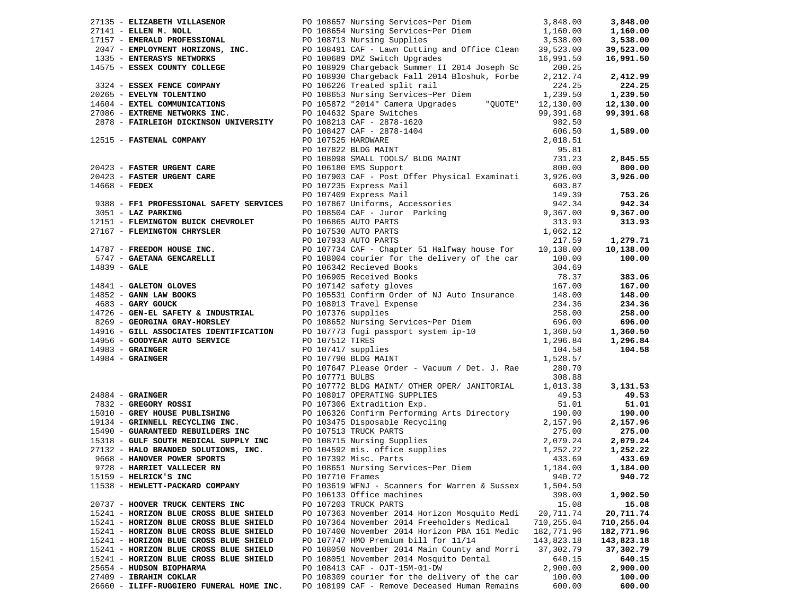|                        | 27135 - ELIZABETH VILLASENOR             |                  | PO 108657 Nursing Services~Per Diem                                                                                                                                                                                                            | 3,848.00         | 3,848.00   |
|------------------------|------------------------------------------|------------------|------------------------------------------------------------------------------------------------------------------------------------------------------------------------------------------------------------------------------------------------|------------------|------------|
|                        |                                          |                  | 27141 - ELEN M. NOLL<br>27141 - ELEN M. NOLL<br>27157 - EMERALD PROFESSIONAL<br>2047 - EMPLOYMENT HORIZONS, INC.<br>2047 - EMPLOYMENT HORIZONS, INC.<br>2047 - EMPLOYMENT HORIZONS, INC.<br>2047 - EMPLOYMENT HORIZONS, INC.<br>2047 - EMTER   |                  | 1,160.00   |
|                        |                                          |                  |                                                                                                                                                                                                                                                |                  | 3,538.00   |
|                        |                                          |                  |                                                                                                                                                                                                                                                |                  | 39,523.00  |
|                        |                                          |                  |                                                                                                                                                                                                                                                |                  | 16,991.50  |
|                        |                                          |                  |                                                                                                                                                                                                                                                | 200.25           |            |
|                        |                                          |                  | 14575 - ESSEX COUNTY COLLEGE <b>EXAMPLE 14575</b> - ESSEX COUNTY COLLEGE <b>EXAMPLE 14575</b> - ESSEX COUNTY COLLEGE <b>PO 108930</b> Chargeback Fall 2014 Bloshuk, Forbe 2                                                                    | 2,212.74         | 2,412.99   |
|                        |                                          |                  |                                                                                                                                                                                                                                                | 224.25           | 224.25     |
|                        | 20265 - EVELYN TOLENTINO                 |                  |                                                                                                                                                                                                                                                | 1,239.50         | 1,239.50   |
|                        | 14604 - EXTEL COMMUNICATIONS             |                  |                                                                                                                                                                                                                                                |                  | 12,130.00  |
|                        | 27086 - EXTREME NETWORKS INC.            |                  |                                                                                                                                                                                                                                                |                  | 99,391.68  |
|                        |                                          |                  |                                                                                                                                                                                                                                                |                  |            |
|                        |                                          |                  | 27085 - EXTREM MUNICATIONS<br>2878 - EXTREME NETWORKS INC.<br>2878 - FAIRLEIGH DICKINSON UNIVERSITY PO 108213 CAF - 2878-1620<br>2878 - FAIRLEIGH DICKINSON UNIVERSITY PO 108213 CAF - 2878-1620<br>282.50<br>29,391.68<br>282.50<br>29,391.   |                  | 1,589.00   |
|                        | 12515 - FASTENAL COMPANY                 |                  |                                                                                                                                                                                                                                                |                  |            |
|                        |                                          |                  |                                                                                                                                                                                                                                                |                  |            |
|                        |                                          |                  | PO 108098 SMALL TOOLS, LEVEL THE CONSULTER SUGRAPH CONSUMERED PO 106180 EMS Support<br>20423 - <b>FASTER URGENT CARE</b> PO 107903 CAF - Post Offer Physical Examinati 3,926.00<br>PO 107235 Express Mail 603.87<br>PO 107235 Express Mai      |                  | 2,845.55   |
|                        |                                          |                  |                                                                                                                                                                                                                                                |                  | 800.00     |
|                        |                                          |                  |                                                                                                                                                                                                                                                |                  | 3,926.00   |
|                        |                                          |                  | 14668 - FEDEX<br>14668 - FEDEX<br>9388 - FF1 PROFESSIONAL SAFETY SERVICES<br>20107409 Express Mail<br>20107867 Uniforms, Accessories<br>20107867 Uniforms, Accessories<br>20108504 CAF - Juror Parking<br>20108504 CAF - Juror Parking         |                  |            |
|                        |                                          |                  |                                                                                                                                                                                                                                                |                  | 753.26     |
|                        |                                          |                  |                                                                                                                                                                                                                                                | 149.39<br>942.34 | 942.34     |
|                        |                                          |                  |                                                                                                                                                                                                                                                | 9,367.00         | 9,367.00   |
|                        |                                          |                  |                                                                                                                                                                                                                                                | 313.93           | 313.93     |
|                        |                                          |                  |                                                                                                                                                                                                                                                | 1,062.12         |            |
|                        |                                          |                  | 12151 - FLEMINGTON BUICK CHEVROLET<br>27167 - FLEMINGTON CHRYSLER<br>PO 107530 AUTO PARTS<br>PO 107933 AUTO PARTS                                                                                                                              | 217.59           | 1,279.71   |
|                        |                                          |                  |                                                                                                                                                                                                                                                | 10,138.00        | 10,138.00  |
|                        |                                          |                  |                                                                                                                                                                                                                                                | 100.00           | 100.00     |
|                        |                                          |                  |                                                                                                                                                                                                                                                | 304.69           |            |
|                        |                                          |                  | 14787 - FREEDOM HOUSE INC.<br>14787 - CAETANA GENCARELLI<br>14839 - GALE<br>14841 - CAETANA CENCARELLI<br>14841 - CAETANA CENCARELLI<br>14841 - CAETANA CENCARELLI<br>14841 - CAETANA CENCARELLI<br>14841 - CAETANA CENCARELLI<br>14841 - CAET | 78.37            | 383.06     |
|                        |                                          |                  |                                                                                                                                                                                                                                                | 167.00           | 167.00     |
|                        |                                          |                  |                                                                                                                                                                                                                                                |                  | 148.00     |
|                        |                                          |                  | 14841 - GALETON GLOVES<br>14852 - GANN LAW BOOKS<br>14852 - GANN LAW BOOKS<br>1683 - GARY GOUCK<br>1683 - GARY GOUCK<br>1683 - GARY GOUCK<br>1683 - GARY GOUCK<br>1693 - PO 108013 Travel Expense                                              | 148.00<br>234.36 | 234.36     |
|                        |                                          |                  |                                                                                                                                                                                                                                                |                  | 258.00     |
|                        |                                          |                  |                                                                                                                                                                                                                                                |                  | 696.00     |
|                        |                                          |                  |                                                                                                                                                                                                                                                |                  | 1,360.50   |
|                        |                                          |                  |                                                                                                                                                                                                                                                |                  | 1,296.84   |
|                        |                                          |                  |                                                                                                                                                                                                                                                |                  | 104.58     |
|                        |                                          |                  |                                                                                                                                                                                                                                                |                  |            |
|                        |                                          |                  |                                                                                                                                                                                                                                                |                  |            |
|                        |                                          |                  |                                                                                                                                                                                                                                                |                  |            |
|                        |                                          |                  |                                                                                                                                                                                                                                                |                  | 3,131.53   |
|                        |                                          |                  |                                                                                                                                                                                                                                                |                  | 49.53      |
|                        |                                          |                  |                                                                                                                                                                                                                                                |                  | 51.01      |
|                        |                                          |                  |                                                                                                                                                                                                                                                |                  | 190.00     |
|                        |                                          |                  |                                                                                                                                                                                                                                                |                  | 2,157.96   |
|                        |                                          |                  |                                                                                                                                                                                                                                                |                  | 275.00     |
|                        |                                          |                  |                                                                                                                                                                                                                                                |                  | 2,079.24   |
|                        |                                          |                  |                                                                                                                                                                                                                                                |                  | 1,252.22   |
|                        |                                          |                  |                                                                                                                                                                                                                                                |                  | 433.69     |
|                        | 9728 - HARRIET VALLECER RN               |                  | PO 108651 Nursing Services~Per Diem 1,184.00 1,184.00                                                                                                                                                                                          |                  |            |
| 15159 - HELRICK'S INC  |                                          | PO 107710 Frames |                                                                                                                                                                                                                                                | 940.72           | 940.72     |
|                        | 11538 - HEWLETT-PACKARD COMPANY          |                  | PO 103619 WFNJ - Scanners for Warren & Sussex                                                                                                                                                                                                  | 1,504.50         |            |
|                        |                                          |                  | PO 106133 Office machines                                                                                                                                                                                                                      | 398.00           | 1,902.50   |
|                        | 20737 - HOOVER TRUCK CENTERS INC         |                  | PO 107203 TRUCK PARTS                                                                                                                                                                                                                          | 15.08            | 15.08      |
|                        | 15241 - HORIZON BLUE CROSS BLUE SHIELD   |                  | PO 107363 November 2014 Horizon Mosquito Medi                                                                                                                                                                                                  | 20,711.74        | 20,711.74  |
|                        | 15241 - HORIZON BLUE CROSS BLUE SHIELD   |                  | PO 107364 November 2014 Freeholders Medical                                                                                                                                                                                                    | 710,255.04       | 710,255.04 |
|                        | 15241 - HORIZON BLUE CROSS BLUE SHIELD   |                  | PO 107400 November 2014 Horizon PBA 151 Medic                                                                                                                                                                                                  | 182,771.96       | 182,771.96 |
|                        | 15241 - HORIZON BLUE CROSS BLUE SHIELD   |                  | PO 107747 HMO Premium bill for 11/14                                                                                                                                                                                                           | 143,823.18       | 143,823.18 |
|                        | 15241 - HORIZON BLUE CROSS BLUE SHIELD   |                  | PO 108050 November 2014 Main County and Morri                                                                                                                                                                                                  | 37,302.79        | 37,302.79  |
|                        | 15241 - HORIZON BLUE CROSS BLUE SHIELD   |                  | PO 108051 November 2014 Mosquito Dental                                                                                                                                                                                                        | 640.15           | 640.15     |
|                        | 25654 - HUDSON BIOPHARMA                 |                  | PO 108413 CAF - OJT-15M-01-DW                                                                                                                                                                                                                  | 2,900.00         | 2,900.00   |
| 27409 - IBRAHIM COKLAR |                                          |                  | PO 108309 courier for the delivery of the car                                                                                                                                                                                                  | 100.00           | 100.00     |
|                        | 26660 - ILIFF-RUGGIERO FUNERAL HOME INC. |                  | PO 108199 CAF - Remove Deceased Human Remains                                                                                                                                                                                                  | 600.00           | 600.00     |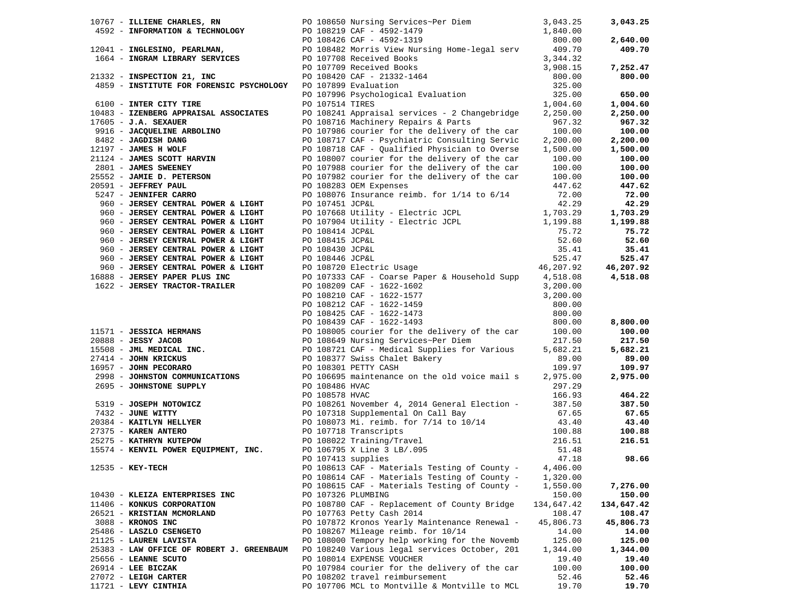|                                                                           |                    | 10767 - ILLIENE CHARLES, RN 60 108650 Nursing Services~Per Diem 3,043.25                                                                                                                                                                   |            | 3,043.25   |
|---------------------------------------------------------------------------|--------------------|--------------------------------------------------------------------------------------------------------------------------------------------------------------------------------------------------------------------------------------------|------------|------------|
|                                                                           |                    |                                                                                                                                                                                                                                            | 1,840.00   |            |
|                                                                           |                    | 4592 - INFORMATION & TECHNOLOGY<br>12041 - INGLESINO, PEARLMAN, PO 108219 CAF - 4592-1479<br>12041 - INGLESINO, PEARLMAN, PO 108482 Morris View Nursing Home-legal serv<br>1664 - INGRAM LIBRARY SERVICES<br>PO 107708 Received Books      | 800.00     | 2,640.00   |
|                                                                           |                    |                                                                                                                                                                                                                                            | 409.70     | 409.70     |
|                                                                           |                    | -3 107709 Received Books<br>PO 107709 Received Books<br>PO 108420 CAF - 21332-1464<br>PO 107899 Evaluation<br>PO 107996 Bourder                                                                                                            | 3,344.32   |            |
|                                                                           |                    |                                                                                                                                                                                                                                            | 3,908.15   | 7,252.47   |
| 21332 - INSPECTION 21, INC                                                |                    |                                                                                                                                                                                                                                            | 800.00     | 800.00     |
| 4859 - INSTITUTE FOR FORENSIC PSYCHOLOGY PO 107899 Evaluation             |                    |                                                                                                                                                                                                                                            | 325.00     |            |
|                                                                           |                    |                                                                                                                                                                                                                                            |            |            |
|                                                                           |                    | PO 107899 Evaluation<br>PO 107996 Psychological Evaluation                                                                                                                                                                                 | 325.00     | 650.00     |
| 6100 - INTER CITY TIRE                                                    | PO 107514 TIRES    |                                                                                                                                                                                                                                            | 1,004.60   | 1,004.60   |
| 10483 - IZENBERG APPRAISAL ASSOCIATES                                     |                    | PO 108241 Appraisal services - 2 Changebridge                                                                                                                                                                                              | 2,250.00   | 2,250.00   |
| $17605 - J.A.$ SEXAUER                                                    |                    | PO 108716 Machinery Repairs & Parts                                                                                                                                                                                                        | 967.32     | 967.32     |
| 9916 - JACQUELINE ARBOLINO                                                |                    | PO 107986 courier for the delivery of the car                                                                                                                                                                                              | 100.00     | 100.00     |
| 8482 - JAGDISH DANG<br>12197 - JAMES H WOLF<br>21124 - JAMES SCOTT HARVIN |                    | PO 108717 CAF - Psychiatric Consulting Servic                                                                                                                                                                                              | 2,200.00   | 2,200.00   |
|                                                                           |                    | PO 108718 CAF - Qualified Physician to Overse                                                                                                                                                                                              | 1,500.00   | 1,500.00   |
|                                                                           |                    | PO 108007 courier for the delivery of the car                                                                                                                                                                                              | 100.00     | 100.00     |
| 2801 - JAMES SWEENEY                                                      |                    | PO 107988 courier for the delivery of the car                                                                                                                                                                                              | 100.00     | 100.00     |
| 25552 - JAMIE D. PETERSON                                                 |                    | PO 107982 courier for the delivery of the car                                                                                                                                                                                              | 100.00     | 100.00     |
| 20591 - JEFFREY PAUL                                                      |                    | PO 108283 OEM Expenses                                                                                                                                                                                                                     | 447.62     | 447.62     |
| 5247 - JENNIFER CARRO                                                     |                    | PO 108076 Insurance reimb. for 1/14 to 6/14                                                                                                                                                                                                | 72.00      | 72.00      |
| 960 - JERSEY CENTRAL POWER & LIGHT                                        | PO 107451 JCP&L    |                                                                                                                                                                                                                                            | 42.29      | 42.29      |
|                                                                           |                    | PO 107351 00141<br>PO 107668 Utility - Electric JCPL<br>PO 107904 Utility - Electric JCPL                                                                                                                                                  |            |            |
| 960 - JERSEY CENTRAL POWER & LIGHT                                        |                    |                                                                                                                                                                                                                                            | 1,703.29   | 1,703.29   |
| 960 - JERSEY CENTRAL POWER & LIGHT                                        |                    |                                                                                                                                                                                                                                            | 1,199.88   | 1,199.88   |
| 960 - JERSEY CENTRAL POWER & LIGHT                                        | PO 108414 JCP&L    |                                                                                                                                                                                                                                            | 75.72      | 75.72      |
| 960 - JERSEY CENTRAL POWER & LIGHT                                        |                    |                                                                                                                                                                                                                                            | 52.60      | 52.60      |
| 960 - JERSEY CENTRAL POWER & LIGHT                                        |                    |                                                                                                                                                                                                                                            | 35.41      | 35.41      |
| 960 - JERSEY CENTRAL POWER & LIGHT                                        |                    | PO 108415 JCP&L<br>PO 108430 JCP&L<br>PO 108446 JCP&L<br>PO 108720 Electric Usage<br>PO 107333 CAF - Conroe Dougle                                                                                                                         | 525.47     | 525.47     |
| 960 - JERSEY CENTRAL POWER & LIGHT                                        |                    |                                                                                                                                                                                                                                            | 46,207.92  | 46,207.92  |
| 16888 - JERSEY PAPER PLUS INC                                             |                    | PO 107333 CAF - Coarse Paper & Household Supp 4,518.08                                                                                                                                                                                     |            | 4,518.08   |
| 1622 - JERSEY TRACTOR-TRAILER                                             |                    |                                                                                                                                                                                                                                            | 3,200.00   |            |
|                                                                           |                    | PO 108209 CAF - 1622-1602<br>PO 108210 CAF - 1622-1577<br>PO 108212 CAF - 1622-1459                                                                                                                                                        | 3,200.00   |            |
|                                                                           |                    |                                                                                                                                                                                                                                            | 800.00     |            |
|                                                                           |                    |                                                                                                                                                                                                                                            | 800.00     |            |
|                                                                           |                    | PO 108425 CAF - 1622-1473<br>PO 108439 CAF - 1622-1493<br>PO 108439 CAF - 1622-1493                                                                                                                                                        | 800.00     | 8,800.00   |
|                                                                           |                    | 11571 - JESSICA HERMANS<br>20888 - JESSY JACOB<br>15508 - JML MEDICAL INC.<br>27414 - JOHN KRICKUS – THE COMPUTER SCHOOL PO 108721 CAF - Medical Supplies for Various<br>27414 - JOHN KRICKUS<br>27414 - JOHN KRICKUS<br>27414 - JOHN KRIC | 100.00     | 100.00     |
|                                                                           |                    |                                                                                                                                                                                                                                            | 217.50     | 217.50     |
|                                                                           |                    |                                                                                                                                                                                                                                            | 5,682.21   | 5,682.21   |
|                                                                           |                    |                                                                                                                                                                                                                                            | 89.00      | 89.00      |
| 16957 - JOHN PECORARO                                                     |                    |                                                                                                                                                                                                                                            |            |            |
|                                                                           |                    | PO 108301 PETTY CASH                                                                                                                                                                                                                       | 109.97     | 109.97     |
|                                                                           |                    | 2998 - JOHNSTON COMMUNICATIONS PO 106695 maintenance on the old voice mail s                                                                                                                                                               | 2,975.00   | 2,975.00   |
| 2695 - JOHNSTONE SUPPLY                                                   | PO 108486 HVAC     |                                                                                                                                                                                                                                            | 297.29     |            |
|                                                                           |                    |                                                                                                                                                                                                                                            | 166.93     | 464.22     |
| 5319 - JOSEPH NOTOWICZ                                                    |                    |                                                                                                                                                                                                                                            | 387.50     | 387.50     |
| 7432 - JUNE WITTY                                                         |                    |                                                                                                                                                                                                                                            | 67.65      | 67.65      |
| 20384 - KAITLYN HELLYER<br>27375 - KAREN ANTERO                           |                    | PO 108578 HVAC<br>PO 108578 HVAC<br>PO 108261 November 4, 2014 General Election -<br>PO 107318 Supplemental On Call Bay<br>PO 108073 Mi. reimb. for 7/14 to 10/14<br>PO 107718 Transcripts                                                 | 43.40      | 43.40      |
| 27375 - KAREN ANTERO                                                      |                    |                                                                                                                                                                                                                                            | 100.88     | 100.88     |
| 27375 - KAKEN ANTEKO<br>25275 - KATHRYN KUTEPOW                           |                    | PO 108022 Training/Travel                                                                                                                                                                                                                  | 216.51     | 216.51     |
| 15574 - KENVIL POWER EQUIPMENT, INC.                                      |                    | PO 106022 Iraining/Iravel<br>PO 106795 X Line 3 LB/.095                                                                                                                                                                                    | 51.48      |            |
|                                                                           | PO 107413 supplies |                                                                                                                                                                                                                                            | 47.18      | 98.66      |
| 12535 - KEY-TECH                                                          |                    | PO 108613 CAF - Materials Testing of County - $4,406.00$                                                                                                                                                                                   |            |            |
|                                                                           |                    | PO 108614 CAF - Materials Testing of County -                                                                                                                                                                                              | 1,320.00   |            |
|                                                                           |                    | PO 108615 CAF - Materials Testing of County -                                                                                                                                                                                              | 1,550.00   | 7,276.00   |
| 10430 - KLEIZA ENTERPRISES INC                                            |                    | PO 107326 PLUMBING                                                                                                                                                                                                                         | 150.00     | 150.00     |
| 11406 - KONKUS CORPORATION                                                |                    | PO 108780 CAF - Replacement of County Bridge                                                                                                                                                                                               | 134,647.42 | 134,647.42 |
| 26521 - KRISTIAN MCMORLAND                                                |                    | PO 107763 Petty Cash 2014                                                                                                                                                                                                                  | 108.47     | 108.47     |
|                                                                           |                    |                                                                                                                                                                                                                                            |            |            |
| 3088 - KRONOS INC                                                         |                    | PO 107872 Kronos Yearly Maintenance Renewal -                                                                                                                                                                                              | 45,806.73  | 45,806.73  |
| 25486 - LASZLO CSENGETO                                                   |                    | PO 108267 Mileage reimb. for 10/14                                                                                                                                                                                                         | 14.00      | 14.00      |
| 21125 - LAUREN LAVISTA                                                    |                    | PO 108000 Tempory help working for the Novemb                                                                                                                                                                                              | 125.00     | 125.00     |
| 25383 - LAW OFFICE OF ROBERT J. GREENBAUM                                 |                    | PO 108240 Various legal services October, 201                                                                                                                                                                                              | 1,344.00   | 1,344.00   |
| 25656 - LEANNE SCUTO                                                      |                    | PO 108014 EXPENSE VOUCHER                                                                                                                                                                                                                  | 19.40      | 19.40      |
| $26914$ - LEE BICZAK                                                      |                    | PO 107984 courier for the delivery of the car                                                                                                                                                                                              | 100.00     | 100.00     |
| $27072$ - LEIGH CARTER                                                    |                    | PO 108202 travel reimbursement                                                                                                                                                                                                             | 52.46      | 52.46      |
| 11721 - LEVY CINTHIA                                                      |                    | PO 107706 MCL to Montville & Montville to MCL                                                                                                                                                                                              | 19.70      | 19.70      |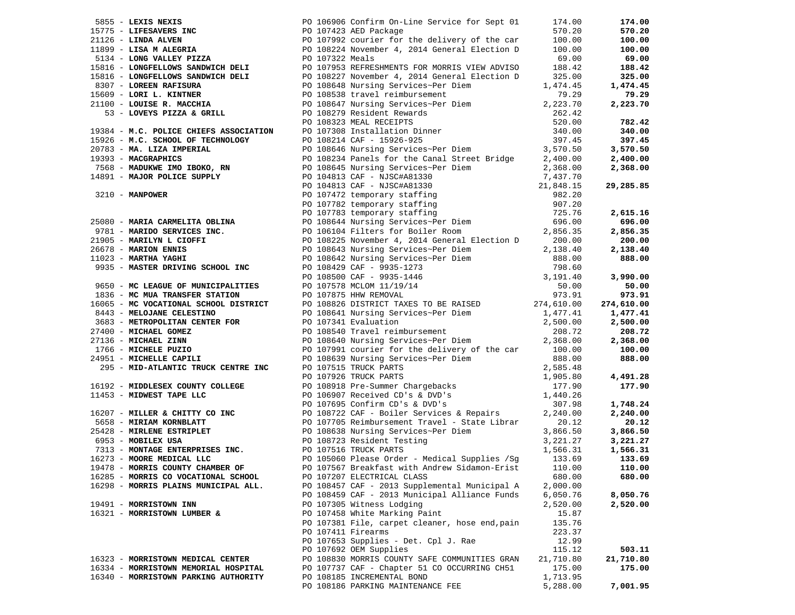|                                      |                    | 1983 ANNI Det Mark 1992 Continent of the first of North Continent Continent Continent Continent Continent Continent Continent Continent Continent Continent Continent Continent Continent Continent Continent Continent Conti |           | 174.00             |
|--------------------------------------|--------------------|-------------------------------------------------------------------------------------------------------------------------------------------------------------------------------------------------------------------------------|-----------|--------------------|
|                                      |                    |                                                                                                                                                                                                                               |           | 570.20             |
|                                      |                    |                                                                                                                                                                                                                               |           | 100.00             |
|                                      |                    |                                                                                                                                                                                                                               |           | 100.00             |
|                                      |                    |                                                                                                                                                                                                                               |           | 69.00              |
|                                      |                    |                                                                                                                                                                                                                               |           | 188.42             |
|                                      |                    |                                                                                                                                                                                                                               |           | 325.00             |
|                                      |                    |                                                                                                                                                                                                                               |           | 1,474.45           |
|                                      |                    |                                                                                                                                                                                                                               |           | 79.29              |
|                                      |                    |                                                                                                                                                                                                                               |           | 2,223.70           |
|                                      |                    |                                                                                                                                                                                                                               |           |                    |
|                                      |                    |                                                                                                                                                                                                                               |           | 782.42             |
|                                      |                    |                                                                                                                                                                                                                               |           | 340.00             |
|                                      |                    |                                                                                                                                                                                                                               |           | 397.45             |
|                                      |                    |                                                                                                                                                                                                                               |           | 3,570.50           |
|                                      |                    |                                                                                                                                                                                                                               |           | 2,400.00           |
|                                      |                    |                                                                                                                                                                                                                               |           | 2,368.00           |
|                                      |                    |                                                                                                                                                                                                                               |           |                    |
|                                      |                    |                                                                                                                                                                                                                               |           | 29,285.85          |
|                                      |                    |                                                                                                                                                                                                                               |           |                    |
|                                      |                    |                                                                                                                                                                                                                               |           |                    |
|                                      |                    |                                                                                                                                                                                                                               |           | 2,615.16           |
|                                      |                    |                                                                                                                                                                                                                               |           | 696.00             |
|                                      |                    |                                                                                                                                                                                                                               |           | 2,856.35           |
|                                      |                    |                                                                                                                                                                                                                               |           | 200.00<br>2,138.40 |
|                                      |                    |                                                                                                                                                                                                                               |           | 888.00             |
|                                      |                    |                                                                                                                                                                                                                               |           |                    |
|                                      |                    |                                                                                                                                                                                                                               |           | 3,990.00           |
|                                      |                    |                                                                                                                                                                                                                               |           | 50.00              |
|                                      |                    |                                                                                                                                                                                                                               |           | 973.91             |
|                                      |                    |                                                                                                                                                                                                                               |           | 274,610.00         |
|                                      |                    |                                                                                                                                                                                                                               |           | 1,477.41           |
|                                      |                    |                                                                                                                                                                                                                               |           | 2,500.00           |
|                                      |                    |                                                                                                                                                                                                                               |           | 208.72             |
|                                      |                    |                                                                                                                                                                                                                               |           | 2,368.00           |
|                                      |                    |                                                                                                                                                                                                                               |           | 100.00             |
|                                      |                    |                                                                                                                                                                                                                               |           | 888.00             |
|                                      |                    |                                                                                                                                                                                                                               |           |                    |
|                                      |                    |                                                                                                                                                                                                                               |           | 4,491.28           |
|                                      |                    |                                                                                                                                                                                                                               |           | 177.90             |
|                                      |                    |                                                                                                                                                                                                                               |           |                    |
|                                      |                    |                                                                                                                                                                                                                               |           | 1,748.24           |
|                                      |                    |                                                                                                                                                                                                                               |           | 2,240.00           |
|                                      |                    |                                                                                                                                                                                                                               |           | 20.12              |
|                                      |                    |                                                                                                                                                                                                                               |           | 3,866.50           |
|                                      |                    |                                                                                                                                                                                                                               |           | 3,221.27           |
|                                      |                    |                                                                                                                                                                                                                               |           | 1,566.31           |
|                                      |                    |                                                                                                                                                                                                                               |           | 133.69             |
| 19478 - MORRIS COUNTY CHAMBER OF     |                    | PO 107567 Breakfast with Andrew Sidamon-Erist                                                                                                                                                                                 | 110.00    | 110.00             |
| 16285 - MORRIS CO VOCATIONAL SCHOOL  |                    | PO 107207 ELECTRICAL CLASS                                                                                                                                                                                                    | 680.00    | 680.00             |
| 16298 - MORRIS PLAINS MUNICIPAL ALL. |                    | PO 108457 CAF - 2013 Supplemental Municipal A                                                                                                                                                                                 | 2,000.00  |                    |
|                                      |                    | PO 108459 CAF - 2013 Municipal Alliance Funds                                                                                                                                                                                 | 6,050.76  | 8,050.76           |
| 19491 - MORRISTOWN INN               |                    | PO 107305 Witness Lodging                                                                                                                                                                                                     | 2,520.00  | 2,520.00           |
| 16321 - MORRISTOWN LUMBER &          |                    | PO 107458 White Marking Paint                                                                                                                                                                                                 | 15.87     |                    |
|                                      |                    | PO 107381 File, carpet cleaner, hose end, pain                                                                                                                                                                                | 135.76    |                    |
|                                      | PO 107411 Firearms |                                                                                                                                                                                                                               | 223.37    |                    |
|                                      |                    | PO 107653 Supplies - Det. Cpl J. Rae                                                                                                                                                                                          | 12.99     |                    |
|                                      |                    | PO 107692 OEM Supplies                                                                                                                                                                                                        | 115.12    | 503.11             |
| 16323 - MORRISTOWN MEDICAL CENTER    |                    | PO 108830 MORRIS COUNTY SAFE COMMUNITIES GRAN                                                                                                                                                                                 | 21,710.80 | 21,710.80          |
| 16334 - MORRISTOWN MEMORIAL HOSPITAL |                    | PO 107737 CAF - Chapter 51 CO OCCURRING CH51                                                                                                                                                                                  | 175.00    | 175.00             |
| 16340 - MORRISTOWN PARKING AUTHORITY |                    | PO 108185 INCREMENTAL BOND                                                                                                                                                                                                    | 1,713.95  |                    |
|                                      |                    | PO 108186 PARKING MAINTENANCE FEE                                                                                                                                                                                             | 5,288.00  | 7,001.95           |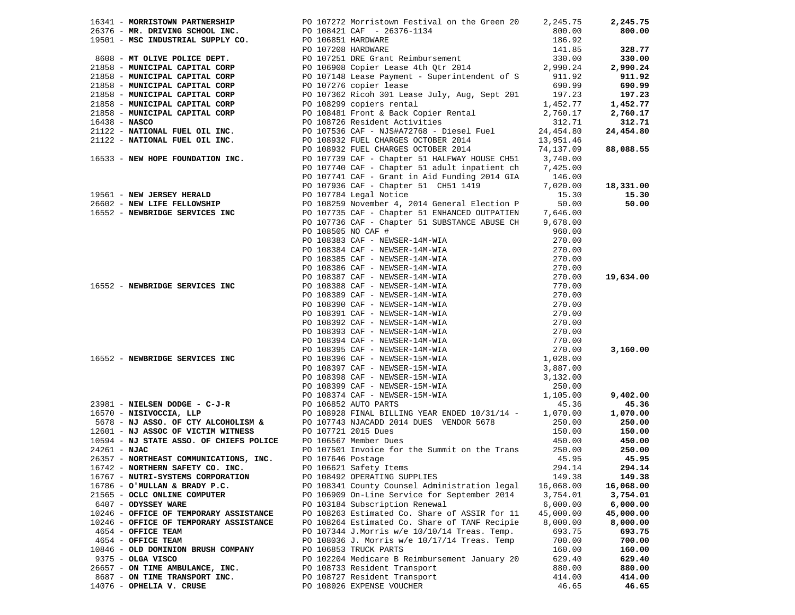| 16341 - MORRISTOWN PARTNERSHIP<br>16341 - MORRISTON PARTNERSHIP<br>16356 - MR. DRIVING SCHOOL INC.<br>19501 - MSC INDUSTRIAL SUPPLY CO.<br>166.92<br>166.92<br>166.92<br>166.92<br>17 OLIVE POLICE DEPT.<br>20107251 DRE Grant Reimbursement<br>2 |  |                                                                                                       |                        | 2,245.75  |
|---------------------------------------------------------------------------------------------------------------------------------------------------------------------------------------------------------------------------------------------------|--|-------------------------------------------------------------------------------------------------------|------------------------|-----------|
|                                                                                                                                                                                                                                                   |  |                                                                                                       |                        | 800.00    |
|                                                                                                                                                                                                                                                   |  |                                                                                                       |                        |           |
|                                                                                                                                                                                                                                                   |  |                                                                                                       |                        | 328.77    |
|                                                                                                                                                                                                                                                   |  |                                                                                                       |                        | 330.00    |
|                                                                                                                                                                                                                                                   |  |                                                                                                       |                        | 2,990.24  |
|                                                                                                                                                                                                                                                   |  |                                                                                                       |                        | 911.92    |
|                                                                                                                                                                                                                                                   |  |                                                                                                       |                        | 690.99    |
|                                                                                                                                                                                                                                                   |  |                                                                                                       |                        | 197.23    |
|                                                                                                                                                                                                                                                   |  |                                                                                                       |                        | 1,452.77  |
|                                                                                                                                                                                                                                                   |  |                                                                                                       |                        | 2,760.17  |
|                                                                                                                                                                                                                                                   |  |                                                                                                       |                        | 312.71    |
|                                                                                                                                                                                                                                                   |  |                                                                                                       |                        | 24,454.80 |
|                                                                                                                                                                                                                                                   |  |                                                                                                       |                        |           |
| 21122 - NATIONAL FUEL OIL INC.<br>PO 108932 FUEL CHARGES OCTOBER 2014<br>PO 108932 FUEL CHARGES OCTOBER 2014                                                                                                                                      |  |                                                                                                       | 13,951.46<br>74,137.09 | 88,088.55 |
|                                                                                                                                                                                                                                                   |  |                                                                                                       |                        |           |
| 16533 - NEW HOPE FOUNDATION INC. PO 107739 CAF - Chapter 51 HALFWAY HOUSE CH51 3,740.00<br>PO 107740 CAF - Chapter 51 adult inpatient ch 7,425.00                                                                                                 |  |                                                                                                       |                        |           |
|                                                                                                                                                                                                                                                   |  |                                                                                                       |                        |           |
|                                                                                                                                                                                                                                                   |  | PO 107741 CAF - Grant in Aid Funding 2014 GIA 146.00<br>PO 107936 CAF - Chapter 51 CH51 1419 7,020.00 | 7,020.00               |           |
|                                                                                                                                                                                                                                                   |  |                                                                                                       |                        | 18,331.00 |
| 19561 – NEW JERSEY HERALD<br>26602 – NEW LIFE FELLOWSHIP (Dependent of the Delity of the PO 108259 November 4, 2014 General Election P (De<br>16552 – NEWBRIDGE SERVICES INC (DEPENDENT PO 107735 CAF – Chapter 51 ENHANCED OUTPATIE              |  |                                                                                                       | 15.30                  | 15.30     |
|                                                                                                                                                                                                                                                   |  |                                                                                                       |                        | 50.00     |
|                                                                                                                                                                                                                                                   |  |                                                                                                       |                        |           |
|                                                                                                                                                                                                                                                   |  | PO 107736 CAF - Chapter 51 SUBSTANCE ABUSE CH 9,678.00                                                |                        |           |
|                                                                                                                                                                                                                                                   |  | PO 108505 NO CAF #                                                                                    | 960.00                 |           |
|                                                                                                                                                                                                                                                   |  |                                                                                                       |                        |           |
|                                                                                                                                                                                                                                                   |  |                                                                                                       |                        |           |
|                                                                                                                                                                                                                                                   |  |                                                                                                       |                        |           |
|                                                                                                                                                                                                                                                   |  |                                                                                                       |                        |           |
|                                                                                                                                                                                                                                                   |  |                                                                                                       |                        | 19,634.00 |
|                                                                                                                                                                                                                                                   |  |                                                                                                       |                        |           |
|                                                                                                                                                                                                                                                   |  |                                                                                                       |                        |           |
|                                                                                                                                                                                                                                                   |  |                                                                                                       |                        |           |
|                                                                                                                                                                                                                                                   |  |                                                                                                       |                        |           |
|                                                                                                                                                                                                                                                   |  |                                                                                                       |                        |           |
|                                                                                                                                                                                                                                                   |  |                                                                                                       |                        |           |
|                                                                                                                                                                                                                                                   |  |                                                                                                       |                        |           |
|                                                                                                                                                                                                                                                   |  |                                                                                                       |                        | 3,160.00  |
|                                                                                                                                                                                                                                                   |  |                                                                                                       |                        |           |
|                                                                                                                                                                                                                                                   |  |                                                                                                       |                        |           |
|                                                                                                                                                                                                                                                   |  |                                                                                                       |                        |           |
|                                                                                                                                                                                                                                                   |  |                                                                                                       |                        |           |
|                                                                                                                                                                                                                                                   |  |                                                                                                       |                        | 9,402.00  |
| 23981 - NIELSEN DODGE - C-J-R<br>16570 - NISIVOCCIA, LLP<br>5678 - NJ ASSO. OF CTY ALCOHOLISM &<br>16570 - NJ ASSO. OF CTY ALCOHOLISM &<br>16570 - NJ ASSO. OF CTY ALCOHOLISM &<br>16570 - NJ ASSO. OF CTY ALCOHOLISM &<br>1691 - NJ ASSOC        |  |                                                                                                       |                        | 45.36     |
|                                                                                                                                                                                                                                                   |  |                                                                                                       |                        | 1,070.00  |
|                                                                                                                                                                                                                                                   |  |                                                                                                       |                        | 250.00    |
|                                                                                                                                                                                                                                                   |  |                                                                                                       |                        | 150.00    |
|                                                                                                                                                                                                                                                   |  |                                                                                                       |                        | 450.00    |
|                                                                                                                                                                                                                                                   |  |                                                                                                       |                        | 250.00    |
| 26357 - NORTHEAST COMMUNICATIONS, INC. PO 107646 Postage                                                                                                                                                                                          |  |                                                                                                       | 45.95                  | 45.95     |
| 16742 - NORTHERN SAFETY CO. INC.                                                                                                                                                                                                                  |  | PO 106621 Safety Items                                                                                | 294.14                 | 294.14    |
| 16767 - NUTRI-SYSTEMS CORPORATION                                                                                                                                                                                                                 |  | PO 108492 OPERATING SUPPLIES                                                                          | 149.38                 | 149.38    |
| 16786 - O'MULLAN & BRADY P.C.                                                                                                                                                                                                                     |  | PO 108341 County Counsel Administration legal                                                         | 16,068.00              | 16,068.00 |
| 21565 - OCLC ONLINE COMPUTER                                                                                                                                                                                                                      |  | PO 106909 On-Line Service for September 2014                                                          | 3,754.01               | 3,754.01  |
| 6407 - ODYSSEY WARE                                                                                                                                                                                                                               |  | PO 103184 Subscription Renewal                                                                        | 6,000.00               | 6,000.00  |
| 10246 - OFFICE OF TEMPORARY ASSISTANCE                                                                                                                                                                                                            |  | PO 108263 Estimated Co. Share of ASSIR for 11                                                         | 45,000.00              | 45,000.00 |
| 10246 - OFFICE OF TEMPORARY ASSISTANCE                                                                                                                                                                                                            |  | PO 108264 Estimated Co. Share of TANF Recipie                                                         | 8,000.00               | 8,000.00  |
| 4654 - OFFICE TEAM                                                                                                                                                                                                                                |  | PO 107344 J.Morris w/e 10/10/14 Treas. Temp.                                                          | 693.75                 | 693.75    |
| 4654 - OFFICE TEAM                                                                                                                                                                                                                                |  | PO 108036 J. Morris w/e 10/17/14 Treas. Temp                                                          | 700.00                 | 700.00    |
| 10846 - OLD DOMINION BRUSH COMPANY                                                                                                                                                                                                                |  | PO 106853 TRUCK PARTS                                                                                 | 160.00                 | 160.00    |
| $9375 - OLGA VISCO$                                                                                                                                                                                                                               |  | PO 102204 Medicare B Reimbursement January 20                                                         | 629.40                 | 629.40    |
| 26657 - ON TIME AMBULANCE, INC.                                                                                                                                                                                                                   |  | PO 108733 Resident Transport                                                                          | 880.00                 | 880.00    |
| 8687 - ON TIME TRANSPORT INC.                                                                                                                                                                                                                     |  | PO 108727 Resident Transport                                                                          | 414.00                 | 414.00    |
| 14076 - OPHELIA V. CRUSE                                                                                                                                                                                                                          |  | PO 108026 EXPENSE VOUCHER                                                                             |                        | 46.65     |
|                                                                                                                                                                                                                                                   |  |                                                                                                       | 46.65                  |           |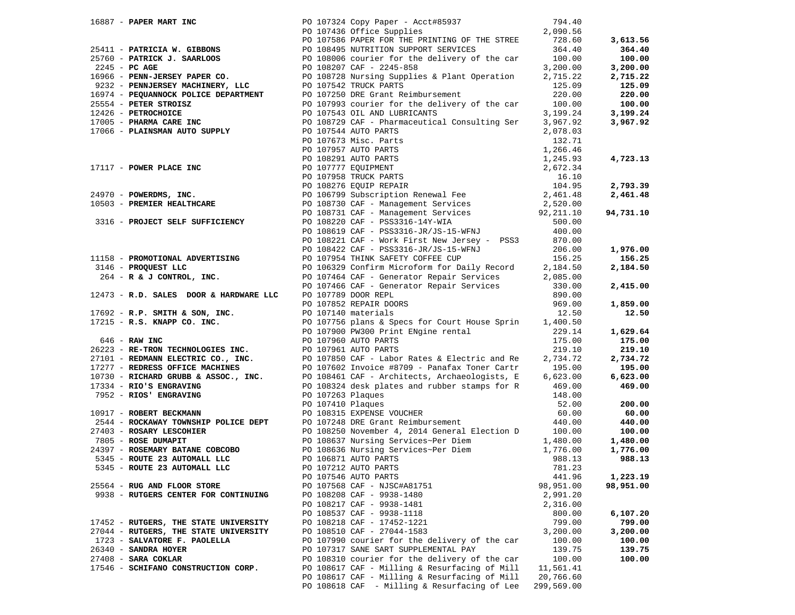|                                                            |                                                                                                                                                                                                                                                                                     |            | 3,613.56  |
|------------------------------------------------------------|-------------------------------------------------------------------------------------------------------------------------------------------------------------------------------------------------------------------------------------------------------------------------------------|------------|-----------|
|                                                            |                                                                                                                                                                                                                                                                                     |            | 364.40    |
|                                                            |                                                                                                                                                                                                                                                                                     |            | 100.00    |
|                                                            |                                                                                                                                                                                                                                                                                     |            | 3,200.00  |
|                                                            | 16887 - <b>PAPER MART INC</b><br>25411 - <b>PATRICIA W. GIBBONS</b><br>25411 - <b>PATRICIA W. GIBBONS</b><br>25554 - <b>PC AGE SOLOGE DEPARTMENT</b><br>27.000.00 <b>PATRICIA W. GIBBONS</b><br>27.000 - <b>PATRICIA W. GIBBONS</b><br>27.000 - <b>PATRICIA W. GIBBONS</b><br>2     |            | 2,715.22  |
|                                                            |                                                                                                                                                                                                                                                                                     |            | 125.09    |
|                                                            |                                                                                                                                                                                                                                                                                     |            | 220.00    |
|                                                            |                                                                                                                                                                                                                                                                                     |            | 100.00    |
|                                                            |                                                                                                                                                                                                                                                                                     |            | 3,199.24  |
|                                                            |                                                                                                                                                                                                                                                                                     |            | 3,967.92  |
|                                                            |                                                                                                                                                                                                                                                                                     |            |           |
|                                                            |                                                                                                                                                                                                                                                                                     |            |           |
|                                                            |                                                                                                                                                                                                                                                                                     |            |           |
|                                                            |                                                                                                                                                                                                                                                                                     |            | 4,723.13  |
|                                                            |                                                                                                                                                                                                                                                                                     |            |           |
|                                                            |                                                                                                                                                                                                                                                                                     |            |           |
|                                                            | 17066 - <b>PLAINSMAN AUTO SUPPLY</b><br>PO 107673 Mic. Parts<br>PO 107673 Mic. PRITS<br>PO 107757 AUTO PARTS<br>PO 107757 AUTO PARTS<br>PO 107957 AUTO PARTS<br>PO 107957 AUTO PARTS<br>PO 107957 AUTO PARTS<br>PO 107958 TRUCK PARTS<br>PO 108291 A                                |            |           |
|                                                            |                                                                                                                                                                                                                                                                                     |            | 2,793.39  |
|                                                            |                                                                                                                                                                                                                                                                                     |            | 2,461.48  |
|                                                            |                                                                                                                                                                                                                                                                                     |            |           |
|                                                            |                                                                                                                                                                                                                                                                                     |            | 94,731.10 |
|                                                            |                                                                                                                                                                                                                                                                                     |            |           |
|                                                            | PO 108019 CAR - PSS3310-UR/US-15-WENU<br>PO 108221 CAF - Work First New Jersey - PSS3 870.00                                                                                                                                                                                        |            |           |
|                                                            |                                                                                                                                                                                                                                                                                     |            |           |
|                                                            |                                                                                                                                                                                                                                                                                     |            | 1,976.00  |
|                                                            | 206.00<br>11158 - <b>PROMOTIONAL ADVERTISING</b><br>206.00<br>206.00<br>206.00<br>206.00<br>206.00<br>206.00<br>206.00<br>206.00<br>206.00<br>206.00<br>206.00<br>206.00<br>206.00<br>206.00<br>206.00<br>206.00<br>206.00<br>206.00<br>206.00<br>206.00<br>206.00<br>206.00<br>206 |            | 156.25    |
|                                                            |                                                                                                                                                                                                                                                                                     |            | 2,184.50  |
|                                                            |                                                                                                                                                                                                                                                                                     |            |           |
|                                                            |                                                                                                                                                                                                                                                                                     |            | 2,415.00  |
| 12473 - R.D. SALES DOOR & HARDWARE LLC PO 107789 DOOR REPL |                                                                                                                                                                                                                                                                                     | 890.00     |           |
|                                                            |                                                                                                                                                                                                                                                                                     |            | 1,859.00  |
|                                                            |                                                                                                                                                                                                                                                                                     |            | 12.50     |
|                                                            |                                                                                                                                                                                                                                                                                     |            |           |
|                                                            |                                                                                                                                                                                                                                                                                     |            | 1,629.64  |
|                                                            |                                                                                                                                                                                                                                                                                     |            | 175.00    |
|                                                            |                                                                                                                                                                                                                                                                                     |            | 219.10    |
|                                                            |                                                                                                                                                                                                                                                                                     |            | 2,734.72  |
|                                                            |                                                                                                                                                                                                                                                                                     |            | 195.00    |
|                                                            |                                                                                                                                                                                                                                                                                     |            | 6,623.00  |
|                                                            |                                                                                                                                                                                                                                                                                     |            | 469.00    |
|                                                            |                                                                                                                                                                                                                                                                                     |            |           |
|                                                            |                                                                                                                                                                                                                                                                                     |            | 200.00    |
|                                                            |                                                                                                                                                                                                                                                                                     |            | 60.00     |
|                                                            |                                                                                                                                                                                                                                                                                     |            | 440.00    |
|                                                            | 12473 - R.D. SALES DOOR & HARDWARE LLC PO 1077852 REPAIR DOORS EPAIR CONSTRAINED AND 17215 - R.S. KWAPP CO. INC. PO 1077852 REPAIR DOORS 969.00<br>17215 - R.S. KWAPP CO. INC. PO 1077950 plans & Specific Constrains and the sp                                                    |            | 100.00    |
|                                                            |                                                                                                                                                                                                                                                                                     |            | 1,480.00  |
|                                                            |                                                                                                                                                                                                                                                                                     |            | 1,776.00  |
|                                                            |                                                                                                                                                                                                                                                                                     |            | 988.13    |
| 5345 - ROUTE 23 AUTOMALL LLC                               | PO 107212 AUTO PARTS                                                                                                                                                                                                                                                                | 781.23     |           |
|                                                            | PO 107546 AUTO PARTS                                                                                                                                                                                                                                                                | 441.96     | 1,223.19  |
| 25564 - RUG AND FLOOR STORE                                | PO 107568 CAF - NJSC#A81751                                                                                                                                                                                                                                                         | 98,951.00  | 98,951.00 |
| 9938 - RUTGERS CENTER FOR CONTINUING                       | PO 108208 CAF - 9938-1480                                                                                                                                                                                                                                                           | 2,991.20   |           |
|                                                            | PO 108217 CAF - 9938-1481                                                                                                                                                                                                                                                           | 2,316.00   |           |
|                                                            | PO 108537 CAF - 9938-1118                                                                                                                                                                                                                                                           | 800.00     | 6,107.20  |
| 17452 - RUTGERS, THE STATE UNIVERSITY                      | PO 108218 CAF - 17452-1221                                                                                                                                                                                                                                                          | 799.00     | 799.00    |
| 27044 - RUTGERS, THE STATE UNIVERSITY                      | PO 108510 CAF - 27044-1583                                                                                                                                                                                                                                                          | 3,200.00   | 3,200.00  |
| 1723 - SALVATORE F. PAOLELLA                               | PO 107990 courier for the delivery of the car                                                                                                                                                                                                                                       | 100.00     | 100.00    |
| 26340 - SANDRA HOYER                                       | PO 107317 SANE SART SUPPLEMENTAL PAY                                                                                                                                                                                                                                                | 139.75     | 139.75    |
| 27408 - SARA COKLAR                                        | PO 108310 courier for the delivery of the car                                                                                                                                                                                                                                       | 100.00     | 100.00    |
| 17546 - SCHIFANO CONSTRUCTION CORP.                        | PO 108617 CAF - Milling & Resurfacing of Mill                                                                                                                                                                                                                                       | 11,561.41  |           |
|                                                            | PO 108617 CAF - Milling & Resurfacing of Mill                                                                                                                                                                                                                                       | 20,766.60  |           |
|                                                            | PO 108618 CAF - Milling & Resurfacing of Lee                                                                                                                                                                                                                                        | 299,569.00 |           |
|                                                            |                                                                                                                                                                                                                                                                                     |            |           |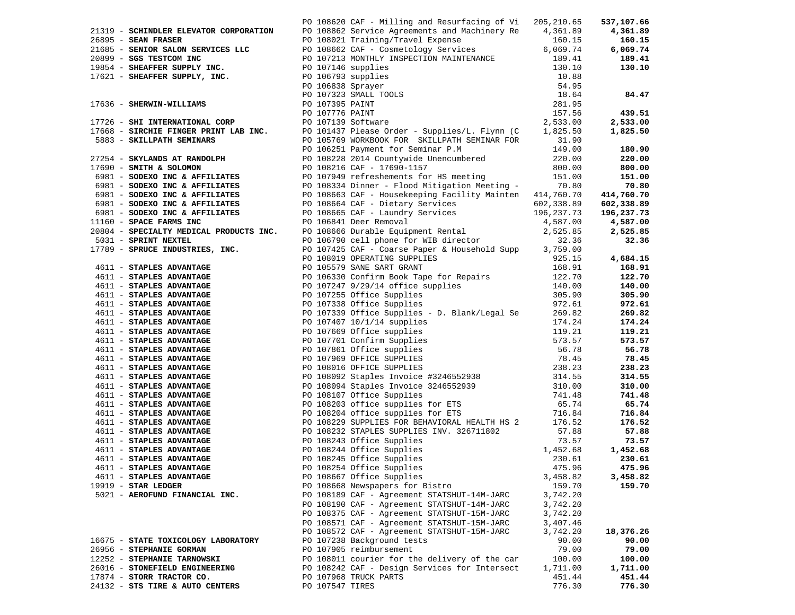| 21319 - SCHINDLER ELEVATOR CORPORATION                                                                       | PO 108620 CAF - Milling and Resurfacing of Vi<br>PO 108862 Service Agreements and Machinery Re                                                                                                                                                                                                                                                                                                                                                                           | 205, 210.65<br>4,361.89 | 537,107.66<br>4,361.89 |
|--------------------------------------------------------------------------------------------------------------|--------------------------------------------------------------------------------------------------------------------------------------------------------------------------------------------------------------------------------------------------------------------------------------------------------------------------------------------------------------------------------------------------------------------------------------------------------------------------|-------------------------|------------------------|
| $26895$ - SEAN FRASER                                                                                        |                                                                                                                                                                                                                                                                                                                                                                                                                                                                          | 160.15                  | 160.15                 |
| 21685 - SENIOR SALON SERVICES LLC                                                                            | PO 108021 Training/Travel Expense<br>PO 108662 CAF - Cosmetology Services                                                                                                                                                                                                                                                                                                                                                                                                | 6,069.74                | 6,069.74               |
| 20899 - SGS TESTCOM INC                                                                                      | PO 107213 MONTHLY INSPECTION MAINTENANCE                                                                                                                                                                                                                                                                                                                                                                                                                                 | 189.41                  | 189.41                 |
| 19854 - SHEAFFER SUPPLY INC.                                                                                 | PO 107146 supplies                                                                                                                                                                                                                                                                                                                                                                                                                                                       | 130.10                  | 130.10                 |
| 17621 - SHEAFFER SUPPLY, INC.                                                                                | PO 106793 supplies<br>PO 106838 Sprayer<br>PO 107323 SMALL TOOLS<br>PO 107395 PAINT<br>PO 107395 PAINT<br>PO 107139 Software<br>PO 101437 Please Order - Supplies (1000)                                                                                                                                                                                                                                                                                                 | 10.88                   |                        |
|                                                                                                              |                                                                                                                                                                                                                                                                                                                                                                                                                                                                          | 54.95                   |                        |
|                                                                                                              |                                                                                                                                                                                                                                                                                                                                                                                                                                                                          | 18.64                   | 84.47                  |
| 17636 - SHERWIN-WILLIAMS                                                                                     |                                                                                                                                                                                                                                                                                                                                                                                                                                                                          | 281.95                  |                        |
|                                                                                                              |                                                                                                                                                                                                                                                                                                                                                                                                                                                                          | 157.56                  | 439.51                 |
| 17726 - SHI INTERNATIONAL CORP                                                                               |                                                                                                                                                                                                                                                                                                                                                                                                                                                                          | 2,533.00                | 2,533.00               |
| 17668 - SIRCHIE FINGER PRINT LAB INC.                                                                        | PO 101437 Please Order - Supplies/L. Flynn $(C \t 1,825.50$                                                                                                                                                                                                                                                                                                                                                                                                              |                         | 1,825.50               |
| 5883 - SKILLPATH SEMINARS                                                                                    | PO 105769 WORKBOOK FOR SKILLPATH SEMINAR FOR                                                                                                                                                                                                                                                                                                                                                                                                                             | 31.90                   |                        |
|                                                                                                              |                                                                                                                                                                                                                                                                                                                                                                                                                                                                          |                         | 180.90                 |
| 27254 - SKYLANDS AT RANDOLPH                                                                                 |                                                                                                                                                                                                                                                                                                                                                                                                                                                                          | 149.00<br>220.00        | 220.00                 |
| 17690 - SMITH & SOLOMON                                                                                      | PO 106251 Payment for Seminar P.M<br>PO 108228 2014 Countywide Unencumbered<br>PO 108216 CAF - 17690-1157<br>PO 107949 refreshements for HS meeting                                                                                                                                                                                                                                                                                                                      | 800.00                  | 800.00                 |
| 6981 - SODEXO INC & AFFILIATES                                                                               |                                                                                                                                                                                                                                                                                                                                                                                                                                                                          | 151.00                  | 151.00                 |
| 6981 - SODEXO INC & AFFILIATES                                                                               | PO 108334 Dinner - Flood Mitigation Meeting - 70.80                                                                                                                                                                                                                                                                                                                                                                                                                      |                         | 70.80                  |
| 6981 - SODEXO INC & AFFILIATES                                                                               | PO 108663 CAF - Housekeeping Facility Mainten 414,760.70                                                                                                                                                                                                                                                                                                                                                                                                                 |                         | 414,760.70             |
| 6981 - SODEXO INC & AFFILIATES                                                                               |                                                                                                                                                                                                                                                                                                                                                                                                                                                                          |                         | 602,338.89             |
| 6981 - SODEXO INC & AFFILIATES                                                                               |                                                                                                                                                                                                                                                                                                                                                                                                                                                                          |                         | 196,237.73             |
| 11160 - SPACE FARMS INC                                                                                      |                                                                                                                                                                                                                                                                                                                                                                                                                                                                          |                         | 4,587.00               |
| 20804 - SPECIALTY MEDICAL PRODUCTS INC.                                                                      |                                                                                                                                                                                                                                                                                                                                                                                                                                                                          |                         | 2,525.85               |
| 5031 - SPRINT NEXTEL                                                                                         |                                                                                                                                                                                                                                                                                                                                                                                                                                                                          |                         | 32.36                  |
| 17789 - SPRUCE INDUSTRIES, INC.                                                                              | PO 108664 CAF - Dietary Services<br>PO 108664 CAF - Dietary Services<br>PO 108665 CAF - Laundry Services<br>PO 108665 CAF - Laundry Services<br>PO 108666 Durable Equipment Rental<br>PO 108666 Durable Equipment Rental<br>2,525.85<br>PO 1                                                                                                                                                                                                                             |                         |                        |
|                                                                                                              |                                                                                                                                                                                                                                                                                                                                                                                                                                                                          | 925.15                  | 4,684.15               |
| 4611 - STAPLES ADVANTAGE                                                                                     |                                                                                                                                                                                                                                                                                                                                                                                                                                                                          | 168.91                  | 168.91                 |
| 4611 - STAPLES ADVANTAGE                                                                                     |                                                                                                                                                                                                                                                                                                                                                                                                                                                                          | 122.70                  | 122.70                 |
| 4611 - STAPLES ADVANTAGE                                                                                     |                                                                                                                                                                                                                                                                                                                                                                                                                                                                          | 140.00                  | 140.00                 |
| 4611 - STAPLES ADVANTAGE                                                                                     |                                                                                                                                                                                                                                                                                                                                                                                                                                                                          | 305.90                  | 305.90                 |
| 4611 - STAPLES ADVANTAGE                                                                                     | PO 107425 CAF - COALSE Fapel & HOUNDING SUPPLIES<br>PO 108019 OPERATING SUPPLIES<br>PO 105579 SANE SART GRANT<br>PO 106330 Confirm Book Tape for Repairs<br>PO 107247 9/29/14 office supplies<br>PO 107255 Office Supplies<br>PO 107338 Office Supplies - D. Blank/Legar se<br>PO 107339 Office Supplies - D. Blank/Legar se<br>PO 107407 10/1/14 supplies<br>PO 107669 Office supplies<br>PO 10701 Confirm Supplies<br>PO 107960 OFFICE SUPPLIES<br>PO 108016 OFFICE SU | 972.61                  | 972.61                 |
| 4611 - STAPLES ADVANTAGE                                                                                     |                                                                                                                                                                                                                                                                                                                                                                                                                                                                          |                         | 269.82                 |
| 4611 - STAPLES ADVANTAGE                                                                                     |                                                                                                                                                                                                                                                                                                                                                                                                                                                                          |                         | 174.24                 |
| 4611 - STAPLES ADVANTAGE                                                                                     |                                                                                                                                                                                                                                                                                                                                                                                                                                                                          |                         | 119.21                 |
| 4611 - STAPLES ADVANTAGE                                                                                     |                                                                                                                                                                                                                                                                                                                                                                                                                                                                          |                         | 573.57                 |
| 4611 - STAPLES ADVANTAGE                                                                                     |                                                                                                                                                                                                                                                                                                                                                                                                                                                                          |                         | 56.78                  |
| 4611 - STAPLES ADVANTAGE                                                                                     |                                                                                                                                                                                                                                                                                                                                                                                                                                                                          |                         | 78.45                  |
| 4611 - STAPLES ADVANTAGE                                                                                     |                                                                                                                                                                                                                                                                                                                                                                                                                                                                          |                         | 238.23                 |
| 4611 - STAPLES ADVANTAGE                                                                                     |                                                                                                                                                                                                                                                                                                                                                                                                                                                                          |                         | 314.55                 |
| 4611 - STAPLES ADVANTAGE                                                                                     |                                                                                                                                                                                                                                                                                                                                                                                                                                                                          |                         | 310.00                 |
| 4611 - STAPLES ADVANTAGE                                                                                     |                                                                                                                                                                                                                                                                                                                                                                                                                                                                          |                         | 741.48                 |
| 4611 - STAPLES ADVANTAGE                                                                                     | PO 108203 office supplies for ETS<br>PO 108204 office supplies for ETS                                                                                                                                                                                                                                                                                                                                                                                                   |                         | 65.74                  |
|                                                                                                              |                                                                                                                                                                                                                                                                                                                                                                                                                                                                          | 716.84                  | 716.84                 |
| 4611 - STAPLES ADVANTAGE<br>4611 - STAPLES ADVANTAGE<br>4611 - STAPLES ADVANTAGE<br>4611 - STAPLES ADVANTAGE | PO 108229 SUPPLIES FOR BEHAVIORAL HEALTH HS 2<br>PO 108232 STAPLES SUPPLIES INV. 326711802                                                                                                                                                                                                                                                                                                                                                                               | 176.52<br>57.88         | 176.52<br>57.88        |
|                                                                                                              | PO 108243 Office Supplies                                                                                                                                                                                                                                                                                                                                                                                                                                                | 73.57                   | 73.57                  |
| 4611 - STAPLES ADVANTAGE<br>4611 - STAPLES ADVANTAGE                                                         | PO 108244 Office Supplies                                                                                                                                                                                                                                                                                                                                                                                                                                                | 1,452.68                | 1,452.68               |
|                                                                                                              | PO 108245 Office Supplies                                                                                                                                                                                                                                                                                                                                                                                                                                                | 230.61                  | 230.61                 |
| 4611 - STAPLES ADVANTAGE                                                                                     | PO 108254 Office Supplies                                                                                                                                                                                                                                                                                                                                                                                                                                                | 475.96                  | 475.96                 |
| 4611 - STAPLES ADVANTAGE                                                                                     | PO 108667 Office Supplies                                                                                                                                                                                                                                                                                                                                                                                                                                                | 3,458.82                | 3,458.82               |
| $19919$ - STAR LEDGER                                                                                        | PO 108668 Newspapers for Bistro                                                                                                                                                                                                                                                                                                                                                                                                                                          | 159.70                  | 159.70                 |
| 5021 - AEROFUND FINANCIAL INC.                                                                               | PO 108189 CAF - Agreement STATSHUT-14M-JARC                                                                                                                                                                                                                                                                                                                                                                                                                              | 3,742.20                |                        |
|                                                                                                              | PO 108190 CAF - Agreement STATSHUT-14M-JARC                                                                                                                                                                                                                                                                                                                                                                                                                              | 3,742.20                |                        |
|                                                                                                              | PO 108375 CAF - Agreement STATSHUT-15M-JARC                                                                                                                                                                                                                                                                                                                                                                                                                              | 3,742.20                |                        |
|                                                                                                              | PO 108571 CAF - Agreement STATSHUT-15M-JARC                                                                                                                                                                                                                                                                                                                                                                                                                              | 3,407.46                |                        |
|                                                                                                              | PO 108572 CAF - Agreement STATSHUT-15M-JARC                                                                                                                                                                                                                                                                                                                                                                                                                              | 3,742.20                | 18,376.26              |
| 16675 - STATE TOXICOLOGY LABORATORY                                                                          | PO 107238 Background tests                                                                                                                                                                                                                                                                                                                                                                                                                                               | 90.00                   | 90.00                  |
| 26956 - STEPHANIE GORMAN                                                                                     | PO 107905 reimbursement                                                                                                                                                                                                                                                                                                                                                                                                                                                  | 79.00                   | 79.00                  |
| 12252 - STEPHANIE TARNOWSKI                                                                                  | PO 108011 courier for the delivery of the car                                                                                                                                                                                                                                                                                                                                                                                                                            | 100.00                  | 100.00                 |
| 26016 - STONEFIELD ENGINEERING                                                                               | PO 108242 CAF - Design Services for Intersect                                                                                                                                                                                                                                                                                                                                                                                                                            | 1,711.00                | 1,711.00               |
| 17874 - STORR TRACTOR CO.                                                                                    | PO 107968 TRUCK PARTS                                                                                                                                                                                                                                                                                                                                                                                                                                                    | 451.44                  | 451.44                 |
| 24132 - STS TIRE & AUTO CENTERS                                                                              | PO 107547 TIRES                                                                                                                                                                                                                                                                                                                                                                                                                                                          | 776.30                  | 776.30                 |
|                                                                                                              |                                                                                                                                                                                                                                                                                                                                                                                                                                                                          |                         |                        |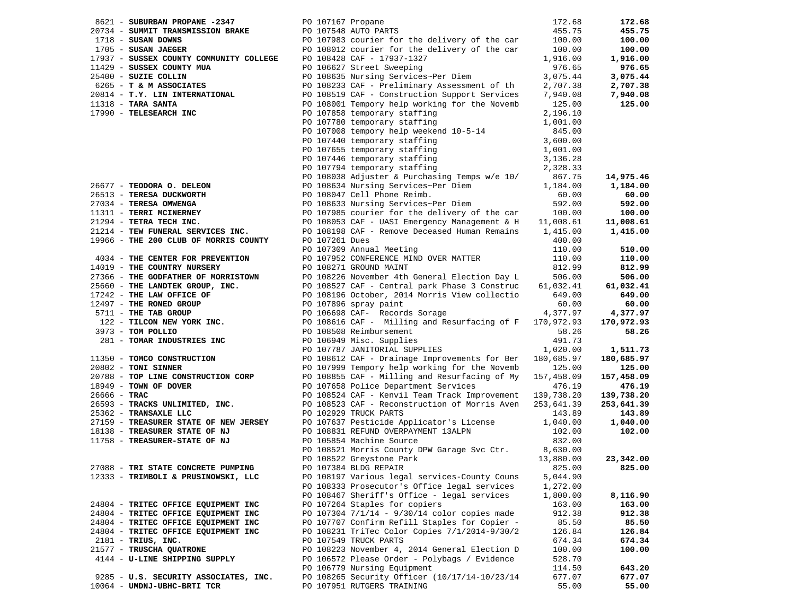|                       | 8621 - SUBURBAN PROPANE -2347           | PO 107167 Propane |                                                                                                                                                               | 172.68     | 172.68     |
|-----------------------|-----------------------------------------|-------------------|---------------------------------------------------------------------------------------------------------------------------------------------------------------|------------|------------|
|                       |                                         |                   | 20734 - SUMMIT TRANSMISSION BRAKE<br>1718 - SUSAN DOWNS<br>1705 - SUSAN JAEGER<br>1705 - SUSAN JAEGER<br>1999 - PO 108012 courier for the delivery of the car | 455.75     | 455.75     |
|                       |                                         |                   |                                                                                                                                                               | 100.00     | 100.00     |
|                       | 1705 - SUSAN JAEGER                     |                   | PO 108012 courier for the delivery of the car                                                                                                                 | 100.00     | 100.00     |
|                       | 17937 - SUSSEX COUNTY COMMUNITY COLLEGE |                   | PO 108428 CAF - 17937-1327                                                                                                                                    | 1,916.00   | 1,916.00   |
|                       | 11429 - SUSSEX COUNTY MUA               |                   | PO 106627 Street Sweeping                                                                                                                                     | 976.65     | 976.65     |
| 25400 - SUZIE COLLIN  |                                         |                   | PO 108635 Nursing Services~Per Diem                                                                                                                           | 3,075.44   | 3,075.44   |
|                       | 6265 - T & M ASSOCIATES                 |                   | PO 108233 CAF - Preliminary Assessment of th                                                                                                                  | 2,707.38   | 2,707.38   |
|                       | 20814 - T.Y. LIN INTERNATIONAL          |                   | PO 108519 CAF - Construction Support Services                                                                                                                 | 7,940.08   | 7,940.08   |
|                       |                                         |                   | PO 108001 Tempory help working for the Novemb                                                                                                                 | 125.00     | 125.00     |
|                       | 17990 - TELESEARCH INC                  |                   |                                                                                                                                                               |            |            |
|                       |                                         |                   | PO 107858 temporary staffing                                                                                                                                  | 2,196.10   |            |
|                       |                                         |                   | PO 107780 temporary staffing                                                                                                                                  | 1,001.00   |            |
|                       |                                         |                   | PO 107008 tempory help weekend 10-5-14                                                                                                                        | 845.00     |            |
|                       |                                         |                   | PO 107440 temporary staffing                                                                                                                                  | 3,600.00   |            |
|                       |                                         |                   | PO 107655 temporary staffing                                                                                                                                  | 1,001.00   |            |
|                       |                                         |                   | PO 107446 temporary staffing<br>PO 107794 temporary staffing                                                                                                  | 3,136.28   |            |
|                       |                                         |                   |                                                                                                                                                               | 2,328.33   |            |
|                       |                                         |                   | PO 108038 Adjuster & Purchasing Temps w/e 10/                                                                                                                 | 867.75     | 14,975.46  |
|                       | 26677 - TEODORA O. DELEON               |                   | PO 108634 Nursing Services~Per Diem                                                                                                                           | 1,184.00   | 1,184.00   |
|                       | 26513 - TERESA DUCKWORTH                |                   | PO 108047 Cell Phone Reimb.                                                                                                                                   | 60.00      | 60.00      |
|                       | 27034 - TERESA OMWENGA                  |                   | PO 108633 Nursing Services~Per Diem                                                                                                                           | 592.00     | 592.00     |
|                       | 11311 - TERRI MCINERNEY                 |                   | PO 107985 courier for the delivery of the car                                                                                                                 | 100.00     | 100.00     |
|                       | 21294 - TETRA TECH INC.                 |                   | PO 108053 CAF - UASI Emergency Management & H 11,008.61                                                                                                       |            | 11,008.61  |
|                       | 21214 - TEW FUNERAL SERVICES INC.       |                   | PO 108198 CAF - Remove Deceased Human Remains                                                                                                                 | 1,415.00   | 1,415.00   |
|                       | 19966 - THE 200 CLUB OF MORRIS COUNTY   | PO 107261 Dues    |                                                                                                                                                               | 400.00     |            |
|                       |                                         |                   | PO 107309 Annual Meeting                                                                                                                                      | 110.00     | 510.00     |
|                       | 4034 - THE CENTER FOR PREVENTION        |                   | PO 107952 CONFERENCE MIND OVER MATTER                                                                                                                         | 110.00     | 110.00     |
|                       | 14019 - THE COUNTRY NURSERY             |                   | PO 108271 GROUND MAINT                                                                                                                                        |            |            |
|                       |                                         |                   |                                                                                                                                                               | 812.99     | 812.99     |
|                       | 27366 - THE GODFATHER OF MORRISTOWN     |                   | PO 108226 November 4th General Election Day L<br>PO 108527 CAF - Central park Phase 3 Construc                                                                | 506.00     | 506.00     |
|                       | 25660 - THE LANDTEK GROUP, INC.         |                   |                                                                                                                                                               | 61,032.41  | 61,032.41  |
|                       | 17242 - THE LAW OFFICE OF               |                   | PO 108196 October, 2014 Morris View collectio                                                                                                                 | 649.00     | 649.00     |
|                       | 12497 - THE RONED GROUP                 |                   | PO 107896 spray paint                                                                                                                                         | 60.00      | 60.00      |
|                       | 5711 - THE TAB GROUP                    |                   | PO 106698 CAF- Records Sorage                                                                                                                                 | 4,377.97   | 4,377.97   |
|                       | 122 - TILCON NEW YORK INC.              |                   | PO 108616 CAF - Milling and Resurfacing of F 170,972.93                                                                                                       |            | 170,972.93 |
| 3973 - TOM POLLIO     |                                         |                   | PO 108508 Reimbursement                                                                                                                                       | 58.26      | 58.26      |
|                       | 281 - TOMAR INDUSTRIES INC              |                   | PO 106949 Misc. Supplies                                                                                                                                      | 491.73     |            |
|                       |                                         |                   | PO 107787 JANITORIAL SUPPLIES                                                                                                                                 | 1,020.00   | 1,511.73   |
|                       | 11350 - TOMCO CONSTRUCTION              |                   | PO 108612 CAF - Drainage Improvements for Ber                                                                                                                 | 180,685.97 | 180,685.97 |
| $20802$ - TONI SINNER |                                         |                   | PO 107999 Tempory help working for the Novemb                                                                                                                 | 125.00     | 125.00     |
|                       | 20788 - TOP LINE CONSTRUCTION CORP      |                   | PO 108855 CAF - Milling and Resurfacing of My                                                                                                                 | 157,458.09 | 157,458.09 |
|                       | 18949 - TOWN OF DOVER                   |                   | PO 107658 Police Department Services                                                                                                                          | 476.19     | 476.19     |
| $26666 - TRAC$        |                                         |                   | PO 108524 CAF - Kenvil Team Track Improvement 139,738.20                                                                                                      |            | 139,738.20 |
|                       | 26593 - TRACKS UNLIMITED, INC.          |                   | PO 108523 CAF - Reconstruction of Morris Aven                                                                                                                 | 253,641.39 | 253,641.39 |
|                       | 25362 - TRANSAXLE LLC                   |                   | PO 102929 TRUCK PARTS                                                                                                                                         | 143.89     | 143.89     |
|                       | 27159 - TREASURER STATE OF NEW JERSEY   |                   | PO 107637 Pesticide Applicator's License                                                                                                                      | 1,040.00   | 1,040.00   |
|                       | 18138 - TREASURER STATE OF NJ           |                   |                                                                                                                                                               | 102.00     | 102.00     |
|                       | 11758 - TREASURER-STATE OF NJ           |                   | PO 108831 REFUND OVERPAYMENT 13ALPN<br>PO 105854 Machine Source<br>PO 105854 Machine Source                                                                   | 832.00     |            |
|                       |                                         |                   | PO 108521 Morris County DPW Garage Svc Ctr. 8,630.00                                                                                                          |            |            |
|                       |                                         |                   | PO 108522 Greystone Park                                                                                                                                      | 13,880.00  | 23,342.00  |
|                       | 27088 - TRI STATE CONCRETE PUMPING      |                   | PO 107384 BLDG REPAIR                                                                                                                                         | 825.00     | 825.00     |
|                       |                                         |                   | PO 108197 Various legal services-County Couns                                                                                                                 |            |            |
|                       | 12333 - TRIMBOLI & PRUSINOWSKI, LLC     |                   | PO 108333 Prosecutor's Office legal services                                                                                                                  | 5,044.90   |            |
|                       |                                         |                   |                                                                                                                                                               | 1,272.00   | 8,116.90   |
|                       |                                         |                   | PO 108467 Sheriff's Office - legal services                                                                                                                   | 1,800.00   |            |
|                       | 24804 - TRITEC OFFICE EQUIPMENT INC     |                   | PO 107264 Staples for copiers                                                                                                                                 | 163.00     | 163.00     |
|                       | 24804 - TRITEC OFFICE EQUIPMENT INC     |                   | PO 107304 7/1/14 - 9/30/14 color copies made                                                                                                                  | 912.38     | 912.38     |
|                       | 24804 - TRITEC OFFICE EQUIPMENT INC     |                   | PO 107707 Confirm Refill Staples for Copier -                                                                                                                 | 85.50      | 85.50      |
|                       | 24804 - TRITEC OFFICE EQUIPMENT INC     |                   | PO 108231 TriTec Color Copies 7/1/2014-9/30/2                                                                                                                 | 126.84     | 126.84     |
| $2181$ - TRIUS, INC.  |                                         |                   | PO 107549 TRUCK PARTS                                                                                                                                         | 674.34     | 674.34     |
|                       | 21577 - TRUSCHA QUATRONE                |                   | PO 108223 November 4, 2014 General Election D                                                                                                                 | 100.00     | 100.00     |
|                       | 4144 - U-LINE SHIPPING SUPPLY           |                   | PO 106572 Please Order - Polybags / Evidence                                                                                                                  | 528.70     |            |
|                       |                                         |                   | PO 106779 Nursing Equipment                                                                                                                                   | 114.50     | 643.20     |
|                       | 9285 - U.S. SECURITY ASSOCIATES, INC.   |                   | PO 108265 Security Officer (10/17/14-10/23/14                                                                                                                 | 677.07     | 677.07     |
|                       | 10064 - UMDNJ-UBHC-BRTI TCR             |                   | PO 107951 RUTGERS TRAINING                                                                                                                                    | 55.00      | 55.00      |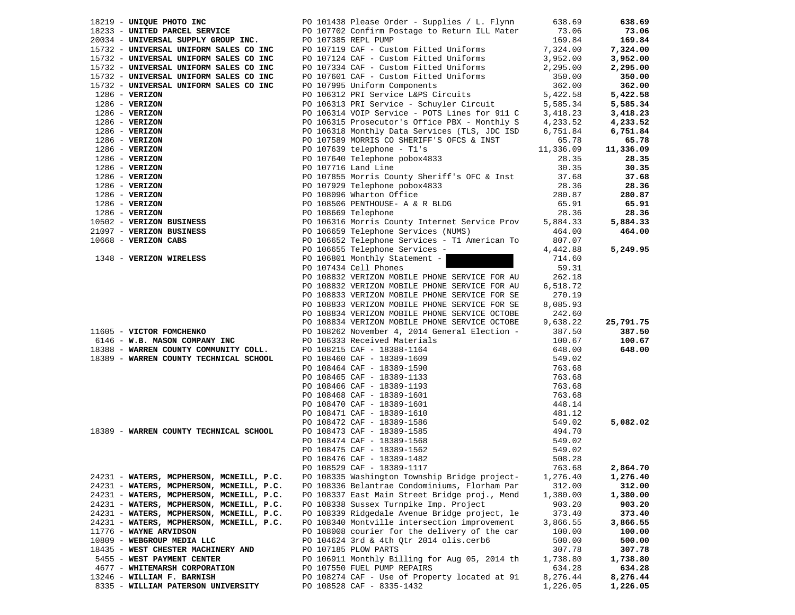| 18219 - UNIQUE PHOTO INC                 | PO 101438 Please Order - Supplies / L. Flynn             | 638.69           | 638.69    |
|------------------------------------------|----------------------------------------------------------|------------------|-----------|
| 18233 - UNITED PARCEL SERVICE            | PO 107702 Confirm Postage to Return ILL Mater            | 73.06            | 73.06     |
| 20034 - UNIVERSAL SUPPLY GROUP INC.      | PO 107385 REPL PUMP                                      | 169.84           | 169.84    |
| 15732 - UNIVERSAL UNIFORM SALES CO INC   | PO 107119 CAF - Custom Fitted Uniforms                   | 7,324.00         | 7,324.00  |
| 15732 - UNIVERSAL UNIFORM SALES CO INC   | PO 107124 CAF - Custom Fitted Uniforms                   | 3,952.00         | 3,952.00  |
| 15732 - UNIVERSAL UNIFORM SALES CO INC   | PO 107334 CAF - Custom Fitted Uniforms                   | 2,295.00         | 2,295.00  |
| 15732 - UNIVERSAL UNIFORM SALES CO INC   | PO 107601 CAF - Custom Fitted Uniforms                   | 350.00           | 350.00    |
| 15732 - UNIVERSAL UNIFORM SALES CO INC   | PO 107995 Uniform Components                             | 362.00           | 362.00    |
| $1286$ - VERIZON                         | PO 106312 PRI Service L&PS Circuits                      | 5,422.58         | 5,422.58  |
| $1286 - VERIZON$                         | PO 106313 PRI Service - Schuyler Circuit                 | 5,585.34         | 5,585.34  |
| $1286$ - VERIZON                         | PO 106314 VOIP Service - POTS Lines for 911 C            | 3,418.23         | 3,418.23  |
| $1286$ - VERIZON                         | PO 106315 Prosecutor's Office PBX - Monthly S            | 4,233.52         | 4,233.52  |
| $1286$ - VERIZON                         | PO 106318 Monthly Data Services (TLS, JDC ISD            | 6,751.84         | 6,751.84  |
| $1286$ - VERIZON                         | PO 107589 MORRIS CO SHERIFF'S OFCS & INST                | 65.78            | 65.78     |
| $1286$ - VERIZON                         | PO $107639$ telephone - Tl's                             | 11,336.09        | 11,336.09 |
| $1286$ - VERIZON                         | PO 107640 Telephone pobox4833                            | 28.35            | 28.35     |
| $1286$ - VERIZON                         | PO 107716 Land Line                                      | 30.35            | 30.35     |
| $1286$ - VERIZON                         | PO 107855 Morris County Sheriff's OFC & Inst             | 37.68            | 37.68     |
| $1286$ - VERIZON                         | PO 107929 Telephone pobox4833                            | 28.36            | 28.36     |
| $1286$ - VERIZON                         | PO 108096 Wharton Office                                 | 280.87           | 280.87    |
| $1286$ - VERIZON                         | PO 108506 PENTHOUSE- A & R BLDG                          | 65.91            | 65.91     |
| $1286$ - VERIZON                         | PO 108669 Telephone                                      | 28.36            | 28.36     |
| 10502 - VERIZON BUSINESS                 | PO 106316 Morris County Internet Service Prov            | 5,884.33         | 5,884.33  |
| 21097 - VERIZON BUSINESS                 | PO 106659 Telephone Services (NUMS)                      | 464.00           | 464.00    |
| 10668 - VERIZON CABS                     | PO 106652 Telephone Services - T1 American To            | 807.07           |           |
|                                          | PO 106655 Telephone Services -                           | 4,442.88         | 5,249.95  |
| 1348 - VERIZON WIRELESS                  | PO 106801 Monthly Statement -                            | 714.60           |           |
|                                          | PO 107434 Cell Phones                                    | 59.31            |           |
|                                          | PO 108832 VERIZON MOBILE PHONE SERVICE FOR AU            | 262.18           |           |
|                                          | PO 108832 VERIZON MOBILE PHONE SERVICE FOR AU            | 6,518.72         |           |
|                                          | PO 108833 VERIZON MOBILE PHONE SERVICE FOR SE            | 270.19           |           |
|                                          | PO 108833 VERIZON MOBILE PHONE SERVICE FOR SE            | 8,085.93         |           |
|                                          | PO 108834 VERIZON MOBILE PHONE SERVICE OCTOBE            | 242.60           |           |
|                                          | PO 108834 VERIZON MOBILE PHONE SERVICE OCTOBE            | 9,638.22         | 25,791.75 |
| 11605 - VICTOR FOMCHENKO                 | PO 108262 November 4, 2014 General Election -            | 387.50           | 387.50    |
| 6146 - W.B. MASON COMPANY INC            | PO 106333 Received Materials                             | 100.67           | 100.67    |
| 18388 - WARREN COUNTY COMMUNITY COLL.    | PO 108215 CAF - 18388-1164                               | 648.00           | 648.00    |
| 18389 - WARREN COUNTY TECHNICAL SCHOOL   | PO 108460 CAF - 18389-1609                               | 549.02           |           |
|                                          | PO 108464 CAF - 18389-1590                               | 763.68           |           |
|                                          | PO 108465 CAF - 18389-1133                               | 763.68           |           |
|                                          | PO 108466 CAF - 18389-1193                               | 763.68           |           |
|                                          | PO 108468 CAF - 18389-1601                               | 763.68           |           |
|                                          | PO 108470 CAF - 18389-1601                               | 448.14<br>481.12 |           |
|                                          | PO 108471 CAF - 18389-1610<br>PO 108472 CAF - 18389-1586 | 549.02           | 5,082.02  |
| 18389 - WARREN COUNTY TECHNICAL SCHOOL   | PO 108473 CAF - 18389-1585                               | 494.70           |           |
|                                          | PO 108474 CAF - 18389-1568                               | 549.02           |           |
|                                          | PO 108475 CAF - 18389-1562                               | 549.02           |           |
|                                          | PO 108476 CAF - 18389-1482                               | 508.28           |           |
|                                          | PO 108529 CAF - 18389-1117                               | 763.68           | 2,864.70  |
| 24231 - WATERS, MCPHERSON, MCNEILL, P.C. | PO 108335 Washington Township Bridge project-            | 1,276.40         | 1,276.40  |
| 24231 - WATERS, MCPHERSON, MCNEILL, P.C. | PO 108336 Belantrae Condominiums, Florham Par            | 312.00           | 312.00    |
| 24231 - WATERS, MCPHERSON, MCNEILL, P.C. | PO 108337 East Main Street Bridge proj., Mend            | 1,380.00         | 1,380.00  |
| 24231 - WATERS, MCPHERSON, MCNEILL, P.C. | PO 108338 Sussex Turnpike Imp. Project                   | 903.20           | 903.20    |
| 24231 - WATERS, MCPHERSON, MCNEILL, P.C. | PO 108339 Ridgedale Avenue Bridge project, le            | 373.40           | 373.40    |
| 24231 - WATERS, MCPHERSON, MCNEILL, P.C. | PO 108340 Montville intersection improvement             | 3,866.55         | 3,866.55  |
| 11776 - WAYNE ARVIDSON                   | PO 108008 courier for the delivery of the car            | 100.00           | 100.00    |
| 10809 - WEBGROUP MEDIA LLC               | PO 104624 3rd & 4th Qtr 2014 olis.cerb6                  | 500.00           | 500.00    |
| 18435 - WEST CHESTER MACHINERY AND       | PO 107185 PLOW PARTS                                     | 307.78           | 307.78    |
| 5455 - WEST PAYMENT CENTER               | PO 106911 Monthly Billing for Aug 05, 2014 th            | 1,738.80         | 1,738.80  |
| 4677 - WHITEMARSH CORPORATION            | PO 107550 FUEL PUMP REPAIRS                              | 634.28           | 634.28    |
| 13246 - WILLIAM F. BARNISH               | PO 108274 CAF - Use of Property located at 91            | 8,276.44         | 8,276.44  |
| 8335 - WILLIAM PATERSON UNIVERSITY       | PO 108528 CAF - 8335-1432                                | 1,226.05         | 1,226.05  |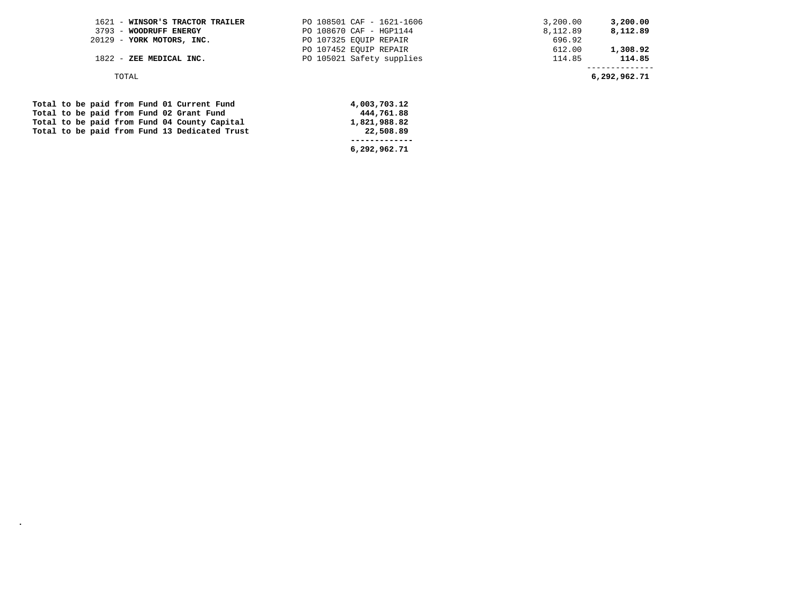| PO 107452 EOUIP REPAIR<br>612.00 |                                           |
|----------------------------------|-------------------------------------------|
| 114.85                           | 1,308.92<br>114.85                        |
|                                  | 6,292,962.71                              |
|                                  | PO 105021 Safety supplies<br>4,003,703.12 |

|  |  |  |  | Total to be paid from Fund 01 Current Fund    | 4,003,703.12 |
|--|--|--|--|-----------------------------------------------|--------------|
|  |  |  |  | Total to be paid from Fund 02 Grant Fund      | 444,761.88   |
|  |  |  |  | Total to be paid from Fund 04 County Capital  | 1,821,988.82 |
|  |  |  |  | Total to be paid from Fund 13 Dedicated Trust | 22,508.89    |
|  |  |  |  |                                               |              |
|  |  |  |  |                                               | 6,292,962.71 |

**.**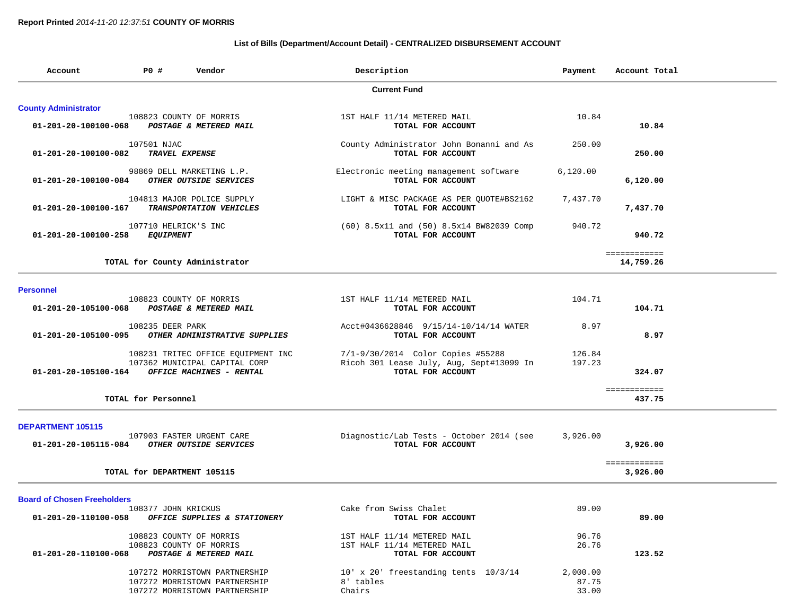### **List of Bills (Department/Account Detail) - CENTRALIZED DISBURSEMENT ACCOUNT**

| Account                            | PO#<br>Vendor                                                                                   | Description                                                                                        | Payment                    | Account Total             |
|------------------------------------|-------------------------------------------------------------------------------------------------|----------------------------------------------------------------------------------------------------|----------------------------|---------------------------|
|                                    |                                                                                                 | <b>Current Fund</b>                                                                                |                            |                           |
| <b>County Administrator</b>        |                                                                                                 |                                                                                                    |                            |                           |
| 01-201-20-100100-068               | 108823 COUNTY OF MORRIS<br>POSTAGE & METERED MAIL                                               | 1ST HALF 11/14 METERED MAIL<br>TOTAL FOR ACCOUNT                                                   | 10.84                      | 10.84                     |
| 01-201-20-100100-082               | 107501 NJAC<br>TRAVEL EXPENSE                                                                   | County Administrator John Bonanni and As<br>TOTAL FOR ACCOUNT                                      | 250.00                     | 250.00                    |
| 01-201-20-100100-084               | 98869 DELL MARKETING L.P.<br>OTHER OUTSIDE SERVICES                                             | Electronic meeting management software<br>TOTAL FOR ACCOUNT                                        | 6,120.00                   | 6,120.00                  |
| 01-201-20-100100-167               | 104813 MAJOR POLICE SUPPLY<br>TRANSPORTATION VEHICLES                                           | LIGHT & MISC PACKAGE AS PER QUOTE#BS2162<br>TOTAL FOR ACCOUNT                                      | 7,437.70                   | 7,437.70                  |
| 01-201-20-100100-258               | 107710 HELRICK'S INC<br><b>EQUIPMENT</b>                                                        | (60) 8.5x11 and (50) 8.5x14 BW82039 Comp<br>TOTAL FOR ACCOUNT                                      | 940.72                     | 940.72                    |
|                                    | TOTAL for County Administrator                                                                  |                                                                                                    |                            | ============<br>14,759.26 |
| <b>Personnel</b>                   |                                                                                                 |                                                                                                    |                            |                           |
| 01-201-20-105100-068               | 108823 COUNTY OF MORRIS<br>POSTAGE & METERED MAIL                                               | 1ST HALF 11/14 METERED MAIL<br>TOTAL FOR ACCOUNT                                                   | 104.71                     | 104.71                    |
| 01-201-20-105100-095               | 108235 DEER PARK<br>OTHER ADMINISTRATIVE SUPPLIES                                               | Acct#0436628846 9/15/14-10/14/14 WATER<br>TOTAL FOR ACCOUNT                                        | 8.97                       | 8.97                      |
| 01-201-20-105100-164               | 108231 TRITEC OFFICE EQUIPMENT INC<br>107362 MUNICIPAL CAPITAL CORP<br>OFFICE MACHINES - RENTAL | 7/1-9/30/2014 Color Copies #55288<br>Ricoh 301 Lease July, Aug, Sept#13099 In<br>TOTAL FOR ACCOUNT | 126.84<br>197.23           | 324.07                    |
|                                    | TOTAL for Personnel                                                                             |                                                                                                    |                            | ============<br>437.75    |
| <b>DEPARTMENT 105115</b>           |                                                                                                 |                                                                                                    |                            |                           |
| 01-201-20-105115-084               | 107903 FASTER URGENT CARE<br>OTHER OUTSIDE SERVICES                                             | Diagnostic/Lab Tests - October 2014 (see<br>TOTAL FOR ACCOUNT                                      | 3,926.00                   | 3,926.00                  |
|                                    | TOTAL for DEPARTMENT 105115                                                                     |                                                                                                    |                            | ============<br>3,926.00  |
| <b>Board of Chosen Freeholders</b> |                                                                                                 |                                                                                                    |                            |                           |
|                                    | 108377 JOHN KRICKUS<br>01-201-20-110100-058 OFFICE SUPPLIES & STATIONERY                        | Cake from Swiss Chalet<br>TOTAL FOR ACCOUNT                                                        | 89.00                      | 89.00                     |
| 01-201-20-110100-068               | 108823 COUNTY OF MORRIS<br>108823 COUNTY OF MORRIS<br>POSTAGE & METERED MAIL                    | 1ST HALF 11/14 METERED MAIL<br>1ST HALF 11/14 METERED MAIL<br>TOTAL FOR ACCOUNT                    | 96.76<br>26.76             | 123.52                    |
|                                    | 107272 MORRISTOWN PARTNERSHIP<br>107272 MORRISTOWN PARTNERSHIP<br>107272 MORRISTOWN PARTNERSHIP | 10' x 20' freestanding tents 10/3/14<br>8' tables<br>Chairs                                        | 2,000.00<br>87.75<br>33.00 |                           |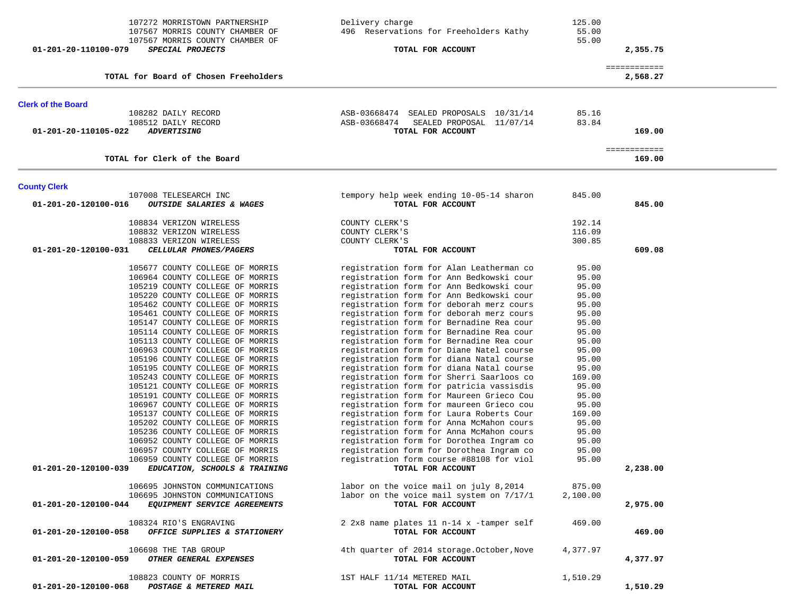| 107272 MORRISTOWN PARTNERSHIP<br>107567 MORRIS COUNTY CHAMBER OF                         | Delivery charge<br>496 Reservations for Freeholders Kathy                            | 125.00<br>55.00 |                          |  |
|------------------------------------------------------------------------------------------|--------------------------------------------------------------------------------------|-----------------|--------------------------|--|
| 107567 MORRIS COUNTY CHAMBER OF                                                          |                                                                                      | 55.00           |                          |  |
| SPECIAL PROJECTS<br>01-201-20-110100-079                                                 | TOTAL FOR ACCOUNT                                                                    |                 | 2,355.75                 |  |
| TOTAL for Board of Chosen Freeholders                                                    |                                                                                      |                 | ============<br>2,568.27 |  |
| <b>Clerk of the Board</b>                                                                |                                                                                      |                 |                          |  |
| 108282 DAILY RECORD                                                                      | ASB-03668474 SEALED PROPOSALS 10/31/14                                               | 85.16           |                          |  |
| 108512 DAILY RECORD                                                                      | ASB-03668474<br>SEALED PROPOSAL 11/07/14                                             | 83.84           |                          |  |
| 01-201-20-110105-022<br><b>ADVERTISING</b>                                               | TOTAL FOR ACCOUNT                                                                    |                 | 169.00                   |  |
| TOTAL for Clerk of the Board                                                             |                                                                                      |                 | ============<br>169.00   |  |
| <b>County Clerk</b>                                                                      |                                                                                      |                 |                          |  |
| 107008 TELESEARCH INC<br>01-201-20-120100-016<br><b>OUTSIDE SALARIES &amp; WAGES</b>     | tempory help week ending 10-05-14 sharon<br>TOTAL FOR ACCOUNT                        | 845.00          | 845.00                   |  |
| 108834 VERIZON WIRELESS                                                                  | COUNTY CLERK'S                                                                       | 192.14          |                          |  |
| 108832 VERIZON WIRELESS                                                                  | COUNTY CLERK'S                                                                       | 116.09          |                          |  |
| 108833 VERIZON WIRELESS                                                                  | COUNTY CLERK'S                                                                       | 300.85          |                          |  |
| 01-201-20-120100-031<br>CELLULAR PHONES/PAGERS                                           | TOTAL FOR ACCOUNT                                                                    |                 | 609.08                   |  |
| 105677 COUNTY COLLEGE OF MORRIS                                                          | registration form for Alan Leatherman co                                             | 95.00           |                          |  |
| 106964 COUNTY COLLEGE OF MORRIS                                                          | registration form for Ann Bedkowski cour                                             | 95.00           |                          |  |
| 105219 COUNTY COLLEGE OF MORRIS                                                          | registration form for Ann Bedkowski cour                                             | 95.00           |                          |  |
| 105220 COUNTY COLLEGE OF MORRIS                                                          | registration form for Ann Bedkowski cour                                             | 95.00           |                          |  |
| 105462 COUNTY COLLEGE OF MORRIS<br>105461 COUNTY COLLEGE OF MORRIS                       | registration form for deborah merz cours<br>registration form for deborah merz cours | 95.00<br>95.00  |                          |  |
| 105147 COUNTY COLLEGE OF MORRIS                                                          | registration form for Bernadine Rea cour                                             | 95.00           |                          |  |
| 105114 COUNTY COLLEGE OF MORRIS                                                          | registration form for Bernadine Rea cour                                             | 95.00           |                          |  |
| 105113 COUNTY COLLEGE OF MORRIS                                                          | registration form for Bernadine Rea cour                                             | 95.00           |                          |  |
| 106963 COUNTY COLLEGE OF MORRIS                                                          | registration form for Diane Natel course                                             | 95.00           |                          |  |
| 105196 COUNTY COLLEGE OF MORRIS                                                          | registration form for diana Natal course                                             | 95.00           |                          |  |
| 105195 COUNTY COLLEGE OF MORRIS                                                          | registration form for diana Natal course                                             | 95.00           |                          |  |
| 105243 COUNTY COLLEGE OF MORRIS                                                          | registration form for Sherri Saarloos co                                             | 169.00          |                          |  |
| 105121 COUNTY COLLEGE OF MORRIS                                                          | registration form for patricia vassisdis                                             | 95.00           |                          |  |
| 105191 COUNTY COLLEGE OF MORRIS<br>106967 COUNTY COLLEGE OF MORRIS                       | registration form for Maureen Grieco Cou<br>registration form for maureen Grieco cou | 95.00<br>95.00  |                          |  |
| 105137 COUNTY COLLEGE OF MORRIS                                                          | registration form for Laura Roberts Cour                                             | 169.00          |                          |  |
| 105202 COUNTY COLLEGE OF MORRIS                                                          | registration form for Anna McMahon cours                                             | 95.00           |                          |  |
| 105236 COUNTY COLLEGE OF MORRIS                                                          | registration form for Anna McMahon cours                                             | 95.00           |                          |  |
| 106952 COUNTY COLLEGE OF MORRIS                                                          | registration form for Dorothea Ingram co                                             | 95.00           |                          |  |
| 106957 COUNTY COLLEGE OF MORRIS                                                          | registration form for Dorothea Ingram co                                             | 95.00           |                          |  |
| 106959 COUNTY COLLEGE OF MORRIS<br>01-201-20-120100-039<br>EDUCATION, SCHOOLS & TRAINING | registration form course #88108 for viol<br>TOTAL FOR ACCOUNT                        | 95.00           | 2,238.00                 |  |
| 106695 JOHNSTON COMMUNICATIONS                                                           | labor on the voice mail on july 8,2014                                               | 875.00          |                          |  |
| 106695 JOHNSTON COMMUNICATIONS                                                           | labor on the voice mail system on 7/17/1                                             | 2,100.00        |                          |  |
| 01-201-20-120100-044<br>EQUIPMENT SERVICE AGREEMENTS                                     | TOTAL FOR ACCOUNT                                                                    |                 | 2,975.00                 |  |
| 108324 RIO'S ENGRAVING                                                                   | 2 2x8 name plates 11 n-14 x -tamper self                                             | 469.00          |                          |  |
| OFFICE SUPPLIES & STATIONERY<br>01-201-20-120100-058                                     | TOTAL FOR ACCOUNT                                                                    |                 | 469.00                   |  |
| 106698 THE TAB GROUP<br>01-201-20-120100-059<br>OTHER GENERAL EXPENSES                   | 4th quarter of 2014 storage. October, Nove<br>TOTAL FOR ACCOUNT                      | 4,377.97        | 4,377.97                 |  |
| 108823 COUNTY OF MORRIS<br>01-201-20-120100-068<br>POSTAGE & METERED MAIL                | 1ST HALF 11/14 METERED MAIL<br>TOTAL FOR ACCOUNT                                     | 1,510.29        | 1,510.29                 |  |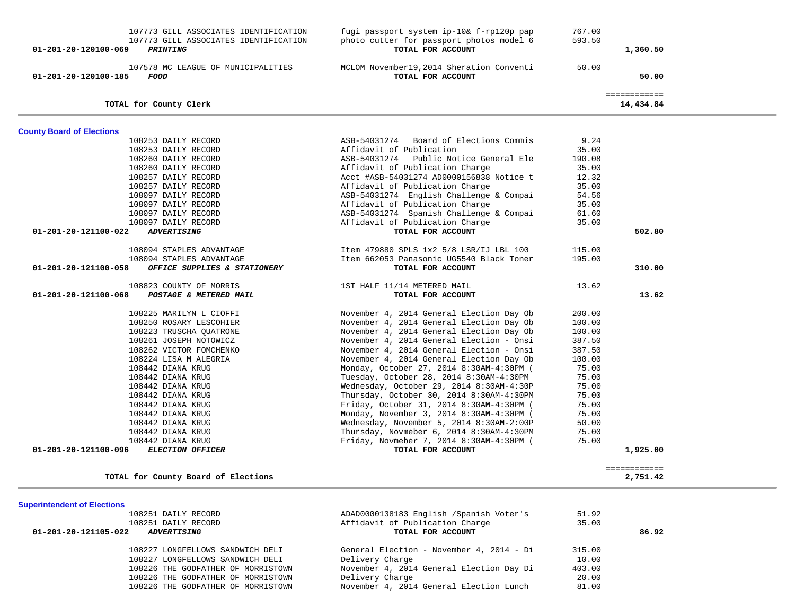| 107773 GILL ASSOCIATES IDENTIFICATION<br>01-201-20-120100-069<br><i><b>PRINTING</b></i> | photo cutter for passport photos model 6<br>TOTAL FOR ACCOUNT              | 593.50         | 1,360.50                  |
|-----------------------------------------------------------------------------------------|----------------------------------------------------------------------------|----------------|---------------------------|
| 107578 MC LEAGUE OF MUNICIPALITIES<br>01-201-20-120100-185<br>FOOD                      | MCLOM November19, 2014 Sheration Conventi<br>TOTAL FOR ACCOUNT             | 50.00          | 50.00                     |
| TOTAL for County Clerk                                                                  |                                                                            |                | ============<br>14,434.84 |
| <b>County Board of Elections</b>                                                        |                                                                            |                |                           |
| 108253 DAILY RECORD                                                                     | ASB-54031274 Board of Elections Commis                                     | 9.24           |                           |
| 108253 DAILY RECORD                                                                     | Affidavit of Publication                                                   | 35.00          |                           |
| 108260 DAILY RECORD                                                                     | ASB-54031274 Public Notice General Ele                                     | 190.08         |                           |
| 108260 DAILY RECORD                                                                     | Affidavit of Publication Charge                                            | 35.00          |                           |
| 108257 DAILY RECORD                                                                     | Acct #ASB-54031274 AD0000156838 Notice t                                   | 12.32          |                           |
| 108257 DAILY RECORD                                                                     | Affidavit of Publication Charge                                            | 35.00          |                           |
| 108097 DAILY RECORD                                                                     | ASB-54031274 English Challenge & Compai                                    | 54.56          |                           |
| 108097 DAILY RECORD                                                                     | Affidavit of Publication Charge                                            | 35.00          |                           |
| 108097 DAILY RECORD                                                                     | ASB-54031274 Spanish Challenge & Compai                                    | 61.60          |                           |
| 108097 DAILY RECORD                                                                     | Affidavit of Publication Charge                                            | 35.00          |                           |
| <b>ADVERTISING</b><br>01-201-20-121100-022                                              | TOTAL FOR ACCOUNT                                                          |                | 502.80                    |
| 108094 STAPLES ADVANTAGE                                                                | Item 479880 SPLS 1x2 5/8 LSR/IJ LBL 100                                    | 115.00         |                           |
| 108094 STAPLES ADVANTAGE                                                                | Item 662053 Panasonic UG5540 Black Toner                                   | 195.00         |                           |
| OFFICE SUPPLIES & STATIONERY<br>01-201-20-121100-058                                    | TOTAL FOR ACCOUNT                                                          |                | 310.00                    |
|                                                                                         |                                                                            |                |                           |
| 108823 COUNTY OF MORRIS                                                                 | 1ST HALF 11/14 METERED MAIL                                                | 13.62          |                           |
| 01-201-20-121100-068<br>POSTAGE & METERED MAIL                                          | TOTAL FOR ACCOUNT                                                          |                | 13.62                     |
| 108225 MARILYN L CIOFFI                                                                 | November 4, 2014 General Election Day Ob                                   | 200.00         |                           |
| 108250 ROSARY LESCOHIER                                                                 | November 4, 2014 General Election Day Ob                                   | 100.00         |                           |
| 108223 TRUSCHA QUATRONE                                                                 | November 4, 2014 General Election Day Ob                                   | 100.00         |                           |
| 108261 JOSEPH NOTOWICZ                                                                  | November 4, 2014 General Election - Onsi                                   | 387.50         |                           |
| 108262 VICTOR FOMCHENKO                                                                 | November 4, 2014 General Election - Onsi                                   | 387.50         |                           |
| 108224 LISA M ALEGRIA                                                                   | November 4, 2014 General Election Day Ob                                   | 100.00         |                           |
| 108442 DIANA KRUG                                                                       | Monday, October 27, 2014 8:30AM-4:30PM (                                   | 75.00          |                           |
| 108442 DIANA KRUG                                                                       | Tuesday, October 28, 2014 8:30AM-4:30PM                                    | 75.00          |                           |
| 108442 DIANA KRUG                                                                       | Wednesday, October 29, 2014 8:30AM-4:30P                                   | 75.00          |                           |
| 108442 DIANA KRUG                                                                       | Thursday, October 30, 2014 8:30AM-4:30PM                                   | 75.00          |                           |
| 108442 DIANA KRUG                                                                       | Friday, October 31, 2014 8:30AM-4:30PM (                                   | 75.00          |                           |
| 108442 DIANA KRUG                                                                       | Monday, November 3, 2014 8:30AM-4:30PM (                                   | 75.00          |                           |
| 108442 DIANA KRUG                                                                       | Wednesday, November 5, 2014 8:30AM-2:00P                                   | 50.00          |                           |
| 108442 DIANA KRUG                                                                       | Thursday, Novmeber 6, 2014 8:30AM-4:30PM                                   | 75.00          |                           |
| 108442 DIANA KRUG                                                                       | Friday, Novmeber 7, 2014 8:30AM-4:30PM (                                   | 75.00          |                           |
| 01-201-20-121100-096<br><b>ELECTION OFFICER</b>                                         | TOTAL FOR ACCOUNT                                                          |                | 1,925.00                  |
|                                                                                         |                                                                            |                | ============              |
| TOTAL for County Board of Elections                                                     |                                                                            |                | 2,751.42                  |
|                                                                                         |                                                                            |                |                           |
| <b>Superintendent of Elections</b>                                                      |                                                                            |                |                           |
| 108251 DAILY RECORD<br>108251 DAILY RECORD                                              | ADAD0000138183 English /Spanish Voter's<br>Affidavit of Publication Charge | 51.92<br>35.00 |                           |
| 01-201-20-121105-022<br><b>ADVERTISING</b>                                              | TOTAL FOR ACCOUNT                                                          |                | 86.92                     |
|                                                                                         |                                                                            |                |                           |
| 108227 LONGFELLOWS SANDWICH DELI                                                        | General Election - November 4, 2014 - Di                                   | 315.00         |                           |
| 108227 LONGFELLOWS SANDWICH DELI                                                        | Delivery Charge                                                            | 10.00          |                           |
| 108226 THE GODFATHER OF MORRISTOWN                                                      | November 4, 2014 General Election Day Di                                   | 403.00         |                           |
| 108226 THE GODFATHER OF MORRISTOWN                                                      | Delivery Charge                                                            | 20.00          |                           |
| 108226 THE GODFATHER OF MORRISTOWN                                                      | November 4, 2014 General Election Lunch                                    | 81.00          |                           |
|                                                                                         |                                                                            |                |                           |
|                                                                                         |                                                                            |                |                           |

107773 GILL ASSOCIATES IDENTIFICATION fugi passport system ip-10& f-rp120p pap 767.00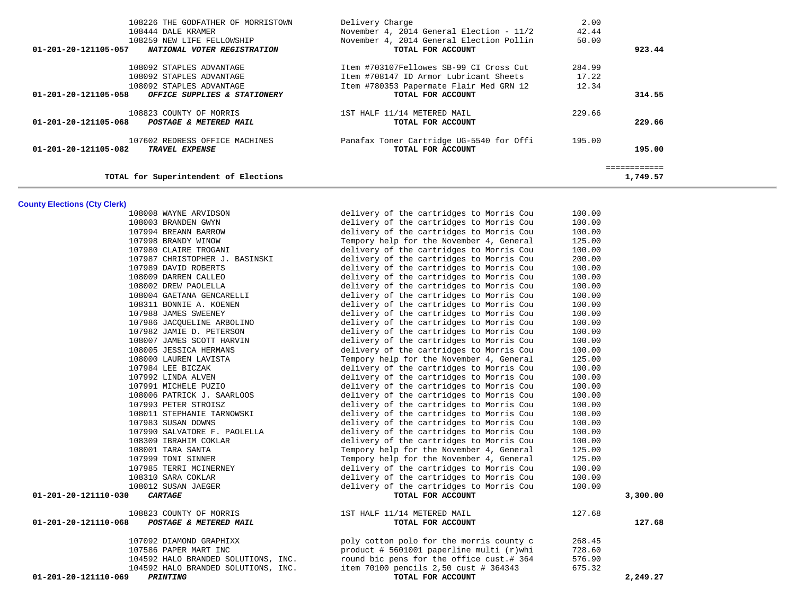| TOTAL for Superintendent of Elections                                    |                                                                                   |                 | 1,749.57 |
|--------------------------------------------------------------------------|-----------------------------------------------------------------------------------|-----------------|----------|
| 107602 REDRESS OFFICE MACHINES<br>01-201-20-121105-082<br>TRAVEL EXPENSE | Panafax Toner Cartridge UG-5540 for Offi<br>TOTAL FOR ACCOUNT                     | 195.00          | 195.00   |
| 108823 COUNTY OF MORRIS<br>01-201-20-121105-068 POSTAGE & METERED MAIL   | 1ST HALF 11/14 METERED MAIL<br>TOTAL FOR ACCOUNT                                  | 229.66          | 229.66   |
| 01-201-20-121105-058 OFFICE SUPPLIES & STATIONERY                        | TOTAL FOR ACCOUNT                                                                 |                 | 314.55   |
| 108092 STAPLES ADVANTAGE                                                 | Item #780353 Papermate Flair Med GRN 12                                           | 12.34           |          |
| 108092 STAPLES ADVANTAGE<br>108092 STAPLES ADVANTAGE                     | Item #703107Fellowes SB-99 CI Cross Cut<br>Item #708147 ID Armor Lubricant Sheets | 284.99<br>17.22 |          |
| 01-201-20-121105-057<br>NATIONAL VOTER REGISTRATION                      | TOTAL FOR ACCOUNT                                                                 |                 | 923.44   |
| 108259 NEW LIFE FELLOWSHIP                                               | November 4, 2014 General Election Pollin                                          | 50.00           |          |
| 108444 DALE KRAMER                                                       | November 4, 2014 General Election - 11/2                                          | 42.44           |          |
| 108226 THE GODFATHER OF MORRISTOWN                                       | Delivery Charge                                                                   | 2.00            |          |

-

#### **County Elections (Cty Clerk)**

| 108008 WAYNE ARVIDSON                          | delivery of the cartridges to Morris Cou | 100.00 |          |
|------------------------------------------------|------------------------------------------|--------|----------|
| 108003 BRANDEN GWYN                            | delivery of the cartridges to Morris Cou | 100.00 |          |
| 107994 BREANN BARROW                           | delivery of the cartridges to Morris Cou | 100.00 |          |
| 107998 BRANDY WINOW                            | Tempory help for the November 4, General | 125.00 |          |
| 107980 CLAIRE TROGANI                          | delivery of the cartridges to Morris Cou | 100.00 |          |
| 107987 CHRISTOPHER J. BASINSKI                 | delivery of the cartridges to Morris Cou | 200.00 |          |
| 107989 DAVID ROBERTS                           | delivery of the cartridges to Morris Cou | 100.00 |          |
| 108009 DARREN CALLEO                           | delivery of the cartridges to Morris Cou | 100.00 |          |
| 108002 DREW PAOLELLA                           | delivery of the cartridges to Morris Cou | 100.00 |          |
| 108004 GAETANA GENCARELLI                      | delivery of the cartridges to Morris Cou | 100.00 |          |
| 108311 BONNIE A. KOENEN                        | delivery of the cartridges to Morris Cou | 100.00 |          |
| 107988 JAMES SWEENEY                           | delivery of the cartridges to Morris Cou | 100.00 |          |
| 107986 JACOUELINE ARBOLINO                     | delivery of the cartridges to Morris Cou | 100.00 |          |
| 107982 JAMIE D. PETERSON                       | delivery of the cartridges to Morris Cou | 100.00 |          |
| 108007 JAMES SCOTT HARVIN                      | delivery of the cartridges to Morris Cou | 100.00 |          |
| 108005 JESSICA HERMANS                         | delivery of the cartridges to Morris Cou | 100.00 |          |
| 108000 LAUREN LAVISTA                          | Tempory help for the November 4, General | 125.00 |          |
| 107984 LEE BICZAK                              | delivery of the cartridges to Morris Cou | 100.00 |          |
| 107992 LINDA ALVEN                             | delivery of the cartridges to Morris Cou | 100.00 |          |
| 107991 MICHELE PUZIO                           | delivery of the cartridges to Morris Cou | 100.00 |          |
| 108006 PATRICK J. SAARLOOS                     | delivery of the cartridges to Morris Cou | 100.00 |          |
| 107993 PETER STROISZ                           | delivery of the cartridges to Morris Cou | 100.00 |          |
| 108011 STEPHANIE TARNOWSKI                     | delivery of the cartridges to Morris Cou | 100.00 |          |
| 107983 SUSAN DOWNS                             | delivery of the cartridges to Morris Cou | 100.00 |          |
| 107990 SALVATORE F. PAOLELLA                   | delivery of the cartridges to Morris Cou | 100.00 |          |
| 108309 IBRAHIM COKLAR                          | delivery of the cartridges to Morris Cou | 100.00 |          |
| 108001 TARA SANTA                              | Tempory help for the November 4, General | 125.00 |          |
| 107999 TONI SINNER                             | Tempory help for the November 4, General | 125.00 |          |
| 107985 TERRI MCINERNEY                         | delivery of the cartridges to Morris Cou | 100.00 |          |
| 108310 SARA COKLAR                             | delivery of the cartridges to Morris Cou | 100.00 |          |
| 108012 SUSAN JAEGER                            | delivery of the cartridges to Morris Cou | 100.00 |          |
| 01-201-20-121110-030<br><i><b>CARTAGE</b></i>  | TOTAL FOR ACCOUNT                        |        | 3,300.00 |
| 108823 COUNTY OF MORRIS                        | 1ST HALF 11/14 METERED MAIL              | 127.68 |          |
| 01-201-20-121110-068<br>POSTAGE & METERED MAIL | TOTAL FOR ACCOUNT                        |        | 127.68   |
| 107092 DIAMOND GRAPHIXX                        | poly cotton polo for the morris county c | 268.45 |          |
| 107586 PAPER MART INC                          | product # 5601001 paperline multi (r)whi | 728.60 |          |
| 104592 HALO BRANDED SOLUTIONS, INC.            | round bic pens for the office cust.# 364 | 576.90 |          |
| 104592 HALO BRANDED SOLUTIONS, INC.            | item 70100 pencils 2,50 cust # 364343    | 675.32 |          |
| 01-201-20-121110-069<br><b>PRINTING</b>        | TOTAL FOR ACCOUNT                        |        | 2,249.27 |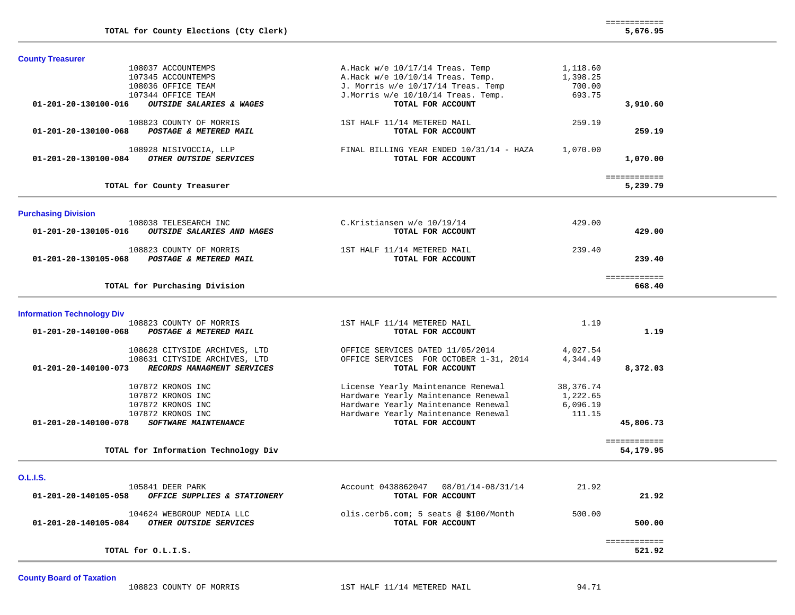|                                                     |                                          |           | ============ |
|-----------------------------------------------------|------------------------------------------|-----------|--------------|
| TOTAL for County Elections (Cty Clerk)              |                                          |           | 5,676.95     |
| <b>County Treasurer</b>                             |                                          |           |              |
| 108037 ACCOUNTEMPS                                  |                                          | 1,118.60  |              |
| 107345 ACCOUNTEMPS                                  | A.Hack $w/e$ 10/17/14 Treas. Temp        | 1,398.25  |              |
|                                                     | A.Hack $w/e$ 10/10/14 Treas. Temp.       |           |              |
| 108036 OFFICE TEAM                                  | J. Morris w/e 10/17/14 Treas. Temp       | 700.00    |              |
| 107344 OFFICE TEAM                                  | J.Morris w/e 10/10/14 Treas. Temp.       | 693.75    |              |
| OUTSIDE SALARIES & WAGES<br>01-201-20-130100-016    | TOTAL FOR ACCOUNT                        |           | 3,910.60     |
| 108823 COUNTY OF MORRIS                             | 1ST HALF 11/14 METERED MAIL              | 259.19    |              |
| POSTAGE & METERED MAIL<br>01-201-20-130100-068      | TOTAL FOR ACCOUNT                        |           | 259.19       |
| 108928 NISIVOCCIA, LLP                              | FINAL BILLING YEAR ENDED 10/31/14 - HAZA | 1,070.00  |              |
| OTHER OUTSIDE SERVICES<br>01-201-20-130100-084      | TOTAL FOR ACCOUNT                        |           | 1,070.00     |
|                                                     |                                          |           | ============ |
| TOTAL for County Treasurer                          |                                          |           | 5,239.79     |
|                                                     |                                          |           |              |
| <b>Purchasing Division</b><br>108038 TELESEARCH INC | C.Kristiansen w/e 10/19/14               | 429.00    |              |
| OUTSIDE SALARIES AND WAGES<br>01-201-20-130105-016  | TOTAL FOR ACCOUNT                        |           | 429.00       |
| 108823 COUNTY OF MORRIS                             | 1ST HALF 11/14 METERED MAIL              | 239.40    |              |
| POSTAGE & METERED MAIL<br>01-201-20-130105-068      | TOTAL FOR ACCOUNT                        |           | 239.40       |
|                                                     |                                          |           | ============ |
| TOTAL for Purchasing Division                       |                                          |           | 668.40       |
| <b>Information Technology Div</b>                   |                                          |           |              |
| 108823 COUNTY OF MORRIS                             | 1ST HALF 11/14 METERED MAIL              | 1.19      |              |
| 01-201-20-140100-068<br>POSTAGE & METERED MAIL      | TOTAL FOR ACCOUNT                        |           | 1.19         |
| 108628 CITYSIDE ARCHIVES, LTD                       | OFFICE SERVICES DATED 11/05/2014         | 4,027.54  |              |
| 108631 CITYSIDE ARCHIVES, LTD                       | OFFICE SERVICES FOR OCTOBER 1-31, 2014   | 4,344.49  |              |
| RECORDS MANAGMENT SERVICES<br>01-201-20-140100-073  | TOTAL FOR ACCOUNT                        |           | 8,372.03     |
| 107872 KRONOS INC                                   | License Yearly Maintenance Renewal       | 38,376.74 |              |
| 107872 KRONOS INC                                   | Hardware Yearly Maintenance Renewal      | 1,222.65  |              |
| 107872 KRONOS INC                                   | Hardware Yearly Maintenance Renewal      | 6,096.19  |              |
| 107872 KRONOS INC                                   | Hardware Yearly Maintenance Renewal      | 111.15    |              |
| 01-201-20-140100-078<br>SOFTWARE MAINTENANCE        | TOTAL FOR ACCOUNT                        |           | 45,806.73    |
|                                                     |                                          |           | ============ |
| TOTAL for Information Technology Div                |                                          |           | 54,179.95    |
|                                                     |                                          |           |              |
| <b>O.L.I.S.</b><br>105841 DEER PARK                 | Account 0438862047 08/01/14-08/31/14     | 21.92     |              |
| 01-201-20-140105-058 OFFICE SUPPLIES & STATIONERY   | TOTAL FOR ACCOUNT                        |           | 21.92        |
| 104624 WEBGROUP MEDIA LLC                           | olis.cerb6.com; 5 seats @ \$100/Month    | 500.00    |              |
| 01-201-20-140105-084 OTHER OUTSIDE SERVICES         | TOTAL FOR ACCOUNT                        |           | 500.00       |
|                                                     |                                          |           | ============ |
| TOTAL for O.L.I.S.                                  |                                          |           | 521.92       |

**County Board of Taxation**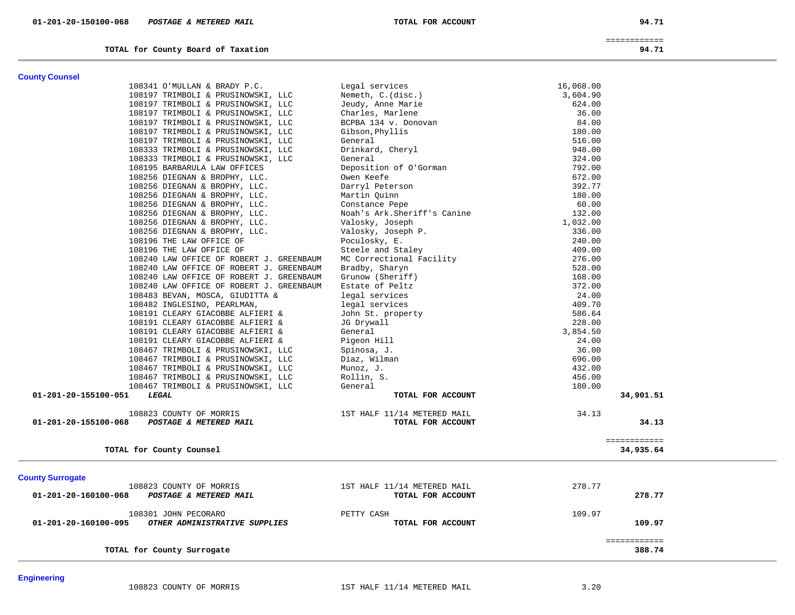| <b>County Counsel</b>                                 |                              |              |        |
|-------------------------------------------------------|------------------------------|--------------|--------|
| 108341 O'MULLAN & BRADY P.C.                          | Legal services               | 16,068.00    |        |
| 108197 TRIMBOLI & PRUSINOWSKI, LLC                    | Nemeth, C.(disc.)            | 3,604.90     |        |
| 108197 TRIMBOLI & PRUSINOWSKI, LLC                    | Jeudy, Anne Marie            | 624.00       |        |
| 108197 TRIMBOLI & PRUSINOWSKI, LLC                    | Charles, Marlene             | 36.00        |        |
| 108197 TRIMBOLI & PRUSINOWSKI, LLC                    | BCPBA 134 v. Donovan         | 84.00        |        |
| 108197 TRIMBOLI & PRUSINOWSKI, LLC                    | Gibson, Phyllis              | 180.00       |        |
| 108197 TRIMBOLI & PRUSINOWSKI, LLC                    | General                      | 516.00       |        |
| 108333 TRIMBOLI & PRUSINOWSKI, LLC                    | Drinkard, Cheryl             | 948.00       |        |
| 108333 TRIMBOLI & PRUSINOWSKI, LLC                    | General                      | 324.00       |        |
| 108195 BARBARULA LAW OFFICES                          | Deposition of O'Gorman       | 792.00       |        |
| 108256 DIEGNAN & BROPHY, LLC.                         | Owen Keefe                   | 672.00       |        |
| 108256 DIEGNAN & BROPHY, LLC.                         | Darryl Peterson              | 392.77       |        |
| 108256 DIEGNAN & BROPHY, LLC.                         | Martin Quinn                 | 180.00       |        |
| 108256 DIEGNAN & BROPHY, LLC.                         | Constance Pepe               | 60.00        |        |
|                                                       | Noah's Ark. Sheriff's Canine | 132.00       |        |
| 108256 DIEGNAN & BROPHY, LLC.                         |                              | 1,032.00     |        |
| 108256 DIEGNAN & BROPHY, LLC.                         | Valosky, Joseph              |              |        |
| 108256 DIEGNAN & BROPHY, LLC.                         | Valosky, Joseph P.           | 336.00       |        |
| 108196 THE LAW OFFICE OF                              | Poculosky, E.                | 240.00       |        |
| 108196 THE LAW OFFICE OF                              | Steele and Staley            | 409.00       |        |
| 108240 LAW OFFICE OF ROBERT J. GREENBAUM              | MC Correctional Facility     | 276.00       |        |
| 108240 LAW OFFICE OF ROBERT J. GREENBAUM              | Bradby, Sharyn               | 528.00       |        |
| 108240 LAW OFFICE OF ROBERT J. GREENBAUM              | Grunow (Sheriff)             | 168.00       |        |
| 108240 LAW OFFICE OF ROBERT J. GREENBAUM              | Estate of Peltz              | 372.00       |        |
| 108483 BEVAN, MOSCA, GIUDITTA &                       | legal services               | 24.00        |        |
| 108482 INGLESINO, PEARLMAN,                           | legal services               | 409.70       |        |
| 108191 CLEARY GIACOBBE ALFIERI &                      | John St. property            | 586.64       |        |
| 108191 CLEARY GIACOBBE ALFIERI &                      | JG Drywall                   | 228.00       |        |
| 108191 CLEARY GIACOBBE ALFIERI &                      | General                      | 3,854.50     |        |
| 108191 CLEARY GIACOBBE ALFIERI &                      | Pigeon Hill                  | 24.00        |        |
| 108467 TRIMBOLI & PRUSINOWSKI, LLC                    | Spinosa, J.                  | 36.00        |        |
| 108467 TRIMBOLI & PRUSINOWSKI, LLC                    | Diaz, Wilman                 | 696.00       |        |
| 108467 TRIMBOLI & PRUSINOWSKI, LLC                    | Munoz, J.                    | 432.00       |        |
| 108467 TRIMBOLI & PRUSINOWSKI, LLC                    | Rollin, S.                   | 456.00       |        |
| 108467 TRIMBOLI & PRUSINOWSKI, LLC                    | General                      | 180.00       |        |
| LEGAL<br>01-201-20-155100-051                         | TOTAL FOR ACCOUNT            | 34,901.51    |        |
| 108823 COUNTY OF MORRIS                               | 1ST HALF 11/14 METERED MAIL  | 34.13        |        |
| 01-201-20-155100-068<br>POSTAGE & METERED MAIL        | TOTAL FOR ACCOUNT            |              | 34.13  |
|                                                       |                              | ============ |        |
| TOTAL for County Counsel                              |                              | 34,935.64    |        |
|                                                       |                              |              |        |
| <b>County Surrogate</b>                               |                              |              |        |
| 108823 COUNTY OF MORRIS                               | 1ST HALF 11/14 METERED MAIL  | 278.77       |        |
| 01-201-20-160100-068<br>POSTAGE & METERED MAIL        | TOTAL FOR ACCOUNT            |              | 278.77 |
| 108301 JOHN PECORARO                                  | PETTY CASH                   | 109.97       |        |
| OTHER ADMINISTRATIVE SUPPLIES<br>01-201-20-160100-095 | TOTAL FOR ACCOUNT            |              | 109.97 |
|                                                       |                              |              |        |
| TOTAL for County Surrogate                            |                              | ============ | 388.74 |
|                                                       |                              |              |        |

**Engineering** 

 ============ **TOTAL for County Board of Taxation 94.71**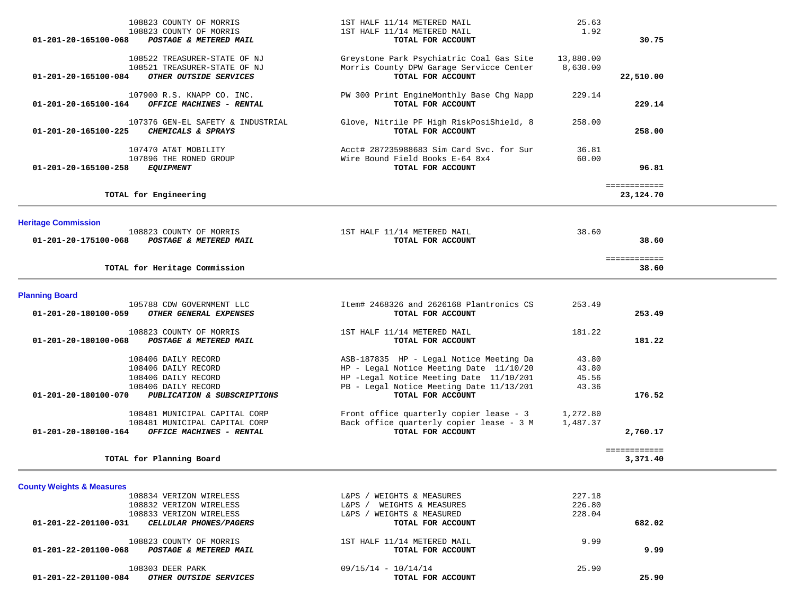| 108823 COUNTY OF MORRIS<br>POSTAGE & METERED MAIL | 1ST HALF 11/14 METERED MAIL                                                                                                                                                                                                                                                                                                                                                                                                                                                                                                                                                                                                                                                                                                           | 1.92                                                                                                                                                                                                                                                                                                                                                                                                                                                                       |                                                            |
|---------------------------------------------------|---------------------------------------------------------------------------------------------------------------------------------------------------------------------------------------------------------------------------------------------------------------------------------------------------------------------------------------------------------------------------------------------------------------------------------------------------------------------------------------------------------------------------------------------------------------------------------------------------------------------------------------------------------------------------------------------------------------------------------------|----------------------------------------------------------------------------------------------------------------------------------------------------------------------------------------------------------------------------------------------------------------------------------------------------------------------------------------------------------------------------------------------------------------------------------------------------------------------------|------------------------------------------------------------|
|                                                   | TOTAL FOR ACCOUNT                                                                                                                                                                                                                                                                                                                                                                                                                                                                                                                                                                                                                                                                                                                     |                                                                                                                                                                                                                                                                                                                                                                                                                                                                            | 30.75                                                      |
|                                                   | Greystone Park Psychiatric Coal Gas Site                                                                                                                                                                                                                                                                                                                                                                                                                                                                                                                                                                                                                                                                                              | 13,880.00                                                                                                                                                                                                                                                                                                                                                                                                                                                                  |                                                            |
|                                                   |                                                                                                                                                                                                                                                                                                                                                                                                                                                                                                                                                                                                                                                                                                                                       |                                                                                                                                                                                                                                                                                                                                                                                                                                                                            |                                                            |
|                                                   |                                                                                                                                                                                                                                                                                                                                                                                                                                                                                                                                                                                                                                                                                                                                       |                                                                                                                                                                                                                                                                                                                                                                                                                                                                            | 22,510.00                                                  |
|                                                   | PW 300 Print EngineMonthly Base Chg Napp                                                                                                                                                                                                                                                                                                                                                                                                                                                                                                                                                                                                                                                                                              | 229.14                                                                                                                                                                                                                                                                                                                                                                                                                                                                     | 229.14                                                     |
|                                                   |                                                                                                                                                                                                                                                                                                                                                                                                                                                                                                                                                                                                                                                                                                                                       |                                                                                                                                                                                                                                                                                                                                                                                                                                                                            |                                                            |
|                                                   | Glove, Nitrile PF High RiskPosiShield, 8                                                                                                                                                                                                                                                                                                                                                                                                                                                                                                                                                                                                                                                                                              | 258.00                                                                                                                                                                                                                                                                                                                                                                                                                                                                     |                                                            |
|                                                   |                                                                                                                                                                                                                                                                                                                                                                                                                                                                                                                                                                                                                                                                                                                                       |                                                                                                                                                                                                                                                                                                                                                                                                                                                                            | 258.00                                                     |
|                                                   | Acct# 287235988683 Sim Card Svc. for Sur                                                                                                                                                                                                                                                                                                                                                                                                                                                                                                                                                                                                                                                                                              | 36.81                                                                                                                                                                                                                                                                                                                                                                                                                                                                      |                                                            |
|                                                   |                                                                                                                                                                                                                                                                                                                                                                                                                                                                                                                                                                                                                                                                                                                                       |                                                                                                                                                                                                                                                                                                                                                                                                                                                                            | 96.81                                                      |
|                                                   |                                                                                                                                                                                                                                                                                                                                                                                                                                                                                                                                                                                                                                                                                                                                       |                                                                                                                                                                                                                                                                                                                                                                                                                                                                            |                                                            |
|                                                   |                                                                                                                                                                                                                                                                                                                                                                                                                                                                                                                                                                                                                                                                                                                                       |                                                                                                                                                                                                                                                                                                                                                                                                                                                                            | ============<br>23,124.70                                  |
|                                                   |                                                                                                                                                                                                                                                                                                                                                                                                                                                                                                                                                                                                                                                                                                                                       |                                                                                                                                                                                                                                                                                                                                                                                                                                                                            |                                                            |
|                                                   |                                                                                                                                                                                                                                                                                                                                                                                                                                                                                                                                                                                                                                                                                                                                       |                                                                                                                                                                                                                                                                                                                                                                                                                                                                            |                                                            |
|                                                   |                                                                                                                                                                                                                                                                                                                                                                                                                                                                                                                                                                                                                                                                                                                                       |                                                                                                                                                                                                                                                                                                                                                                                                                                                                            | 38.60                                                      |
|                                                   |                                                                                                                                                                                                                                                                                                                                                                                                                                                                                                                                                                                                                                                                                                                                       |                                                                                                                                                                                                                                                                                                                                                                                                                                                                            |                                                            |
|                                                   |                                                                                                                                                                                                                                                                                                                                                                                                                                                                                                                                                                                                                                                                                                                                       |                                                                                                                                                                                                                                                                                                                                                                                                                                                                            | ============<br>38.60                                      |
|                                                   |                                                                                                                                                                                                                                                                                                                                                                                                                                                                                                                                                                                                                                                                                                                                       |                                                                                                                                                                                                                                                                                                                                                                                                                                                                            |                                                            |
|                                                   |                                                                                                                                                                                                                                                                                                                                                                                                                                                                                                                                                                                                                                                                                                                                       |                                                                                                                                                                                                                                                                                                                                                                                                                                                                            |                                                            |
|                                                   |                                                                                                                                                                                                                                                                                                                                                                                                                                                                                                                                                                                                                                                                                                                                       |                                                                                                                                                                                                                                                                                                                                                                                                                                                                            | 253.49                                                     |
|                                                   |                                                                                                                                                                                                                                                                                                                                                                                                                                                                                                                                                                                                                                                                                                                                       |                                                                                                                                                                                                                                                                                                                                                                                                                                                                            |                                                            |
|                                                   |                                                                                                                                                                                                                                                                                                                                                                                                                                                                                                                                                                                                                                                                                                                                       |                                                                                                                                                                                                                                                                                                                                                                                                                                                                            |                                                            |
|                                                   |                                                                                                                                                                                                                                                                                                                                                                                                                                                                                                                                                                                                                                                                                                                                       |                                                                                                                                                                                                                                                                                                                                                                                                                                                                            | 181.22                                                     |
|                                                   | ASB-187835 HP - Legal Notice Meeting Da                                                                                                                                                                                                                                                                                                                                                                                                                                                                                                                                                                                                                                                                                               | 43.80                                                                                                                                                                                                                                                                                                                                                                                                                                                                      |                                                            |
|                                                   | HP - Legal Notice Meeting Date 11/10/20                                                                                                                                                                                                                                                                                                                                                                                                                                                                                                                                                                                                                                                                                               | 43.80                                                                                                                                                                                                                                                                                                                                                                                                                                                                      |                                                            |
|                                                   | HP -Legal Notice Meeting Date 11/10/201                                                                                                                                                                                                                                                                                                                                                                                                                                                                                                                                                                                                                                                                                               | 45.56                                                                                                                                                                                                                                                                                                                                                                                                                                                                      |                                                            |
|                                                   |                                                                                                                                                                                                                                                                                                                                                                                                                                                                                                                                                                                                                                                                                                                                       | 43.36                                                                                                                                                                                                                                                                                                                                                                                                                                                                      |                                                            |
|                                                   |                                                                                                                                                                                                                                                                                                                                                                                                                                                                                                                                                                                                                                                                                                                                       |                                                                                                                                                                                                                                                                                                                                                                                                                                                                            | 176.52                                                     |
|                                                   | Front office quarterly copier lease - 3                                                                                                                                                                                                                                                                                                                                                                                                                                                                                                                                                                                                                                                                                               | 1,272.80                                                                                                                                                                                                                                                                                                                                                                                                                                                                   |                                                            |
|                                                   |                                                                                                                                                                                                                                                                                                                                                                                                                                                                                                                                                                                                                                                                                                                                       |                                                                                                                                                                                                                                                                                                                                                                                                                                                                            |                                                            |
|                                                   |                                                                                                                                                                                                                                                                                                                                                                                                                                                                                                                                                                                                                                                                                                                                       |                                                                                                                                                                                                                                                                                                                                                                                                                                                                            | 2,760.17                                                   |
| TOTAL for Planning Board                          |                                                                                                                                                                                                                                                                                                                                                                                                                                                                                                                                                                                                                                                                                                                                       |                                                                                                                                                                                                                                                                                                                                                                                                                                                                            | ============<br>3,371.40                                   |
|                                                   | 108522 TREASURER-STATE OF NJ<br>108521 TREASURER-STATE OF NJ<br>OTHER OUTSIDE SERVICES<br>107900 R.S. KNAPP CO. INC.<br>OFFICE MACHINES - RENTAL<br>107376 GEN-EL SAFETY & INDUSTRIAL<br>CHEMICALS & SPRAYS<br>107470 AT&T MOBILITY<br>107896 THE RONED GROUP<br><b>EQUIPMENT</b><br>TOTAL for Engineering<br>108823 COUNTY OF MORRIS<br>POSTAGE & METERED MAIL<br>TOTAL for Heritage Commission<br>105788 CDW GOVERNMENT LLC<br>OTHER GENERAL EXPENSES<br>108823 COUNTY OF MORRIS<br>POSTAGE & METERED MAIL<br>108406 DAILY RECORD<br>108406 DAILY RECORD<br>108406 DAILY RECORD<br>108406 DAILY RECORD<br>PUBLICATION & SUBSCRIPTIONS<br>108481 MUNICIPAL CAPITAL CORP<br>108481 MUNICIPAL CAPITAL CORP<br>OFFICE MACHINES - RENTAL | Morris County DPW Garage Servicce Center<br>TOTAL FOR ACCOUNT<br>TOTAL FOR ACCOUNT<br>TOTAL FOR ACCOUNT<br>Wire Bound Field Books E-64 8x4<br>TOTAL FOR ACCOUNT<br>1ST HALF 11/14 METERED MAIL<br>TOTAL FOR ACCOUNT<br>Item# 2468326 and 2626168 Plantronics CS<br>TOTAL FOR ACCOUNT<br>1ST HALF 11/14 METERED MAIL<br>TOTAL FOR ACCOUNT<br>PB - Legal Notice Meeting Date 11/13/201<br>TOTAL FOR ACCOUNT<br>Back office quarterly copier lease - 3 M<br>TOTAL FOR ACCOUNT | 8,630.00<br>60.00<br>38.60<br>253.49<br>181.22<br>1,487.37 |

| 01-201-22-201100-084<br><i>OTHER OUTSIDE SERVICES</i> | TOTAL FOR ACCOUNT           |        | 25.90  |
|-------------------------------------------------------|-----------------------------|--------|--------|
| 108303 DEER PARK                                      | $09/15/14 - 10/14/14$       | 25.90  |        |
| 01-201-22-201100-068<br>POSTAGE & METERED MAIL        | TOTAL FOR ACCOUNT           |        | 9.99   |
| 108823 COUNTY OF MORRIS                               | 1ST HALF 11/14 METERED MAIL | 9.99   |        |
| CELLULAR PHONES/PAGERS<br>01-201-22-201100-031        | TOTAL FOR ACCOUNT           |        | 682.02 |
| 108833 VERIZON WIRELESS                               | WEIGHTS & MEASURED<br>L&PS. | 228.04 |        |
| 108832 VERIZON WIRELESS                               | WEIGHTS & MEASURES<br>L&PS  | 226.80 |        |
| 108834 VERIZON WIRELESS                               | WEIGHTS & MEASURES<br>L&PS. | 227.18 |        |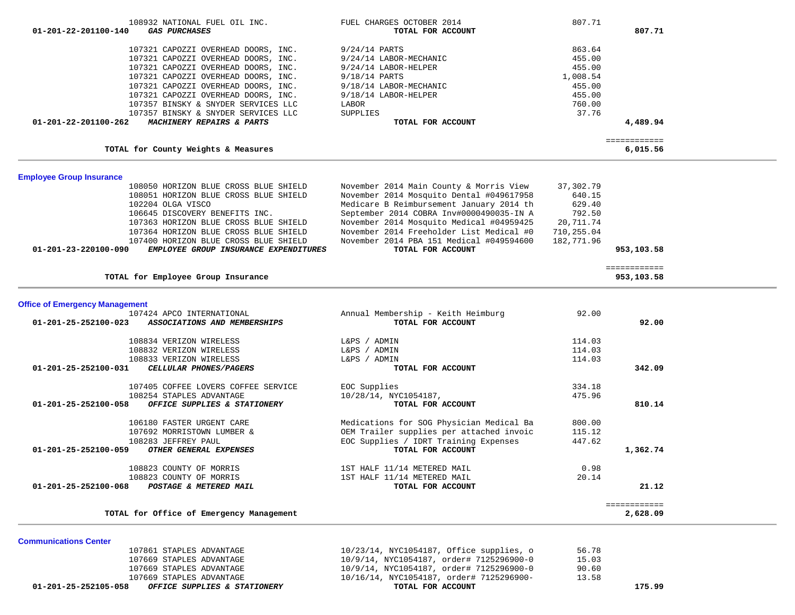|                                       | 107321 CAPOZZI OVERHEAD DOORS, INC.      | 9/18/14 LABOR-MECHANIC                   | 455.00     |                            |  |
|---------------------------------------|------------------------------------------|------------------------------------------|------------|----------------------------|--|
|                                       | 107321 CAPOZZI OVERHEAD DOORS, INC.      | 9/18/14 LABOR-HELPER                     | 455.00     |                            |  |
|                                       | 107357 BINSKY & SNYDER SERVICES LLC      | LABOR                                    | 760.00     |                            |  |
|                                       | 107357 BINSKY & SNYDER SERVICES LLC      | SUPPLIES                                 | 37.76      |                            |  |
| 01-201-22-201100-262                  | MACHINERY REPAIRS & PARTS                | TOTAL FOR ACCOUNT                        |            | 4,489.94                   |  |
|                                       | TOTAL for County Weights & Measures      |                                          |            | ============<br>6,015.56   |  |
|                                       |                                          |                                          |            |                            |  |
| <b>Employee Group Insurance</b>       |                                          |                                          |            |                            |  |
|                                       | 108050 HORIZON BLUE CROSS BLUE SHIELD    | November 2014 Main County & Morris View  | 37,302.79  |                            |  |
|                                       | 108051 HORIZON BLUE CROSS BLUE SHIELD    | November 2014 Mosquito Dental #049617958 | 640.15     |                            |  |
| 102204 OLGA VISCO                     |                                          | Medicare B Reimbursement January 2014 th | 629.40     |                            |  |
|                                       | 106645 DISCOVERY BENEFITS INC.           | September 2014 COBRA Inv#0000490035-IN A | 792.50     |                            |  |
|                                       | 107363 HORIZON BLUE CROSS BLUE SHIELD    | November 2014 Mosquito Medical #04959425 | 20,711.74  |                            |  |
|                                       | 107364 HORIZON BLUE CROSS BLUE SHIELD    | November 2014 Freeholder List Medical #0 | 710,255.04 |                            |  |
|                                       | 107400 HORIZON BLUE CROSS BLUE SHIELD    | November 2014 PBA 151 Medical #049594600 | 182,771.96 |                            |  |
| 01-201-23-220100-090                  | EMPLOYEE GROUP INSURANCE EXPENDITURES    | TOTAL FOR ACCOUNT                        |            | 953,103.58                 |  |
|                                       | TOTAL for Employee Group Insurance       |                                          |            | ============<br>953,103.58 |  |
|                                       |                                          |                                          |            |                            |  |
| <b>Office of Emergency Management</b> |                                          |                                          |            |                            |  |
|                                       | 107424 APCO INTERNATIONAL                | Annual Membership - Keith Heimburg       | 92.00      |                            |  |
| 01-201-25-252100-023                  | ASSOCIATIONS AND MEMBERSHIPS             | TOTAL FOR ACCOUNT                        |            | 92.00                      |  |
|                                       | 108834 VERIZON WIRELESS                  | L&PS / ADMIN                             | 114.03     |                            |  |
|                                       | 108832 VERIZON WIRELESS                  | L&PS / ADMIN                             | 114.03     |                            |  |
|                                       | 108833 VERIZON WIRELESS                  | L&PS / ADMIN                             | 114.03     |                            |  |
| 01-201-25-252100-031                  | CELLULAR PHONES/PAGERS                   | TOTAL FOR ACCOUNT                        |            | 342.09                     |  |
|                                       | 107405 COFFEE LOVERS COFFEE SERVICE      | EOC Supplies                             | 334.18     |                            |  |
|                                       | 108254 STAPLES ADVANTAGE                 | 10/28/14, NYC1054187,                    | 475.96     |                            |  |
| 01-201-25-252100-058                  | OFFICE SUPPLIES & STATIONERY             | TOTAL FOR ACCOUNT                        |            | 810.14                     |  |
|                                       | 106180 FASTER URGENT CARE                | Medications for SOG Physician Medical Ba | 800.00     |                            |  |
|                                       | 107692 MORRISTOWN LUMBER &               | OEM Trailer supplies per attached invoic | 115.12     |                            |  |
| 108283 JEFFREY PAUL                   |                                          | EOC Supplies / IDRT Training Expenses    | 447.62     |                            |  |
| 01-201-25-252100-059                  | OTHER GENERAL EXPENSES                   | TOTAL FOR ACCOUNT                        |            | 1,362.74                   |  |
|                                       | 108823 COUNTY OF MORRIS                  | 1ST HALF 11/14 METERED MAIL              | 0.98       |                            |  |
|                                       | 108823 COUNTY OF MORRIS                  | 1ST HALF 11/14 METERED MAIL              | 20.14      |                            |  |
| 01-201-25-252100-068                  | POSTAGE & METERED MAIL                   | TOTAL FOR ACCOUNT                        |            | 21.12                      |  |
|                                       | TOTAL for Office of Emergency Management |                                          |            | ============<br>2,628.09   |  |

108932 NATIONAL FUEL OIL INC.<br>**10 GAS PURCHASES** SOT.71  **01-201-22-201100-140** *GAS PURCHASES* **TOTAL FOR ACCOUNT 807.71**

107321 CAPOZZI OVERHEAD DOORS, INC. 9/24/14 LABOR-MECHANIC 455.00

107321 CAPOZZI OVERHEAD DOORS, INC. 9/18/14 PARTS 1,008.54

107321 CAPOZZI OVERHEAD DOORS, INC. 9/24/14 PARTS 863.64

107321 CAPOZZI OVERHEAD DOORS, INC. 9/24/14 LABOR-HELPER 455.00

| 01-201-25-252105-058 | OFFICE SUPPLIES & STATIONERY | TOTAL FOR ACCOUNT                        | 175.99 |
|----------------------|------------------------------|------------------------------------------|--------|
|                      | 107669 STAPLES ADVANTAGE     | 10/16/14, NYC1054187, order# 7125296900- | 13.58  |
|                      | 107669 STAPLES ADVANTAGE     | 10/9/14, NYC1054187, order# 7125296900-0 | 90.60  |
|                      | 107669 STAPLES ADVANTAGE     | 10/9/14, NYC1054187, order# 7125296900-0 | 15.03  |
|                      | 107861 STAPLES ADVANTAGE     | 10/23/14, NYC1054187, Office supplies, o | 56.78  |
|                      |                              |                                          |        |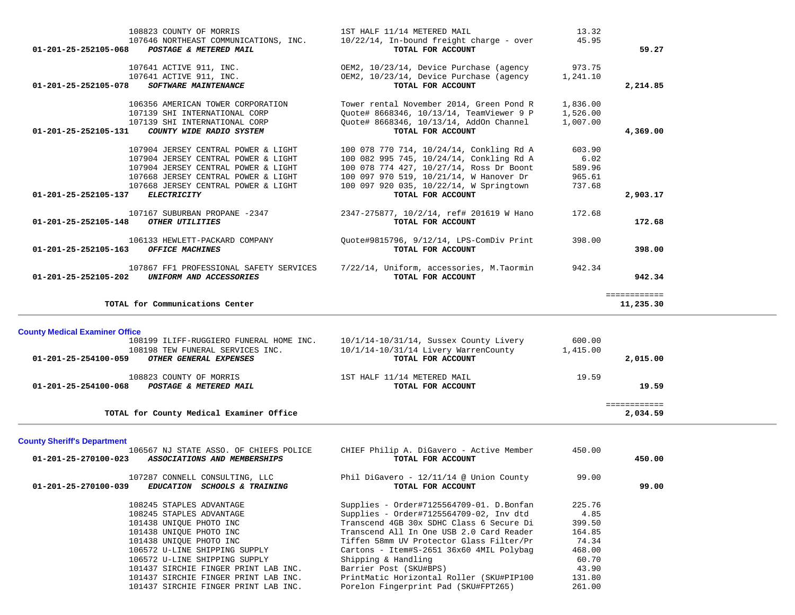|              | 13.32    | 1ST HALF 11/14 METERED MAIL                                   | 108823 COUNTY OF MORRIS                                                                 |
|--------------|----------|---------------------------------------------------------------|-----------------------------------------------------------------------------------------|
| 59.27        | 45.95    | 10/22/14, In-bound freight charge - over<br>TOTAL FOR ACCOUNT | 107646 NORTHEAST COMMUNICATIONS, INC.<br>01-201-25-252105-068<br>POSTAGE & METERED MAIL |
|              | 973.75   | OEM2, 10/23/14, Device Purchase (agency                       | 107641 ACTIVE 911, INC.                                                                 |
|              | 1,241.10 | OEM2, 10/23/14, Device Purchase (agency                       | 107641 ACTIVE 911, INC.                                                                 |
| 2,214.85     |          | TOTAL FOR ACCOUNT                                             | 01-201-25-252105-078<br><b>SOFTWARE MAINTENANCE</b>                                     |
|              | 1,836.00 | Tower rental November 2014, Green Pond R                      | 106356 AMERICAN TOWER CORPORATION                                                       |
|              | 1,526.00 | Ouote# 8668346, 10/13/14, TeamViewer 9 P                      | 107139 SHI INTERNATIONAL CORP                                                           |
|              | 1,007.00 | Ouote# 8668346, 10/13/14, AddOn Channel                       | 107139 SHI INTERNATIONAL CORP                                                           |
| 4,369.00     |          | TOTAL FOR ACCOUNT                                             | 01-201-25-252105-131<br>COUNTY WIDE RADIO SYSTEM                                        |
|              | 603.90   | 100 078 770 714, 10/24/14, Conkling Rd A                      | 107904 JERSEY CENTRAL POWER & LIGHT                                                     |
|              | 6.02     | 100 082 995 745, 10/24/14, Conkling Rd A                      | 107904 JERSEY CENTRAL POWER & LIGHT                                                     |
|              | 589.96   | 100 078 774 427, 10/27/14, Ross Dr Boont                      | 107904 JERSEY CENTRAL POWER & LIGHT                                                     |
|              | 965.61   | 100 097 970 519, 10/21/14, W Hanover Dr                       | 107668 JERSEY CENTRAL POWER & LIGHT                                                     |
|              | 737.68   | 100 097 920 035, 10/22/14, W Springtown                       | 107668 JERSEY CENTRAL POWER & LIGHT                                                     |
| 2,903.17     |          | TOTAL FOR ACCOUNT                                             | 01-201-25-252105-137<br><b>ELECTRICITY</b>                                              |
|              | 172.68   | 2347-275877, 10/2/14, ref# 201619 W Hano                      | 107167 SUBURBAN PROPANE -2347                                                           |
| 172.68       |          | TOTAL FOR ACCOUNT                                             | $01 - 201 - 25 - 252105 - 148$<br>OTHER UTILITIES                                       |
|              | 398.00   | Ouote#9815796, 9/12/14, LPS-ComDiv Print                      | 106133 HEWLETT-PACKARD COMPANY                                                          |
| 398.00       |          | TOTAL FOR ACCOUNT                                             | $01 - 201 - 25 - 252105 - 163$<br><b>OFFICE MACHINES</b>                                |
|              | 942.34   | 7/22/14, Uniform, accessories, M.Taormin                      | 107867 FF1 PROFESSIONAL SAFETY SERVICES                                                 |
| 942.34       |          | TOTAL FOR ACCOUNT                                             | 01-201-25-252105-202<br>UNIFORM AND ACCESSORIES                                         |
| ============ |          |                                                               |                                                                                         |
| 11,235.30    |          |                                                               | TOTAL for Communications Center                                                         |

**County Medical Examiner Office**

| $10/1/14-10/31/14$ , Sussex County Livery | 600.00   |          |
|-------------------------------------------|----------|----------|
| $10/1/14-10/31/14$ Livery WarrenCounty    | 1,415.00 |          |
| TOTAL FOR ACCOUNT                         |          | 2,015.00 |
| 1ST HALF 11/14 METERED MAIL               | 19.59    |          |
| TOTAL FOR ACCOUNT                         |          | 19.59    |
|                                           |          |          |
|                                           |          | 2,034.59 |
|                                           |          |          |

**County Sheriff's Department**

| 106567 NJ STATE ASSO. OF CHIEFS POLICE<br>01-201-25-270100-023<br>ASSOCIATIONS AND MEMBERSHIPS | CHIEF Philip A. DiGavero - Active Member<br>TOTAL FOR ACCOUNT  | 450.00 | 450.00 |
|------------------------------------------------------------------------------------------------|----------------------------------------------------------------|--------|--------|
| 107287 CONNELL CONSULTING, LLC<br>01-201-25-270100-039<br>EDUCATION SCHOOLS & TRAINING         | Phil DiGavero - $12/11/14$ @ Union County<br>TOTAL FOR ACCOUNT | 99.00  | 99.00  |
| 108245 STAPLES ADVANTAGE                                                                       | Supplies - Order#7125564709-01. D.Bonfan                       | 225.76 |        |
| 108245 STAPLES ADVANTAGE                                                                       | Supplies - Order#7125564709-02, Inv dtd                        | 4.85   |        |
| 101438 UNIOUE PHOTO INC                                                                        | Transcend 4GB 30x SDHC Class 6 Secure Di                       | 399.50 |        |
| 101438 UNIOUE PHOTO INC                                                                        | Transcend All In One USB 2.0 Card Reader                       | 164.85 |        |
| 101438 UNIOUE PHOTO INC                                                                        | Tiffen 58mm UV Protector Glass Filter/Pr                       | 74.34  |        |
| 106572 U-LINE SHIPPING SUPPLY                                                                  | Cartons - Item#S-2651 36x60 4MIL Polybag                       | 468.00 |        |
| 106572 U-LINE SHIPPING SUPPLY                                                                  | Shipping & Handling                                            | 60.70  |        |
| 101437 SIRCHIE FINGER PRINT LAB INC.                                                           | Barrier Post (SKU#BPS)                                         | 43.90  |        |
| 101437 SIRCHIE FINGER PRINT LAB INC.                                                           | PrintMatic Horizontal Roller (SKU#PIP100                       | 131.80 |        |
| 101437 SIRCHIE FINGER PRINT LAB INC.                                                           | Porelon Fingerprint Pad (SKU#FPT265)                           | 261.00 |        |
|                                                                                                |                                                                |        |        |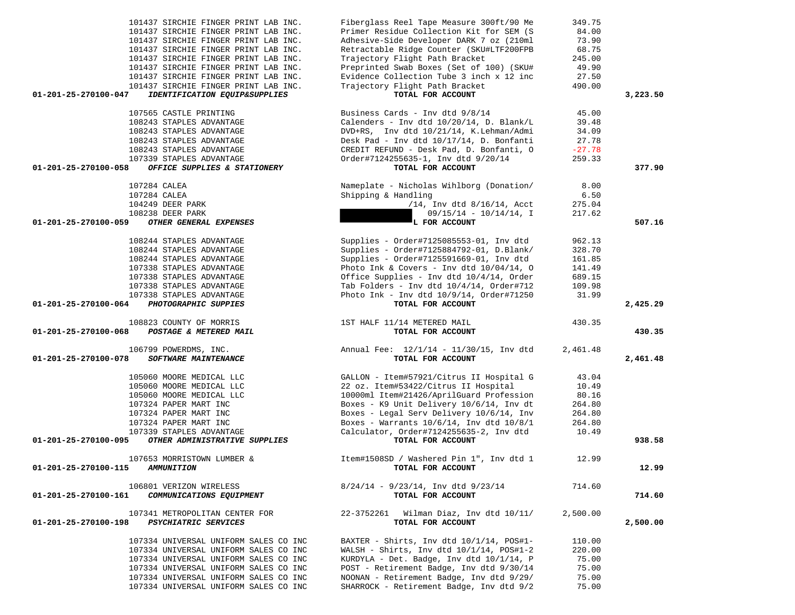| 101437 SIRCHIE FINGER PRINT LAB INC.                                                  | Fiberglass Reel Tape Measure 300ft/90 Me                     | 349.75   |          |
|---------------------------------------------------------------------------------------|--------------------------------------------------------------|----------|----------|
| 101437 SIRCHIE FINGER PRINT LAB INC.                                                  | Primer Residue Collection Kit for SEM (S                     | 84.00    |          |
| 101437 SIRCHIE FINGER PRINT LAB INC.                                                  | Adhesive-Side Developer DARK 7 oz (210ml                     | 73.90    |          |
| 101437 SIRCHIE FINGER PRINT LAB INC.                                                  | Retractable Ridge Counter (SKU#LTF200FPB                     | 68.75    |          |
| 101437 SIRCHIE FINGER PRINT LAB INC.                                                  | Trajectory Flight Path Bracket                               | 245.00   |          |
| 101437 SIRCHIE FINGER PRINT LAB INC.                                                  | Preprinted Swab Boxes (Set of 100) (SKU#                     | 49.90    |          |
| 101437 SIRCHIE FINGER PRINT LAB INC.                                                  | Evidence Collection Tube 3 inch x 12 inc                     | 27.50    |          |
| 101437 SIRCHIE FINGER PRINT LAB INC.                                                  | Trajectory Flight Path Bracket                               | 490.00   |          |
| 01-201-25-270100-047<br>IDENTIFICATION EQUIP&SUPPLIES                                 | TOTAL FOR ACCOUNT                                            |          | 3,223.50 |
| 107565 CASTLE PRINTING                                                                | Business Cards - Inv dtd 9/8/14                              | 45.00    |          |
| 108243 STAPLES ADVANTAGE                                                              | Calenders - Inv dtd 10/20/14, D. Blank/L                     | 39.48    |          |
| 108243 STAPLES ADVANTAGE                                                              | DVD+RS, Inv dtd 10/21/14, K.Lehman/Admi                      | 34.09    |          |
| 108243 STAPLES ADVANTAGE                                                              | Desk Pad - Inv dtd 10/17/14, D. Bonfanti                     | 27.78    |          |
| 108243 STAPLES ADVANTAGE                                                              | CREDIT REFUND - Desk Pad, D. Bonfanti, O                     | $-27.78$ |          |
| 107339 STAPLES ADVANTAGE                                                              | Order#7124255635-1, Inv dtd 9/20/14                          | 259.33   |          |
| OFFICE SUPPLIES & STATIONERY<br>01-201-25-270100-058                                  | TOTAL FOR ACCOUNT                                            |          | 377.90   |
|                                                                                       |                                                              |          |          |
| 107284 CALEA                                                                          | Nameplate - Nicholas Wihlborg (Donation/                     | 8.00     |          |
| 107284 CALEA                                                                          | Shipping & Handling                                          | 6.50     |          |
| 104249 DEER PARK                                                                      | $/14$ , Inv dtd $8/16/14$ , Acct                             | 275.04   |          |
| 108238 DEER PARK                                                                      | $09/15/14 - 10/14/14$ , I                                    | 217.62   |          |
| 01-201-25-270100-059<br>OTHER GENERAL EXPENSES                                        | L FOR ACCOUNT                                                |          | 507.16   |
| 108244 STAPLES ADVANTAGE                                                              | Supplies - Order#7125085553-01, Inv dtd                      | 962.13   |          |
| 108244 STAPLES ADVANTAGE                                                              | Supplies - Order#7125884792-01, D.Blank/                     | 328.70   |          |
| 108244 STAPLES ADVANTAGE                                                              | Supplies - Order#7125591669-01, Inv dtd                      | 161.85   |          |
| 107338 STAPLES ADVANTAGE                                                              | Photo Ink & Covers - Inv dtd $10/04/14$ , 0                  | 141.49   |          |
| 107338 STAPLES ADVANTAGE                                                              | Office Supplies - Inv dtd 10/4/14, Order                     | 689.15   |          |
| 107338 STAPLES ADVANTAGE                                                              | Tab Folders - Inv dtd $10/4/14$ , Order#712                  | 109.98   |          |
| 107338 STAPLES ADVANTAGE                                                              | Photo Ink - Inv dtd $10/9/14$ , Order#71250                  | 31.99    |          |
| 01-201-25-270100-064<br>PHOTOGRAPHIC SUPPIES                                          | TOTAL FOR ACCOUNT                                            |          | 2,425.29 |
|                                                                                       |                                                              |          |          |
| 108823 COUNTY OF MORRIS<br>01-201-25-270100-068<br>POSTAGE & METERED MAIL             | 1ST HALF 11/14 METERED MAIL<br>TOTAL FOR ACCOUNT             | 430.35   | 430.35   |
|                                                                                       |                                                              |          |          |
| 106799 POWERDMS, INC.<br>01-201-25-270100-078<br>SOFTWARE MAINTENANCE                 | Annual Fee: 12/1/14 - 11/30/15, Inv dtd<br>TOTAL FOR ACCOUNT | 2,461.48 | 2,461.48 |
|                                                                                       |                                                              |          |          |
| 105060 MOORE MEDICAL LLC                                                              | GALLON - Item#57921/Citrus II Hospital G                     | 43.04    |          |
| 105060 MOORE MEDICAL LLC                                                              | 22 oz. Item#53422/Citrus II Hospital                         | 10.49    |          |
| 105060 MOORE MEDICAL LLC                                                              | 10000ml Item#21426/AprilGuard Profession                     | 80.16    |          |
| 107324 PAPER MART INC                                                                 | Boxes - K9 Unit Delivery 10/6/14, Inv dt                     | 264.80   |          |
| 107324 PAPER MART INC                                                                 | Boxes - Legal Serv Delivery 10/6/14, Inv                     | 264.80   |          |
| 107324 PAPER MART INC                                                                 | Boxes - Warrants $10/6/14$ , Inv dtd $10/8/1$                | 264.80   |          |
| 107339 STAPLES ADVANTAGE                                                              | Calculator, Order#7124255635-2, Inv dtd                      | 10.49    |          |
| OTHER ADMINISTRATIVE SUPPLIES<br>01-201-25-270100-095                                 | TOTAL FOR ACCOUNT                                            |          | 938.58   |
| 107653 MORRISTOWN LUMBER &                                                            | Item#1508SD / Washered Pin 1", Inv dtd 1                     | 12.99    |          |
| 01-201-25-270100-115<br><i><b>AMMUNITION</b></i>                                      | TOTAL FOR ACCOUNT                                            |          | 12.99    |
| 106801 VERIZON WIRELESS                                                               | $8/24/14$ - $9/23/14$ , Inv dtd $9/23/14$                    | 714.60   |          |
| COMMUNICATIONS EQUIPMENT<br>01-201-25-270100-161                                      | TOTAL FOR ACCOUNT                                            |          | 714.60   |
|                                                                                       |                                                              |          |          |
| 107341 METROPOLITAN CENTER FOR<br><b>PSYCHIATRIC SERVICES</b><br>01-201-25-270100-198 | 22-3752261 Wilman Diaz, Inv dtd 10/11/<br>TOTAL FOR ACCOUNT  | 2,500.00 | 2,500.00 |
|                                                                                       |                                                              |          |          |
| 107334 UNIVERSAL UNIFORM SALES CO INC                                                 | BAXTER - Shirts, Inv dtd 10/1/14, POS#1-                     | 110.00   |          |
| 107334 UNIVERSAL UNIFORM SALES CO INC                                                 | WALSH - Shirts, Inv dtd $10/1/14$ , POS#1-2                  | 220.00   |          |
| 107334 UNIVERSAL UNIFORM SALES CO INC                                                 | KURDYLA - Det. Badge, Inv dtd 10/1/14, P                     | 75.00    |          |
| 107334 UNIVERSAL UNIFORM SALES CO INC                                                 | POST - Retirement Badge, Inv dtd 9/30/14                     | 75.00    |          |
| 107334 UNIVERSAL UNIFORM SALES CO INC                                                 | NOONAN - Retirement Badge, Inv dtd 9/29/                     | 75.00    |          |
| 107334 UNIVERSAL UNIFORM SALES CO INC                                                 | SHARROCK - Retirement Badge, Inv dtd 9/2                     | 75.00    |          |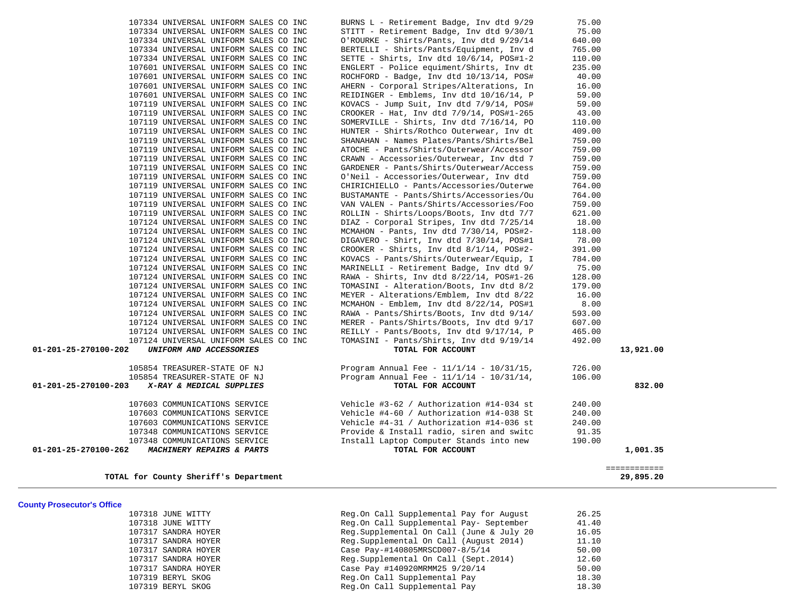| <b>County Prosecutor's Office</b> |                                           |       |
|-----------------------------------|-------------------------------------------|-------|
| 107318 JUNE WITTY                 | Reg.On Call Supplemental Pay for August   | 26.25 |
| 107318 JUNE WITTY                 | Reg.On Call Supplemental Pay- September   | 41.40 |
| 107317 SANDRA HOYER               | Reg. Supplemental On Call (June & July 20 | 16.05 |
| 107317 SANDRA HOYER               | Reg. Supplemental On Call (August 2014)   | 11.10 |
| 107317 SANDRA HOYER               | Case Pay-#140805MRSCD007-8/5/14           | 50.00 |
| 107317 SANDRA HOYER               | Reg.Supplemental On Call (Sept.2014)      | 12.60 |
| 107317 SANDRA HOYER               | Case Pay #140920MRMM25 9/20/14            | 50.00 |
| 107319 BERYL SKOG                 | Reg.On Call Supplemental Pay              | 18.30 |
| 107319 BERYL SKOG                 | Reg.On Call Supplemental Pay              | 18.30 |

|                                                                |                                       |                                                                                      |                 | ============ |
|----------------------------------------------------------------|---------------------------------------|--------------------------------------------------------------------------------------|-----------------|--------------|
|                                                                |                                       |                                                                                      |                 |              |
| 01-201-25-270100-262<br>MACHINERY REPAIRS & PARTS              |                                       | TOTAL FOR ACCOUNT                                                                    |                 | 1,001.35     |
| 107348 COMMUNICATIONS SERVICE                                  |                                       | Install Laptop Computer Stands into new                                              | 190.00          |              |
| 107603 COMMUNICATIONS SERVICE<br>107348 COMMUNICATIONS SERVICE |                                       | Vehicle #4-31 / Authorization #14-036 st<br>Provide & Install radio, siren and switc | 240.00<br>91.35 |              |
| 107603 COMMUNICATIONS SERVICE                                  |                                       | Vehicle #4-60 / Authorization #14-038 St                                             | 240.00          |              |
| 107603 COMMUNICATIONS SERVICE                                  |                                       | Vehicle #3-62 / Authorization #14-034 st                                             | 240.00          |              |
|                                                                |                                       |                                                                                      |                 |              |
| 01-201-25-270100-203<br>X-RAY & MEDICAL SUPPLIES               |                                       | TOTAL FOR ACCOUNT                                                                    |                 | 832.00       |
| 105854 TREASURER-STATE OF NJ                                   |                                       | Program Annual Fee - $11/1/14$ - $10/31/14$ ,                                        | 106.00          |              |
| 105854 TREASURER-STATE OF NJ                                   |                                       | Program Annual Fee - $11/1/14$ - $10/31/15$ ,                                        | 726.00          |              |
| 01-201-25-270100-202<br>UNIFORM AND ACCESSORIES                |                                       | TOTAL FOR ACCOUNT                                                                    |                 | 13,921.00    |
|                                                                | 107124 UNIVERSAL UNIFORM SALES CO INC | TOMASINI - Pants/Shirts, Inv dtd 9/19/14                                             | 492.00          |              |
|                                                                | 107124 UNIVERSAL UNIFORM SALES CO INC | REILLY - Pants/Boots, Inv dtd 9/17/14, P                                             | 465.00          |              |
|                                                                | 107124 UNIVERSAL UNIFORM SALES CO INC | MERER - Pants/Shirts/Boots, Inv dtd 9/17                                             | 607.00          |              |
|                                                                | 107124 UNIVERSAL UNIFORM SALES CO INC | RAWA - Pants/Shirts/Boots, Inv dtd 9/14/                                             | 593.00          |              |
|                                                                | 107124 UNIVERSAL UNIFORM SALES CO INC | MCMAHON - Emblem, Inv dtd 8/22/14, POS#1                                             | 8.00            |              |
|                                                                | 107124 UNIVERSAL UNIFORM SALES CO INC | MEYER - Alterations/Emblem, Inv dtd 8/22                                             | 16.00           |              |
|                                                                | 107124 UNIVERSAL UNIFORM SALES CO INC | TOMASINI - Alteration/Boots, Inv dtd 8/2                                             | 179.00          |              |
|                                                                | 107124 UNIVERSAL UNIFORM SALES CO INC | RAWA - Shirts, Inv dtd 8/22/14, POS#1-26                                             | 128.00          |              |
|                                                                | 107124 UNIVERSAL UNIFORM SALES CO INC | MARINELLI - Retirement Badge, Inv dtd 9/                                             | 75.00           |              |
|                                                                | 107124 UNIVERSAL UNIFORM SALES CO INC | KOVACS - Pants/Shirts/Outerwear/Equip, I                                             | 784.00          |              |
|                                                                | 107124 UNIVERSAL UNIFORM SALES CO INC | CROOKER - Shirts, Inv dtd 8/1/14, POS#2-                                             | 391.00          |              |
|                                                                | 107124 UNIVERSAL UNIFORM SALES CO INC | DIGAVERO - Shirt, Inv dtd 7/30/14, POS#1                                             | 78.00           |              |
|                                                                | 107124 UNIVERSAL UNIFORM SALES CO INC | MCMAHON - Pants, Inv dtd 7/30/14, POS#2-                                             | 118.00          |              |
|                                                                | 107124 UNIVERSAL UNIFORM SALES CO INC | DIAZ - Corporal Stripes, Inv dtd 7/25/14                                             | 18.00           |              |
|                                                                | 107119 UNIVERSAL UNIFORM SALES CO INC | ROLLIN - Shirts/Loops/Boots, Inv dtd 7/7                                             | 621.00          |              |
|                                                                | 107119 UNIVERSAL UNIFORM SALES CO INC | VAN VALEN - Pants/Shirts/Accessories/Foo                                             | 759.00          |              |
|                                                                | 107119 UNIVERSAL UNIFORM SALES CO INC | BUSTAMANTE - Pants/Shirts/Accessories/Ou                                             | 764.00          |              |
|                                                                | 107119 UNIVERSAL UNIFORM SALES CO INC | CHIRICHIELLO - Pants/Accessories/Outerwe                                             | 764.00          |              |
|                                                                | 107119 UNIVERSAL UNIFORM SALES CO INC | O'Neil - Accessories/Outerwear, Inv dtd                                              | 759.00          |              |
|                                                                | 107119 UNIVERSAL UNIFORM SALES CO INC | GARDENER - Pants/Shirts/Outerwear/Access                                             | 759.00          |              |
|                                                                | 107119 UNIVERSAL UNIFORM SALES CO INC | CRAWN - Accessories/Outerwear, Inv dtd 7                                             | 759.00          |              |
|                                                                | 107119 UNIVERSAL UNIFORM SALES CO INC | ATOCHE - Pants/Shirts/Outerwear/Accessor                                             | 759.00          |              |
|                                                                | 107119 UNIVERSAL UNIFORM SALES CO INC | SHANAHAN - Names Plates/Pants/Shirts/Bel                                             | 759.00          |              |
|                                                                | 107119 UNIVERSAL UNIFORM SALES CO INC | HUNTER - Shirts/Rothco Outerwear, Inv dt                                             | 409.00          |              |
|                                                                | 107119 UNIVERSAL UNIFORM SALES CO INC | SOMERVILLE - Shirts, Inv dtd 7/16/14, PO                                             | 110.00          |              |
|                                                                | 107119 UNIVERSAL UNIFORM SALES CO INC | CROOKER - Hat, Inv dtd 7/9/14, POS#1-265                                             | 43.00           |              |
|                                                                | 107119 UNIVERSAL UNIFORM SALES CO INC | KOVACS - Jump Suit, Inv dtd 7/9/14, POS#                                             | 59.00           |              |
|                                                                | 107601 UNIVERSAL UNIFORM SALES CO INC | REIDINGER - Emblems, Inv dtd 10/16/14, P                                             | 59.00           |              |
|                                                                | 107601 UNIVERSAL UNIFORM SALES CO INC | AHERN - Corporal Stripes/Alterations, In                                             | 16.00           |              |
|                                                                | 107601 UNIVERSAL UNIFORM SALES CO INC | ROCHFORD - Badge, Inv dtd 10/13/14, POS#                                             | 40.00           |              |
|                                                                | 107601 UNIVERSAL UNIFORM SALES CO INC | ENGLERT - Police equiment/Shirts, Inv dt                                             | 235.00          |              |
|                                                                | 107334 UNIVERSAL UNIFORM SALES CO INC | SETTE - Shirts, Inv dtd 10/6/14, POS#1-2                                             | 110.00          |              |
|                                                                | 107334 UNIVERSAL UNIFORM SALES CO INC | BERTELLI - Shirts/Pants/Equipment, Inv d                                             | 765.00          |              |
|                                                                | 107334 UNIVERSAL UNIFORM SALES CO INC | STITT - Retirement Badge, Inv dtd 9/30/1<br>O'ROURKE - Shirts/Pants, Inv dtd 9/29/14 | 640.00          |              |
|                                                                | 107334 UNIVERSAL UNIFORM SALES CO INC |                                                                                      | 75.00           |              |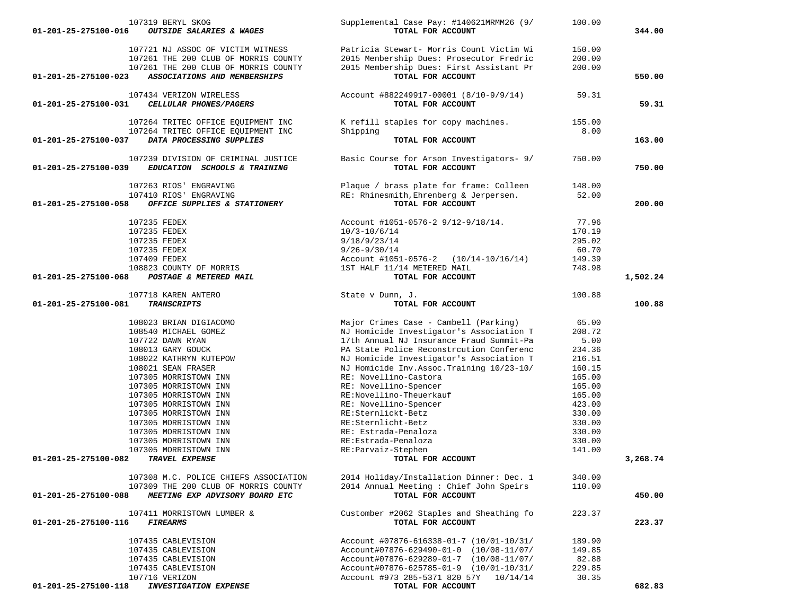| 107319 BERYL SKOG<br>01-201-25-275100-016<br>OUTSIDE SALARIES & WAGES                  | Supplemental Case Pay: #140621MRMM26 (9/<br>TOTAL FOR ACCOUNT                      | 100.00           | 344.00   |
|----------------------------------------------------------------------------------------|------------------------------------------------------------------------------------|------------------|----------|
|                                                                                        |                                                                                    |                  |          |
| 107721 NJ ASSOC OF VICTIM WITNESS                                                      | Patricia Stewart- Morris Count Victim Wi                                           | 150.00           |          |
| 107261 THE 200 CLUB OF MORRIS COUNTY                                                   | 2015 Menbership Dues: Prosecutor Fredric                                           | 200.00           |          |
| 107261 THE 200 CLUB OF MORRIS COUNTY                                                   | 2015 Membership Dues: First Assistant Pr                                           | 200.00           |          |
| 01-201-25-275100-023<br>ASSOCIATIONS AND MEMBERSHIPS                                   | TOTAL FOR ACCOUNT                                                                  |                  | 550.00   |
| 107434 VERIZON WIRELESS                                                                | Account #882249917-00001 (8/10-9/9/14)                                             | 59.31            |          |
| 01-201-25-275100-031<br>CELLULAR PHONES/PAGERS                                         | TOTAL FOR ACCOUNT                                                                  |                  | 59.31    |
|                                                                                        |                                                                                    |                  |          |
| 107264 TRITEC OFFICE EQUIPMENT INC                                                     | K refill staples for copy machines.                                                | 155.00           |          |
| 107264 TRITEC OFFICE EQUIPMENT INC<br>DATA PROCESSING SUPPLIES<br>01-201-25-275100-037 | Shipping<br>TOTAL FOR ACCOUNT                                                      | 8.00             | 163.00   |
|                                                                                        |                                                                                    |                  |          |
| 107239 DIVISION OF CRIMINAL JUSTICE                                                    | Basic Course for Arson Investigators- 9/                                           | 750.00           |          |
| 01-201-25-275100-039<br>EDUCATION SCHOOLS & TRAINING                                   | TOTAL FOR ACCOUNT                                                                  |                  | 750.00   |
| 107263 RIOS' ENGRAVING                                                                 | Plaque / brass plate for frame: Colleen                                            | 148.00           |          |
| 107410 RIOS' ENGRAVING                                                                 | RE: Rhinesmith, Ehrenberg & Jerpersen.                                             | 52.00            |          |
| OFFICE SUPPLIES & STATIONERY<br>01-201-25-275100-058                                   | TOTAL FOR ACCOUNT                                                                  |                  | 200.00   |
|                                                                                        |                                                                                    |                  |          |
| 107235 FEDEX                                                                           | Account #1051-0576-2 9/12-9/18/14.                                                 | 77.96            |          |
| 107235 FEDEX<br>107235 FEDEX                                                           | $10/3 - 10/6/14$                                                                   | 170.19<br>295.02 |          |
| 107235 FEDEX                                                                           | 9/18/9/23/14<br>$9/26 - 9/30/14$                                                   | 60.70            |          |
| 107409 FEDEX                                                                           | Account $\text{\#1051-0576-2}$ (10/14-10/16/14)                                    | 149.39           |          |
| 108823 COUNTY OF MORRIS                                                                | 1ST HALF 11/14 METERED MAIL                                                        | 748.98           |          |
| POSTAGE & METERED MAIL<br>01-201-25-275100-068                                         | TOTAL FOR ACCOUNT                                                                  |                  | 1,502.24 |
|                                                                                        |                                                                                    |                  |          |
| 107718 KAREN ANTERO                                                                    | State v Dunn, J.                                                                   | 100.88           |          |
| 01-201-25-275100-081<br><b>TRANSCRIPTS</b>                                             | TOTAL FOR ACCOUNT                                                                  |                  | 100.88   |
| 108023 BRIAN DIGIACOMO                                                                 | Major Crimes Case - Cambell (Parking)                                              | 65.00            |          |
| 108540 MICHAEL GOMEZ                                                                   | NJ Homicide Investigator's Association T                                           | 208.72           |          |
| 107722 DAWN RYAN                                                                       | 17th Annual NJ Insurance Fraud Summit-Pa                                           | 5.00             |          |
| 108013 GARY GOUCK                                                                      | PA State Police Reconstrcution Conferenc                                           | 234.36           |          |
| 108022 KATHRYN KUTEPOW                                                                 | NJ Homicide Investigator's Association T                                           | 216.51           |          |
| 108021 SEAN FRASER                                                                     | NJ Homicide Inv. Assoc. Training 10/23-10/                                         | 160.15           |          |
| 107305 MORRISTOWN INN                                                                  | RE: Novellino-Castora                                                              | 165.00           |          |
| 107305 MORRISTOWN INN                                                                  | RE: Novellino-Spencer                                                              | 165.00           |          |
| 107305 MORRISTOWN INN<br>107305 MORRISTOWN INN                                         | RE:Novellino-Theuerkauf<br>RE: Novellino-Spencer                                   | 165.00<br>423.00 |          |
| 107305 MORRISTOWN INN                                                                  | RE:Sternlickt-Betz                                                                 | 330.00           |          |
| 107305 MORRISTOWN INN                                                                  | RE:Sternlicht-Betz                                                                 | 330.00           |          |
| 107305 MORRISTOWN INN                                                                  | RE: Estrada-Penaloza                                                               | 330.00           |          |
| 107305 MORRISTOWN INN                                                                  | RE:Estrada-Penaloza                                                                | 330.00           |          |
| 107305 MORRISTOWN INN                                                                  | RE: Parvaiz-Stephen                                                                | 141.00           |          |
| 01-201-25-275100-082<br>TRAVEL EXPENSE                                                 | TOTAL FOR ACCOUNT                                                                  |                  | 3,268.74 |
| 107308 M.C. POLICE CHIEFS ASSOCIATION                                                  |                                                                                    |                  |          |
| 107309 THE 200 CLUB OF MORRIS COUNTY                                                   | 2014 Holiday/Installation Dinner: Dec. 1<br>2014 Annual Meeting: Chief John Speirs | 340.00<br>110.00 |          |
| $01 - 201 - 25 - 275100 - 088$<br>MEETING EXP ADVISORY BOARD ETC                       | TOTAL FOR ACCOUNT                                                                  |                  | 450.00   |
|                                                                                        |                                                                                    |                  |          |
| 107411 MORRISTOWN LUMBER &                                                             | Customber #2062 Staples and Sheathing fo                                           | 223.37           |          |
| 01-201-25-275100-116<br><b>FIREARMS</b>                                                | TOTAL FOR ACCOUNT                                                                  |                  | 223.37   |
| 107435 CABLEVISION                                                                     | Account #07876-616338-01-7 (10/01-10/31/                                           | 189.90           |          |
| 107435 CABLEVISION                                                                     | Account#07876-629490-01-0 (10/08-11/07/                                            | 149.85           |          |
| 107435 CABLEVISION                                                                     | Account#07876-629289-01-7 (10/08-11/07/                                            | 82.88            |          |
| 107435 CABLEVISION                                                                     | Account#07876-625785-01-9 (10/01-10/31/                                            | 229.85           |          |
| 107716 VERIZON<br><b>INVESTIGATION EXPENSE</b>                                         | Account #973 285-5371 820 57Y<br>10/14/14                                          | 30.35            |          |
|                                                                                        | TOTAL FOR ACCOUNT                                                                  |                  |          |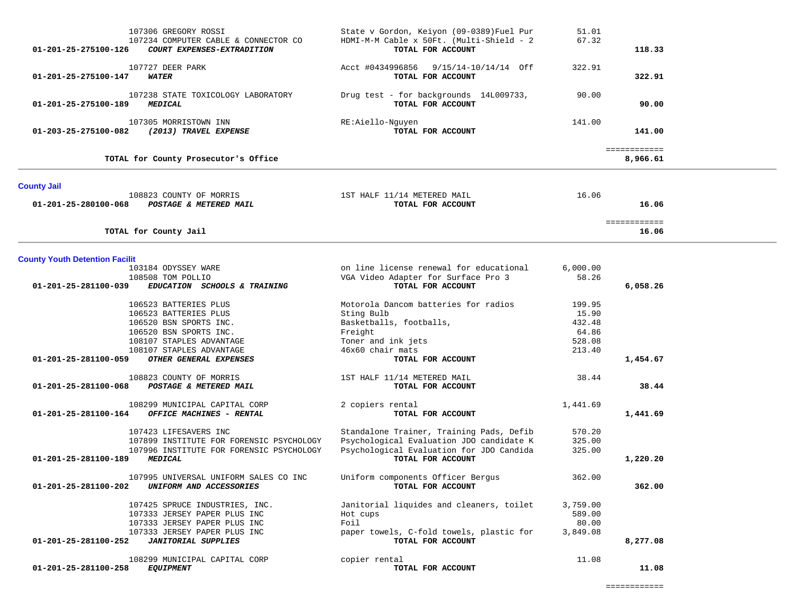$\overline{\phantom{a}}$ 

| 107306 GREGORY ROSSI<br>107234 COMPUTER CABLE & CONNECTOR CO<br>01-201-25-275100-126<br>COURT EXPENSES-EXTRADITION | State v Gordon, Keiyon (09-0389) Fuel Pur<br>HDMI-M-M Cable x 50Ft. (Multi-Shield - 2<br>TOTAL FOR ACCOUNT | 51.01<br>67.32     | 118.33                   |  |
|--------------------------------------------------------------------------------------------------------------------|------------------------------------------------------------------------------------------------------------|--------------------|--------------------------|--|
| 107727 DEER PARK<br>01-201-25-275100-147<br><b>WATER</b>                                                           | Acct #0434996856 9/15/14-10/14/14 Off<br>TOTAL FOR ACCOUNT                                                 | 322.91             | 322.91                   |  |
| 107238 STATE TOXICOLOGY LABORATORY<br>01-201-25-275100-189<br><b>MEDICAL</b>                                       | Drug test - for backgrounds 14L009733,<br>TOTAL FOR ACCOUNT                                                | 90.00              | 90.00                    |  |
| 107305 MORRISTOWN INN<br>(2013) TRAVEL EXPENSE<br>01-203-25-275100-082                                             | RE:Aiello-Nguyen<br>TOTAL FOR ACCOUNT                                                                      | 141.00             | 141.00                   |  |
| TOTAL for County Prosecutor's Office                                                                               |                                                                                                            |                    | ============<br>8,966.61 |  |
| <b>County Jail</b>                                                                                                 |                                                                                                            |                    |                          |  |
| 108823 COUNTY OF MORRIS<br>01-201-25-280100-068<br>POSTAGE & METERED MAIL                                          | 1ST HALF 11/14 METERED MAIL<br>TOTAL FOR ACCOUNT                                                           | 16.06              | 16.06                    |  |
| TOTAL for County Jail                                                                                              |                                                                                                            |                    | ============<br>16.06    |  |
| <b>County Youth Detention Facilit</b>                                                                              |                                                                                                            |                    |                          |  |
| 103184 ODYSSEY WARE                                                                                                | on line license renewal for educational                                                                    | 6,000.00           |                          |  |
| 108508 TOM POLLIO                                                                                                  | VGA Video Adapter for Surface Pro 3                                                                        | 58.26              |                          |  |
| 01-201-25-281100-039<br>EDUCATION SCHOOLS & TRAINING                                                               | TOTAL FOR ACCOUNT                                                                                          |                    | 6,058.26                 |  |
|                                                                                                                    |                                                                                                            |                    |                          |  |
| 106523 BATTERIES PLUS                                                                                              | Motorola Dancom batteries for radios                                                                       | 199.95             |                          |  |
| 106523 BATTERIES PLUS<br>106520 BSN SPORTS INC.                                                                    | Sting Bulb<br>Basketballs, footballs,                                                                      | 15.90<br>432.48    |                          |  |
| 106520 BSN SPORTS INC.                                                                                             | Freight                                                                                                    | 64.86              |                          |  |
| 108107 STAPLES ADVANTAGE                                                                                           | Toner and ink jets                                                                                         | 528.08             |                          |  |
| 108107 STAPLES ADVANTAGE                                                                                           | 46x60 chair mats                                                                                           | 213.40             |                          |  |
| OTHER GENERAL EXPENSES<br>01-201-25-281100-059                                                                     | TOTAL FOR ACCOUNT                                                                                          |                    | 1,454.67                 |  |
|                                                                                                                    |                                                                                                            |                    |                          |  |
| 108823 COUNTY OF MORRIS<br>01-201-25-281100-068<br>POSTAGE & METERED MAIL                                          | 1ST HALF 11/14 METERED MAIL<br>TOTAL FOR ACCOUNT                                                           | 38.44              | 38.44                    |  |
| 108299 MUNICIPAL CAPITAL CORP                                                                                      |                                                                                                            |                    |                          |  |
| OFFICE MACHINES - RENTAL<br>01-201-25-281100-164                                                                   | 2 copiers rental<br>TOTAL FOR ACCOUNT                                                                      | 1,441.69           | 1,441.69                 |  |
|                                                                                                                    |                                                                                                            |                    |                          |  |
| 107423 LIFESAVERS INC                                                                                              | Standalone Trainer, Training Pads, Defib                                                                   | 570.20             |                          |  |
| 107899 INSTITUTE FOR FORENSIC PSYCHOLOGY                                                                           | Psychological Evaluation JDO candidate K                                                                   | 325.00             |                          |  |
| 107996 INSTITUTE FOR FORENSIC PSYCHOLOGY                                                                           | Psychological Evaluation for JDO Candida                                                                   | 325.00             |                          |  |
| <b>MEDICAL</b><br>$01 - 201 - 25 - 281100 - 189$                                                                   | TOTAL FOR ACCOUNT                                                                                          |                    | 1,220.20                 |  |
| 107995 UNIVERSAL UNIFORM SALES CO INC                                                                              | Uniform components Officer Bergus                                                                          | 362.00             |                          |  |
| UNIFORM AND ACCESSORIES<br>01-201-25-281100-202                                                                    | TOTAL FOR ACCOUNT                                                                                          |                    | 362.00                   |  |
| 107425 SPRUCE INDUSTRIES, INC.<br>107333 JERSEY PAPER PLUS INC                                                     | Janitorial liquides and cleaners, toilet                                                                   | 3,759.00<br>589.00 |                          |  |
| 107333 JERSEY PAPER PLUS INC                                                                                       | Hot cups<br>Foil                                                                                           | 80.00              |                          |  |
| 107333 JERSEY PAPER PLUS INC                                                                                       | paper towels, C-fold towels, plastic for                                                                   | 3,849.08           |                          |  |
| 01-201-25-281100-252<br><b>JANITORIAL SUPPLIES</b>                                                                 | TOTAL FOR ACCOUNT                                                                                          |                    | 8,277.08                 |  |
|                                                                                                                    |                                                                                                            |                    |                          |  |
| 108299 MUNICIPAL CAPITAL CORP                                                                                      | copier rental                                                                                              | 11.08              |                          |  |
| 01-201-25-281100-258<br><i>EQUIPMENT</i>                                                                           | TOTAL FOR ACCOUNT                                                                                          |                    | 11.08                    |  |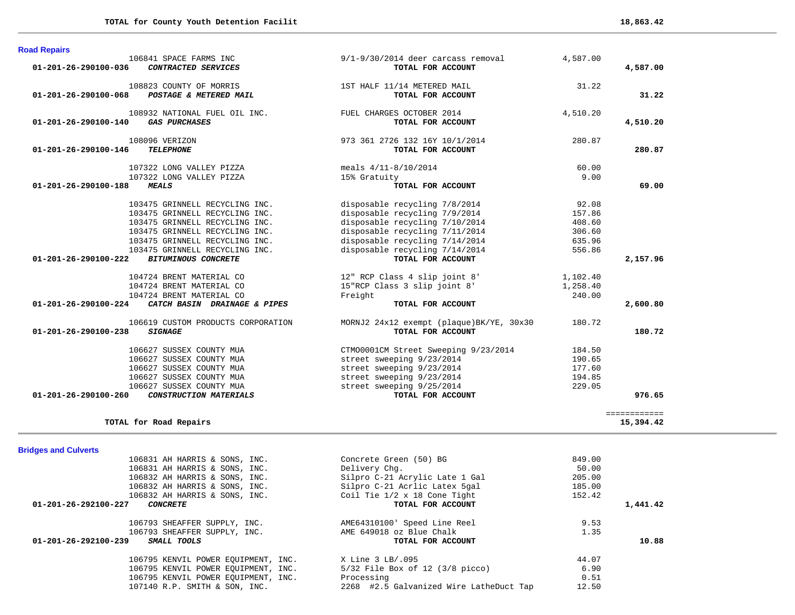| <b>Bridges and Culverts</b>                |                                         |          |
|--------------------------------------------|-----------------------------------------|----------|
| 106831 AH HARRIS & SONS, INC.              | Concrete Green (50) BG                  | 849.00   |
| 106831 AH HARRIS & SONS, INC.              | Delivery Chq.                           | 50.00    |
| 106832 AH HARRIS & SONS, INC.              | Silpro C-21 Acrylic Late 1 Gal          | 205.00   |
| 106832 AH HARRIS & SONS, INC.              | Silpro C-21 Acrlic Latex 5gal           | 185.00   |
| 106832 AH HARRIS & SONS, INC.              | Coil Tie 1/2 x 18 Cone Tight            | 152.42   |
| 01-201-26-292100-227<br><b>CONCRETE</b>    | TOTAL FOR ACCOUNT                       | 1,441.42 |
| 106793 SHEAFFER SUPPLY, INC.               | AME64310100' Speed Line Reel            | 9.53     |
| 106793 SHEAFFER SUPPLY, INC.               | AME 649018 oz Blue Chalk                | 1.35     |
| 01-201-26-292100-239<br><i>SMALL TOOLS</i> | TOTAL FOR ACCOUNT                       | 10.88    |
| 106795 KENVIL POWER EQUIPMENT, INC.        | X Line 3 LB/.095                        | 44.07    |
| 106795 KENVIL POWER EOUIPMENT, INC.        | $5/32$ File Box of 12 (3/8 picco)       | 6.90     |
| 106795 KENVIL POWER EQUIPMENT, INC.        | Processing                              | 0.51     |
| 107140 R.P. SMITH & SON, INC.              | 2268 #2.5 Galvanized Wire LatheDuct Tap | 12.50    |

| TOTAL FOR ACCOUNT                         |          | 2,157.96 |
|-------------------------------------------|----------|----------|
| 12" RCP Class 4 slip joint 8"             | 1,102.40 |          |
| 15"RCP Class 3 slip joint 8'              | 1,258.40 |          |
| Freight                                   | 240.00   |          |
| TOTAL FOR ACCOUNT                         |          | 2,600.80 |
| MORNJ2 24x12 exempt (plaque) BK/YE, 30x30 | 180.72   |          |
| TOTAL FOR ACCOUNT                         |          | 180.72   |
|                                           |          |          |
| CTM00001CM Street Sweeping 9/23/2014      | 184.50   |          |
| street sweeping 9/23/2014                 | 190.65   |          |
| street sweeping 9/23/2014                 | 177.60   |          |
| street sweeping 9/23/2014                 | 194.85   |          |
| street sweeping 9/25/2014                 | 229.05   |          |
|                                           |          |          |

============

**TOTAL for Road Repairs 15,394.42**

| $01 - 201 - 26 - 290100 - 036$               | 106841 SPACE FARMS INC<br>CONTRACTED SERVICES                                                                                                                                                            | $9/1 - 9/30/2014$ deer carcass removal<br>TOTAL FOR ACCOUNT                                                                                                                                            | 4,587.00                                                | 4,587.00           |
|----------------------------------------------|----------------------------------------------------------------------------------------------------------------------------------------------------------------------------------------------------------|--------------------------------------------------------------------------------------------------------------------------------------------------------------------------------------------------------|---------------------------------------------------------|--------------------|
| $01 - 201 - 26 - 290100 - 068$               | 108823 COUNTY OF MORRIS<br>POSTAGE & METERED MAIL                                                                                                                                                        | 1ST HALF 11/14 METERED MAIL<br>TOTAL FOR ACCOUNT                                                                                                                                                       | 31.22                                                   | 31.22              |
| 01-201-26-290100-140                         | 108932 NATIONAL FUEL OIL INC.<br><b>GAS PURCHASES</b>                                                                                                                                                    | FUEL CHARGES OCTOBER 2014<br>TOTAL FOR ACCOUNT                                                                                                                                                         | 4,510.20                                                | 4,510.20           |
| 01-201-26-290100-146                         | 108096 VERIZON<br><b>TELEPHONE</b>                                                                                                                                                                       | 973 361 2726 132 16Y 10/1/2014<br>TOTAL FOR ACCOUNT                                                                                                                                                    | 280.87                                                  | 280.87             |
| 01-201-26-290100-188                         | 107322 LONG VALLEY PIZZA<br>107322 LONG VALLEY PIZZA<br><b>MEALS</b>                                                                                                                                     | meals $4/11-8/10/2014$<br>15% Gratuity<br>TOTAL FOR ACCOUNT                                                                                                                                            | 60.00<br>9.00                                           | 69.00              |
|                                              | 103475 GRINNELL RECYCLING INC.<br>103475 GRINNELL RECYCLING INC.<br>103475 GRINNELL RECYCLING INC.<br>103475 GRINNELL RECYCLING INC.<br>103475 GRINNELL RECYCLING INC.<br>103475 GRINNELL RECYCLING INC. | disposable recycling 7/8/2014<br>disposable recycling 7/9/2014<br>disposable recycling 7/10/2014<br>disposable recycling 7/11/2014<br>disposable recycling 7/14/2014<br>disposable recycling 7/14/2014 | 92.08<br>157.86<br>408.60<br>306.60<br>635.96<br>556.86 |                    |
| 01-201-26-290100-222                         | <b>BITUMINOUS CONCRETE</b><br>104724 BRENT MATERIAL CO<br>104724 BRENT MATERIAL CO<br>104724 BRENT MATERIAL CO                                                                                           | TOTAL FOR ACCOUNT<br>12" RCP Class 4 slip joint 8'<br>15"RCP Class 3 slip joint 8'<br>Freight                                                                                                          | 1,102.40<br>1,258.40<br>240.00                          | 2,157.96           |
| 01-201-26-290100-224<br>01-201-26-290100-238 | CATCH BASIN DRAINAGE & PIPES<br>106619 CUSTOM PRODUCTS CORPORATION<br><b>SIGNAGE</b>                                                                                                                     | TOTAL FOR ACCOUNT<br>MORNJ2 24x12 exempt (plaque)BK/YE, 30x30<br>TOTAL FOR ACCOUNT                                                                                                                     | 180.72                                                  | 2,600.80<br>180.72 |

**Road Repairs**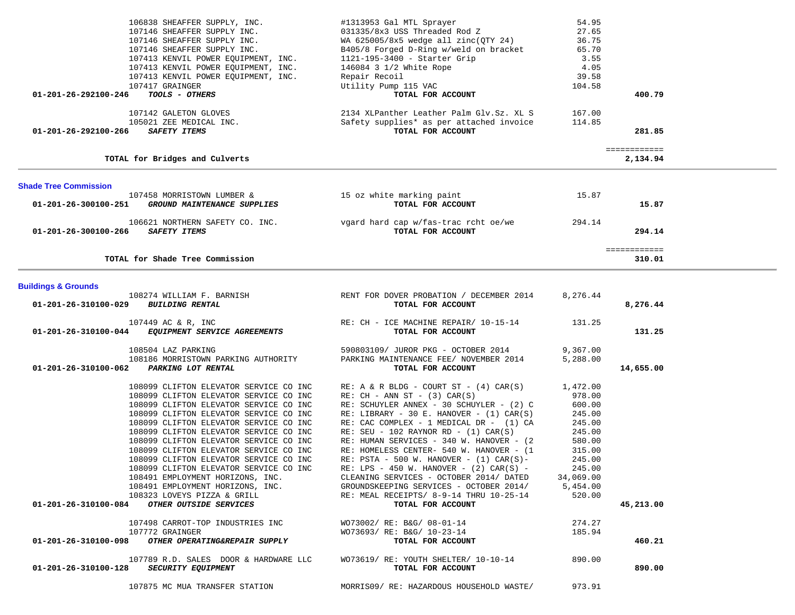| 01-201-26-292100-246                         | 107413 KENVIL POWER EQUIPMENT, INC.<br>107417 GRAINGER<br>TOOLS - OTHERS                                                                                                                                                                                                                                                                                                                                                                                                                                                                                                                                                                                  | Repair Recoil<br>Utility Pump 115 VAC<br>TOTAL FOR ACCOUNT                                                                                                                                                                                                                                                                                                                                                                                                                                                                                                                                                                                                                                          | 39.58<br>104.58                                                                                                                                           | 400.79                   |  |
|----------------------------------------------|-----------------------------------------------------------------------------------------------------------------------------------------------------------------------------------------------------------------------------------------------------------------------------------------------------------------------------------------------------------------------------------------------------------------------------------------------------------------------------------------------------------------------------------------------------------------------------------------------------------------------------------------------------------|-----------------------------------------------------------------------------------------------------------------------------------------------------------------------------------------------------------------------------------------------------------------------------------------------------------------------------------------------------------------------------------------------------------------------------------------------------------------------------------------------------------------------------------------------------------------------------------------------------------------------------------------------------------------------------------------------------|-----------------------------------------------------------------------------------------------------------------------------------------------------------|--------------------------|--|
| 01-201-26-292100-266                         | 107142 GALETON GLOVES<br>105021 ZEE MEDICAL INC.<br>SAFETY ITEMS                                                                                                                                                                                                                                                                                                                                                                                                                                                                                                                                                                                          | 2134 XLPanther Leather Palm Glv.Sz. XL S<br>Safety supplies* as per attached invoice<br>TOTAL FOR ACCOUNT                                                                                                                                                                                                                                                                                                                                                                                                                                                                                                                                                                                           | 167.00<br>114.85                                                                                                                                          | 281.85                   |  |
|                                              | TOTAL for Bridges and Culverts                                                                                                                                                                                                                                                                                                                                                                                                                                                                                                                                                                                                                            |                                                                                                                                                                                                                                                                                                                                                                                                                                                                                                                                                                                                                                                                                                     |                                                                                                                                                           | ============<br>2,134.94 |  |
| <b>Shade Tree Commission</b>                 |                                                                                                                                                                                                                                                                                                                                                                                                                                                                                                                                                                                                                                                           |                                                                                                                                                                                                                                                                                                                                                                                                                                                                                                                                                                                                                                                                                                     |                                                                                                                                                           |                          |  |
| 01-201-26-300100-251                         | 107458 MORRISTOWN LUMBER &<br>GROUND MAINTENANCE SUPPLIES                                                                                                                                                                                                                                                                                                                                                                                                                                                                                                                                                                                                 | 15 oz white marking paint<br>TOTAL FOR ACCOUNT                                                                                                                                                                                                                                                                                                                                                                                                                                                                                                                                                                                                                                                      | 15.87                                                                                                                                                     | 15.87                    |  |
| 01-201-26-300100-266                         | 106621 NORTHERN SAFETY CO. INC.<br><b>SAFETY ITEMS</b>                                                                                                                                                                                                                                                                                                                                                                                                                                                                                                                                                                                                    | vgard hard cap w/fas-trac rcht oe/we<br>TOTAL FOR ACCOUNT                                                                                                                                                                                                                                                                                                                                                                                                                                                                                                                                                                                                                                           | 294.14                                                                                                                                                    | 294.14                   |  |
|                                              | TOTAL for Shade Tree Commission                                                                                                                                                                                                                                                                                                                                                                                                                                                                                                                                                                                                                           |                                                                                                                                                                                                                                                                                                                                                                                                                                                                                                                                                                                                                                                                                                     |                                                                                                                                                           | ============<br>310.01   |  |
| <b>Buildings &amp; Grounds</b>               |                                                                                                                                                                                                                                                                                                                                                                                                                                                                                                                                                                                                                                                           |                                                                                                                                                                                                                                                                                                                                                                                                                                                                                                                                                                                                                                                                                                     |                                                                                                                                                           |                          |  |
| 01-201-26-310100-029                         | 108274 WILLIAM F. BARNISH<br><b>BUILDING RENTAL</b>                                                                                                                                                                                                                                                                                                                                                                                                                                                                                                                                                                                                       | RENT FOR DOVER PROBATION / DECEMBER 2014<br>TOTAL FOR ACCOUNT                                                                                                                                                                                                                                                                                                                                                                                                                                                                                                                                                                                                                                       | 8,276.44                                                                                                                                                  | 8,276.44                 |  |
| 01-201-26-310100-044                         | 107449 AC & R, INC<br>EQUIPMENT SERVICE AGREEMENTS                                                                                                                                                                                                                                                                                                                                                                                                                                                                                                                                                                                                        | RE: CH - ICE MACHINE REPAIR/ 10-15-14<br>TOTAL FOR ACCOUNT                                                                                                                                                                                                                                                                                                                                                                                                                                                                                                                                                                                                                                          | 131.25                                                                                                                                                    | 131.25                   |  |
| 01-201-26-310100-062                         | 108504 LAZ PARKING<br>108186 MORRISTOWN PARKING AUTHORITY<br>PARKING LOT RENTAL                                                                                                                                                                                                                                                                                                                                                                                                                                                                                                                                                                           | 590803109/ JUROR PKG - OCTOBER 2014<br>PARKING MAINTENANCE FEE/ NOVEMBER 2014<br>TOTAL FOR ACCOUNT                                                                                                                                                                                                                                                                                                                                                                                                                                                                                                                                                                                                  | 9,367.00<br>5,288.00                                                                                                                                      | 14,655.00                |  |
| 01-201-26-310100-084<br>01-201-26-310100-098 | 108099 CLIFTON ELEVATOR SERVICE CO INC<br>108099 CLIFTON ELEVATOR SERVICE CO INC<br>108099 CLIFTON ELEVATOR SERVICE CO INC<br>108099 CLIFTON ELEVATOR SERVICE CO INC<br>108099 CLIFTON ELEVATOR SERVICE CO INC<br>108099 CLIFTON ELEVATOR SERVICE CO INC<br>108099 CLIFTON ELEVATOR SERVICE CO INC<br>108099 CLIFTON ELEVATOR SERVICE CO INC<br>108099 CLIFTON ELEVATOR SERVICE CO INC<br>108099 CLIFTON ELEVATOR SERVICE CO INC<br>108491 EMPLOYMENT HORIZONS, INC.<br>108491 EMPLOYMENT HORIZONS, INC.<br>108323 LOVEYS PIZZA & GRILL<br>OTHER OUTSIDE SERVICES<br>107498 CARROT-TOP INDUSTRIES INC<br>107772 GRAINGER<br>OTHER OPERATING&REPAIR SUPPLY | RE: A & R BLDG - COURT ST - $(4)$ CAR $(S)$<br>RE: $CH - ANN ST - (3) CAR(S)$<br>RE: SCHUYLER ANNEX - 30 SCHUYLER - (2) C<br>RE: LIBRARY - 30 E. HANOVER - $(1)$ CAR $(S)$<br>RE: CAC COMPLEX - 1 MEDICAL DR - (1) CA<br>RE: SEU - 102 RAYNOR RD - $(1)$ CAR $(S)$<br>RE: HUMAN SERVICES - 340 W. HANOVER - (2)<br>RE: HOMELESS CENTER- 540 W. HANOVER - (1<br>RE: PSTA - 500 W. HANOVER - $(1)$ CAR $(S)$ -<br>RE: LPS - 450 W. HANOVER - $(2)$ CAR $(S)$ -<br>CLEANING SERVICES - OCTOBER 2014/ DATED<br>GROUNDSKEEPING SERVICES - OCTOBER 2014/<br>RE: MEAL RECEIPTS/ 8-9-14 THRU 10-25-14<br>TOTAL FOR ACCOUNT<br>WO73002/ RE: B&G/ 08-01-14<br>WO73693/ RE: B&G/ 10-23-14<br>TOTAL FOR ACCOUNT | 1,472.00<br>978.00<br>600.00<br>245.00<br>245.00<br>245.00<br>580.00<br>315.00<br>245.00<br>245.00<br>34,069.00<br>5,454.00<br>520.00<br>274.27<br>185.94 | 45,213.00<br>460.21      |  |
| 01-201-26-310100-128                         | 107789 R.D. SALES DOOR & HARDWARE LLC<br>SECURITY EQUIPMENT                                                                                                                                                                                                                                                                                                                                                                                                                                                                                                                                                                                               | WO73619/RE: YOUTH SHELTER/ 10-10-14<br>TOTAL FOR ACCOUNT                                                                                                                                                                                                                                                                                                                                                                                                                                                                                                                                                                                                                                            | 890.00                                                                                                                                                    | 890.00                   |  |
|                                              | 107875 MC MUA TRANSFER STATION                                                                                                                                                                                                                                                                                                                                                                                                                                                                                                                                                                                                                            | MORRIS09/ RE: HAZARDOUS HOUSEHOLD WASTE/                                                                                                                                                                                                                                                                                                                                                                                                                                                                                                                                                                                                                                                            | 973.91                                                                                                                                                    |                          |  |

106838 SHEAFFER SUPPLY, INC. #1313953 Gal MTL Sprayer 54.95<br>107146 SHEAFFER SUPPLY INC. 031335/8x3 USS Threaded Rod Z  $107146$  SHEAFFER SUPPLY INC.  $031335/8x3$  USS Threaded Rod Z  $27.65$  $107146$  SHEAFFER SUPPLY INC.  $\text{WA } 625005/8x5 \text{ wedge all } \text{zinc}(\text{QTY } 24)$  36.75 107146 SHEAFFER SUPPLY INC. B405/8 Forged D-Ring w/weld on bracket 65.70 107413 KENVIL POWER EQUIPMENT, INC. 1121-195-3400 - Starter Grip 3.55

107413 KENVIL POWER EQUIPMENT, INC. 146084 3 1/2 White Rope 4.05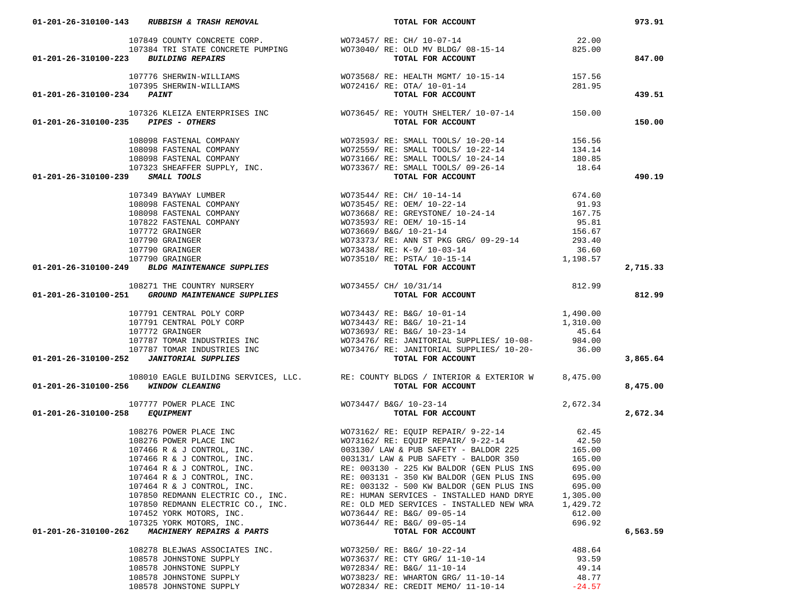| 01-201-26-310100-223 BUILDING REPAIRS                                                                                                                                                                                                           | 107849 COUNTY CONCRETE CORP.<br>107384 TRI STATE CONCRETE PUMPING $\texttt{WO73040/ RE: OLD MV BLDG/ 08-15-14}$ 825.00<br>3 BUILDING REPAIRS TOTAL FOR ACCOUNT                                                                                                                                                                                                                                                    |          | 847.00   |
|-------------------------------------------------------------------------------------------------------------------------------------------------------------------------------------------------------------------------------------------------|-------------------------------------------------------------------------------------------------------------------------------------------------------------------------------------------------------------------------------------------------------------------------------------------------------------------------------------------------------------------------------------------------------------------|----------|----------|
|                                                                                                                                                                                                                                                 |                                                                                                                                                                                                                                                                                                                                                                                                                   |          |          |
|                                                                                                                                                                                                                                                 |                                                                                                                                                                                                                                                                                                                                                                                                                   |          |          |
|                                                                                                                                                                                                                                                 | 107776 SHERWIN-WILLIAMS<br>107395 SHERWIN-WILLIAMS<br><b>107395 SHERWIN-WILLIAMS</b><br><b>107395 SHERWIN-WILLIAMS</b><br><b>1072416/RE:</b> OTAL FOR ACCOUNT                                                                                                                                                                                                                                                     |          |          |
|                                                                                                                                                                                                                                                 |                                                                                                                                                                                                                                                                                                                                                                                                                   |          |          |
| 01-201-26-310100-234 PAINT                                                                                                                                                                                                                      |                                                                                                                                                                                                                                                                                                                                                                                                                   |          | 439.51   |
|                                                                                                                                                                                                                                                 |                                                                                                                                                                                                                                                                                                                                                                                                                   |          |          |
|                                                                                                                                                                                                                                                 | 107326 KLEIZA ENTERPRISES INC $\texttt{WO73645/ RE: YOUTH SHELTER/ 10-07-14}$ 150.00<br>35 PIPES - OTHERS INC TOTAL FOR ACCOUNT                                                                                                                                                                                                                                                                                   |          |          |
| 01-201-26-310100-235 PIPES - OTHERS                                                                                                                                                                                                             |                                                                                                                                                                                                                                                                                                                                                                                                                   |          | 150.00   |
|                                                                                                                                                                                                                                                 |                                                                                                                                                                                                                                                                                                                                                                                                                   |          |          |
|                                                                                                                                                                                                                                                 |                                                                                                                                                                                                                                                                                                                                                                                                                   |          |          |
|                                                                                                                                                                                                                                                 |                                                                                                                                                                                                                                                                                                                                                                                                                   |          |          |
|                                                                                                                                                                                                                                                 |                                                                                                                                                                                                                                                                                                                                                                                                                   |          |          |
|                                                                                                                                                                                                                                                 |                                                                                                                                                                                                                                                                                                                                                                                                                   |          |          |
| 01-201-26-310100-239 SMALL TOOLS                                                                                                                                                                                                                | $\begin{array}{lllllllllllllllll} 108098&\texttt{FASTENAL}\texttt{COMPANY} & & & & & & & & & \\ 108098&\texttt{FASTENAL}\texttt{COMPANY} & & & & & & & & \\ 108098&\texttt{FASTENAL}\texttt{COMPANY} & & & & & & & \\ 108098&\texttt{FASTENAL}\texttt{COMPANY} & & & & & & & \\ 108098&\texttt{FASTENAL}\texttt{COMPANY} & & & & & & & \\ 108098&\texttt{FASTENAL}\texttt{COMPANY} & & & & & & & \\ 107323&\text$ |          | 490.19   |
|                                                                                                                                                                                                                                                 |                                                                                                                                                                                                                                                                                                                                                                                                                   |          |          |
|                                                                                                                                                                                                                                                 |                                                                                                                                                                                                                                                                                                                                                                                                                   |          |          |
|                                                                                                                                                                                                                                                 |                                                                                                                                                                                                                                                                                                                                                                                                                   |          |          |
| 01-201-26-310100-239 SMALL TOOLS<br>107349 BAYWAY LUMBER<br>108098 FASTENAL COMPANY<br>108098 FASTENAL COMPANY<br>108098 FASTENAL COMPANY<br>107822 FASTENAL COMPANY<br>107720 GRAINGER<br>1077720 GRAINGER<br>1077720 GRAINGER<br>107720 GRAIN |                                                                                                                                                                                                                                                                                                                                                                                                                   |          |          |
|                                                                                                                                                                                                                                                 |                                                                                                                                                                                                                                                                                                                                                                                                                   |          |          |
|                                                                                                                                                                                                                                                 |                                                                                                                                                                                                                                                                                                                                                                                                                   |          |          |
|                                                                                                                                                                                                                                                 |                                                                                                                                                                                                                                                                                                                                                                                                                   |          |          |
|                                                                                                                                                                                                                                                 |                                                                                                                                                                                                                                                                                                                                                                                                                   |          |          |
|                                                                                                                                                                                                                                                 |                                                                                                                                                                                                                                                                                                                                                                                                                   |          |          |
|                                                                                                                                                                                                                                                 |                                                                                                                                                                                                                                                                                                                                                                                                                   |          |          |
|                                                                                                                                                                                                                                                 |                                                                                                                                                                                                                                                                                                                                                                                                                   |          | 2,715.33 |
|                                                                                                                                                                                                                                                 |                                                                                                                                                                                                                                                                                                                                                                                                                   |          |          |
|                                                                                                                                                                                                                                                 |                                                                                                                                                                                                                                                                                                                                                                                                                   |          |          |
|                                                                                                                                                                                                                                                 |                                                                                                                                                                                                                                                                                                                                                                                                                   |          | 812.99   |
|                                                                                                                                                                                                                                                 |                                                                                                                                                                                                                                                                                                                                                                                                                   |          |          |
|                                                                                                                                                                                                                                                 |                                                                                                                                                                                                                                                                                                                                                                                                                   |          |          |
|                                                                                                                                                                                                                                                 |                                                                                                                                                                                                                                                                                                                                                                                                                   |          |          |
|                                                                                                                                                                                                                                                 |                                                                                                                                                                                                                                                                                                                                                                                                                   |          |          |
|                                                                                                                                                                                                                                                 |                                                                                                                                                                                                                                                                                                                                                                                                                   |          |          |
|                                                                                                                                                                                                                                                 |                                                                                                                                                                                                                                                                                                                                                                                                                   |          |          |
| 01-201-26-310100-252  JANITORIAL SUPPLIES                                                                                                                                                                                                       | 107791 CENTRAL POLY CORP<br>107791 CENTRAL POLY CORP<br>107791 CENTRAL POLY CORP<br>107772 GRAINGER<br>107772 GRAINGER<br>107787 TOMAR INDUSTRIES INC<br>107787 TOMAR INDUSTRIES INC<br>107787 TOMAR INDUSTRIES INC<br>107787 TOMAR INDUSTRIES                                                                                                                                                                    |          | 3,865.64 |
|                                                                                                                                                                                                                                                 |                                                                                                                                                                                                                                                                                                                                                                                                                   |          |          |
|                                                                                                                                                                                                                                                 | 108010 EAGLE BUILDING SERVICES, LLC. RE: COUNTY BLDGS / INTERIOR & EXTERIOR W 8,475.00                                                                                                                                                                                                                                                                                                                            |          |          |
| 01-201-26-310100-256 WINDOW CLEANING                                                                                                                                                                                                            | TOTAL FOR ACCOUNT                                                                                                                                                                                                                                                                                                                                                                                                 |          | 8,475.00 |
|                                                                                                                                                                                                                                                 |                                                                                                                                                                                                                                                                                                                                                                                                                   |          |          |
|                                                                                                                                                                                                                                                 | 107777 POWER PLACE INC $\text{WO73447/ BAG/ 10-23-14}$ 2,672.34<br>B EQUIPMENT                                                                                                                                                                                                                                                                                                                                    |          |          |
| 01-201-26-310100-258 EQUIPMENT                                                                                                                                                                                                                  |                                                                                                                                                                                                                                                                                                                                                                                                                   |          | 2,672.34 |
|                                                                                                                                                                                                                                                 | <b>EQUIPMENT TOTAL FOR ACCOUNT TOTAL FOR ACCOUNT TOTAL FOR ACCOUNT TOTAL FOR ACCOUNT TOTAL FOR ACCOUNT TOTAL FOR ACCOUNT TOTAL FOR ACCOUNT TOTAL FOR ACCOUNT TOTAL FOR ACCOUNT TOTAL FOR ACCOUNT TOTAL TORES AND TOTAL TO A SAF</b>                                                                                                                                                                               |          |          |
|                                                                                                                                                                                                                                                 |                                                                                                                                                                                                                                                                                                                                                                                                                   |          |          |
|                                                                                                                                                                                                                                                 |                                                                                                                                                                                                                                                                                                                                                                                                                   |          |          |
|                                                                                                                                                                                                                                                 |                                                                                                                                                                                                                                                                                                                                                                                                                   |          |          |
|                                                                                                                                                                                                                                                 |                                                                                                                                                                                                                                                                                                                                                                                                                   |          |          |
|                                                                                                                                                                                                                                                 |                                                                                                                                                                                                                                                                                                                                                                                                                   |          |          |
|                                                                                                                                                                                                                                                 |                                                                                                                                                                                                                                                                                                                                                                                                                   |          |          |
|                                                                                                                                                                                                                                                 |                                                                                                                                                                                                                                                                                                                                                                                                                   |          |          |
| 107464 R & J CONTROL, INC.                                                                                                                                                                                                                      | RE: 003132 - 500 KW BALDOR (GEN PLUS INS                                                                                                                                                                                                                                                                                                                                                                          | 695.00   |          |
| 107850 REDMANN ELECTRIC CO., INC.                                                                                                                                                                                                               | RE: HUMAN SERVICES - INSTALLED HAND DRYE                                                                                                                                                                                                                                                                                                                                                                          | 1,305.00 |          |
| 107850 REDMANN ELECTRIC CO., INC.                                                                                                                                                                                                               | RE: OLD MED SERVICES - INSTALLED NEW WRA                                                                                                                                                                                                                                                                                                                                                                          | 1,429.72 |          |
| 107452 YORK MOTORS, INC.                                                                                                                                                                                                                        | WO73644/ RE: B&G/ 09-05-14                                                                                                                                                                                                                                                                                                                                                                                        | 612.00   |          |
| 107325 YORK MOTORS, INC.                                                                                                                                                                                                                        | WO73644/ RE: B&G/ 09-05-14                                                                                                                                                                                                                                                                                                                                                                                        | 696.92   |          |
| 01-201-26-310100-262<br>MACHINERY REPAIRS & PARTS                                                                                                                                                                                               | TOTAL FOR ACCOUNT                                                                                                                                                                                                                                                                                                                                                                                                 |          | 6,563.59 |
|                                                                                                                                                                                                                                                 |                                                                                                                                                                                                                                                                                                                                                                                                                   |          |          |
| 108278 BLEJWAS ASSOCIATES INC.                                                                                                                                                                                                                  | WO73250/ RE: B&G/ 10-22-14                                                                                                                                                                                                                                                                                                                                                                                        | 488.64   |          |
| 108578 JOHNSTONE SUPPLY                                                                                                                                                                                                                         | WO73637/ RE: CTY GRG/ 11-10-14                                                                                                                                                                                                                                                                                                                                                                                    | 93.59    |          |
| 108578 JOHNSTONE SUPPLY                                                                                                                                                                                                                         | W072834/ RE: B&G/ 11-10-14                                                                                                                                                                                                                                                                                                                                                                                        | 49.14    |          |
| 108578 JOHNSTONE SUPPLY                                                                                                                                                                                                                         | WO73823/ RE: WHARTON GRG/ 11-10-14                                                                                                                                                                                                                                                                                                                                                                                | 48.77    |          |
| 108578 JOHNSTONE SUPPLY                                                                                                                                                                                                                         |                                                                                                                                                                                                                                                                                                                                                                                                                   | $-24.57$ |          |
|                                                                                                                                                                                                                                                 | WO72834/ RE: CREDIT MEMO/ 11-10-14                                                                                                                                                                                                                                                                                                                                                                                |          |          |

 **01-201-26-310100-143** *RUBBISH & TRASH REMOVAL* **TOTAL FOR ACCOUNT 973.91**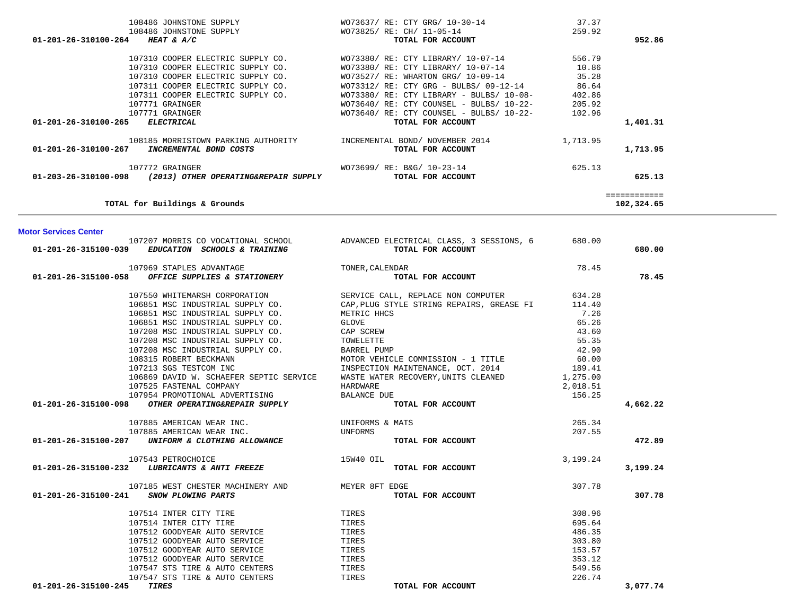| 108486 JOHNSTONE SUPPLY                                   | WO73637/ RE: CTY GRG/ 10-30-14            | 37.37    |              |
|-----------------------------------------------------------|-------------------------------------------|----------|--------------|
| 108486 JOHNSTONE SUPPLY                                   | WO73825/ RE: CH/ 11-05-14                 | 259.92   |              |
| 01-201-26-310100-264 HEAT & A/C                           | TOTAL FOR ACCOUNT                         |          | 952.86       |
|                                                           |                                           |          |              |
| 107310 COOPER ELECTRIC SUPPLY CO.                         | WO73380/ RE: CTY LIBRARY/ 10-07-14        | 556.79   |              |
| 107310 COOPER ELECTRIC SUPPLY CO.                         | WO73380/ RE: CTY LIBRARY/ 10-07-14        | 10.86    |              |
| 107310 COOPER ELECTRIC SUPPLY CO.                         | WO73527/ RE: WHARTON GRG/ 10-09-14        | 35.28    |              |
| 107311 COOPER ELECTRIC SUPPLY CO.                         | WO73312/ RE: CTY GRG - BULBS/ 09-12-14    | 86.64    |              |
|                                                           |                                           |          |              |
| 107311 COOPER ELECTRIC SUPPLY CO.                         | $WO73380/RE: CTY LIBRARY - BULBS/10-08-$  | 402.86   |              |
| 107771 GRAINGER                                           | WO73640/ RE: CTY COUNSEL - BULBS/ 10-22-  | 205.92   |              |
| 107771 GRAINGER                                           | WO73640/ RE: CTY COUNSEL - BULBS/ 10-22-  | 102.96   |              |
| 01-201-26-310100-265 ELECTRICAL                           | TOTAL FOR ACCOUNT                         |          | 1,401.31     |
|                                                           |                                           |          |              |
| 108185 MORRISTOWN PARKING AUTHORITY                       | INCREMENTAL BOND/ NOVEMBER 2014           | 1,713.95 |              |
| 01-201-26-310100-267 INCREMENTAL BOND COSTS               | TOTAL FOR ACCOUNT                         |          | 1,713.95     |
|                                                           |                                           |          |              |
| 107772 GRAINGER                                           | WO73699/ RE: B&G/ 10-23-14                | 625.13   |              |
| 01-203-26-310100-098 (2013) OTHER OPERATING&REPAIR SUPPLY | TOTAL FOR ACCOUNT                         |          | 625.13       |
|                                                           |                                           |          |              |
|                                                           |                                           |          | ============ |
| TOTAL for Buildings & Grounds                             |                                           |          | 102,324.65   |
|                                                           |                                           |          |              |
|                                                           |                                           |          |              |
| <b>Motor Services Center</b>                              |                                           |          |              |
| 107207 MORRIS CO VOCATIONAL SCHOOL                        | ADVANCED ELECTRICAL CLASS, 3 SESSIONS, 6  | 680.00   |              |
| 01-201-26-315100-039 EDUCATION SCHOOLS & TRAINING         | TOTAL FOR ACCOUNT                         |          | 680.00       |
|                                                           |                                           |          |              |
|                                                           |                                           |          |              |
| 107969 STAPLES ADVANTAGE                                  | TONER, CALENDAR                           | 78.45    |              |
| 01-201-26-315100-058 OFFICE SUPPLIES & STATIONERY         | TOTAL FOR ACCOUNT                         |          | 78.45        |
|                                                           |                                           |          |              |
| 107550 WHITEMARSH CORPORATION                             | SERVICE CALL, REPLACE NON COMPUTER        | 634.28   |              |
| 106851 MSC INDUSTRIAL SUPPLY CO.                          | CAP, PLUG STYLE STRING REPAIRS, GREASE FI | 114.40   |              |
| 106851 MSC INDUSTRIAL SUPPLY CO.                          | METRIC HHCS                               | 7.26     |              |
| 106851 MSC INDUSTRIAL SUPPLY CO.                          | GLOVE                                     | 65.26    |              |
| 107208 MSC INDUSTRIAL SUPPLY CO.                          | CAP SCREW                                 | 43.60    |              |
| 107208 MSC INDUSTRIAL SUPPLY CO.                          | TOWELETTE                                 | 55.35    |              |
| 107208 MSC INDUSTRIAL SUPPLY CO.                          | BARREL PUMP                               | 42.90    |              |
|                                                           |                                           |          |              |
| 108315 ROBERT BECKMANN                                    | MOTOR VEHICLE COMMISSION - 1 TITLE        | 60.00    |              |
| 107213 SGS TESTCOM INC                                    | INSPECTION MAINTENANCE, OCT. 2014         | 189.41   |              |
| 106869 DAVID W. SCHAEFER SEPTIC SERVICE                   | WASTE WATER RECOVERY, UNITS CLEANED       | 1,275.00 |              |
| 107525 FASTENAL COMPANY                                   | HARDWARE                                  | 2,018.51 |              |
| 107954 PROMOTIONAL ADVERTISING                            | <b>BALANCE DUE</b>                        | 156.25   |              |
| 01-201-26-315100-098 OTHER OPERATING&REPAIR SUPPLY        | TOTAL FOR ACCOUNT                         |          | 4,662.22     |
|                                                           |                                           |          |              |
| 107885 AMERICAN WEAR INC.                                 | UNIFORMS & MATS                           | 265.34   |              |
| 107885 AMERICAN WEAR INC.                                 | UNFORMS                                   | 207.55   |              |
| 01-201-26-315100-207 UNIFORM & CLOTHING ALLOWANCE         | TOTAL FOR ACCOUNT                         |          | 472.89       |
|                                                           |                                           |          |              |
| 107543 PETROCHOICE                                        | 15W40 OIL                                 | 3,199.24 |              |
| 01-201-26-315100-232<br>LUBRICANTS & ANTI FREEZE          | TOTAL FOR ACCOUNT                         |          |              |
|                                                           |                                           |          | 3,199.24     |
|                                                           |                                           |          |              |
| 107185 WEST CHESTER MACHINERY AND                         | MEYER 8FT EDGE                            | 307.78   |              |
| 01-201-26-315100-241 SNOW PLOWING PARTS                   | TOTAL FOR ACCOUNT                         |          | 307.78       |
|                                                           |                                           |          |              |
| 107514 INTER CITY TIRE                                    | TIRES                                     | 308.96   |              |
| 107514 INTER CITY TIRE                                    | TIRES                                     | 695.64   |              |
| 107512 GOODYEAR AUTO SERVICE                              | TIRES                                     | 486.35   |              |
| 107512 GOODYEAR AUTO SERVICE                              | TIRES                                     | 303.80   |              |
| 107512 GOODYEAR AUTO SERVICE                              | TIRES                                     | 153.57   |              |
| 107512 GOODYEAR AUTO SERVICE                              | TIRES                                     | 353.12   |              |
|                                                           | TIRES                                     | 549.56   |              |
| 107547 STS TIRE & AUTO CENTERS                            |                                           |          |              |
| 107547 STS TIRE & AUTO CENTERS                            | TIRES                                     | 226.74   |              |
| 01-201-26-315100-245 TIRES                                | TOTAL FOR ACCOUNT                         |          | 3,077.74     |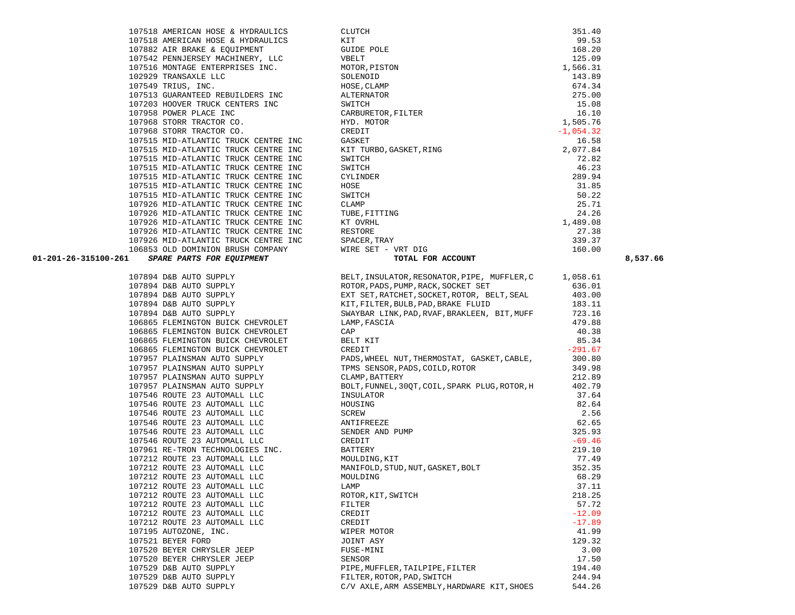|        | 107926 MID-ATLANTIC          |                  | TRUCK CENTRE I |
|--------|------------------------------|------------------|----------------|
|        | 106853 OLD DOMINION          |                  | BRUSH COMPANY  |
|        | <b>SPARE PARTS FOR</b>       | <i>EQUIPMENT</i> |                |
|        |                              |                  |                |
| 107894 | D&B<br><b>AUTO SUPPLY</b>    |                  |                |
| 107894 | D&B AUTO SUPPLY              |                  |                |
| 107894 | D&B AUTO SUPPLY              |                  |                |
| 107894 | D&B AUTO SUPPLY              |                  |                |
| 107894 | D&B AUTO SUPPLY              |                  |                |
| 106865 | FLEMINGTON BUICK CHEVROLET   |                  |                |
| 106865 | FLEMINGTON BUICK CHEVROLET   |                  |                |
| 106865 | FLEMINGTON BUICK CHEVROLET   |                  |                |
| 106865 | FLEMINGTON BUICK CHEVROLET   |                  |                |
|        | 107957 PLAINSMAN AUTO SUPPLY |                  |                |
| 107957 | PLAINSMAN AUTO SUPPLY        |                  |                |
| 107957 | PLAINSMAN AUTO SUPPLY        |                  |                |
| 107957 | PLAINSMAN AUTO SUPPLY        |                  |                |
| 107546 | ROUTE 23 AUTOMALL LLC        |                  |                |
| 107546 | ROUTE 23 AUTOMALL LLC        |                  |                |
| 107546 | ROUTE 23 AUTOMALL LLC        |                  |                |
| 107546 | ROUTE 23 AUTOMALL LLC        |                  |                |
| 107546 | ROUTE 23 AUTOMALL LLC        |                  |                |
| 107546 | ROUTE<br>23                  | AUTOMALL         | LLC            |
| 107961 | RE-TRON TECHNOLOGIES INC.    |                  |                |
| 107212 | 23<br>ROUTE                  | AUTOMALL LLC     |                |
| 107212 | ROUTE 23 AUTOMALL            |                  | <b>LLC</b>     |
| 107212 | ROUTE 23 AUTOMALL LLC        |                  |                |
| 107212 | ROUTE 23 AUTOMALL LLC        |                  |                |
| 107212 | ROUTE 23 AUTOMALL LLC        |                  |                |
| 107212 | ROUTE 23 AUTOMALL LLC        |                  |                |
| 107212 | ROUTE 23                     | AUTOMALL         | <b>LLC</b>     |
| 107212 | ROUTE 23 AUTOMALL            |                  | LLC            |
| 107195 | AUTOZONE, INC.               |                  |                |
| 107521 | BEYER FORD                   |                  |                |
| 107520 | BEYER CHRYSLER JEEP          |                  |                |
| 107520 | BEYER CHRYSLER JEEP          |                  |                |
|        | 107529 D&B AUTO SUPPLY       |                  |                |
| 107529 | D&B AUTO SUPPLY              |                  |                |
|        | 107529 D&B AUTO SUPPLY       |                  |                |

| 107518 AMERICAN HOSE & HYDRAULICS                        | <b>CLUTCH</b>           | 351.40      |
|----------------------------------------------------------|-------------------------|-------------|
| 107518 AMERICAN HOSE & HYDRAULICS                        | KIT                     | 99.53       |
| 107882 AIR BRAKE & EQUIPMENT                             | <b>GUIDE POLE</b>       | 168.20      |
| 107542 PENNJERSEY MACHINERY, LLC                         | VBELT                   | 125.09      |
| 107516 MONTAGE ENTERPRISES INC.                          | MOTOR, PISTON           | 1,566.31    |
| 102929 TRANSAXLE LLC                                     | SOLENOID                | 143.89      |
| 107549 TRIUS, INC.                                       | HOSE, CLAMP             | 674.34      |
| 107513 GUARANTEED REBUILDERS INC                         | ALTERNATOR              | 275.00      |
| 107203 HOOVER TRUCK CENTERS INC                          | SWITCH                  | 15.08       |
| 107958 POWER PLACE INC                                   | CARBURETOR, FILTER      | 16.10       |
| 107968 STORR TRACTOR CO.                                 | HYD. MOTOR              | 1,505.76    |
| 107968 STORR TRACTOR CO.                                 | CREDIT                  | $-1,054.32$ |
| 107515 MID-ATLANTIC TRUCK CENTRE INC                     | GASKET                  | 16.58       |
| 107515 MID-ATLANTIC TRUCK CENTRE INC                     | KIT TURBO, GASKET, RING | 2,077.84    |
| 107515 MID-ATLANTIC TRUCK CENTRE INC                     | SWITCH                  | 72.82       |
| 107515 MID-ATLANTIC TRUCK CENTRE INC                     | SWITCH                  | 46.23       |
| 107515 MID-ATLANTIC TRUCK CENTRE INC                     | CYLINDER                | 289.94      |
| 107515 MID-ATLANTIC TRUCK CENTRE INC                     | HOSE                    | 31.85       |
| 107515 MID-ATLANTIC TRUCK CENTRE INC                     | SWITCH                  | 50.22       |
| 107926 MID-ATLANTIC TRUCK CENTRE INC                     | CLAMP                   | 25.71       |
| 107926 MID-ATLANTIC TRUCK CENTRE INC                     | TUBE, FITTING           | 24.26       |
| 107926 MID-ATLANTIC TRUCK CENTRE INC                     | KT OVRHL                | 1,489.08    |
| 107926 MID-ATLANTIC TRUCK CENTRE INC                     | RESTORE                 | 27.38       |
| 107926 MID-ATLANTIC TRUCK CENTRE INC                     | SPACER, TRAY            | 339.37      |
| 106853 OLD DOMINION BRUSH COMPANY                        | WIRE SET - VRT DIG      | 160.00      |
| 01-201-26-315100-261<br><b>SPARE PARTS FOR EQUIPMENT</b> | TOTAL FOR ACCOUNT       |             |

| 01-201-26-315100-261                                                                                                                                                                                                              |                                                                                                                                                                                                                                                                                                               |           | 8,537.66 |
|-----------------------------------------------------------------------------------------------------------------------------------------------------------------------------------------------------------------------------------|---------------------------------------------------------------------------------------------------------------------------------------------------------------------------------------------------------------------------------------------------------------------------------------------------------------|-----------|----------|
|                                                                                                                                                                                                                                   | 107894 D&B AUTO SUPPLY<br>107894 D&B AUTO SUPPLY<br>107894 D&B AUTO SUPPLY<br>107894 D&B AUTO SUPPLY<br>107894 D&B AUTO SUPPLY<br>107894 D&B AUTO SUPPLY<br>107894 D&B AUTO SUPPLY<br>107894 D&B AUTO SUPPLY<br>107894 D&B AUTO SUPPLY<br>107894<br>BELT, INSULATOR, RESONATOR, PIPE, MUFFLER, $C = 1,058.61$ |           |          |
|                                                                                                                                                                                                                                   |                                                                                                                                                                                                                                                                                                               | 636.01    |          |
| 107894 D&B AUTO SUPPLY<br>107894 D&B AUTO SUPPLY<br>107894 D&B AUTO SUPPLY                                                                                                                                                        |                                                                                                                                                                                                                                                                                                               | 403.00    |          |
|                                                                                                                                                                                                                                   |                                                                                                                                                                                                                                                                                                               | 183.11    |          |
|                                                                                                                                                                                                                                   | SWAYBAR LINK, PAD, RVAF, BRAKLEEN, BIT, MUFF                                                                                                                                                                                                                                                                  | 723.16    |          |
| 106865 FLEMINGTON BUICK CHEVROLET                                                                                                                                                                                                 | LAMP, FASCIA                                                                                                                                                                                                                                                                                                  | 479.88    |          |
| 106865 FLEMINGTON BUICK CHEVROLET                                                                                                                                                                                                 | CAP                                                                                                                                                                                                                                                                                                           | 40.38     |          |
| 106865 FLEMINGTON BUICK CHEVROLET                                                                                                                                                                                                 | BELT KIT                                                                                                                                                                                                                                                                                                      | 85.34     |          |
|                                                                                                                                                                                                                                   | CREDIT                                                                                                                                                                                                                                                                                                        | $-291.67$ |          |
| 106865 FLEMINGTON BUICK CHEVROLET<br>107957 PLAINSMAN AUTO SUPPLY<br>107957 PLAINSMAN AUTO SUPPLY<br>107957 PLAINSMAN AUTO SUPPLY<br>107957 PLAINSMAN AUTO SUPPLY<br>107546 ROUTE 23 AUTOMALL LLC<br>107546 ROUTE 23 AUTOMALL LLC | PADS, WHEEL NUT, THERMOSTAT, GASKET, CABLE, 300.80                                                                                                                                                                                                                                                            |           |          |
|                                                                                                                                                                                                                                   | TPMS SENSOR, PADS, COILD, ROTOR<br>CLAMP, BATTERY                                                                                                                                                                                                                                                             | 349.98    |          |
|                                                                                                                                                                                                                                   |                                                                                                                                                                                                                                                                                                               | 212.89    |          |
|                                                                                                                                                                                                                                   | BOLT, FUNNEL, 30QT, COIL, SPARK PLUG, ROTOR, H 402.79                                                                                                                                                                                                                                                         |           |          |
|                                                                                                                                                                                                                                   |                                                                                                                                                                                                                                                                                                               | 37.64     |          |
|                                                                                                                                                                                                                                   |                                                                                                                                                                                                                                                                                                               | 82.64     |          |
|                                                                                                                                                                                                                                   |                                                                                                                                                                                                                                                                                                               | 2.56      |          |
|                                                                                                                                                                                                                                   |                                                                                                                                                                                                                                                                                                               | 62.65     |          |
|                                                                                                                                                                                                                                   |                                                                                                                                                                                                                                                                                                               | 325.93    |          |
|                                                                                                                                                                                                                                   |                                                                                                                                                                                                                                                                                                               | $-69.46$  |          |
|                                                                                                                                                                                                                                   |                                                                                                                                                                                                                                                                                                               | 219.10    |          |
|                                                                                                                                                                                                                                   |                                                                                                                                                                                                                                                                                                               | 77.49     |          |
|                                                                                                                                                                                                                                   |                                                                                                                                                                                                                                                                                                               | 352.35    |          |
|                                                                                                                                                                                                                                   |                                                                                                                                                                                                                                                                                                               | 68.29     |          |
|                                                                                                                                                                                                                                   |                                                                                                                                                                                                                                                                                                               | 37.11     |          |
|                                                                                                                                                                                                                                   |                                                                                                                                                                                                                                                                                                               | 218.25    |          |
|                                                                                                                                                                                                                                   |                                                                                                                                                                                                                                                                                                               | 57.72     |          |
|                                                                                                                                                                                                                                   |                                                                                                                                                                                                                                                                                                               | $-12.09$  |          |
|                                                                                                                                                                                                                                   |                                                                                                                                                                                                                                                                                                               | $-17.89$  |          |
|                                                                                                                                                                                                                                   |                                                                                                                                                                                                                                                                                                               | 41.99     |          |
|                                                                                                                                                                                                                                   |                                                                                                                                                                                                                                                                                                               | 129.32    |          |
|                                                                                                                                                                                                                                   |                                                                                                                                                                                                                                                                                                               | 3.00      |          |
|                                                                                                                                                                                                                                   |                                                                                                                                                                                                                                                                                                               | 17.50     |          |
|                                                                                                                                                                                                                                   |                                                                                                                                                                                                                                                                                                               | 194.40    |          |
|                                                                                                                                                                                                                                   |                                                                                                                                                                                                                                                                                                               | 244.94    |          |
|                                                                                                                                                                                                                                   |                                                                                                                                                                                                                                                                                                               | 544.26    |          |

| 107518 AMERICAN HOSE & HYDRAULICS    |  | <b>CLUTCH</b>            | 351.40      |
|--------------------------------------|--|--------------------------|-------------|
| 107518 AMERICAN HOSE & HYDRAULICS    |  | KIT                      | 99.53       |
| 107882 AIR BRAKE & EOUIPMENT         |  | <b>GUIDE POLE</b>        | 168.20      |
| 107542 PENNJERSEY MACHINERY, LLC     |  | VBELT                    | 125.09      |
| 107516 MONTAGE ENTERPRISES INC.      |  | MOTOR, PISTON            | 1,566.31    |
| 102929 TRANSAXLE LLC                 |  | SOLENOID                 | 143.89      |
| 107549 TRIUS, INC.                   |  | HOSE, CLAMP              | 674.34      |
| 107513 GUARANTEED REBUILDERS INC     |  | ALTERNATOR               | 275.00      |
| 107203 HOOVER TRUCK CENTERS INC      |  | SWITCH                   | 15.08       |
| 107958 POWER PLACE INC               |  | CARBURETOR, FILTER       | 16.10       |
| 107968 STORR TRACTOR CO.             |  | HYD. MOTOR               | 1,505.76    |
| 107968 STORR TRACTOR CO.             |  | CREDIT                   | $-1,054.32$ |
| 107515 MID-ATLANTIC TRUCK CENTRE INC |  | GASKET                   | 16.58       |
| 107515 MID-ATLANTIC TRUCK CENTRE INC |  | KIT TURBO, GASKET, RING  | 2,077.84    |
| 107515 MID-ATLANTIC TRUCK CENTRE INC |  | SWITCH                   | 72.82       |
| 107515 MID-ATLANTIC TRUCK CENTRE INC |  | SWITCH                   | 46.23       |
| 107515 MID-ATLANTIC TRUCK CENTRE INC |  | CYLINDER                 | 289.94      |
| 107515 MID-ATLANTIC TRUCK CENTRE INC |  | HOSE                     | 31.85       |
| 107515 MID-ATLANTIC TRUCK CENTRE INC |  | SWITCH                   | 50.22       |
| 107926 MID-ATLANTIC TRUCK CENTRE INC |  | CLAMP                    | 25.71       |
| 107926 MID-ATLANTIC TRUCK CENTRE INC |  | TUBE, FITTING            | 24.26       |
| 107926 MID-ATLANTIC TRUCK CENTRE INC |  | KT OVRHL                 | 1,489.08    |
| 107926 MID-ATLANTIC TRUCK CENTRE INC |  | RESTORE                  | 27.38       |
| 107926 MID-ATLANTIC TRUCK CENTRE INC |  | SPACER, TRAY             | 339.37      |
| 106853 OLD DOMINION BRUSH COMPANY    |  | WIRE SET - VRT DIG       | 160.00      |
| CDADE DADTC EOD EOUIDMENT            |  | <b>TOTAL ROD ACCOUNT</b> |             |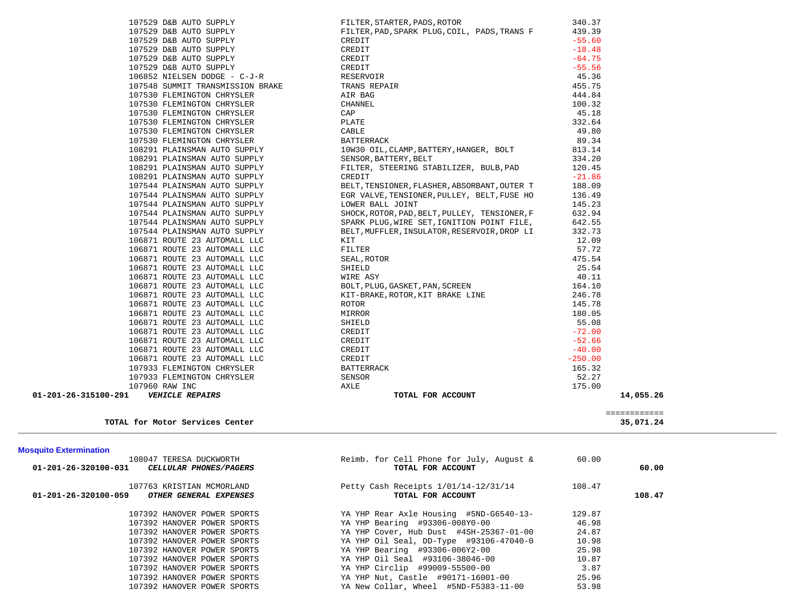| <b>Mosquito Extermination</b><br>01-201-26-320100-031<br>$01 - 201 - 26 - 320100 - 059$ | 108047 TERESA DUCKWORTH<br>CELLULAR PHONES/PAGERS<br>107763 KRISTIAN MCMORLAND<br>OTHER GENERAL EXPENSES | Reimb. for Cell Phone for July, August &<br>TOTAL FOR ACCOUNT<br>Petty Cash Receipts 1/01/14-12/31/14<br>TOTAL FOR ACCOUNT | 60.00<br>108.47 | 60.00<br>108.47           |
|-----------------------------------------------------------------------------------------|----------------------------------------------------------------------------------------------------------|----------------------------------------------------------------------------------------------------------------------------|-----------------|---------------------------|
|                                                                                         |                                                                                                          |                                                                                                                            |                 |                           |
|                                                                                         |                                                                                                          |                                                                                                                            |                 |                           |
|                                                                                         | TOTAL for Motor Services Center                                                                          |                                                                                                                            |                 | ============<br>35,071.24 |
| 01-201-26-315100-291                                                                    | <b>VEHICLE REPAIRS</b>                                                                                   | TOTAL FOR ACCOUNT                                                                                                          |                 | 14,055.26                 |
|                                                                                         | 107960 RAW INC                                                                                           | AXLE                                                                                                                       | 175.00          |                           |
|                                                                                         |                                                                                                          | SENSOR                                                                                                                     |                 |                           |
|                                                                                         | 107933 FLEMINGTON CHRYSLER                                                                               |                                                                                                                            | 52.27           |                           |
|                                                                                         | 107933 FLEMINGTON CHRYSLER                                                                               | <b>BATTERRACK</b>                                                                                                          | 165.32          |                           |
|                                                                                         | 106871 ROUTE 23 AUTOMALL LLC                                                                             | CREDIT                                                                                                                     | $-250.00$       |                           |
|                                                                                         | 106871 ROUTE 23 AUTOMALL LLC                                                                             | CREDIT                                                                                                                     | $-40.00$        |                           |
|                                                                                         | 106871 ROUTE 23 AUTOMALL LLC                                                                             | CREDIT                                                                                                                     | $-52.66$        |                           |
|                                                                                         | 106871 ROUTE 23 AUTOMALL LLC                                                                             | CREDIT                                                                                                                     | $-72.00$        |                           |
|                                                                                         | 106871 ROUTE 23 AUTOMALL LLC                                                                             | SHIELD                                                                                                                     | 55.08           |                           |
|                                                                                         | 106871 ROUTE 23 AUTOMALL LLC                                                                             | MIRROR                                                                                                                     | 180.05          |                           |
|                                                                                         | 106871 ROUTE 23 AUTOMALL LLC                                                                             | ROTOR                                                                                                                      | 145.78          |                           |
|                                                                                         | 106871 ROUTE 23 AUTOMALL LLC<br>106871 ROUTE 23 AUTOMALL LLC                                             | BOLT, PLUG, GASKET, PAN, SCREEN<br>KIT-BRAKE, ROTOR, KIT BRAKE LINE                                                        | 246.78          |                           |
|                                                                                         | 106871 ROUTE 23 AUTOMALL LLC                                                                             | WIRE ASY                                                                                                                   | 40.11<br>164.10 |                           |
|                                                                                         | 106871 ROUTE 23 AUTOMALL LLC                                                                             | SHIELD                                                                                                                     | 25.54           |                           |
|                                                                                         | 106871 ROUTE 23 AUTOMALL LLC                                                                             | SEAL, ROTOR                                                                                                                | 475.54          |                           |
|                                                                                         | 106871 ROUTE 23 AUTOMALL LLC                                                                             | FILTER                                                                                                                     | 57.72           |                           |
|                                                                                         | 106871 ROUTE 23 AUTOMALL LLC                                                                             | KIT                                                                                                                        | 12.09           |                           |
|                                                                                         | 107544 PLAINSMAN AUTO SUPPLY                                                                             | BELT, MUFFLER, INSULATOR, RESERVOIR, DROP LI                                                                               | 332.73          |                           |
|                                                                                         | 107544 PLAINSMAN AUTO SUPPLY                                                                             | SPARK PLUG, WIRE SET, IGNITION POINT FILE,                                                                                 | 642.55          |                           |
|                                                                                         | 107544 PLAINSMAN AUTO SUPPLY                                                                             | SHOCK, ROTOR, PAD, BELT, PULLEY, TENSIONER, F                                                                              | 632.94          |                           |
|                                                                                         | 107544 PLAINSMAN AUTO SUPPLY                                                                             | LOWER BALL JOINT                                                                                                           | 145.23          |                           |
|                                                                                         | 107544 PLAINSMAN AUTO SUPPLY                                                                             | EGR VALVE, TENSIONER, PULLEY, BELT, FUSE HO                                                                                | 136.49          |                           |
|                                                                                         | 107544 PLAINSMAN AUTO SUPPLY                                                                             | BELT, TENSIONER, FLASHER, ABSORBANT, OUTER T                                                                               | 188.09          |                           |
|                                                                                         | 108291 PLAINSMAN AUTO SUPPLY                                                                             | CREDIT                                                                                                                     | $-21.86$        |                           |
|                                                                                         | 108291 PLAINSMAN AUTO SUPPLY                                                                             | FILTER, STEERING STABILIZER, BULB, PAD                                                                                     | 120.45          |                           |
|                                                                                         | 108291 PLAINSMAN AUTO SUPPLY                                                                             | SENSOR, BATTERY, BELT                                                                                                      | 334.20          |                           |
|                                                                                         | 108291 PLAINSMAN AUTO SUPPLY                                                                             | 10W30 OIL, CLAMP, BATTERY, HANGER, BOLT                                                                                    | 813.14          |                           |
|                                                                                         | 107530 FLEMINGTON CHRYSLER                                                                               | <b>BATTERRACK</b>                                                                                                          | 89.34           |                           |
|                                                                                         | 107530 FLEMINGTON CHRYSLER                                                                               | CABLE                                                                                                                      | 49.80           |                           |
|                                                                                         | 107530 FLEMINGTON CHRYSLER                                                                               | PLATE                                                                                                                      | 332.64          |                           |
|                                                                                         | 107530 FLEMINGTON CHRYSLER                                                                               | CAP                                                                                                                        | 45.18           |                           |
|                                                                                         | 107530 FLEMINGTON CHRYSLER                                                                               | CHANNEL                                                                                                                    | 100.32          |                           |
|                                                                                         | 107530 FLEMINGTON CHRYSLER                                                                               | AIR BAG                                                                                                                    | 444.84          |                           |
|                                                                                         | 107548 SUMMIT TRANSMISSION BRAKE                                                                         | TRANS REPAIR                                                                                                               | 455.75          |                           |
|                                                                                         | 106852 NIELSEN DODGE - C-J-R                                                                             | RESERVOIR                                                                                                                  | 45.36           |                           |
|                                                                                         | 107529 D&B AUTO SUPPLY                                                                                   | CREDIT                                                                                                                     | $-55.56$        |                           |
|                                                                                         | 107529 D&B AUTO SUPPLY                                                                                   | CREDIT                                                                                                                     | $-64.75$        |                           |
|                                                                                         | 107529 D&B AUTO SUPPLY                                                                                   | CREDIT                                                                                                                     | $-18.48$        |                           |
|                                                                                         | 107529 D&B AUTO SUPPLY                                                                                   | CREDIT                                                                                                                     | $-55.60$        |                           |
|                                                                                         | 107529 D&B AUTO SUPPLY                                                                                   | FILTER, PAD, SPARK PLUG, COIL, PADS, TRANS F                                                                               | 439.39          |                           |
|                                                                                         | 107529 D&B AUTO SUPPLY                                                                                   | FILTER, STARTER, PADS, ROTOR                                                                                               | 340.37          |                           |

YA New Collar, Wheel #5ND-F5383-11-00

 107392 HANOVER POWER SPORTS YA YHP Bearing #93306-008Y0-00 46.98 107392 HANOVER POWER SPORTS YA YHP Cover, Hub Dust #4SH-25367-01-00 24.87 107392 HANOVER POWER SPORTS YA YHP Oil Seal, DD-Type #93106-47040-0 10.98 107392 HANOVER POWER SPORTS YA YHP Bearing #93306-006Y2-00 25.98 107392 HANOVER POWER SPORTS YA YHP Oil Seal #93106-38046-00 10.87 107392 HANOVER POWER SPORTS YA YHP Circlip #99009-55500-00 3.87 107392 HANOVER POWER SPORTS THE YA YHP Nut, Castle #90171-16001-00 25.96<br>107392 HANOVER POWER SPORTS YA New Collar, Wheel #5ND-F5383-11-00 53.98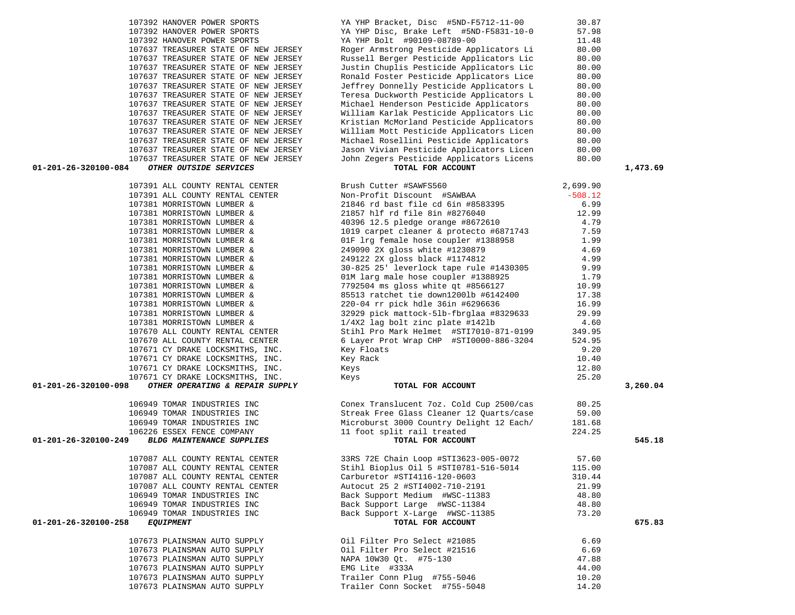| 107392 HANOVER POWER SPORTS                              | YA YHP Bracket, Disc #5ND-F5712-11-00    | 30.87     |          |
|----------------------------------------------------------|------------------------------------------|-----------|----------|
| 107392 HANOVER POWER SPORTS                              | YA YHP Disc, Brake Left #5ND-F5831-10-0  | 57.98     |          |
| 107392 HANOVER POWER SPORTS                              | YA YHP Bolt #90109-08789-00              | 11.48     |          |
| 107637 TREASURER STATE OF NEW JERSEY                     | Roger Armstrong Pesticide Applicators Li | 80.00     |          |
| 107637 TREASURER STATE OF NEW JERSEY                     | Russell Berger Pesticide Applicators Lic | 80.00     |          |
| 107637 TREASURER STATE OF NEW JERSEY                     | Justin Chuplis Pesticide Applicators Lic | 80.00     |          |
| 107637 TREASURER STATE OF NEW JERSEY                     | Ronald Foster Pesticide Applicators Lice | 80.00     |          |
| 107637 TREASURER STATE OF NEW JERSEY                     | Jeffrey Donnelly Pesticide Applicators L | 80.00     |          |
| 107637 TREASURER STATE OF NEW JERSEY                     | Teresa Duckworth Pesticide Applicators L | 80.00     |          |
| 107637 TREASURER STATE OF NEW JERSEY                     | Michael Henderson Pesticide Applicators  |           |          |
|                                                          |                                          | 80.00     |          |
| 107637 TREASURER STATE OF NEW JERSEY                     | William Karlak Pesticide Applicators Lic | 80.00     |          |
| 107637 TREASURER STATE OF NEW JERSEY                     | Kristian McMorland Pesticide Applicators | 80.00     |          |
| 107637 TREASURER STATE OF NEW JERSEY                     | William Mott Pesticide Applicators Licen | 80.00     |          |
| 107637 TREASURER STATE OF NEW JERSEY                     | Michael Rosellini Pesticide Applicators  | 80.00     |          |
| 107637 TREASURER STATE OF NEW JERSEY                     | Jason Vivian Pesticide Applicators Licen | 80.00     |          |
| 107637 TREASURER STATE OF NEW JERSEY                     | John Zegers Pesticide Applicators Licens | 80.00     |          |
| OTHER OUTSIDE SERVICES<br>01-201-26-320100-084           | TOTAL FOR ACCOUNT                        |           | 1,473.69 |
| 107391 ALL COUNTY RENTAL CENTER                          | Brush Cutter #SAWFS560                   | 2,699.90  |          |
| 107391 ALL COUNTY RENTAL CENTER                          | Non-Profit Discount #SAWBAA              | $-508.12$ |          |
| 107381 MORRISTOWN LUMBER &                               | 21846 rd bast file cd 6in #8583395       | 6.99      |          |
| 107381 MORRISTOWN LUMBER &                               | 21857 hlf rd file 8in #8276040           | 12.99     |          |
| 107381 MORRISTOWN LUMBER &                               | 40396 12.5 pledge orange #8672610        | 4.79      |          |
| 107381 MORRISTOWN LUMBER &                               | 1019 carpet cleaner & protecto #6871743  | 7.59      |          |
| 107381 MORRISTOWN LUMBER &                               | 01F lrg female hose coupler #1388958     | 1.99      |          |
| 107381 MORRISTOWN LUMBER &                               | 249090 2X gloss white #1230879           | 4.69      |          |
| 107381 MORRISTOWN LUMBER &                               | 249122 2X gloss black #1174812           | 4.99      |          |
| 107381 MORRISTOWN LUMBER &                               | 30-825 25' leverlock tape rule #1430305  | 9.99      |          |
| 107381 MORRISTOWN LUMBER &                               | 01M larg male hose coupler #1388925      | 1.79      |          |
| 107381 MORRISTOWN LUMBER &                               | 7792504 ms gloss white qt #8566127       | 10.99     |          |
| 107381 MORRISTOWN LUMBER &                               | 85513 ratchet tie down12001b #6142400    | 17.38     |          |
| 107381 MORRISTOWN LUMBER &                               | 220-04 rr pick hdle 36in #6296636        | 16.99     |          |
| 107381 MORRISTOWN LUMBER &                               |                                          | 29.99     |          |
|                                                          | 32929 pick mattock-51b-fbrglaa #8329633  |           |          |
| 107381 MORRISTOWN LUMBER &                               | 1/4X2 lag bolt zinc plate #1421b         | 4.60      |          |
| 107670 ALL COUNTY RENTAL CENTER                          | Stihl Pro Mark Helmet #STI7010-871-0199  | 349.95    |          |
| 107670 ALL COUNTY RENTAL CENTER                          | 6 Layer Prot Wrap CHP #STI0000-886-3204  | 524.95    |          |
| 107671 CY DRAKE LOCKSMITHS, INC.                         | Key Floats                               | 9.20      |          |
| 107671 CY DRAKE LOCKSMITHS, INC.                         | Key Rack                                 | 10.40     |          |
| 107671 CY DRAKE LOCKSMITHS, INC.                         | Keys                                     | 12.80     |          |
| 107671 CY DRAKE LOCKSMITHS, INC.                         | Keys                                     | 25.20     |          |
| 01-201-26-320100-098<br>OTHER OPERATING & REPAIR SUPPLY  | TOTAL FOR ACCOUNT                        |           | 3,260.04 |
| 106949 TOMAR INDUSTRIES INC                              | Conex Translucent 7oz. Cold Cup 2500/cas | 80.25     |          |
| 106949 TOMAR INDUSTRIES INC                              | Streak Free Glass Cleaner 12 Quarts/case | 59.00     |          |
| 106949 TOMAR INDUSTRIES INC                              | Microburst 3000 Country Delight 12 Each/ | 181.68    |          |
| 106226 ESSEX FENCE COMPANY                               | 11 foot split rail treated               | 224.25    |          |
| <b>BLDG MAINTENANCE SUPPLIES</b><br>01-201-26-320100-249 | TOTAL FOR ACCOUNT                        |           | 545.18   |
| 107087 ALL COUNTY RENTAL CENTER                          | 33RS 72E Chain Loop #STI3623-005-0072    | 57.60     |          |
| 107087 ALL COUNTY RENTAL CENTER                          | Stihl Bioplus Oil 5 #STI0781-516-5014    | 115.00    |          |
| 107087 ALL COUNTY RENTAL CENTER                          | Carburetor #STI4116-120-0603             | 310.44    |          |
|                                                          | Autocut 25 2 #STI4002-710-2191           |           |          |
| 107087 ALL COUNTY RENTAL CENTER                          |                                          | 21.99     |          |
| 106949 TOMAR INDUSTRIES INC                              | Back Support Medium #WSC-11383           | 48.80     |          |
| 106949 TOMAR INDUSTRIES INC                              | Back Support Large #WSC-11384            | 48.80     |          |
| 106949 TOMAR INDUSTRIES INC                              | Back Support X-Large #WSC-11385          | 73.20     |          |
| 01-201-26-320100-258<br><b>EQUIPMENT</b>                 | TOTAL FOR ACCOUNT                        |           | 675.83   |
| 107673 PLAINSMAN AUTO SUPPLY                             | Oil Filter Pro Select #21085             | 6.69      |          |
| 107673 PLAINSMAN AUTO SUPPLY                             | Oil Filter Pro Select #21516             | 6.69      |          |
| 107673 PLAINSMAN AUTO SUPPLY                             | NAPA 10W30 Qt. #75-130                   | 47.88     |          |
| 107673 PLAINSMAN AUTO SUPPLY                             | EMG Lite #333A                           | 44.00     |          |
| 107673 PLAINSMAN AUTO SUPPLY                             | Trailer Conn Plug #755-5046              | 10.20     |          |
| 107673 PLAINSMAN AUTO SUPPLY                             | Trailer Conn Socket #755-5048            | 14.20     |          |
|                                                          |                                          |           |          |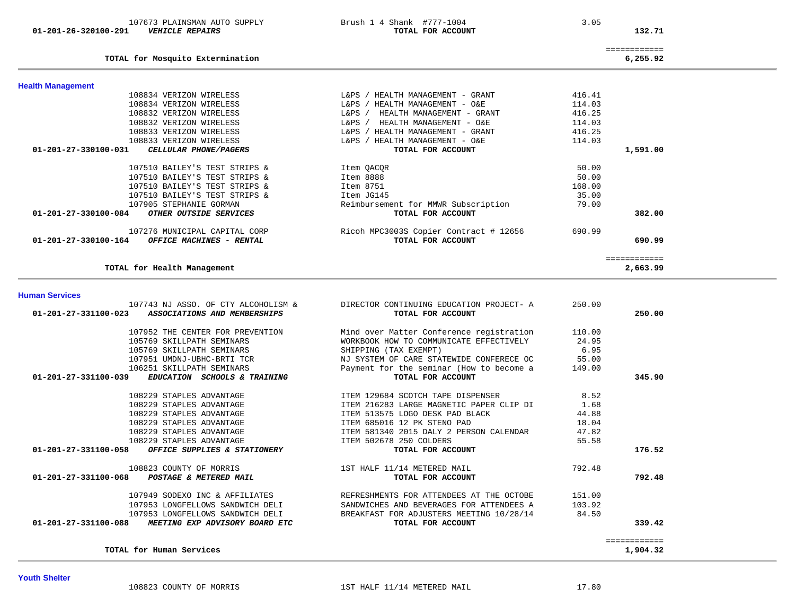#### **TOTAL for Human Services** 1,904.32

| -------------<br>_____________ |         |
|--------------------------------|---------|
| .                              | _______ |

| 107743 NJ ASSO. OF CTY ALCOHOLISM &                    | DIRECTOR CONTINUING EDUCATION PROJECT- A | 250.00 |        |
|--------------------------------------------------------|------------------------------------------|--------|--------|
| 01-201-27-331100-023<br>ASSOCIATIONS AND MEMBERSHIPS   | TOTAL FOR ACCOUNT                        |        | 250.00 |
| 107952 THE CENTER FOR PREVENTION                       | Mind over Matter Conference registration | 110.00 |        |
| 105769 SKILLPATH SEMINARS                              | WORKBOOK HOW TO COMMUNICATE EFFECTIVELY  | 24.95  |        |
| 105769 SKILLPATH SEMINARS                              | SHIPPING (TAX EXEMPT)                    | 6.95   |        |
| 107951 UMDNJ-UBHC-BRTI TCR                             | NJ SYSTEM OF CARE STATEWIDE CONFERECE OC | 55.00  |        |
| 106251 SKILLPATH SEMINARS                              | Payment for the seminar (How to become a | 149.00 |        |
| 01-201-27-331100-039<br>EDUCATION SCHOOLS & TRAINING   | TOTAL FOR ACCOUNT                        |        | 345.90 |
| 108229 STAPLES ADVANTAGE                               | ITEM 129684 SCOTCH TAPE DISPENSER        | 8.52   |        |
| 108229 STAPLES ADVANTAGE                               | ITEM 216283 LARGE MAGNETIC PAPER CLIP DI | 1.68   |        |
| 108229 STAPLES ADVANTAGE                               | ITEM 513575 LOGO DESK PAD BLACK          | 44.88  |        |
| 108229 STAPLES ADVANTAGE                               | ITEM 685016 12 PK STENO PAD              | 18.04  |        |
| 108229 STAPLES ADVANTAGE                               | ITEM 581340 2015 DALY 2 PERSON CALENDAR  | 47.82  |        |
| 108229 STAPLES ADVANTAGE                               | ITEM 502678 250 COLDERS                  | 55.58  |        |
| $01-201-27-331100-058$ OFFICE SUPPLIES & STATIONERY    | TOTAL FOR ACCOUNT                        |        | 176.52 |
| 108823 COUNTY OF MORRIS                                | 1ST HALF 11/14 METERED MAIL              | 792.48 |        |
| 01-201-27-331100-068<br>POSTAGE & METERED MAIL         | TOTAL FOR ACCOUNT                        |        | 792.48 |
| 107949 SODEXO INC & AFFILIATES                         | REFRESHMENTS FOR ATTENDEES AT THE OCTOBE | 151.00 |        |
| 107953 LONGFELLOWS SANDWICH DELI                       | SANDWICHES AND BEVERAGES FOR ATTENDEES A | 103.92 |        |
| 107953 LONGFELLOWS SANDWICH DELI                       | BREAKFAST FOR ADJUSTERS MEETING 10/28/14 | 84.50  |        |
| 01-201-27-331100-088<br>MEETING EXP ADVISORY BOARD ETC | TOTAL FOR ACCOUNT                        |        | 339.42 |
|                                                        |                                          |        |        |
|                                                        |                                          |        |        |

# **Human Services**

**Youth Shelter** 

| <b>Health Management</b>                         |                                           |        |              |
|--------------------------------------------------|-------------------------------------------|--------|--------------|
| 108834 VERIZON WIRELESS                          | HEALTH MANAGEMENT - GRANT<br>L&PS         | 416.41 |              |
| 108834 VERIZON WIRELESS                          | HEALTH MANAGEMENT - O&E<br>L&PS           | 114.03 |              |
| 108832 VERIZON WIRELESS                          | <b>L</b> &PS<br>HEALTH MANAGEMENT - GRANT | 416.25 |              |
| 108832 VERIZON WIRELESS                          | <b>L</b> &PS<br>HEALTH MANAGEMENT - O&E   | 114.03 |              |
| 108833 VERIZON WIRELESS                          | L&PS<br>HEALTH MANAGEMENT - GRANT         | 416.25 |              |
| 108833 VERIZON WIRELESS                          | HEALTH MANAGEMENT - O&E<br>L&PS           | 114.03 |              |
| 01-201-27-330100-031<br>CELLULAR PHONE/PAGERS    | TOTAL FOR ACCOUNT                         |        | 1,591.00     |
| 107510 BAILEY'S TEST STRIPS &                    | Item OACOR                                | 50.00  |              |
| 107510 BAILEY'S TEST STRIPS &                    | Item 8888                                 | 50.00  |              |
| 107510 BAILEY'S TEST STRIPS &                    | Item 8751                                 | 168.00 |              |
| 107510 BAILEY'S TEST STRIPS &                    | Item JG145                                | 35.00  |              |
| 107905 STEPHANIE GORMAN                          | Reimbursement for MMWR Subscription       | 79.00  |              |
| 01-201-27-330100-084<br>OTHER OUTSIDE SERVICES   | TOTAL FOR ACCOUNT                         |        | 382.00       |
| 107276 MUNICIPAL CAPITAL CORP                    | Ricoh MPC3003S Copier Contract # 12656    | 690.99 |              |
| 01-201-27-330100-164<br>OFFICE MACHINES - RENTAL | TOTAL FOR ACCOUNT                         |        | 690.99       |
|                                                  |                                           |        | ============ |
| TOTAL for Health Management                      |                                           |        | 2,663.99     |

#### **TOTAL for Mosquito Extermination 6,255.92**

============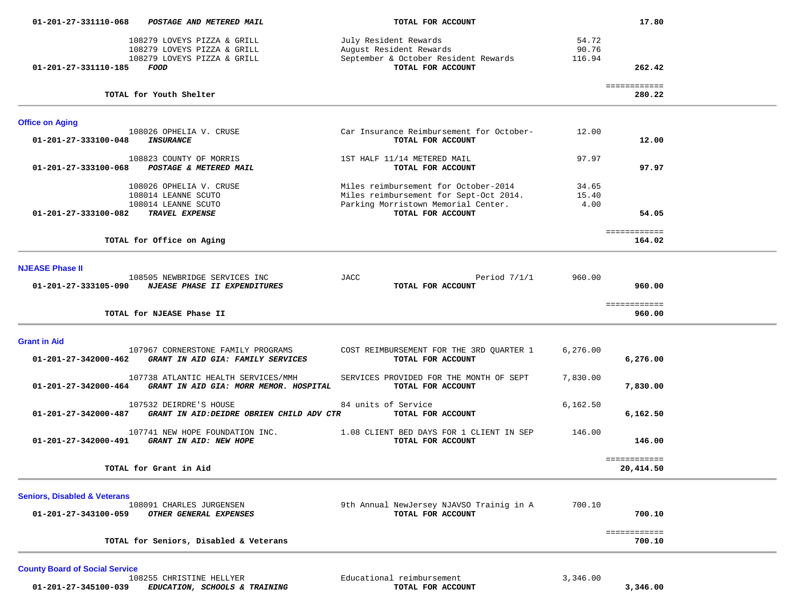| 01-201-27-331110-068                    | POSTAGE AND METERED MAIL                                                           | TOTAL FOR ACCOUNT                                             |           | 17.80                  |  |
|-----------------------------------------|------------------------------------------------------------------------------------|---------------------------------------------------------------|-----------|------------------------|--|
|                                         | 108279 LOVEYS PIZZA & GRILL                                                        | July Resident Rewards                                         | 54.72     |                        |  |
|                                         | 108279 LOVEYS PIZZA & GRILL                                                        | August Resident Rewards                                       | 90.76     |                        |  |
| 01-201-27-331110-185 FOOD               | 108279 LOVEYS PIZZA & GRILL                                                        | September & October Resident Rewards<br>TOTAL FOR ACCOUNT     | 116.94    | 262.42                 |  |
|                                         | TOTAL for Youth Shelter                                                            |                                                               |           | ============<br>280.22 |  |
| <b>Office on Aging</b>                  |                                                                                    |                                                               |           |                        |  |
| 01-201-27-333100-048                    | 108026 OPHELIA V. CRUSE<br><b>INSURANCE</b>                                        | Car Insurance Reimbursement for October-<br>TOTAL FOR ACCOUNT | 12.00     | 12.00                  |  |
|                                         |                                                                                    |                                                               |           |                        |  |
|                                         | 108823 COUNTY OF MORRIS<br>01-201-27-333100-068 POSTAGE & METERED MAIL             | 1ST HALF 11/14 METERED MAIL<br>TOTAL FOR ACCOUNT              | 97.97     | 97.97                  |  |
|                                         | 108026 OPHELIA V. CRUSE                                                            | Miles reimbursement for October-2014                          | 34.65     |                        |  |
|                                         | 108014 LEANNE SCUTO                                                                | Miles reimbursement for Sept-Oct 2014.                        | 15.40     |                        |  |
|                                         | 108014 LEANNE SCUTO                                                                | Parking Morristown Memorial Center.                           | 4.00      |                        |  |
| 01-201-27-333100-082 TRAVEL EXPENSE     |                                                                                    | TOTAL FOR ACCOUNT                                             |           | 54.05                  |  |
|                                         |                                                                                    |                                                               |           | ============           |  |
|                                         | TOTAL for Office on Aging                                                          |                                                               |           | 164.02                 |  |
|                                         |                                                                                    |                                                               |           |                        |  |
| <b>NJEASE Phase II</b>                  |                                                                                    |                                                               |           |                        |  |
|                                         | 108505 NEWBRIDGE SERVICES INC<br>01-201-27-333105-090 NJEASE PHASE II EXPENDITURES | JACC<br>Period $7/1/1$<br>TOTAL FOR ACCOUNT                   | 960.00    | 960.00                 |  |
|                                         |                                                                                    |                                                               |           |                        |  |
|                                         | TOTAL for NJEASE Phase II                                                          |                                                               |           | ============<br>960.00 |  |
|                                         |                                                                                    |                                                               |           |                        |  |
| <b>Grant in Aid</b>                     |                                                                                    |                                                               |           |                        |  |
|                                         | 107967 CORNERSTONE FAMILY PROGRAMS                                                 | COST REIMBURSEMENT FOR THE 3RD QUARTER 1                      | 6, 276.00 |                        |  |
| 01-201-27-342000-462                    | GRANT IN AID GIA: FAMILY SERVICES                                                  | TOTAL FOR ACCOUNT                                             |           | 6,276.00               |  |
|                                         | 107738 ATLANTIC HEALTH SERVICES/MMH                                                | SERVICES PROVIDED FOR THE MONTH OF SEPT                       | 7,830.00  |                        |  |
| 01-201-27-342000-464                    | GRANT IN AID GIA: MORR MEMOR. HOSPITAL                                             | TOTAL FOR ACCOUNT                                             |           | 7,830.00               |  |
|                                         | 107532 DEIRDRE'S HOUSE                                                             | 84 units of Service                                           | 6,162.50  |                        |  |
| 01-201-27-342000-487                    | GRANT IN AID:DEIDRE OBRIEN CHILD ADV CTR                                           | TOTAL FOR ACCOUNT                                             |           | 6,162.50               |  |
|                                         | 107741 NEW HOPE FOUNDATION INC.<br>01-201-27-342000-491 GRANT IN AID: NEW HOPE     | 1.08 CLIENT BED DAYS FOR 1 CLIENT IN SEP<br>TOTAL FOR ACCOUNT | 146.00    | 146.00                 |  |
|                                         |                                                                                    |                                                               |           | ============           |  |
|                                         | TOTAL for Grant in Aid                                                             |                                                               |           | 20,414.50              |  |
|                                         |                                                                                    |                                                               |           |                        |  |
| <b>Seniors, Disabled &amp; Veterans</b> |                                                                                    |                                                               |           |                        |  |
| 01-201-27-343100-059                    | 108091 CHARLES JURGENSEN<br>OTHER GENERAL EXPENSES                                 | 9th Annual NewJersey NJAVSO Trainig in A<br>TOTAL FOR ACCOUNT | 700.10    | 700.10                 |  |
|                                         |                                                                                    |                                                               |           |                        |  |
|                                         |                                                                                    |                                                               |           | ============           |  |
|                                         | TOTAL for Seniors, Disabled & Veterans                                             |                                                               |           | 700.10                 |  |
|                                         |                                                                                    |                                                               |           |                        |  |

**County Board of Social Service**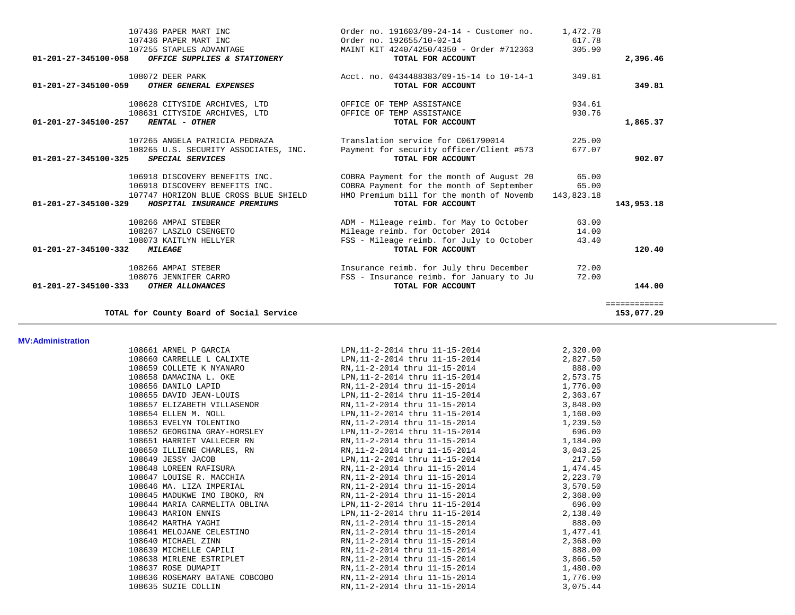| TOTAL for County Board of Social Service                                     |                                                                                      |                | ============<br>153,077.29 |
|------------------------------------------------------------------------------|--------------------------------------------------------------------------------------|----------------|----------------------------|
| 108076 JENNIFER CARRO<br>01-201-27-345100-333<br>OTHER ALLOWANCES            | FSS - Insurance reimb. for January to Ju<br>TOTAL FOR ACCOUNT                        | 72.00          | 144.00                     |
| 108266 AMPAI STEBER                                                          | Insurance reimb. for July thru December                                              | 72.00          |                            |
| $01 - 201 - 27 - 345100 - 332$<br><b>MILEAGE</b>                             | TOTAL FOR ACCOUNT                                                                    |                | 120.40                     |
| 108073 KAITLYN HELLYER                                                       | FSS - Mileage reimb. for July to October                                             | 43.40          |                            |
| 108266 AMPAI STEBER<br>108267 LASZLO CSENGETO                                | ADM - Mileage reimb. for May to October<br>Mileage reimb. for October 2014           | 63.00<br>14.00 |                            |
| 01-201-27-345100-329<br>HOSPITAL INSURANCE PREMIUMS                          | TOTAL FOR ACCOUNT                                                                    |                | 143,953.18                 |
| 107747 HORIZON BLUE CROSS BLUE SHIELD                                        | HMO Premium bill for the month of Novemb                                             | 143,823.18     |                            |
| 106918 DISCOVERY BENEFITS INC.<br>106918 DISCOVERY BENEFITS INC.             | COBRA Payment for the month of August 20<br>COBRA Payment for the month of September | 65.00<br>65.00 |                            |
| 01-201-27-345100-325<br><b>SPECIAL SERVICES</b>                              | TOTAL FOR ACCOUNT                                                                    |                | 902.07                     |
| 108265 U.S. SECURITY ASSOCIATES, INC.                                        | Payment for security officer/Client #573                                             | 677.07         |                            |
| 107265 ANGELA PATRICIA PEDRAZA                                               | Translation service for C061790014                                                   | 225.00         |                            |
| 01-201-27-345100-257<br><b>RENTAL - OTHER</b>                                | TOTAL FOR ACCOUNT                                                                    |                | 1,865.37                   |
| 108631 CITYSIDE ARCHIVES, LTD                                                | OFFICE OF TEMP ASSISTANCE                                                            | 930.76         |                            |
| 108628 CITYSIDE ARCHIVES, LTD                                                | OFFICE OF TEMP ASSISTANCE                                                            | 934.61         |                            |
| 108072 DEER PARK<br>$01 - 201 - 27 - 345100 - 059$<br>OTHER GENERAL EXPENSES | Acct. no. 0434488383/09-15-14 to 10-14-1<br>TOTAL FOR ACCOUNT                        | 349.81         | 349.81                     |
| 01-201-27-345100-058<br>OFFICE SUPPLIES & STATIONERY                         | TOTAL FOR ACCOUNT                                                                    |                | 2,396.46                   |
| 107255 STAPLES ADVANTAGE                                                     | MAINT KIT 4240/4250/4350 - Order #712363                                             | 305.90         |                            |
| 107436 PAPER MART INC                                                        | Order no. 192655/10-02-14                                                            | 617.78         |                            |
| 107436 PAPER MART INC                                                        | Order no. 191603/09-24-14 - Customer no.                                             | 1,472.78       |                            |

# **MV:Administration**

| 108661 ARNEL P GARCIA          | LPN,11-2-2014 thru 11-15-2014                                      | 2,320.00 |
|--------------------------------|--------------------------------------------------------------------|----------|
| 108660 CARRELLE L CALIXTE      | LPN, 11-2-2014 thru 11-15-2014                                     | 2,827.50 |
| 108659 COLLETE K NYANARO       | RN, 11-2-2014 thru 11-15-2014                                      | 888.00   |
| 108658 DAMACINA L. OKE         | LPN, 11-2-2014 thru 11-15-2014 2, 573.75                           |          |
| 108656 DANILO LAPID            | RN, 11-2-2014 thru 11-15-2014                                      | 1,776.00 |
| 108655 DAVID JEAN-LOUIS        | LPN, 11-2-2014 thru 11-15-2014                                     | 2,363.67 |
| 108657 ELIZABETH VILLASENOR    | RN,11-2-2014 thru 11-15-2014                                       | 3,848.00 |
| 108654 ELLEN M. NOLL           | LPN, 11-2-2014 thru 11-15-2014                                     | 1,160.00 |
| 108653 EVELYN TOLENTINO        | RN, 11-2-2014 thru 11-15-2014                                      | 1,239.50 |
| 108652 GEORGINA GRAY-HORSLEY   | LPN, 11-2-2014 thru 11-15-2014                                     | 696.00   |
|                                | 1,184.00 1,1851 HARRIET VALLECER RN RN, 11-2-2014 thru 11-15-2014  |          |
| 108650 ILLIENE CHARLES, RN     | RN,11-2-2014 thru 11-15-2014                                       | 3,043.25 |
| 108649 JESSY JACOB             | LPN, 11-2-2014 thru 11-15-2014 217.50                              |          |
| 108648 LOREEN RAFISURA         | RN, 11-2-2014 thru 11-15-2014                                      | 1,474.45 |
| 108647 LOUISE R. MACCHIA       | RN, 11-2-2014 thru 11-15-2014                                      | 2,223.70 |
| 108646 MA. LIZA IMPERIAL       | RN, 11-2-2014 thru 11-15-2014 3,570.50                             |          |
| 108645 MADUKWE IMO IBOKO, RN   | RN, 11-2-2014 thru 11-15-2014                                      | 2,368.00 |
|                                | $108644$ MARIA CARMELITA OBLINA LPN, $11-2-2014$ thru $11-15-2014$ | 696.00   |
| 108643 MARION ENNIS            | LPN, 11-2-2014 thru 11-15-2014 2, 138.40                           |          |
| 108642 MARTHA YAGHI            | RN,11-2-2014 thru 11-15-2014                                       | 888.00   |
| 108641 MELOJANE CELESTINO      | RN, 11-2-2014 thru 11-15-2014                                      | 1,477.41 |
| 108640 MICHAEL ZINN            | RN,11-2-2014 thru 11-15-2014                                       | 2,368.00 |
| 108639 MICHELLE CAPILI         | RN, 11-2-2014 thru 11-15-2014                                      | 888.00   |
| 108638 MIRLENE ESTRIPLET       | RN, 11-2-2014 thru 11-15-2014                                      | 3,866.50 |
| 108637 ROSE DUMAPIT            | RN,11-2-2014 thru 11-15-2014                                       | 1,480.00 |
| 108636 ROSEMARY BATANE COBCOBO | RN,11-2-2014 thru 11-15-2014                                       | 1,776.00 |
| 108635 SUZIE COLLIN            | RN.11-2-2014 thru 11-15-2014                                       | 3,075.44 |
|                                |                                                                    |          |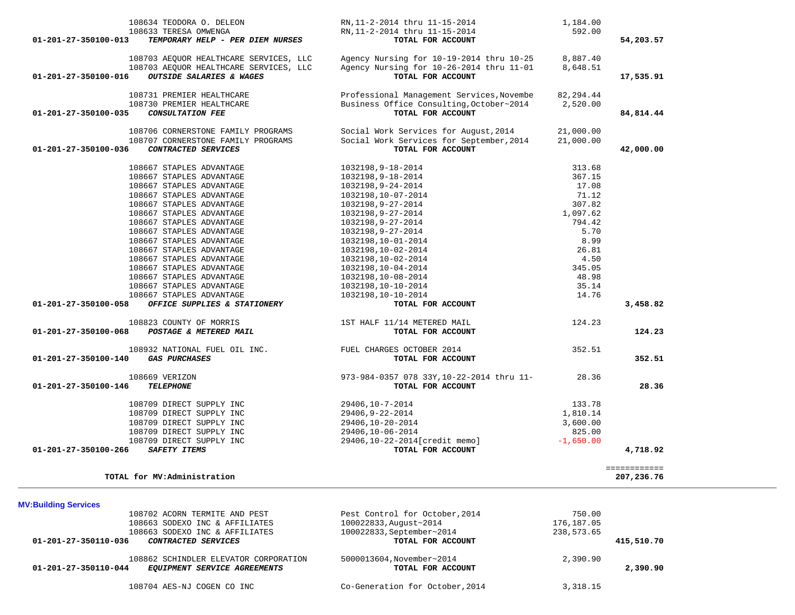| 108633 TERESA OMWENGA<br>TEMPORARY HELP - PER DIEM NURSES<br>01-201-27-350100-013                                                                                                                                                                                                                                                            | RN,11-2-2014 thru 11-15-2014<br>TOTAL FOR ACCOUNT                                                                                                                                                                                                             | 592.00                                                                                                        | 54,203.57                  |
|----------------------------------------------------------------------------------------------------------------------------------------------------------------------------------------------------------------------------------------------------------------------------------------------------------------------------------------------|---------------------------------------------------------------------------------------------------------------------------------------------------------------------------------------------------------------------------------------------------------------|---------------------------------------------------------------------------------------------------------------|----------------------------|
| 108703 AEOUOR HEALTHCARE SERVICES, LLC<br>108703 AEQUOR HEALTHCARE SERVICES, LLC<br>OUTSIDE SALARIES & WAGES<br>01-201-27-350100-016                                                                                                                                                                                                         | Agency Nursing for 10-19-2014 thru 10-25<br>Agency Nursing for 10-26-2014 thru 11-01<br>TOTAL FOR ACCOUNT                                                                                                                                                     | 8,887.40<br>8,648.51                                                                                          | 17,535.91                  |
| 108731 PREMIER HEALTHCARE<br>108730 PREMIER HEALTHCARE<br>01-201-27-350100-035<br>CONSULTATION FEE                                                                                                                                                                                                                                           | Professional Management Services, Novembe<br>Business Office Consulting, October~2014<br>TOTAL FOR ACCOUNT                                                                                                                                                    | 82,294.44<br>2,520.00                                                                                         | 84,814.44                  |
| 108706 CORNERSTONE FAMILY PROGRAMS<br>108707 CORNERSTONE FAMILY PROGRAMS<br>CONTRACTED SERVICES<br>01-201-27-350100-036                                                                                                                                                                                                                      | Social Work Services for August, 2014<br>Social Work Services for September, 2014<br>TOTAL FOR ACCOUNT                                                                                                                                                        | 21,000.00<br>21,000.00                                                                                        | 42,000.00                  |
| 108667 STAPLES ADVANTAGE<br>108667 STAPLES ADVANTAGE<br>108667 STAPLES ADVANTAGE<br>108667 STAPLES ADVANTAGE<br>108667 STAPLES ADVANTAGE<br>108667 STAPLES ADVANTAGE<br>108667 STAPLES ADVANTAGE<br>108667 STAPLES ADVANTAGE<br>108667 STAPLES ADVANTAGE<br>108667 STAPLES ADVANTAGE<br>108667 STAPLES ADVANTAGE<br>108667 STAPLES ADVANTAGE | 1032198,9-18-2014<br>1032198,9-18-2014<br>1032198,9-24-2014<br>1032198,10-07-2014<br>1032198,9-27-2014<br>1032198,9-27-2014<br>1032198,9-27-2014<br>1032198,9-27-2014<br>1032198,10-01-2014<br>1032198,10-02-2014<br>1032198,10-02-2014<br>1032198,10-04-2014 | 313.68<br>367.15<br>17.08<br>71.12<br>307.82<br>1,097.62<br>794.42<br>5.70<br>8.99<br>26.81<br>4.50<br>345.05 |                            |
| 108667 STAPLES ADVANTAGE<br>108667 STAPLES ADVANTAGE<br>108667 STAPLES ADVANTAGE<br>01-201-27-350100-058<br>OFFICE SUPPLIES & STATIONERY                                                                                                                                                                                                     | 1032198,10-08-2014<br>1032198,10-10-2014<br>1032198,10-10-2014<br>TOTAL FOR ACCOUNT                                                                                                                                                                           | 48.98<br>35.14<br>14.76                                                                                       | 3,458.82                   |
| 108823 COUNTY OF MORRIS<br>POSTAGE & METERED MAIL<br>01-201-27-350100-068                                                                                                                                                                                                                                                                    | 1ST HALF 11/14 METERED MAIL<br>TOTAL FOR ACCOUNT                                                                                                                                                                                                              | 124.23                                                                                                        | 124.23                     |
| 108932 NATIONAL FUEL OIL INC.<br><b>GAS PURCHASES</b><br>01-201-27-350100-140                                                                                                                                                                                                                                                                | FUEL CHARGES OCTOBER 2014<br>TOTAL FOR ACCOUNT                                                                                                                                                                                                                | 352.51                                                                                                        | 352.51                     |
| 108669 VERIZON<br>01-201-27-350100-146<br><b>TELEPHONE</b>                                                                                                                                                                                                                                                                                   | 973-984-0357 078 33Y, 10-22-2014 thru 11- 28.36<br>TOTAL FOR ACCOUNT                                                                                                                                                                                          |                                                                                                               | 28.36                      |
| 108709 DIRECT SUPPLY INC<br>108709 DIRECT SUPPLY INC<br>108709 DIRECT SUPPLY INC<br>108709 DIRECT SUPPLY INC<br>108709 DIRECT SUPPLY INC<br>01-201-27-350100-266<br>SAFETY ITEMS                                                                                                                                                             | 29406,10-7-2014<br>29406,9-22-2014<br>29406,10-20-2014<br>29406,10-06-2014<br>29406,10-22-2014[credit memo]<br>TOTAL FOR ACCOUNT                                                                                                                              | 133.78<br>1,810.14<br>3,600.00<br>825.00<br>$-1,650.00$                                                       | 4,718.92                   |
| TOTAL for MV:Administration                                                                                                                                                                                                                                                                                                                  |                                                                                                                                                                                                                                                               |                                                                                                               | ============<br>207,236.76 |
| <b>MV:Building Services</b><br>108702 ACORN TERMITE AND PEST<br>108663 SODEXO INC & AFFILIATES<br>108663 SODEXO INC & AFFILIATES<br>01-201-27-350110-036<br>CONTRACTED SERVICES                                                                                                                                                              | Pest Control for October, 2014<br>100022833, August~2014<br>100022833, September~2014<br>TOTAL FOR ACCOUNT                                                                                                                                                    | 750.00<br>176,187.05<br>238,573.65                                                                            | 415,510.70                 |
| 108862 SCHINDLER ELEVATOR CORPORATION<br>01-201-27-350110-044<br>EQUIPMENT SERVICE AGREEMENTS                                                                                                                                                                                                                                                | 5000013604, November~2014<br>TOTAL FOR ACCOUNT                                                                                                                                                                                                                | 2,390.90                                                                                                      | 2,390.90                   |
| 108704 AES-NJ COGEN CO INC                                                                                                                                                                                                                                                                                                                   | Co-Generation for October, 2014                                                                                                                                                                                                                               | 3,318.15                                                                                                      |                            |

108634 TEODORA O. DELEON RN,11-2-2014 thru 11-15-2014 1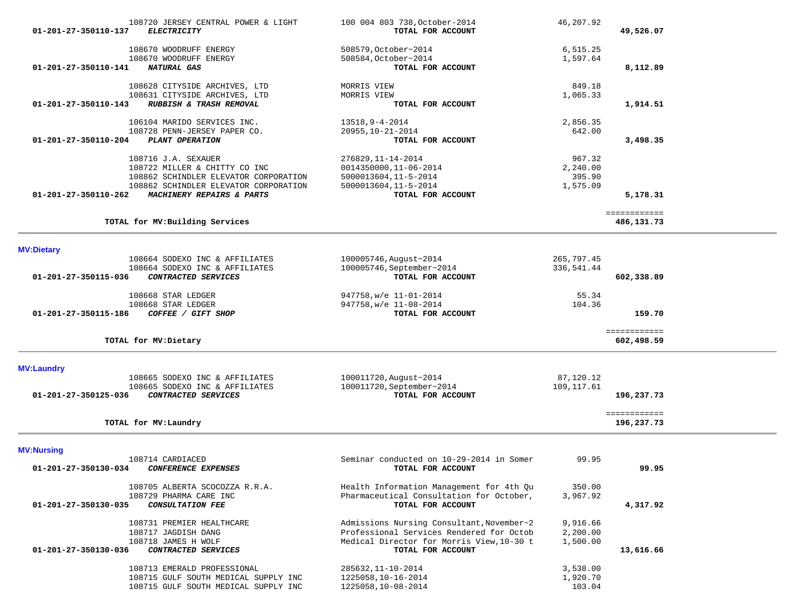| 108720 JERSEY CENTRAL POWER & LIGHT                                              | 100 004 803 738, October-2014                       | 46,207.92               |                            |  |
|----------------------------------------------------------------------------------|-----------------------------------------------------|-------------------------|----------------------------|--|
| 01-201-27-350110-137<br><b>ELECTRICITY</b>                                       | TOTAL FOR ACCOUNT                                   |                         | 49,526.07                  |  |
| 108670 WOODRUFF ENERGY                                                           | 508579, October~2014                                | 6,515.25                |                            |  |
| 108670 WOODRUFF ENERGY                                                           | 508584, October~2014                                | 1,597.64                |                            |  |
| 01-201-27-350110-141<br>NATURAL GAS                                              | TOTAL FOR ACCOUNT                                   |                         | 8,112.89                   |  |
|                                                                                  |                                                     |                         |                            |  |
| 108628 CITYSIDE ARCHIVES, LTD                                                    | MORRIS VIEW                                         | 849.18                  |                            |  |
| 108631 CITYSIDE ARCHIVES, LTD<br>RUBBISH & TRASH REMOVAL<br>01-201-27-350110-143 | MORRIS VIEW<br>TOTAL FOR ACCOUNT                    | 1,065.33                |                            |  |
|                                                                                  |                                                     |                         | 1,914.51                   |  |
| 106104 MARIDO SERVICES INC.                                                      | 13518, 9-4-2014                                     | 2,856.35                |                            |  |
| 108728 PENN-JERSEY PAPER CO.                                                     | 20955, 10-21-2014                                   | 642.00                  |                            |  |
| $01 - 201 - 27 - 350110 - 204$<br>PLANT OPERATION                                | TOTAL FOR ACCOUNT                                   |                         | 3,498.35                   |  |
| 108716 J.A. SEXAUER                                                              | 276829, 11-14-2014                                  | 967.32                  |                            |  |
| 108722 MILLER & CHITTY CO INC                                                    | 0014350000, 11-06-2014                              | 2,240.00                |                            |  |
| 108862 SCHINDLER ELEVATOR CORPORATION                                            | 5000013604, 11-5-2014                               | 395.90                  |                            |  |
| 108862 SCHINDLER ELEVATOR CORPORATION                                            | 5000013604, 11-5-2014                               | 1,575.09                |                            |  |
| 01-201-27-350110-262<br>MACHINERY REPAIRS & PARTS                                | TOTAL FOR ACCOUNT                                   |                         | 5,178.31                   |  |
|                                                                                  |                                                     |                         | ============               |  |
| TOTAL for MV: Building Services                                                  |                                                     |                         | 486,131.73                 |  |
|                                                                                  |                                                     |                         |                            |  |
| <b>MV:Dietary</b>                                                                |                                                     |                         |                            |  |
| 108664 SODEXO INC & AFFILIATES                                                   | 100005746, August~2014                              | 265,797.45              |                            |  |
| 108664 SODEXO INC & AFFILIATES                                                   | 100005746, September~2014                           | 336,541.44              |                            |  |
| CONTRACTED SERVICES<br>01-201-27-350115-036                                      | TOTAL FOR ACCOUNT                                   |                         | 602,338.89                 |  |
| 108668 STAR LEDGER                                                               | 947758, w/e 11-01-2014                              | 55.34                   |                            |  |
| 108668 STAR LEDGER                                                               | 947758, w/e 11-08-2014                              | 104.36                  |                            |  |
| 01-201-27-350115-186<br>COFFEE / GIFT SHOP                                       | TOTAL FOR ACCOUNT                                   |                         | 159.70                     |  |
|                                                                                  |                                                     |                         | ============               |  |
| TOTAL for MV: Dietary                                                            |                                                     |                         | 602,498.59                 |  |
|                                                                                  |                                                     |                         |                            |  |
| <b>MV:Laundry</b>                                                                |                                                     |                         |                            |  |
| 108665 SODEXO INC & AFFILIATES<br>108665 SODEXO INC & AFFILIATES                 | 100011720, August~2014<br>100011720, September~2014 | 87,120.12<br>109,117.61 |                            |  |
| <i>CONTRACTED SERVICES</i><br>01-201-27-350125-036                               | TOTAL FOR ACCOUNT                                   |                         | 196,237.73                 |  |
|                                                                                  |                                                     |                         |                            |  |
| TOTAL for MV: Laundry                                                            |                                                     |                         | ============<br>196,237.73 |  |
|                                                                                  |                                                     |                         |                            |  |
| <b>MV:Nursing</b>                                                                |                                                     |                         |                            |  |
| 108714 CARDIACED                                                                 | Seminar conducted on 10-29-2014 in Somer            | 99.95                   |                            |  |
| 01-201-27-350130-034<br>CONFERENCE EXPENSES                                      | <b>TOTAL FOR ACCOUNT</b>                            |                         | 99.95                      |  |
| 108705 ALBERTA SCOCOZZA R.R.A.                                                   | Health Information Management for 4th Ou            | 350.00                  |                            |  |
| 108729 PHARMA CARE INC                                                           | Pharmaceutical Consultation for October,            | 3,967.92                |                            |  |
| 01-201-27-350130-035<br>CONSULTATION FEE                                         | TOTAL FOR ACCOUNT                                   |                         | 4,317.92                   |  |
| 108731 PREMIER HEALTHCARE                                                        | Admissions Nursing Consultant, November~2           | 9,916.66                |                            |  |
| 108717 JAGDISH DANG                                                              | Professional Services Rendered for Octob            | 2,200.00                |                            |  |
| 108718 JAMES H WOLF                                                              | Medical Director for Morris View, 10-30 t           | 1,500.00                |                            |  |
| 01-201-27-350130-036<br>CONTRACTED SERVICES                                      | TOTAL FOR ACCOUNT                                   |                         | 13,616.66                  |  |
|                                                                                  |                                                     |                         |                            |  |
| 108713 EMERALD PROFESSIONAL                                                      | 285632, 11-10-2014                                  | 3,538.00                |                            |  |
| 108715 GULF SOUTH MEDICAL SUPPLY INC<br>108715 GULF SOUTH MEDICAL SUPPLY INC     | 1225058,10-16-2014<br>1225058,10-08-2014            | 1,920.70<br>103.04      |                            |  |
|                                                                                  |                                                     |                         |                            |  |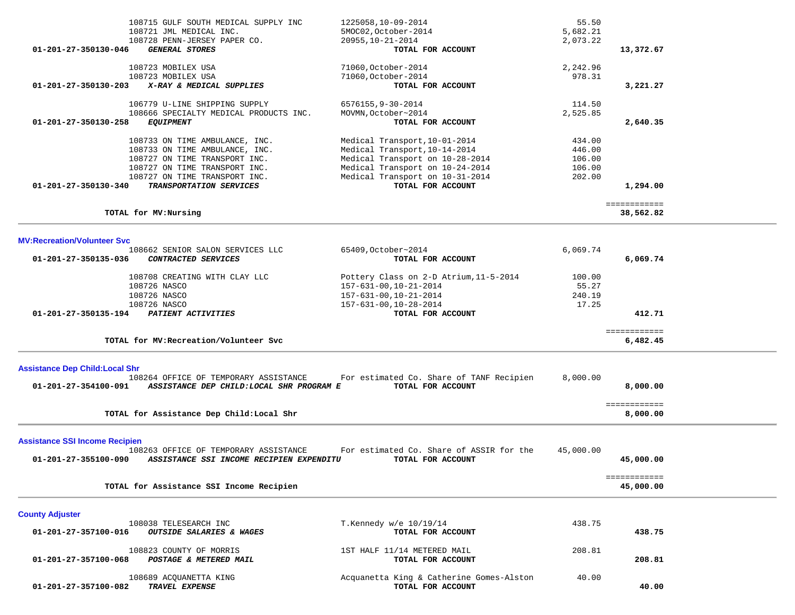|                                        | 108715 GULF SOUTH MEDICAL SUPPLY INC           | 1225058,10-09-2014                       | 55.50     |              |  |
|----------------------------------------|------------------------------------------------|------------------------------------------|-----------|--------------|--|
|                                        | 108721 JML MEDICAL INC.                        | 5MOC02, October-2014                     | 5,682.21  |              |  |
|                                        | 108728 PENN-JERSEY PAPER CO.                   | 20955, 10-21-2014                        | 2,073.22  |              |  |
| 01-201-27-350130-046                   | <b>GENERAL STORES</b>                          | TOTAL FOR ACCOUNT                        |           | 13,372.67    |  |
|                                        |                                                |                                          |           |              |  |
|                                        | 108723 MOBILEX USA                             | 71060, October-2014                      | 2,242.96  |              |  |
|                                        | 108723 MOBILEX USA<br>X-RAY & MEDICAL SUPPLIES | 71060, October-2014                      | 978.31    |              |  |
| 01-201-27-350130-203                   |                                                | TOTAL FOR ACCOUNT                        |           | 3,221.27     |  |
|                                        | 106779 U-LINE SHIPPING SUPPLY                  | 6576155, 9-30-2014                       | 114.50    |              |  |
|                                        | 108666 SPECIALTY MEDICAL PRODUCTS INC.         | MOVMN, October~2014                      | 2,525.85  |              |  |
| 01-201-27-350130-258                   | <b>EQUIPMENT</b>                               | TOTAL FOR ACCOUNT                        |           | 2,640.35     |  |
|                                        |                                                |                                          |           |              |  |
|                                        | 108733 ON TIME AMBULANCE, INC.                 | Medical Transport, 10-01-2014            | 434.00    |              |  |
|                                        | 108733 ON TIME AMBULANCE, INC.                 | Medical Transport, 10-14-2014            | 446.00    |              |  |
|                                        | 108727 ON TIME TRANSPORT INC.                  | Medical Transport on 10-28-2014          | 106.00    |              |  |
|                                        | 108727 ON TIME TRANSPORT INC.                  | Medical Transport on 10-24-2014          | 106.00    |              |  |
|                                        | 108727 ON TIME TRANSPORT INC.                  | Medical Transport on 10-31-2014          | 202.00    |              |  |
| 01-201-27-350130-340                   | TRANSPORTATION SERVICES                        | TOTAL FOR ACCOUNT                        |           | 1,294.00     |  |
|                                        |                                                |                                          |           | ============ |  |
|                                        | TOTAL for MV:Nursing                           |                                          |           | 38,562.82    |  |
|                                        |                                                |                                          |           |              |  |
| <b>MV:Recreation/Volunteer Svc</b>     |                                                |                                          |           |              |  |
|                                        | 108662 SENIOR SALON SERVICES LLC               | 65409, October~2014                      | 6,069.74  |              |  |
| 01-201-27-350135-036                   | CONTRACTED SERVICES                            | TOTAL FOR ACCOUNT                        |           | 6,069.74     |  |
|                                        |                                                |                                          |           |              |  |
|                                        | 108708 CREATING WITH CLAY LLC                  | Pottery Class on 2-D Atrium, 11-5-2014   | 100.00    |              |  |
|                                        | 108726 NASCO                                   | 157-631-00, 10-21-2014                   | 55.27     |              |  |
|                                        | 108726 NASCO                                   | 157-631-00, 10-21-2014                   | 240.19    |              |  |
|                                        | 108726 NASCO                                   | 157-631-00, 10-28-2014                   | 17.25     |              |  |
| 01-201-27-350135-194                   | <b>PATIENT ACTIVITIES</b>                      | TOTAL FOR ACCOUNT                        |           | 412.71       |  |
|                                        |                                                |                                          |           | ============ |  |
|                                        | TOTAL for MV: Recreation/Volunteer Svc         |                                          |           | 6,482.45     |  |
|                                        |                                                |                                          |           |              |  |
| <b>Assistance Dep Child: Local Shr</b> |                                                |                                          |           |              |  |
|                                        | 108264 OFFICE OF TEMPORARY ASSISTANCE          | For estimated Co. Share of TANF Recipien | 8,000.00  |              |  |
| 01-201-27-354100-091                   | ASSISTANCE DEP CHILD:LOCAL SHR PROGRAM E       | TOTAL FOR ACCOUNT                        |           | 8,000.00     |  |
|                                        |                                                |                                          |           | ============ |  |
|                                        | TOTAL for Assistance Dep Child: Local Shr      |                                          |           | 8,000.00     |  |
|                                        |                                                |                                          |           |              |  |
| <b>Assistance SSI Income Recipien</b>  |                                                |                                          |           |              |  |
|                                        | 108263 OFFICE OF TEMPORARY ASSISTANCE          | For estimated Co. Share of ASSIR for the | 45,000.00 |              |  |
| 01-201-27-355100-090                   | ASSISTANCE SSI INCOME RECIPIEN EXPENDITU       | TOTAL FOR ACCOUNT                        |           | 45,000,00    |  |
|                                        |                                                |                                          |           |              |  |
|                                        |                                                |                                          |           | ============ |  |
|                                        | TOTAL for Assistance SSI Income Recipien       |                                          |           | 45,000.00    |  |
|                                        |                                                |                                          |           |              |  |
| <b>County Adjuster</b>                 |                                                |                                          |           |              |  |
|                                        | 108038 TELESEARCH INC                          | T.Kennedy $w/e$ 10/19/14                 | 438.75    |              |  |
| 01-201-27-357100-016                   | <b>OUTSIDE SALARIES &amp; WAGES</b>            | TOTAL FOR ACCOUNT                        |           | 438.75       |  |
|                                        | 108823 COUNTY OF MORRIS                        | 1ST HALF 11/14 METERED MAIL              | 208.81    |              |  |
| 01-201-27-357100-068                   | POSTAGE & METERED MAIL                         | TOTAL FOR ACCOUNT                        |           | 208.81       |  |
|                                        |                                                |                                          |           |              |  |
|                                        | 108689 ACQUANETTA KING                         | Acquanetta King & Catherine Gomes-Alston | 40.00     |              |  |
| 01-201-27-357100-082                   | TRAVEL EXPENSE                                 | TOTAL FOR ACCOUNT                        |           | 40.00        |  |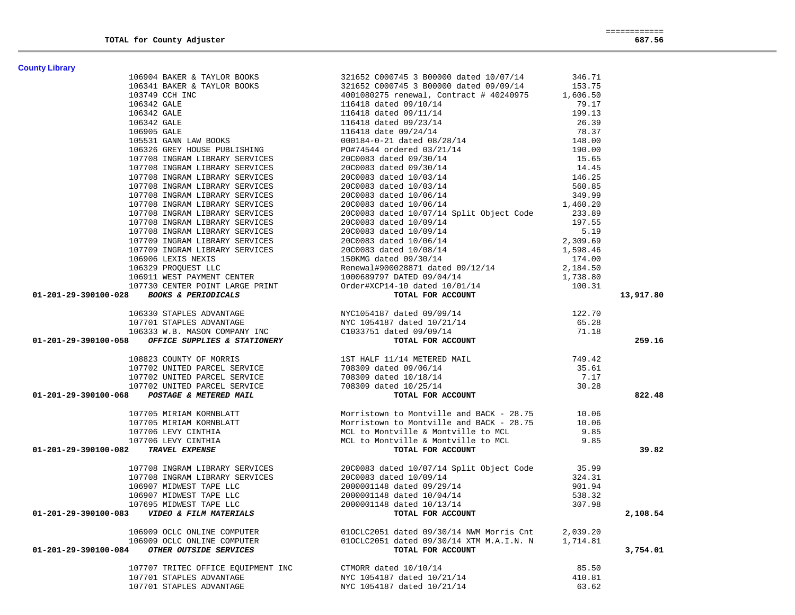| <b>County Library</b>                                                                                                                                                                                                                                                                                                                                                       |                                                                                                                                                                                                                                                |          |           |
|-----------------------------------------------------------------------------------------------------------------------------------------------------------------------------------------------------------------------------------------------------------------------------------------------------------------------------------------------------------------------------|------------------------------------------------------------------------------------------------------------------------------------------------------------------------------------------------------------------------------------------------|----------|-----------|
|                                                                                                                                                                                                                                                                                                                                                                             |                                                                                                                                                                                                                                                |          |           |
|                                                                                                                                                                                                                                                                                                                                                                             |                                                                                                                                                                                                                                                |          |           |
|                                                                                                                                                                                                                                                                                                                                                                             |                                                                                                                                                                                                                                                |          |           |
|                                                                                                                                                                                                                                                                                                                                                                             |                                                                                                                                                                                                                                                |          |           |
|                                                                                                                                                                                                                                                                                                                                                                             |                                                                                                                                                                                                                                                |          |           |
|                                                                                                                                                                                                                                                                                                                                                                             |                                                                                                                                                                                                                                                |          |           |
|                                                                                                                                                                                                                                                                                                                                                                             |                                                                                                                                                                                                                                                |          |           |
|                                                                                                                                                                                                                                                                                                                                                                             |                                                                                                                                                                                                                                                |          |           |
|                                                                                                                                                                                                                                                                                                                                                                             |                                                                                                                                                                                                                                                |          |           |
|                                                                                                                                                                                                                                                                                                                                                                             |                                                                                                                                                                                                                                                |          |           |
|                                                                                                                                                                                                                                                                                                                                                                             |                                                                                                                                                                                                                                                |          |           |
|                                                                                                                                                                                                                                                                                                                                                                             |                                                                                                                                                                                                                                                |          |           |
|                                                                                                                                                                                                                                                                                                                                                                             |                                                                                                                                                                                                                                                |          |           |
|                                                                                                                                                                                                                                                                                                                                                                             |                                                                                                                                                                                                                                                |          |           |
|                                                                                                                                                                                                                                                                                                                                                                             |                                                                                                                                                                                                                                                |          |           |
|                                                                                                                                                                                                                                                                                                                                                                             |                                                                                                                                                                                                                                                |          |           |
|                                                                                                                                                                                                                                                                                                                                                                             |                                                                                                                                                                                                                                                |          |           |
|                                                                                                                                                                                                                                                                                                                                                                             |                                                                                                                                                                                                                                                |          |           |
|                                                                                                                                                                                                                                                                                                                                                                             |                                                                                                                                                                                                                                                |          |           |
|                                                                                                                                                                                                                                                                                                                                                                             |                                                                                                                                                                                                                                                |          |           |
|                                                                                                                                                                                                                                                                                                                                                                             |                                                                                                                                                                                                                                                |          |           |
|                                                                                                                                                                                                                                                                                                                                                                             |                                                                                                                                                                                                                                                |          |           |
|                                                                                                                                                                                                                                                                                                                                                                             |                                                                                                                                                                                                                                                |          |           |
|                                                                                                                                                                                                                                                                                                                                                                             |                                                                                                                                                                                                                                                |          |           |
|                                                                                                                                                                                                                                                                                                                                                                             |                                                                                                                                                                                                                                                |          | 13,917.80 |
| $\begin{tabular}{l c c c c c} \textbf{Uniform} & \textbf{Libray} & \textbf{106904}\ & \textbf{106341}\ & \textbf{106341}\ & \textbf{106341}\ & \textbf{106341}\ & \textbf{106341}\ & \textbf{106341}\ & \textbf{106341}\ & \textbf{106341}\ & \textbf{106341}\ & \textbf{106341}\ & \textbf{106341}\ & \textbf{106341}\ & \textbf{106341}\ & \textbf{106341}\ & \textbf{10$ |                                                                                                                                                                                                                                                |          |           |
|                                                                                                                                                                                                                                                                                                                                                                             |                                                                                                                                                                                                                                                |          |           |
|                                                                                                                                                                                                                                                                                                                                                                             |                                                                                                                                                                                                                                                |          |           |
| 106330 STAPLES ADVANTAGE NEXT NYCLOSALES AND NEW NOTICE AND NEW NEW NEW NEW NEW YORK ON THE MASON COMPANY INC<br>107701 STAPLES ADVANTAGE NEW NEW NEW NEW NEW NEW NEW NEW NEW CHOSE OF OUTLOGED OF A STATIONERY ON THE MARK NEW T                                                                                                                                           |                                                                                                                                                                                                                                                |          | 259.16    |
|                                                                                                                                                                                                                                                                                                                                                                             |                                                                                                                                                                                                                                                |          |           |
|                                                                                                                                                                                                                                                                                                                                                                             |                                                                                                                                                                                                                                                |          |           |
|                                                                                                                                                                                                                                                                                                                                                                             |                                                                                                                                                                                                                                                |          |           |
|                                                                                                                                                                                                                                                                                                                                                                             |                                                                                                                                                                                                                                                |          |           |
|                                                                                                                                                                                                                                                                                                                                                                             |                                                                                                                                                                                                                                                |          | 822.48    |
|                                                                                                                                                                                                                                                                                                                                                                             |                                                                                                                                                                                                                                                |          |           |
|                                                                                                                                                                                                                                                                                                                                                                             |                                                                                                                                                                                                                                                |          |           |
|                                                                                                                                                                                                                                                                                                                                                                             |                                                                                                                                                                                                                                                |          |           |
|                                                                                                                                                                                                                                                                                                                                                                             |                                                                                                                                                                                                                                                |          |           |
|                                                                                                                                                                                                                                                                                                                                                                             |                                                                                                                                                                                                                                                |          | 39.82     |
|                                                                                                                                                                                                                                                                                                                                                                             |                                                                                                                                                                                                                                                |          |           |
|                                                                                                                                                                                                                                                                                                                                                                             |                                                                                                                                                                                                                                                |          |           |
|                                                                                                                                                                                                                                                                                                                                                                             |                                                                                                                                                                                                                                                |          |           |
|                                                                                                                                                                                                                                                                                                                                                                             |                                                                                                                                                                                                                                                |          |           |
|                                                                                                                                                                                                                                                                                                                                                                             |                                                                                                                                                                                                                                                |          |           |
|                                                                                                                                                                                                                                                                                                                                                                             | 107708 INGRAM LIBRARY SERVICES<br>107708 INGRAM LIBRARY SERVICES<br>106907 MIDWEST TAPE LLC<br>106907 MIDWEST TAPE LLC<br>106907 MIDWEST TAPE LLC<br>2000001148 dated 10/09/14<br>2000001148 dated 10/04/14<br>2000001148 dated 10/04/14<br>20 |          |           |
| 01-201-29-390100-083<br>VIDEO & FILM MATERIALS                                                                                                                                                                                                                                                                                                                              | TOTAL FOR ACCOUNT                                                                                                                                                                                                                              |          | 2,108.54  |
| 106909 OCLC ONLINE COMPUTER                                                                                                                                                                                                                                                                                                                                                 | 010CLC2051 dated 09/30/14 NWM Morris Cnt                                                                                                                                                                                                       | 2,039.20 |           |
| 106909 OCLC ONLINE COMPUTER                                                                                                                                                                                                                                                                                                                                                 | 010CLC2051 dated 09/30/14 XTM M.A.I.N. N                                                                                                                                                                                                       | 1,714.81 |           |
| 01-201-29-390100-084<br>OTHER OUTSIDE SERVICES                                                                                                                                                                                                                                                                                                                              | TOTAL FOR ACCOUNT                                                                                                                                                                                                                              |          | 3,754.01  |
| 107707 TRITEC OFFICE EQUIPMENT INC                                                                                                                                                                                                                                                                                                                                          | CTMORR dated 10/10/14                                                                                                                                                                                                                          | 85.50    |           |
| 107701 STAPLES ADVANTAGE                                                                                                                                                                                                                                                                                                                                                    | NYC 1054187 dated 10/21/14                                                                                                                                                                                                                     | 410.81   |           |
| 107701 STAPLES ADVANTAGE                                                                                                                                                                                                                                                                                                                                                    | NYC 1054187 dated 10/21/14                                                                                                                                                                                                                     | 63.62    |           |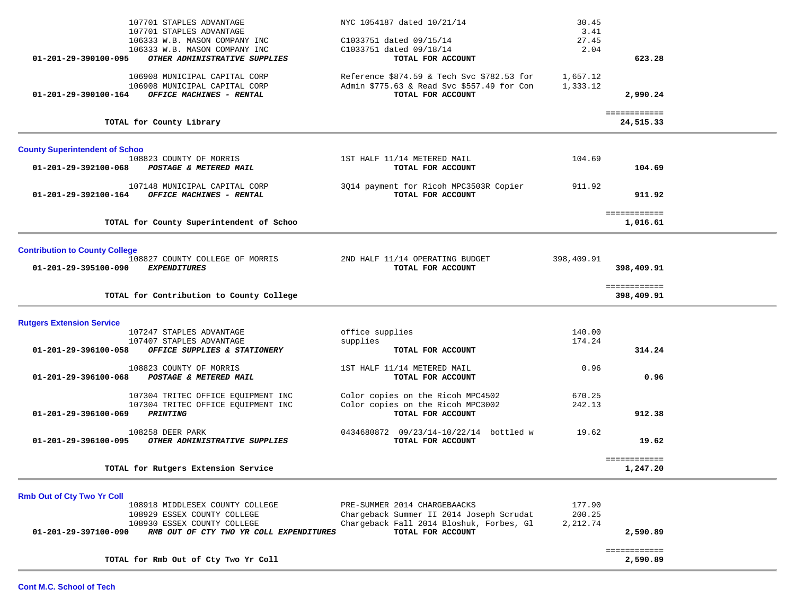| TOTAL for Rmb Out of Cty Two Yr Coll                                                                                                                                                                  |                                                                                                                                           |                                | ============<br>2,590.89   |  |
|-------------------------------------------------------------------------------------------------------------------------------------------------------------------------------------------------------|-------------------------------------------------------------------------------------------------------------------------------------------|--------------------------------|----------------------------|--|
| <b>Rmb Out of Cty Two Yr Coll</b><br>108918 MIDDLESEX COUNTY COLLEGE<br>108929 ESSEX COUNTY COLLEGE<br>108930 ESSEX COUNTY COLLEGE<br>01-201-29-397100-090<br>RMB OUT OF CTY TWO YR COLL EXPENDITURES | PRE-SUMMER 2014 CHARGEBAACKS<br>Chargeback Summer II 2014 Joseph Scrudat<br>Chargeback Fall 2014 Bloshuk, Forbes, Gl<br>TOTAL FOR ACCOUNT | 177.90<br>200.25<br>2,212.74   | 2,590.89                   |  |
| TOTAL for Rutgers Extension Service                                                                                                                                                                   |                                                                                                                                           |                                | 1,247.20                   |  |
| 108258 DEER PARK<br>01-201-29-396100-095<br>OTHER ADMINISTRATIVE SUPPLIES                                                                                                                             | 0434680872 09/23/14-10/22/14 bottled w<br>TOTAL FOR ACCOUNT                                                                               | 19.62                          | 19.62<br>============      |  |
| 107304 TRITEC OFFICE EQUIPMENT INC<br>107304 TRITEC OFFICE EQUIPMENT INC<br>01-201-29-396100-069<br><b>PRINTING</b>                                                                                   | Color copies on the Ricoh MPC4502<br>Color copies on the Ricoh MPC3002<br>TOTAL FOR ACCOUNT                                               | 670.25<br>242.13               | 912.38                     |  |
| 108823 COUNTY OF MORRIS<br>01-201-29-396100-068<br>POSTAGE & METERED MAIL                                                                                                                             | 1ST HALF 11/14 METERED MAIL<br>TOTAL FOR ACCOUNT                                                                                          | 0.96                           | 0.96                       |  |
| <b>Rutgers Extension Service</b><br>107247 STAPLES ADVANTAGE<br>107407 STAPLES ADVANTAGE<br>01-201-29-396100-058<br>OFFICE SUPPLIES & STATIONERY                                                      | office supplies<br>supplies<br>TOTAL FOR ACCOUNT                                                                                          | 140.00<br>174.24               | 314.24                     |  |
| TOTAL for Contribution to County College                                                                                                                                                              |                                                                                                                                           |                                | ============<br>398,409.91 |  |
| <b>Contribution to County College</b><br>108827 COUNTY COLLEGE OF MORRIS<br>01-201-29-395100-090<br><i>EXPENDITURES</i>                                                                               | 2ND HALF 11/14 OPERATING BUDGET<br>TOTAL FOR ACCOUNT                                                                                      | 398,409.91                     | 398,409.91                 |  |
| TOTAL for County Superintendent of Schoo                                                                                                                                                              |                                                                                                                                           |                                | ============<br>1,016.61   |  |
| 107148 MUNICIPAL CAPITAL CORP<br>OFFICE MACHINES - RENTAL<br>01-201-29-392100-164                                                                                                                     | 3Q14 payment for Ricoh MPC3503R Copier<br>TOTAL FOR ACCOUNT                                                                               | 911.92                         | 911.92                     |  |
| <b>County Superintendent of Schoo</b><br>108823 COUNTY OF MORRIS<br>01-201-29-392100-068<br>POSTAGE & METERED MAIL                                                                                    | 1ST HALF 11/14 METERED MAIL<br>TOTAL FOR ACCOUNT                                                                                          | 104.69                         | 104.69                     |  |
| TOTAL for County Library                                                                                                                                                                              |                                                                                                                                           |                                | ============<br>24,515.33  |  |
| 106908 MUNICIPAL CAPITAL CORP<br>106908 MUNICIPAL CAPITAL CORP<br>01-201-29-390100-164<br>OFFICE MACHINES - RENTAL                                                                                    | Reference \$874.59 & Tech Svc \$782.53 for<br>Admin \$775.63 & Read Svc \$557.49 for Con<br>TOTAL FOR ACCOUNT                             | 1,657.12<br>1,333.12           | 2,990.24                   |  |
| 107701 STAPLES ADVANTAGE<br>107701 STAPLES ADVANTAGE<br>106333 W.B. MASON COMPANY INC<br>106333 W.B. MASON COMPANY INC<br>01-201-29-390100-095<br>OTHER ADMINISTRATIVE SUPPLIES                       | NYC 1054187 dated 10/21/14<br>C1033751 dated 09/15/14<br>C1033751 dated 09/18/14<br>TOTAL FOR ACCOUNT                                     | 30.45<br>3.41<br>27.45<br>2.04 | 623.28                     |  |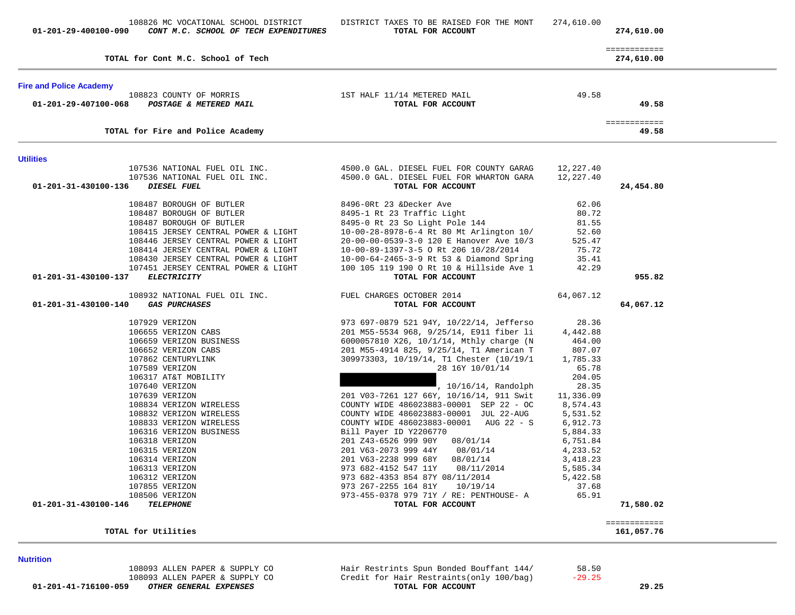**01-201-41-716100-059** *OTHER GENERAL EXPENSES* **TOTAL FOR ACCOUNT 29.25**

108093 ALLEN PAPER & SUPPLY CO<br>108093 ALLEN PAPER & SUPPLY CO Credit for Hair Restraints (only 100/baq) -29.25 Credit for Hair Restraints(only 100/bag)<br>TOTAL FOR ACCOUNT

**Nutrition** 

|           | 80.72     | 8495-1 Rt 23 Traffic Light                                                           | 108487 BOROUGH OF BUTLER                                                                                      |
|-----------|-----------|--------------------------------------------------------------------------------------|---------------------------------------------------------------------------------------------------------------|
|           | 81.55     | 8495-0 Rt 23 So Light Pole 144                                                       | 108487 BOROUGH OF BUTLER                                                                                      |
|           | 52.60     | 10-00-28-8978-6-4 Rt 80 Mt Arlington 10/                                             | 108415 JERSEY CENTRAL POWER & LIGHT                                                                           |
|           | 525.47    | 20-00-00-0539-3-0 120 E Hanover Ave 10/3                                             | 108446 JERSEY CENTRAL POWER & LIGHT                                                                           |
|           | 75.72     | 10-00-89-1397-3-5 O Rt 206 10/28/2014                                                | 108414 JERSEY CENTRAL POWER & LIGHT                                                                           |
|           | 35.41     | 10-00-64-2465-3-9 Rt 53 & Diamond Spring                                             | 108430 JERSEY CENTRAL POWER & LIGHT                                                                           |
|           | 42.29     | 100 105 119 190 O Rt 10 & Hillside Ave 1                                             | 107451 JERSEY CENTRAL POWER & LIGHT                                                                           |
| 955.82    |           | TOTAL FOR ACCOUNT                                                                    | 01-201-31-430100-137<br><b>ELECTRICITY</b>                                                                    |
|           | 64,067.12 |                                                                                      | 108932 NATIONAL FUEL OIL INC. TUEL CHARGES OCTOBER 2014                                                       |
| 64,067.12 |           | TOTAL FOR ACCOUNT                                                                    | 01-201-31-430100-140<br><b>GAS PURCHASES</b>                                                                  |
|           | 28.36     | 973 697-0879 521 94Y, 10/22/14, Jefferso                                             | 107929 VERIZON<br>106655 VERIZON CABS<br>106659 VERIZON BUSINESS<br>106652 VERIZON CABS<br>107862 CENTURYLINK |
|           | 4,442.88  | 201 M55-5534 968, 9/25/14, E911 fiber li                                             |                                                                                                               |
|           | 464.00    | 6000057810 X26, 10/1/14, Mthly charge (N                                             |                                                                                                               |
|           | 807.07    | 201 M55-4914 825, 9/25/14, Tl American T<br>309973303, 10/19/14, Tl Chester (10/19/1 |                                                                                                               |
|           | 1,785.33  |                                                                                      |                                                                                                               |
|           | 65.78     | 28 16Y 10/01/14                                                                      |                                                                                                               |
|           | 204.05    |                                                                                      | 106317 AT&T MOBILITY                                                                                          |
|           | 28.35     | , 10/16/14, Randolph                                                                 | 107640 VERIZON                                                                                                |
|           |           | 201 V03-7261 127 66Y, 10/16/14, 911 Swit 11,336.09                                   | 107639 VERIZON<br>108834 VERIZON WIRELESS                                                                     |
|           | 8,574.43  | COUNTY WIDE 486023883-00001 SEP 22 - OC                                              |                                                                                                               |
|           | 5,531.52  | COUNTY WIDE 486023883-00001 JUL 22-AUG                                               | 108832 VERIZON WIRELESS                                                                                       |
|           | 6,912.73  | COUNTY WIDE 486023883-00001 AUG 22 - S                                               | 108833 VERIZON WIRELESS                                                                                       |
|           | 5,884.33  | Bill Payer ID Y2206770                                                               | 106316 VERIZON BUSINESS                                                                                       |
|           | 6,751.84  | 201 Z43-6526 999 90Y 08/01/14                                                        | 106318 VERIZON                                                                                                |
|           | 4,233.52  | 201 V63-2073 999 44Y 08/01/14                                                        | 106315 VERIZON                                                                                                |
|           | 3,418.23  | 201 V63-2238 999 68Y 08/01/14                                                        | 106314 VERIZON                                                                                                |
|           | 5,585.34  | 973 682-4152 547 11Y<br>08/11/2014                                                   | 106313 VERIZON                                                                                                |
|           | 5,422.58  | 973 682-4353 854 87Y 08/11/2014                                                      | 106312 VERIZON                                                                                                |
|           | 37.68     | 973 267-2255 164 81Y 10/19/14                                                        | 107855 VERIZON                                                                                                |
|           | 65.91     | 973-455-0378 979 71Y / RE: PENTHOUSE- A                                              | 108506 VERIZON                                                                                                |
| 71,580.02 |           | TOTAL FOR ACCOUNT                                                                    | 01-201-31-430100-146<br><b>TELEPHONE</b>                                                                      |

**Utilities** 

| TOTAL for Cont M.C. School of Tech             |                             | 274,610.00 |
|------------------------------------------------|-----------------------------|------------|
| <b>Fire and Police Academy</b>                 |                             |            |
| 108823 COUNTY OF MORRIS                        | 1ST HALF 11/14 METERED MAIL | 49.58      |
| 01-201-29-407100-068<br>POSTAGE & METERED MAIL | TOTAL FOR ACCOUNT           | 49.58      |
|                                                |                             |            |
| TOTAL for Fire and Police Academy              |                             | 49.58      |
|                                                |                             |            |

107536 NATIONAL FUEL OIL INC. 4500.0 GAL. DIESEL FUEL FOR COUNTY GARAG 12,227.40

108487 BOROUGH OF BUTLER 8496-0Rt 23 &Decker Ave 62.06

 **01-201-31-430100-136** *DIESEL FUEL* **TOTAL FOR ACCOUNT 24,454.80**

============

4500.0 GAL. DIESEL FUEL FOR WHARTON GARA  $12,227.40$  TOTAL FOR ACCOUNT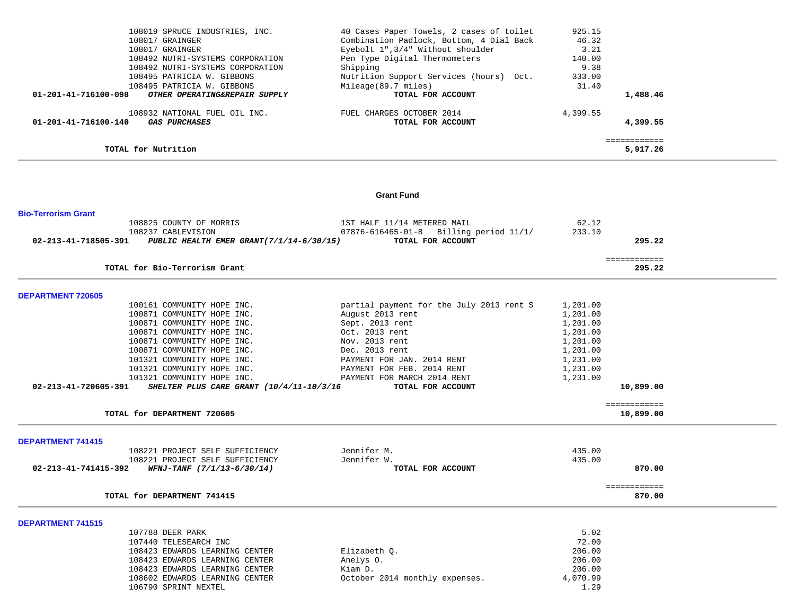| 108019 SPRUCE INDUSTRIES, INC.                        | 40 Cases Paper Towels, 2 cases of toilet | 925.15   |              |
|-------------------------------------------------------|------------------------------------------|----------|--------------|
| 108017 GRAINGER                                       | Combination Padlock, Bottom, 4 Dial Back | 46.32    |              |
| 108017 GRAINGER                                       | Eyebolt 1", 3/4" Without shoulder        | 3.21     |              |
| 108492 NUTRI-SYSTEMS CORPORATION                      | Pen Type Digital Thermometers            | 140.00   |              |
| 108492 NUTRI-SYSTEMS CORPORATION                      | Shipping                                 | 9.38     |              |
| 108495 PATRICIA W. GIBBONS                            | Nutrition Support Services (hours) Oct.  | 333.00   |              |
| 108495 PATRICIA W. GIBBONS                            | Mileage(89.7 miles)                      | 31.40    |              |
| 01-201-41-716100-098<br>OTHER OPERATING&REPAIR SUPPLY | TOTAL FOR ACCOUNT                        |          | 1,488.46     |
| 108932 NATIONAL FUEL OIL INC.                         | FUEL CHARGES OCTOBER 2014                | 4,399.55 |              |
| 01-201-41-716100-140<br><i><b>GAS PURCHASES</b></i>   | TOTAL FOR ACCOUNT                        |          | 4,399.55     |
|                                                       |                                          |          | ============ |
| TOTAL for Nutrition                                   |                                          |          | 5,917.26     |

### **Grant Fund**

| <b>Bio-Terrorism Grant</b> |                                                               |                                                  |          |              |  |
|----------------------------|---------------------------------------------------------------|--------------------------------------------------|----------|--------------|--|
|                            | 108825 COUNTY OF MORRIS                                       | 1ST HALF 11/14 METERED MAIL                      | 62.12    |              |  |
|                            | 108237 CABLEVISION                                            | $07876 - 616465 - 01 - 8$ Billing period $11/1/$ | 233.10   | 295.22       |  |
|                            | 02-213-41-718505-391 PUBLIC HEALTH EMER GRANT(7/1/14-6/30/15) | TOTAL FOR ACCOUNT                                |          |              |  |
|                            |                                                               |                                                  |          | ============ |  |
|                            | TOTAL for Bio-Terrorism Grant                                 |                                                  |          | 295.22       |  |
| DEPARTMENT 720605          |                                                               |                                                  |          |              |  |
|                            | 100161 COMMUNITY HOPE INC.                                    | partial payment for the July 2013 rent S         | 1,201.00 |              |  |
|                            | 100871 COMMUNITY HOPE INC.                                    | August 2013 rent                                 | 1,201.00 |              |  |
|                            | 100871 COMMUNITY HOPE INC.                                    | Sept. 2013 rent                                  | 1,201.00 |              |  |
|                            | 100871 COMMUNITY HOPE INC.                                    | Oct. 2013 rent                                   | 1,201.00 |              |  |
|                            | 100871 COMMUNITY HOPE INC.                                    | Nov. 2013 rent                                   | 1,201.00 |              |  |
|                            | 100871 COMMUNITY HOPE INC.                                    | Dec. 2013 rent                                   | 1,201.00 |              |  |
|                            | 101321 COMMUNITY HOPE INC.                                    | PAYMENT FOR JAN. 2014 RENT                       | 1,231.00 |              |  |
|                            | 101321 COMMUNITY HOPE INC.                                    | PAYMENT FOR FEB. 2014 RENT                       | 1,231.00 |              |  |
|                            | 101321 COMMUNITY HOPE INC.                                    | PAYMENT FOR MARCH 2014 RENT                      | 1,231.00 |              |  |
| 02-213-41-720605-391       | SHELTER PLUS CARE GRANT (10/4/11-10/3/16                      | TOTAL FOR ACCOUNT                                |          | 10,899.00    |  |
|                            |                                                               |                                                  |          | ============ |  |
|                            | TOTAL for DEPARTMENT 720605                                   |                                                  |          | 10,899.00    |  |
| <b>DEPARTMENT 741415</b>   |                                                               |                                                  |          |              |  |
|                            | 108221 PROJECT SELF SUFFICIENCY                               | Jennifer M.                                      | 435.00   |              |  |
|                            | 108221 PROJECT SELF SUFFICIENCY                               | Jennifer W.                                      | 435.00   |              |  |
| 02-213-41-741415-392       | WFNJ-TANF (7/1/13-6/30/14)                                    | TOTAL FOR ACCOUNT                                |          | 870.00       |  |
|                            |                                                               |                                                  |          | ============ |  |
|                            | TOTAL for DEPARTMENT 741415                                   |                                                  |          | 870.00       |  |
| <b>DEPARTMENT 741515</b>   |                                                               |                                                  |          |              |  |
|                            | 107788 DEER PARK                                              |                                                  | 5.02     |              |  |
|                            | 107440 TELESEARCH INC                                         |                                                  | 72.00    |              |  |
|                            | 108423 EDWARDS LEARNING CENTER                                | Elizabeth O.                                     | 206.00   |              |  |
|                            | 108423 EDWARDS LEARNING CENTER                                | Anelys O.                                        | 206.00   |              |  |
|                            | 108423 EDWARDS LEARNING CENTER                                | Kiam D.                                          | 206.00   |              |  |
|                            | 108602 EDWARDS LEARNING CENTER                                | October 2014 monthly expenses.                   | 4,070.99 |              |  |

106790 SPRINT NEXTEL

October 2014 monthly expenses.  $4,070.99$ <br>1.29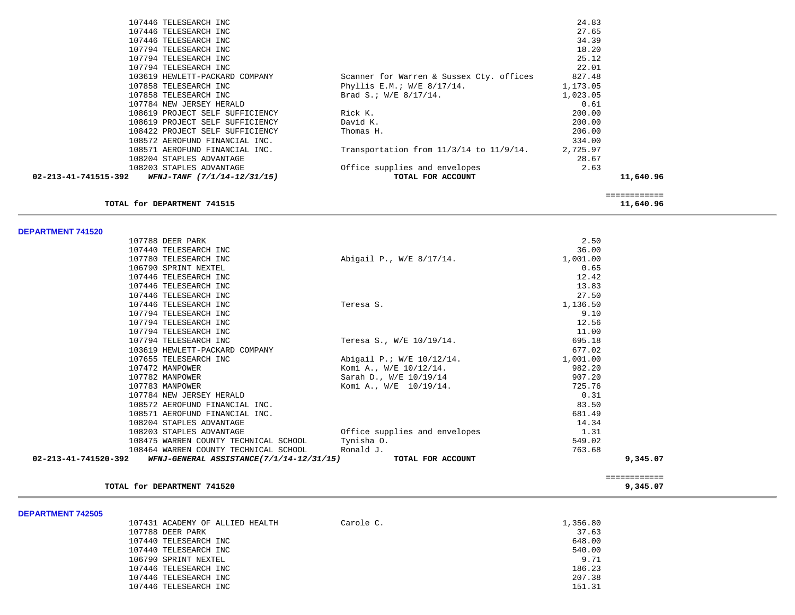| 02-213-41-741515-392 | 108203 STAPLES ADVANTAGE<br>WFNJ-TANF (7/1/14-12/31/15) | Office supplies and envelopes<br>TOTAL FOR ACCOUNT | 2.63     | 11,640.96 |
|----------------------|---------------------------------------------------------|----------------------------------------------------|----------|-----------|
|                      | 108204 STAPLES ADVANTAGE                                |                                                    | 28.67    |           |
|                      | 108571 AEROFUND FINANCIAL INC.                          | Transportation from $11/3/14$ to $11/9/14$ .       | 2,725.97 |           |
|                      | 108572 AEROFUND FINANCIAL INC.                          |                                                    | 334.00   |           |
|                      | 108422 PROJECT SELF SUFFICIENCY                         | Thomas H.                                          | 206.00   |           |
|                      | 108619 PROJECT SELF SUFFICIENCY                         | David K.                                           | 200.00   |           |
|                      | 108619 PROJECT SELF SUFFICIENCY                         | Rick K.                                            | 200.00   |           |
|                      | 107784 NEW JERSEY HERALD                                |                                                    | 0.61     |           |
|                      | 107858 TELESEARCH INC                                   | Brad S.; $W/E$ 8/17/14.                            | 1,023.05 |           |
|                      | 107858 TELESEARCH INC                                   | Phyllis E.M.; W/E 8/17/14.                         | 1,173.05 |           |
|                      | 103619 HEWLETT-PACKARD COMPANY                          | Scanner for Warren & Sussex Cty. offices           | 827.48   |           |
|                      | 107794 TELESEARCH INC                                   |                                                    | 22.01    |           |
|                      | 107794 TELESEARCH INC                                   |                                                    | 25.12    |           |
|                      | 107794 TELESEARCH INC                                   |                                                    | 18.20    |           |
|                      | 107446 TELESEARCH INC                                   |                                                    | 34.39    |           |
|                      | 107446 TELESEARCH INC                                   |                                                    | 27.65    |           |
|                      | 107446 TELESEARCH INC                                   |                                                    | 24.83    |           |
|                      |                                                         |                                                    |          |           |

**TOTAL for DEPARTMENT 741515** 11,640.96

# **DEPARTMENT 741520**

| 02-213-41-741520-392 | 108464 WARREN COUNTY TECHNICAL SCHOOL Ronald J.<br>WFNJ-GENERAL ASSISTANCE(7/1/14-12/31/15) | TOTAL FOR ACCOUNT             | 763.68   | 9,345.07 |
|----------------------|---------------------------------------------------------------------------------------------|-------------------------------|----------|----------|
|                      | 108475 WARREN COUNTY TECHNICAL SCHOOL                                                       | Tynisha O.                    | 549.02   |          |
|                      | 108203 STAPLES ADVANTAGE                                                                    | Office supplies and envelopes | 1.31     |          |
|                      | 108204 STAPLES ADVANTAGE                                                                    |                               | 14.34    |          |
|                      | 108571 AEROFUND FINANCIAL INC.                                                              |                               | 681.49   |          |
|                      | 108572 AEROFUND FINANCIAL INC.                                                              |                               | 83.50    |          |
|                      | 107784 NEW JERSEY HERALD                                                                    |                               | 0.31     |          |
|                      | 107783 MANPOWER                                                                             | Komi A., W/E 10/19/14.        | 725.76   |          |
|                      | 107782 MANPOWER                                                                             | Sarah D., W/E 10/19/14        | 907.20   |          |
|                      | 107472 MANPOWER                                                                             | Komi A., W/E 10/12/14.        | 982.20   |          |
|                      | 107655 TELESEARCH INC                                                                       | Abigail P.; W/E 10/12/14.     | 1,001.00 |          |
|                      | 103619 HEWLETT-PACKARD COMPANY                                                              |                               | 677.02   |          |
|                      | 107794 TELESEARCH INC                                                                       | Teresa S., W/E 10/19/14.      | 695.18   |          |
|                      | 107794 TELESEARCH INC                                                                       |                               | 11.00    |          |
|                      | 107794 TELESEARCH INC                                                                       |                               | 12.56    |          |
|                      | 107794 TELESEARCH INC                                                                       |                               | 9.10     |          |
|                      | 107446 TELESEARCH INC                                                                       | Teresa S.                     | 1,136.50 |          |
|                      | 107446 TELESEARCH INC                                                                       |                               | 27.50    |          |
|                      | 107446 TELESEARCH INC                                                                       |                               | 13.83    |          |
|                      | 107446 TELESEARCH INC                                                                       |                               | 12.42    |          |
|                      | 106790 SPRINT NEXTEL                                                                        |                               | 0.65     |          |
|                      | 107780 TELESEARCH INC                                                                       | Abigail P., W/E 8/17/14.      | 1,001.00 |          |
|                      | 107440 TELESEARCH INC                                                                       |                               | 36.00    |          |
|                      | 107788 DEER PARK                                                                            |                               | 2.50     |          |

============

#### **TOTAL for DEPARTMENT 741520** 9, 345.07

| <b>DEPARTMENT 742505</b> |                                 |           |          |
|--------------------------|---------------------------------|-----------|----------|
|                          | 107431 ACADEMY OF ALLIED HEALTH | Carole C. | 1,356.80 |
|                          | 107788 DEER PARK                |           | 37.63    |
|                          | 107440 TELESEARCH INC           |           | 648.00   |
|                          | 107440 TELESEARCH INC           |           | 540.00   |
|                          | 106790 SPRINT NEXTEL            |           | 9.71     |
|                          | 107446 TELESEARCH INC           |           | 186.23   |
|                          | 107446 TELESEARCH INC           |           | 207.38   |
|                          | 107446 TELESEARCH INC           |           | 151.31   |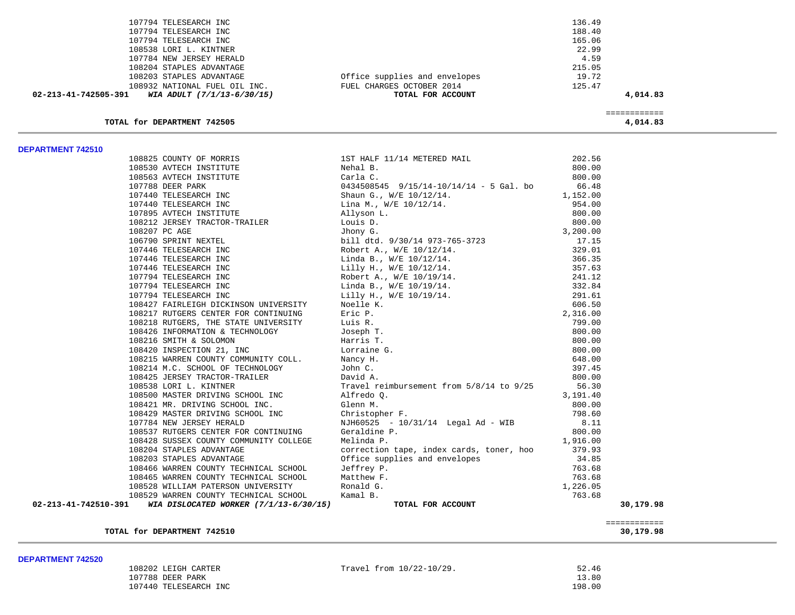| TOTAL for DEPARTMENT 742505                        |                               | ============<br>4,014.83 |  |
|----------------------------------------------------|-------------------------------|--------------------------|--|
| 02-213-41-742505-391<br>WIA ADULT (7/1/13-6/30/15) | TOTAL FOR ACCOUNT             | 4,014.83                 |  |
| 108932 NATIONAL FUEL OIL INC.                      | FUEL CHARGES OCTOBER 2014     | 125.47                   |  |
| 108203 STAPLES ADVANTAGE                           | Office supplies and envelopes | 19.72                    |  |
| 108204 STAPLES ADVANTAGE                           |                               | 215.05                   |  |
| 107784 NEW JERSEY HERALD                           |                               | 4.59                     |  |
| 108538 LORI L. KINTNER                             |                               | 22.99                    |  |
| 107794 TELESEARCH INC                              |                               | 165.06                   |  |
| 107794 TELESEARCH INC                              |                               | 188.40                   |  |
| 107794 TELESEARCH INC                              |                               | 136.49                   |  |

|                      | 108825 COUNTY OF MORRIS<br>108530 AVTECH INSTITUTE | 1ST HALF 11/14 METERED MAIL<br>Nehal B.                        | 202.56<br>800.00 |              |
|----------------------|----------------------------------------------------|----------------------------------------------------------------|------------------|--------------|
|                      |                                                    |                                                                |                  |              |
|                      |                                                    |                                                                |                  |              |
|                      |                                                    |                                                                |                  |              |
|                      |                                                    |                                                                |                  |              |
|                      |                                                    |                                                                |                  |              |
|                      |                                                    |                                                                |                  |              |
|                      |                                                    |                                                                |                  |              |
|                      |                                                    |                                                                |                  |              |
|                      |                                                    |                                                                |                  |              |
|                      |                                                    |                                                                |                  |              |
|                      |                                                    |                                                                |                  |              |
|                      |                                                    |                                                                |                  |              |
|                      |                                                    |                                                                |                  |              |
|                      |                                                    |                                                                |                  |              |
|                      |                                                    |                                                                |                  |              |
|                      |                                                    |                                                                |                  |              |
|                      |                                                    |                                                                |                  |              |
|                      |                                                    |                                                                |                  |              |
|                      |                                                    |                                                                |                  |              |
|                      |                                                    |                                                                |                  |              |
|                      |                                                    |                                                                |                  |              |
|                      |                                                    |                                                                |                  |              |
|                      |                                                    |                                                                |                  |              |
|                      |                                                    |                                                                |                  |              |
|                      | 108538 LORI L. KINTNER                             | Travel reimbursement from 5/8/14 to 9/25                       | 56.30            |              |
|                      | 108500 MASTER DRIVING SCHOOL INC                   | Alfredo Q.                                                     | 3,191.40         |              |
|                      | 108421 MR. DRIVING SCHOOL INC.                     | Glenn M.                                                       | 800.00           |              |
|                      | 108429 MASTER DRIVING SCHOOL INC                   | cionn<br>Christopher F.<br>NJH60525 - 10/31/14  Legal Ad - WII | 798.60           |              |
|                      | 107784 NEW JERSEY HERALD                           | NJH60525 - 10/31/14 Legal Ad - WIB                             | 8.11             |              |
|                      | 108537 RUTGERS CENTER FOR CONTINUING               | Geraldine P.                                                   | 800.00           |              |
|                      | 108428 SUSSEX COUNTY COMMUNITY COLLEGE             | Melinda P.                                                     | 1,916.00         |              |
|                      | 108204 STAPLES ADVANTAGE                           | correction tape, index cards, toner, hoo 379.93                |                  |              |
|                      | 108203 STAPLES ADVANTAGE                           | Office supplies and envelopes                                  | 34.85            |              |
|                      | 108466 WARREN COUNTY TECHNICAL SCHOOL              | Jeffrey P.                                                     | 763.68           |              |
|                      | 108465 WARREN COUNTY TECHNICAL SCHOOL              | Matthew F.                                                     | 763.68           |              |
|                      | 108528 WILLIAM PATERSON UNIVERSITY                 | Ronald G.                                                      | 1,226.05         |              |
|                      | 108529 WARREN COUNTY TECHNICAL SCHOOL              | Kamal B.                                                       | 763.68           |              |
| 02-213-41-742510-391 | WIA DISLOCATED WORKER (7/1/13-6/30/15)             | TOTAL FOR ACCOUNT                                              |                  | 30,179.98    |
|                      |                                                    |                                                                |                  |              |
|                      |                                                    |                                                                |                  | ============ |
|                      |                                                    |                                                                |                  |              |

# **TOTAL for DEPARTMENT 742510 30,179.98**

| 108202 LEIGH CARTER   | Travel from $10/22-10/29$ . | 52.46  |
|-----------------------|-----------------------------|--------|
| 107788 DEER PARK      |                             | 13.80  |
| 107440 TELESEARCH INC |                             | 198.00 |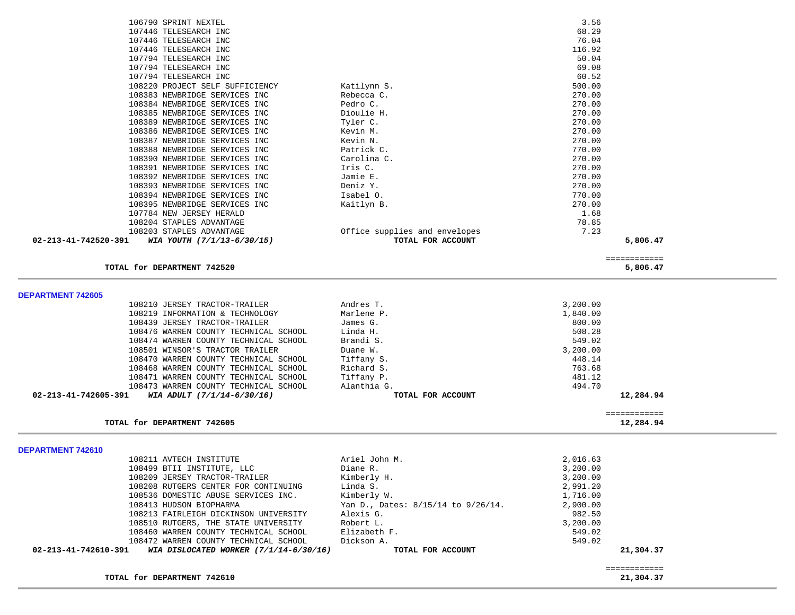|                                                                |                                    |                 | ============              |  |
|----------------------------------------------------------------|------------------------------------|-----------------|---------------------------|--|
| 02-213-41-742610-391<br>WIA DISLOCATED WORKER (7/1/14-6/30/16) | TOTAL FOR ACCOUNT                  |                 | 21,304.37                 |  |
| 108472 WARREN COUNTY TECHNICAL SCHOOL                          | Dickson A.                         | 549.02          |                           |  |
| 108460 WARREN COUNTY TECHNICAL SCHOOL                          | Elizabeth F.                       | 549.02          |                           |  |
| 108510 RUTGERS, THE STATE UNIVERSITY                           | Robert L.                          | 3,200.00        |                           |  |
| 108213 FAIRLEIGH DICKINSON UNIVERSITY                          | Alexis G.                          | 982.50          |                           |  |
| 108413 HUDSON BIOPHARMA                                        | Yan D., Dates: 8/15/14 to 9/26/14. | 2,900.00        |                           |  |
| 108536 DOMESTIC ABUSE SERVICES INC.                            | Kimberly W.                        | 1,716.00        |                           |  |
| 108208 RUTGERS CENTER FOR CONTINUING                           | Linda S.                           | 2,991.20        |                           |  |
| 108209 JERSEY TRACTOR-TRAILER                                  | Kimberly H.                        | 3,200.00        |                           |  |
| 108499 BTII INSTITUTE, LLC                                     | Diane R.                           | 3,200.00        |                           |  |
| 108211 AVTECH INSTITUTE                                        | Ariel John M.                      | 2,016.63        |                           |  |
| DEPARTMENT 742610                                              |                                    |                 |                           |  |
|                                                                |                                    |                 |                           |  |
| TOTAL for DEPARTMENT 742605                                    |                                    |                 | ============<br>12,284.94 |  |
| 02-213-41-742605-391<br>WIA ADULT (7/1/14-6/30/16)             | TOTAL FOR ACCOUNT                  |                 | 12,284.94                 |  |
| 108473 WARREN COUNTY TECHNICAL SCHOOL                          | Alanthia G.                        | 494.70          |                           |  |
| 108471 WARREN COUNTY TECHNICAL SCHOOL                          | Tiffany P.                         | 481.12          |                           |  |
| 108468 WARREN COUNTY TECHNICAL SCHOOL                          | Richard S.                         | 763.68          |                           |  |
| 108470 WARREN COUNTY TECHNICAL SCHOOL                          | Tiffany S.                         | 448.14          |                           |  |
| 108501 WINSOR'S TRACTOR TRAILER                                | Duane W.                           | 3,200.00        |                           |  |
| 108474 WARREN COUNTY TECHNICAL SCHOOL                          | Brandi S.                          | 549.02          |                           |  |
| 108476 WARREN COUNTY TECHNICAL SCHOOL                          | Linda H.                           | 508.28          |                           |  |
| 108439 JERSEY TRACTOR-TRAILER                                  | James G.                           | 800.00          |                           |  |
| 108219 INFORMATION & TECHNOLOGY                                | Marlene P.                         | 1,840.00        |                           |  |
| 108210 JERSEY TRACTOR-TRAILER                                  | Andres T.                          | 3,200.00        |                           |  |
| <b>DEPARTMENT 742605</b>                                       |                                    |                 |                           |  |
|                                                                |                                    |                 |                           |  |
| TOTAL for DEPARTMENT 742520                                    |                                    |                 | ============<br>5,806.47  |  |
| WIA YOUTH (7/1/13-6/30/15)<br>02-213-41-742520-391             | TOTAL FOR ACCOUNT                  |                 | 5,806.47                  |  |
| 108203 STAPLES ADVANTAGE                                       | Office supplies and envelopes      | 7.23            |                           |  |
| 108204 STAPLES ADVANTAGE                                       |                                    | 78.85           |                           |  |
| 107784 NEW JERSEY HERALD                                       |                                    | 1.68            |                           |  |
| 108395 NEWBRIDGE SERVICES INC                                  | Kaitlyn B.                         | 270.00          |                           |  |
| 108394 NEWBRIDGE SERVICES INC                                  | Isabel 0.                          | 770.00          |                           |  |
| 108393 NEWBRIDGE SERVICES INC                                  | Deniz Y.                           | 270.00          |                           |  |
| 108392 NEWBRIDGE SERVICES INC                                  | Jamie E.                           | 270.00          |                           |  |
| 108391 NEWBRIDGE SERVICES INC                                  | Iris C.                            | 270.00          |                           |  |
| 108390 NEWBRIDGE SERVICES INC                                  | Carolina C.                        | 270.00          |                           |  |
| 108388 NEWBRIDGE SERVICES INC                                  | Patrick C.                         | 770.00          |                           |  |
| 108387 NEWBRIDGE SERVICES INC                                  | Kevin N.                           | 270.00          |                           |  |
| 108386 NEWBRIDGE SERVICES INC                                  | Kevin M.                           | 270.00          |                           |  |
| 108389 NEWBRIDGE SERVICES INC                                  | Tyler C.                           | 270.00          |                           |  |
| 108385 NEWBRIDGE SERVICES INC                                  | Dioulie H.                         | 270.00          |                           |  |
| 108384 NEWBRIDGE SERVICES INC                                  | Pedro C.                           | 270.00          |                           |  |
| 108383 NEWBRIDGE SERVICES INC                                  | Rebecca C.                         | 270.00          |                           |  |
| 108220 PROJECT SELF SUFFICIENCY                                | Katilynn S.                        | 500.00          |                           |  |
| 107794 TELESEARCH INC                                          |                                    | 60.52           |                           |  |
| 107794 TELESEARCH INC                                          |                                    | 69.08           |                           |  |
| 107794 TELESEARCH INC                                          |                                    | 50.04           |                           |  |
| 107446 TELESEARCH INC<br>107446 TELESEARCH INC                 |                                    | 76.04<br>116.92 |                           |  |
|                                                                |                                    |                 |                           |  |
|                                                                |                                    |                 |                           |  |
|                                                                |                                    |                 |                           |  |
| 106790 SPRINT NEXTEL<br>107446 TELESEARCH INC                  |                                    | 3.56<br>68.29   |                           |  |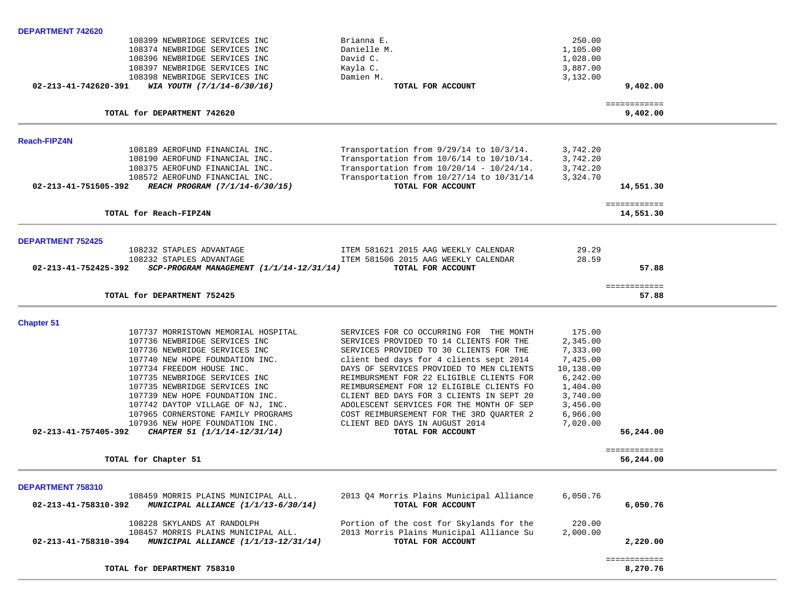| DEPARTMENT 742620                                              |                                             |           |                           |  |
|----------------------------------------------------------------|---------------------------------------------|-----------|---------------------------|--|
| 108399 NEWBRIDGE SERVICES INC                                  | Brianna E.                                  | 250.00    |                           |  |
| 108374 NEWBRIDGE SERVICES INC                                  | Danielle M.                                 | 1,105.00  |                           |  |
| 108396 NEWBRIDGE SERVICES INC                                  | David C.                                    | 1,028.00  |                           |  |
| 108397 NEWBRIDGE SERVICES INC                                  | Kayla C.                                    | 3,887.00  |                           |  |
| 108398 NEWBRIDGE SERVICES INC                                  | Damien M.                                   | 3,132.00  |                           |  |
| 02-213-41-742620-391<br>WIA YOUTH (7/1/14-6/30/16)             | TOTAL FOR ACCOUNT                           |           | 9,402.00                  |  |
|                                                                |                                             |           |                           |  |
| TOTAL for DEPARTMENT 742620                                    |                                             |           | ============<br>9,402.00  |  |
| <b>Reach-FIPZ4N</b>                                            |                                             |           |                           |  |
| 108189 AEROFUND FINANCIAL INC.                                 | Transportation from 9/29/14 to 10/3/14.     | 3,742.20  |                           |  |
| 108190 AEROFUND FINANCIAL INC.                                 | Transportation from 10/6/14 to 10/10/14.    | 3,742.20  |                           |  |
| 108375 AEROFUND FINANCIAL INC.                                 | Transportation from $10/20/14 - 10/24/14$ . | 3,742.20  |                           |  |
| 108572 AEROFUND FINANCIAL INC.                                 | Transportation from 10/27/14 to 10/31/14    | 3,324.70  |                           |  |
| 02-213-41-751505-392<br>REACH PROGRAM (7/1/14-6/30/15)         | TOTAL FOR ACCOUNT                           |           | 14,551.30                 |  |
|                                                                |                                             |           | ============              |  |
| TOTAL for Reach-FIPZ4N                                         |                                             |           | 14,551.30                 |  |
|                                                                |                                             |           |                           |  |
| <b>DEPARTMENT 752425</b>                                       |                                             |           |                           |  |
| 108232 STAPLES ADVANTAGE                                       | ITEM 581621 2015 AAG WEEKLY CALENDAR        | 29.29     |                           |  |
| 108232 STAPLES ADVANTAGE<br>02-213-41-752425-392               | ITEM 581506 2015 AAG WEEKLY CALENDAR        | 28.59     |                           |  |
| $SCP-PROGRAM$ MANAGEMENT $(1/1/14-12/31/14)$                   | TOTAL FOR ACCOUNT                           |           | 57.88                     |  |
| TOTAL for DEPARTMENT 752425                                    |                                             |           | ============<br>57.88     |  |
|                                                                |                                             |           |                           |  |
| <b>Chapter 51</b>                                              |                                             |           |                           |  |
| 107737 MORRISTOWN MEMORIAL HOSPITAL                            | SERVICES FOR CO OCCURRING FOR THE MONTH     | 175.00    |                           |  |
| 107736 NEWBRIDGE SERVICES INC                                  | SERVICES PROVIDED TO 14 CLIENTS FOR THE     | 2,345.00  |                           |  |
| 107736 NEWBRIDGE SERVICES INC                                  | SERVICES PROVIDED TO 30 CLIENTS FOR THE     | 7,333.00  |                           |  |
| 107740 NEW HOPE FOUNDATION INC.                                | client bed days for 4 clients sept 2014     | 7,425.00  |                           |  |
| 107734 FREEDOM HOUSE INC.                                      | DAYS OF SERVICES PROVIDED TO MEN CLIENTS    | 10,138.00 |                           |  |
| 107735 NEWBRIDGE SERVICES INC                                  | REIMBURSMENT FOR 22 ELIGIBLE CLIENTS FOR    | 6,242.00  |                           |  |
| 107735 NEWBRIDGE SERVICES INC                                  | REIMBURSEMENT FOR 12 ELIGIBLE CLIENTS FO    | 1,404.00  |                           |  |
| 107739 NEW HOPE FOUNDATION INC.                                | CLIENT BED DAYS FOR 3 CLIENTS IN SEPT 20    | 3,740.00  |                           |  |
| 107742 DAYTOP VILLAGE OF NJ, INC.                              | ADOLESCENT SERVICES FOR THE MONTH OF SEP    | 3,456.00  |                           |  |
| 107965 CORNERSTONE FAMILY PROGRAMS                             | COST REIMBURSEMENT FOR THE 3RD QUARTER 2    | 6,966.00  |                           |  |
| 107936 NEW HOPE FOUNDATION INC.                                | CLIENT BED DAYS IN AUGUST 2014              | 7,020.00  |                           |  |
| $02 - 213 - 41 - 757405 - 392$<br>CHAPTER 51 (1/1/14-12/31/14) | TOTAL FOR ACCOUNT                           |           | 56,244.00                 |  |
| TOTAL for Chapter 51                                           |                                             |           | ============<br>56,244.00 |  |
|                                                                |                                             |           |                           |  |
| DEPARTMENT 758310                                              |                                             |           |                           |  |
| 108459 MORRIS PLAINS MUNICIPAL ALL.                            | 2013 Q4 Morris Plains Municipal Alliance    | 6,050.76  |                           |  |
| 02-213-41-758310-392<br>MUNICIPAL ALLIANCE (1/1/13-6/30/14)    | TOTAL FOR ACCOUNT                           |           | 6,050.76                  |  |
| 108228 SKYLANDS AT RANDOLPH                                    | Portion of the cost for Skylands for the    | 220.00    |                           |  |
| 108457 MORRIS PLAINS MUNICIPAL ALL.                            | 2013 Morris Plains Municipal Alliance Su    | 2,000.00  |                           |  |
| 02-213-41-758310-394<br>MUNICIPAL ALLIANCE (1/1/13-12/31/14)   | TOTAL FOR ACCOUNT                           |           | 2,220.00                  |  |
|                                                                |                                             |           | ============              |  |
| TOTAL for DEPARTMENT 758310                                    |                                             |           | 8,270.76                  |  |
|                                                                |                                             |           |                           |  |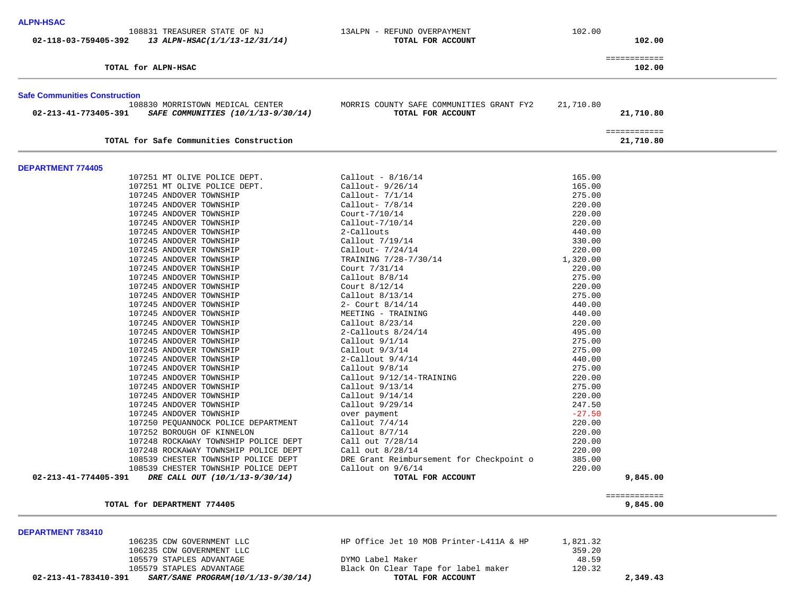| <b>ALPN-HSAC</b><br>108831 TREASURER STATE OF NJ<br>02-118-03-759405-392<br>13 ALPN-HSAC(1/1/13-12/31/14)                           | 13ALPN - REFUND OVERPAYMENT<br>TOTAL FOR ACCOUNT              | 102.00    | 102.00                    |  |
|-------------------------------------------------------------------------------------------------------------------------------------|---------------------------------------------------------------|-----------|---------------------------|--|
| TOTAL for ALPN-HSAC                                                                                                                 |                                                               |           | ============<br>102.00    |  |
| <b>Safe Communities Construction</b><br>108830 MORRISTOWN MEDICAL CENTER<br>02-213-41-773405-391 SAFE COMMUNITIES (10/1/13-9/30/14) | MORRIS COUNTY SAFE COMMUNITIES GRANT FY2<br>TOTAL FOR ACCOUNT | 21,710.80 | 21,710.80                 |  |
| TOTAL for Safe Communities Construction                                                                                             |                                                               |           | ============<br>21,710.80 |  |
| <b>DEPARTMENT 774405</b>                                                                                                            |                                                               |           |                           |  |
| 107251 MT OLIVE POLICE DEPT.                                                                                                        | $Callout - 8/16/14$                                           | 165.00    |                           |  |
| 107251 MT OLIVE POLICE DEPT.                                                                                                        | Callout- $9/26/14$                                            | 165.00    |                           |  |
| 107245 ANDOVER TOWNSHIP                                                                                                             | Callout- $7/1/14$                                             | 275.00    |                           |  |
| 107245 ANDOVER TOWNSHIP                                                                                                             | Callout- $7/8/14$                                             | 220.00    |                           |  |
| 107245 ANDOVER TOWNSHIP                                                                                                             | $Court-7/10/14$                                               | 220.00    |                           |  |
| 107245 ANDOVER TOWNSHIP                                                                                                             | Callout-7/10/14                                               | 220.00    |                           |  |
| 107245 ANDOVER TOWNSHIP                                                                                                             | 2-Callouts                                                    | 440.00    |                           |  |
| 107245 ANDOVER TOWNSHIP                                                                                                             | Callout $7/19/14$                                             | 330.00    |                           |  |
| 107245 ANDOVER TOWNSHIP                                                                                                             | Callout- $7/24/14$                                            | 220.00    |                           |  |
| 107245 ANDOVER TOWNSHIP                                                                                                             | TRAINING 7/28-7/30/14                                         | 1,320.00  |                           |  |
| 107245 ANDOVER TOWNSHIP                                                                                                             | Court 7/31/14                                                 | 220.00    |                           |  |
| 107245 ANDOVER TOWNSHIP                                                                                                             | Callout $8/8/14$                                              | 275.00    |                           |  |
| 107245 ANDOVER TOWNSHIP                                                                                                             | Court $8/12/14$                                               | 220.00    |                           |  |
| 107245 ANDOVER TOWNSHIP                                                                                                             | Callout $8/13/14$                                             | 275.00    |                           |  |
| 107245 ANDOVER TOWNSHIP                                                                                                             | 2- Court 8/14/14                                              | 440.00    |                           |  |
| 107245 ANDOVER TOWNSHIP                                                                                                             | MEETING - TRAINING                                            | 440.00    |                           |  |
| 107245 ANDOVER TOWNSHIP                                                                                                             | Callout $8/23/14$                                             | 220.00    |                           |  |
| 107245 ANDOVER TOWNSHIP                                                                                                             | 2-Callouts $8/24/14$                                          | 495.00    |                           |  |
| 107245 ANDOVER TOWNSHIP                                                                                                             | Callout $9/1/14$                                              | 275.00    |                           |  |
| 107245 ANDOVER TOWNSHIP                                                                                                             | Callout $9/3/14$                                              | 275.00    |                           |  |
| 107245 ANDOVER TOWNSHIP                                                                                                             | $2$ -Callout $9/4/14$                                         | 440.00    |                           |  |
| 107245 ANDOVER TOWNSHIP                                                                                                             | Callout $9/8/14$                                              | 275.00    |                           |  |
| 107245 ANDOVER TOWNSHIP                                                                                                             | Callout 9/12/14-TRAINING                                      | 220.00    |                           |  |
| 107245 ANDOVER TOWNSHIP                                                                                                             | Callout $9/13/14$                                             | 275.00    |                           |  |
| 107245 ANDOVER TOWNSHIP                                                                                                             | Callout $9/14/14$                                             | 220.00    |                           |  |
| 107245 ANDOVER TOWNSHIP                                                                                                             | Callout 9/29/14                                               | 247.50    |                           |  |
| 107245 ANDOVER TOWNSHIP                                                                                                             | over payment                                                  | $-27.50$  |                           |  |
| 107250 PEQUANNOCK POLICE DEPARTMENT                                                                                                 | Callout $7/4/14$                                              | 220.00    |                           |  |
| 107252 BOROUGH OF KINNELON                                                                                                          | Callout $8/7/14$                                              | 220.00    |                           |  |
| 107248 ROCKAWAY TOWNSHIP POLICE DEPT                                                                                                | Call out 7/28/14                                              | 220.00    |                           |  |
| 107248 ROCKAWAY TOWNSHIP POLICE DEPT                                                                                                | Call out $8/28/14$                                            | 220.00    |                           |  |
| 108539 CHESTER TOWNSHIP POLICE DEPT                                                                                                 | DRE Grant Reimbursement for Checkpoint o                      | 385.00    |                           |  |

| 108539               | CHESTER TOWNSHIP POLICE DEPT   | Callout on $9/6/14$ | 220.00  |
|----------------------|--------------------------------|---------------------|---------|
| 02-213-41-774405-391 | DRE CALL OUT (10/1/13-9/30/14) | TOTAL FOR ACCOUNT   | ,845.00 |

#### **TOTAL for DEPARTMENT 774405 9,845.00**

| <b>DEPARTMENT 783410</b> |                           |                                         |          |  |
|--------------------------|---------------------------|-----------------------------------------|----------|--|
|                          | 106235 CDW GOVERNMENT LLC | HP Office Jet 10 MOB Printer-L411A & HP | 1,821.32 |  |
|                          | 106235 CDW GOVERNMENT LLC |                                         | 359.20   |  |
|                          | 105579 STAPLES ADVANTAGE  | DYMO Label Maker                        | 48.59    |  |
|                          | 105579 STAPLES ADVANTAGE  | Black On Clear Tape for label maker     | 120.32   |  |
|                          |                           |                                         |          |  |

============

 **02-213-41-783410-391** *SART/SANE PROGRAM(10/1/13-9/30/14)* **TOTAL FOR ACCOUNT 2,349.43**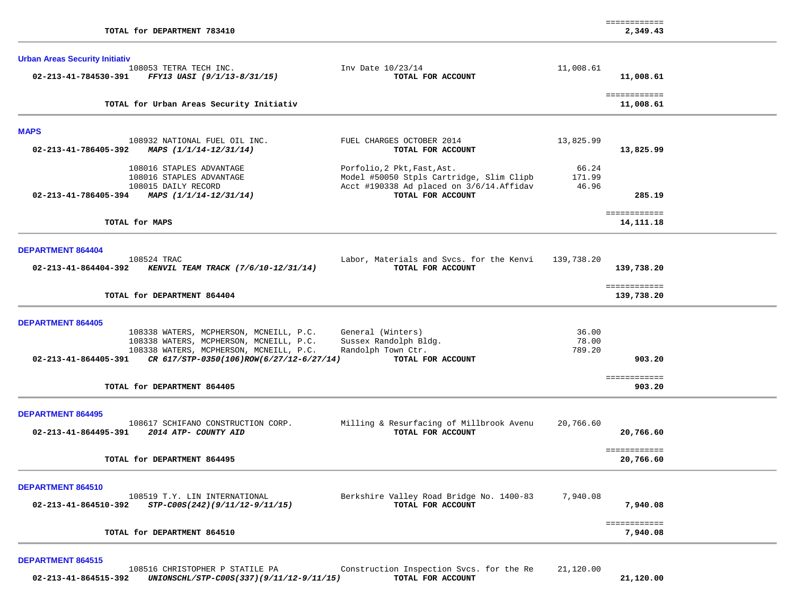| TOTAL for DEPARTMENT 783410                                                                                                                                                                                                                           |                                                                                                                                           |                          | ============<br>2,349.43                 |  |
|-------------------------------------------------------------------------------------------------------------------------------------------------------------------------------------------------------------------------------------------------------|-------------------------------------------------------------------------------------------------------------------------------------------|--------------------------|------------------------------------------|--|
| <b>Urban Areas Security Initiativ</b><br>108053 TETRA TECH INC.<br>02-213-41-784530-391 FFY13 UASI (9/1/13-8/31/15)                                                                                                                                   | Inv Date 10/23/14<br>TOTAL FOR ACCOUNT                                                                                                    | 11,008.61                | 11,008.61                                |  |
| TOTAL for Urban Areas Security Initiativ                                                                                                                                                                                                              |                                                                                                                                           |                          | ============<br>11,008.61                |  |
| <b>MAPS</b><br>108932 NATIONAL FUEL OIL INC.<br>02-213-41-786405-392<br>MAPS (1/1/14-12/31/14)                                                                                                                                                        | FUEL CHARGES OCTOBER 2014<br>TOTAL FOR ACCOUNT                                                                                            | 13,825.99                | 13,825.99                                |  |
| 108016 STAPLES ADVANTAGE<br>108016 STAPLES ADVANTAGE<br>108015 DAILY RECORD<br>02-213-41-786405-394 MAPS $(1/1/14-12/31/14)$                                                                                                                          | Porfolio, 2 Pkt, Fast, Ast.<br>Model #50050 Stpls Cartridge, Slim Clipb<br>Acct #190338 Ad placed on 3/6/14. Affidav<br>TOTAL FOR ACCOUNT | 66.24<br>171.99<br>46.96 | 285.19                                   |  |
| TOTAL for MAPS                                                                                                                                                                                                                                        |                                                                                                                                           |                          | ============<br>14,111.18                |  |
| DEPARTMENT 864404<br>108524 TRAC<br>02-213-41-864404-392 KENVIL TEAM TRACK (7/6/10-12/31/14)<br>TOTAL for DEPARTMENT 864404                                                                                                                           | Labor, Materials and Svcs. for the Kenvi<br>TOTAL FOR ACCOUNT                                                                             | 139,738.20               | 139,738.20<br>============<br>139,738.20 |  |
| DEPARTMENT 864405<br>108338 WATERS, MCPHERSON, MCNEILL, P.C.<br>108338 WATERS, MCPHERSON, MCNEILL, P.C.<br>108338 WATERS, MCPHERSON, MCNEILL, P.C.<br>02-213-41-864405-391<br>CR 617/STP-0350(106)ROW(6/27/12-6/27/14)<br>TOTAL for DEPARTMENT 864405 | General (Winters)<br>Sussex Randolph Bldg.<br>Randolph Town Ctr.<br>TOTAL FOR ACCOUNT                                                     | 36.00<br>78.00<br>789.20 | 903.20<br>============<br>903.20         |  |
| <b>DEPARTMENT 864495</b><br>108617 SCHIFANO CONSTRUCTION CORP.<br>02-213-41-864495-391 2014 ATP- COUNTY AID<br>TOTAL for DEPARTMENT 864495                                                                                                            | Milling & Resurfacing of Millbrook Avenu<br>TOTAL FOR ACCOUNT                                                                             | 20,766.60                | 20,766.60<br>============<br>20,766.60   |  |
| DEPARTMENT 864510<br>108519 T.Y. LIN INTERNATIONAL<br>02-213-41-864510-392<br>STP-C00S(242)(9/11/12-9/11/15)                                                                                                                                          | Berkshire Valley Road Bridge No. 1400-83<br>TOTAL FOR ACCOUNT                                                                             | 7,940.08                 | 7,940.08<br>============                 |  |
| TOTAL for DEPARTMENT 864510                                                                                                                                                                                                                           |                                                                                                                                           |                          | 7,940.08                                 |  |

|                      | 108516 CHRISTOPHER P STATILE PA          | Construction Inspection Svcs. for the Re | 21,120.00 |           |
|----------------------|------------------------------------------|------------------------------------------|-----------|-----------|
| 02-213-41-864515-392 | UNIONSCHL/STP-C00S(337)(9/11/12-9/11/15) | TOTAL FOR ACCOUNT                        |           | 21,120.00 |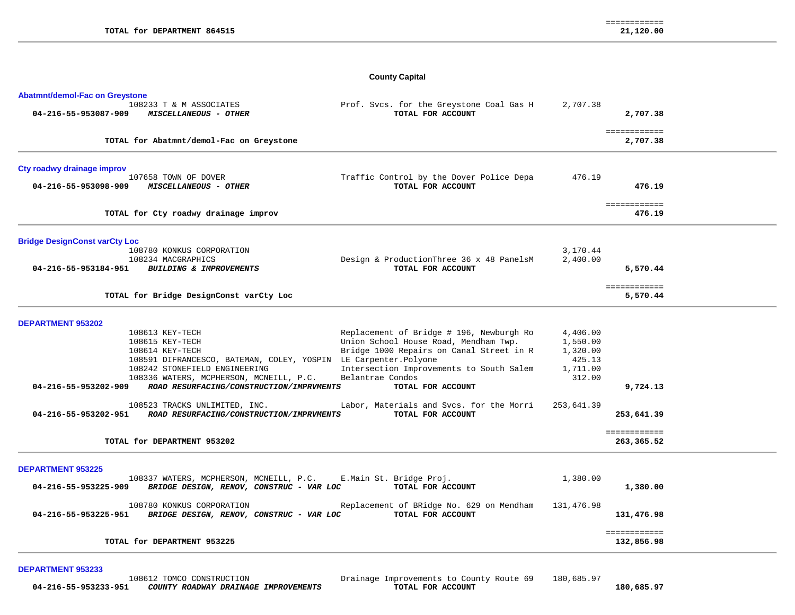# **County Capital**

| <b>Abatmnt/demol-Fac on Greystone</b>                                                                       |                                                               |                    |                            |  |
|-------------------------------------------------------------------------------------------------------------|---------------------------------------------------------------|--------------------|----------------------------|--|
| 108233 T & M ASSOCIATES<br>04-216-55-953087-909<br><b>MISCELLANEOUS - OTHER</b>                             | Prof. Svcs. for the Greystone Coal Gas H<br>TOTAL FOR ACCOUNT | 2,707.38           | 2,707.38                   |  |
| TOTAL for Abatmnt/demol-Fac on Greystone                                                                    |                                                               |                    | ============<br>2,707.38   |  |
| Cty roadwy drainage improv                                                                                  |                                                               |                    |                            |  |
| 107658 TOWN OF DOVER<br>04-216-55-953098-909<br><b>MISCELLANEOUS - OTHER</b>                                | Traffic Control by the Dover Police Depa<br>TOTAL FOR ACCOUNT | 476.19             | 476.19                     |  |
| TOTAL for Cty roadwy drainage improv                                                                        |                                                               |                    | ============<br>476.19     |  |
| <b>Bridge DesignConst varCty Loc</b>                                                                        |                                                               |                    |                            |  |
| 108780 KONKUS CORPORATION                                                                                   |                                                               | 3,170.44           |                            |  |
| 108234 MACGRAPHICS<br>04-216-55-953184-951<br>BUILDING & IMPROVEMENTS                                       | Design & ProductionThree 36 x 48 PanelsM<br>TOTAL FOR ACCOUNT | 2,400.00           | 5,570.44                   |  |
| TOTAL for Bridge DesignConst varCty Loc                                                                     |                                                               |                    | ============<br>5,570.44   |  |
| <b>DEPARTMENT 953202</b>                                                                                    |                                                               |                    |                            |  |
| 108613 KEY-TECH                                                                                             | Replacement of Bridge # 196, Newburgh Ro                      | 4,406.00           |                            |  |
| 108615 KEY-TECH                                                                                             | Union School House Road, Mendham Twp.                         | 1,550.00           |                            |  |
| 108614 KEY-TECH<br>108591 DIFRANCESCO, BATEMAN, COLEY, YOSPIN LE Carpenter. Polyone                         | Bridge 1000 Repairs on Canal Street in R                      | 1,320.00<br>425.13 |                            |  |
| 108242 STONEFIELD ENGINEERING                                                                               | Intersection Improvements to South Salem                      | 1,711.00           |                            |  |
| 108336 WATERS, MCPHERSON, MCNEILL, P.C.                                                                     | Belantrae Condos                                              | 312.00             |                            |  |
| ROAD RESURFACING/CONSTRUCTION/IMPRVMENTS<br>04-216-55-953202-909                                            | TOTAL FOR ACCOUNT                                             |                    | 9,724.13                   |  |
| 108523 TRACKS UNLIMITED, INC.<br>04-216-55-953202-951<br>ROAD RESURFACING/CONSTRUCTION/IMPRVMENTS           | Labor, Materials and Svcs. for the Morri<br>TOTAL FOR ACCOUNT | 253,641.39         | 253,641.39                 |  |
|                                                                                                             |                                                               |                    |                            |  |
| TOTAL for DEPARTMENT 953202                                                                                 |                                                               |                    | ============<br>263,365.52 |  |
| <b>DEPARTMENT 953225</b>                                                                                    |                                                               |                    |                            |  |
| 108337 WATERS, MCPHERSON, MCNEILL, P.C.<br>BRIDGE DESIGN, RENOV, CONSTRUC - VAR LOC<br>04-216-55-953225-909 | E.Main St. Bridge Proj.<br>TOTAL FOR ACCOUNT                  | 1,380.00           | 1,380.00                   |  |
| 108780 KONKUS CORPORATION<br>04-216-55-953225-951<br>BRIDGE DESIGN, RENOV, CONSTRUC - VAR LOC               | Replacement of BRidge No. 629 on Mendham<br>TOTAL FOR ACCOUNT | 131,476.98         | 131,476.98                 |  |
| TOTAL for DEPARTMENT 953225                                                                                 |                                                               |                    | ============<br>132,856.98 |  |

**DEPARTMENT 953233**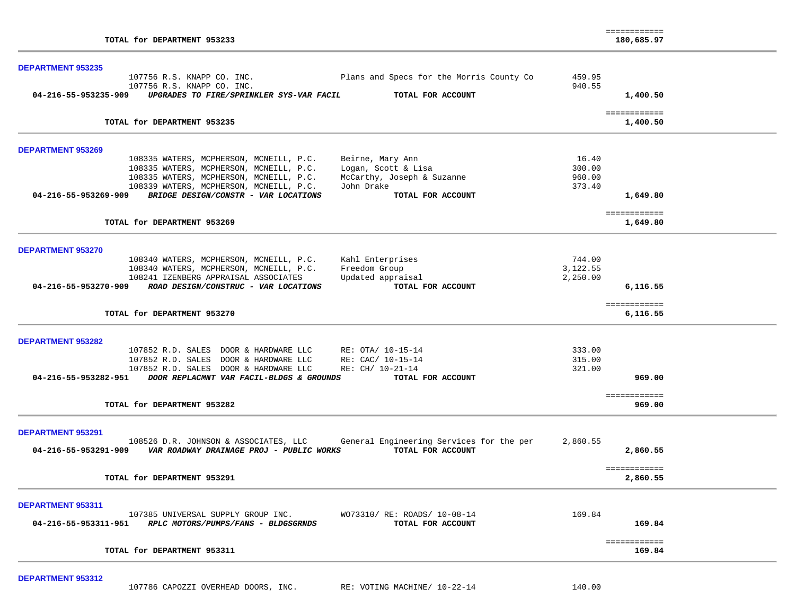| TOTAL for DEPARTMENT 953233                                                             |          | ============<br>180,685.97     |  |
|-----------------------------------------------------------------------------------------|----------|--------------------------------|--|
| <b>DEPARTMENT 953235</b>                                                                |          |                                |  |
| 107756 R.S. KNAPP CO. INC.<br>Plans and Specs for the Morris County Co                  | 459.95   |                                |  |
| 107756 R.S. KNAPP CO. INC.                                                              | 940.55   |                                |  |
| 04-216-55-953235-909 UPGRADES TO FIRE/SPRINKLER SYS-VAR FACIL<br>TOTAL FOR ACCOUNT      |          | 1,400.50                       |  |
| TOTAL for DEPARTMENT 953235                                                             |          | ============<br>1,400.50       |  |
|                                                                                         |          |                                |  |
| DEPARTMENT 953269                                                                       |          |                                |  |
| 108335 WATERS, MCPHERSON, MCNEILL, P.C.<br>Beirne, Mary Ann                             | 16.40    |                                |  |
| 108335 WATERS, MCPHERSON, MCNEILL, P.C.<br>Logan, Scott & Lisa                          | 300.00   |                                |  |
| 108335 WATERS, MCPHERSON, MCNEILL, P.C.<br>McCarthy, Joseph & Suzanne                   | 960.00   |                                |  |
| 108339 WATERS, MCPHERSON, MCNEILL, P.C.<br>John Drake                                   | 373.40   |                                |  |
| 04-216-55-953269-909 BRIDGE DESIGN/CONSTR - VAR LOCATIONS<br>TOTAL FOR ACCOUNT          |          | 1,649.80                       |  |
|                                                                                         |          | ============                   |  |
| TOTAL for DEPARTMENT 953269                                                             |          | 1,649.80                       |  |
|                                                                                         |          |                                |  |
| <b>DEPARTMENT 953270</b><br>108340 WATERS, MCPHERSON, MCNEILL, P.C.<br>Kahl Enterprises | 744.00   |                                |  |
| Freedom Group<br>108340 WATERS, MCPHERSON, MCNEILL, P.C.                                | 3,122.55 |                                |  |
| Updated appraisal<br>108241 IZENBERG APPRAISAL ASSOCIATES                               | 2,250.00 |                                |  |
| TOTAL FOR ACCOUNT<br>04-216-55-953270-909 ROAD DESIGN/CONSTRUC - VAR LOCATIONS          |          | 6,116.55                       |  |
|                                                                                         |          |                                |  |
| TOTAL for DEPARTMENT 953270                                                             |          | <b>EEEEEEEEEEE</b><br>6,116.55 |  |
|                                                                                         |          |                                |  |
| <b>DEPARTMENT 953282</b>                                                                |          |                                |  |
| 107852 R.D. SALES DOOR & HARDWARE LLC<br>RE: OTA/ 10-15-14                              | 333.00   |                                |  |
| 107852 R.D. SALES DOOR & HARDWARE LLC<br>RE: CAC/ 10-15-14                              | 315.00   |                                |  |
| RE: CH/ 10-21-14<br>107852 R.D. SALES DOOR & HARDWARE LLC                               | 321.00   |                                |  |
| 04-216-55-953282-951 DOOR REPLACMNT VAR FACIL-BLDGS & GROUNDS<br>TOTAL FOR ACCOUNT      |          | 969.00                         |  |
|                                                                                         |          | ============                   |  |
| TOTAL for DEPARTMENT 953282                                                             |          | 969.00                         |  |
|                                                                                         |          |                                |  |
| DEPARTMENT 953291                                                                       |          |                                |  |
| 108526 D.R. JOHNSON & ASSOCIATES, LLC<br>General Engineering Services for the per       | 2,860.55 |                                |  |
| 04-216-55-953291-909    VAR ROADWAY DRAINAGE PROJ - PUBLIC WORKS<br>TOTAL FOR ACCOUNT   |          | 2,860.55                       |  |
|                                                                                         |          | ============                   |  |
| TOTAL for DEPARTMENT 953291                                                             |          | 2,860.55                       |  |
|                                                                                         |          |                                |  |
| DEPARTMENT 953311                                                                       |          |                                |  |
| 107385 UNIVERSAL SUPPLY GROUP INC.<br>WO73310/ RE: ROADS/ 10-08-14                      | 169.84   |                                |  |
| 04-216-55-953311-951 RPLC MOTORS/PUMPS/FANS - BLDGSGRNDS<br>TOTAL FOR ACCOUNT           |          | 169.84                         |  |
|                                                                                         |          |                                |  |
| TOTAL for DEPARTMENT 953311                                                             |          | ============<br>169.84         |  |

107786 CAPOZZI OVERHEAD DOORS, INC. RE: VOTING MACHINE/ 10-22-14 140.00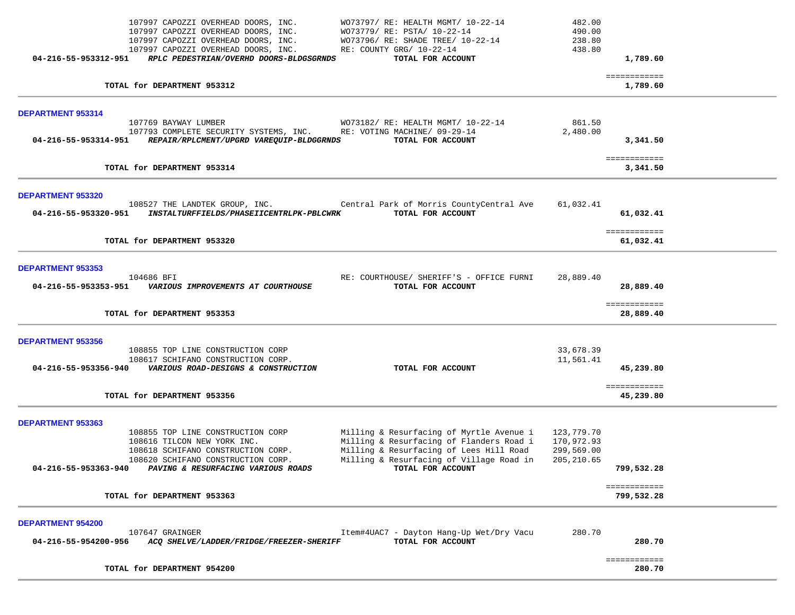|                                                  | TOTAL for DEPARTMENT 954200                                                                                                                                                                                              |                                                                                                                                                                                                  |                                                       | ============<br>280.70     |  |
|--------------------------------------------------|--------------------------------------------------------------------------------------------------------------------------------------------------------------------------------------------------------------------------|--------------------------------------------------------------------------------------------------------------------------------------------------------------------------------------------------|-------------------------------------------------------|----------------------------|--|
| <b>DEPARTMENT 954200</b><br>04-216-55-954200-956 | 107647 GRAINGER<br>ACQ SHELVE/LADDER/FRIDGE/FREEZER-SHERIFF                                                                                                                                                              | Item#4UAC7 - Dayton Hang-Up Wet/Dry Vacu<br>TOTAL FOR ACCOUNT                                                                                                                                    | 280.70                                                | 280.70                     |  |
|                                                  | TOTAL for DEPARTMENT 953363                                                                                                                                                                                              |                                                                                                                                                                                                  |                                                       | ============<br>799,532.28 |  |
| <b>DEPARTMENT 953363</b>                         | 108855 TOP LINE CONSTRUCTION CORP<br>108616 TILCON NEW YORK INC.<br>108618 SCHIFANO CONSTRUCTION CORP.<br>108620 SCHIFANO CONSTRUCTION CORP.<br>04-216-55-953363-940 PAVING & RESURFACING VARIOUS ROADS                  | Milling & Resurfacing of Myrtle Avenue i<br>Milling & Resurfacing of Flanders Road i<br>Milling & Resurfacing of Lees Hill Road<br>Milling & Resurfacing of Village Road in<br>TOTAL FOR ACCOUNT | 123,779.70<br>170,972.93<br>299,569.00<br>205, 210.65 | 799,532.28                 |  |
|                                                  | TOTAL for DEPARTMENT 953356                                                                                                                                                                                              |                                                                                                                                                                                                  |                                                       | ============<br>45,239.80  |  |
| <b>DEPARTMENT 953356</b>                         | 108855 TOP LINE CONSTRUCTION CORP<br>108617 SCHIFANO CONSTRUCTION CORP.<br>04-216-55-953356-940 VARIOUS ROAD-DESIGNS & CONSTRUCTION                                                                                      | TOTAL FOR ACCOUNT                                                                                                                                                                                | 33,678.39<br>11,561.41                                | 45,239.80                  |  |
|                                                  | TOTAL for DEPARTMENT 953353                                                                                                                                                                                              |                                                                                                                                                                                                  |                                                       | ============<br>28,889.40  |  |
| <b>DEPARTMENT 953353</b><br>04-216-55-953353-951 | 104686 BFI<br>VARIOUS IMPROVEMENTS AT COURTHOUSE                                                                                                                                                                         | RE: COURTHOUSE/ SHERIFF'S - OFFICE FURNI<br>TOTAL FOR ACCOUNT                                                                                                                                    | 28,889.40                                             | 28,889.40                  |  |
|                                                  | TOTAL for DEPARTMENT 953320                                                                                                                                                                                              |                                                                                                                                                                                                  |                                                       | ============<br>61,032.41  |  |
| DEPARTMENT 953320<br>04-216-55-953320-951        | 108527 THE LANDTEK GROUP, INC. The Central Park of Morris CountyCentral Ave<br><i>INSTALTURFFIELDS/PHASEIICENTRLPK-PBLCWRK</i>                                                                                           | TOTAL FOR ACCOUNT                                                                                                                                                                                | 61,032.41                                             | 61,032.41                  |  |
|                                                  | TOTAL for DEPARTMENT 953314                                                                                                                                                                                              |                                                                                                                                                                                                  |                                                       | ============<br>3,341.50   |  |
| <b>DEPARTMENT 953314</b><br>04-216-55-953314-951 | 107769 BAYWAY LUMBER<br>107793 COMPLETE SECURITY SYSTEMS, INC.<br>REPAIR/RPLCMENT/UPGRD VAREQUIP-BLDGGRNDS                                                                                                               | WO73182/ RE: HEALTH MGMT/ 10-22-14<br>RE: VOTING MACHINE/ 09-29-14<br>TOTAL FOR ACCOUNT                                                                                                          | 861.50<br>2,480.00                                    | 3,341.50                   |  |
|                                                  | TOTAL for DEPARTMENT 953312                                                                                                                                                                                              |                                                                                                                                                                                                  |                                                       | ============<br>1,789.60   |  |
|                                                  | 107997 CAPOZZI OVERHEAD DOORS, INC.<br>107997 CAPOZZI OVERHEAD DOORS, INC.<br>107997 CAPOZZI OVERHEAD DOORS, INC.<br>107997 CAPOZZI OVERHEAD DOORS, INC.<br>04-216-55-953312-951 RPLC PEDESTRIAN/OVERHD DOORS-BLDGSGRNDS | WO73797/ RE: HEALTH MGMT/ 10-22-14<br>WO73779/ RE: PSTA/ 10-22-14<br>WO73796/ RE: SHADE TREE/ 10-22-14<br>RE: COUNTY GRG/ 10-22-14<br>TOTAL FOR ACCOUNT                                          | 482.00<br>490.00<br>238.80<br>438.80                  | 1,789.60                   |  |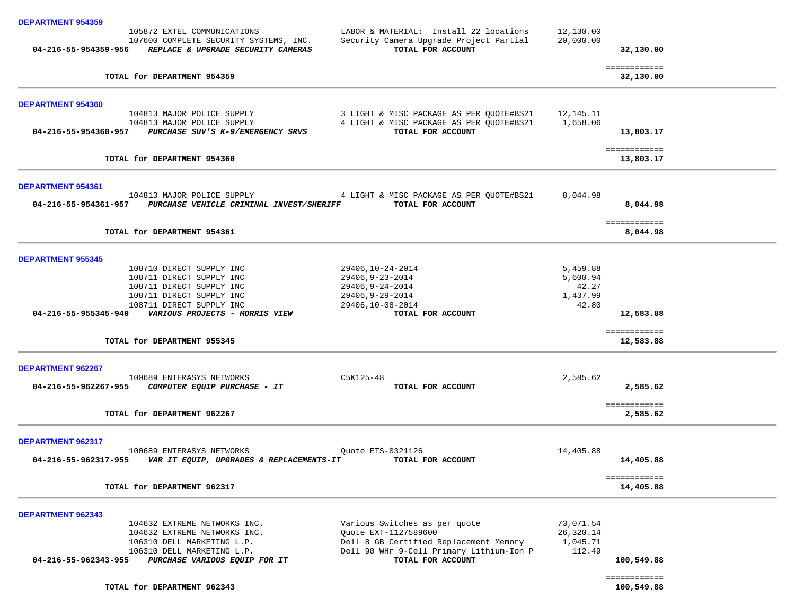| <b>DEPARTMENT 954359</b>                                                                                                         |                                                                                                        |                        |                            |
|----------------------------------------------------------------------------------------------------------------------------------|--------------------------------------------------------------------------------------------------------|------------------------|----------------------------|
| 105872 EXTEL COMMUNICATIONS<br>107600 COMPLETE SECURITY SYSTEMS, INC.<br>04-216-55-954359-956 REPLACE & UPGRADE SECURITY CAMERAS | LABOR & MATERIAL: Install 22 locations<br>Security Camera Upgrade Project Partial<br>TOTAL FOR ACCOUNT | 12,130.00<br>20,000.00 | 32,130.00                  |
| TOTAL for DEPARTMENT 954359                                                                                                      |                                                                                                        |                        | ============<br>32,130.00  |
|                                                                                                                                  |                                                                                                        |                        |                            |
| <b>DEPARTMENT 954360</b><br>104813 MAJOR POLICE SUPPLY                                                                           |                                                                                                        | 12,145.11              |                            |
| 104813 MAJOR POLICE SUPPLY                                                                                                       | 3 LIGHT & MISC PACKAGE AS PER QUOTE#BS21<br>4 LIGHT & MISC PACKAGE AS PER QUOTE#BS21                   | 1,658.06               |                            |
| 04-216-55-954360-957 PURCHASE SUV'S K-9/EMERGENCY SRVS                                                                           | TOTAL FOR ACCOUNT                                                                                      |                        | 13,803.17                  |
|                                                                                                                                  |                                                                                                        |                        |                            |
| TOTAL for DEPARTMENT 954360                                                                                                      |                                                                                                        |                        | ============<br>13,803.17  |
| <b>DEPARTMENT 954361</b>                                                                                                         |                                                                                                        |                        |                            |
| 104813 MAJOR POLICE SUPPLY                                                                                                       | 4 LIGHT & MISC PACKAGE AS PER QUOTE#BS21                                                               | 8,044.98               |                            |
| 04-216-55-954361-957 PURCHASE VEHICLE CRIMINAL INVEST/SHERIFF                                                                    | TOTAL FOR ACCOUNT                                                                                      |                        | 8,044.98                   |
|                                                                                                                                  |                                                                                                        |                        | ============               |
| TOTAL for DEPARTMENT 954361                                                                                                      |                                                                                                        |                        | 8,044.98                   |
| <b>DEPARTMENT 955345</b>                                                                                                         |                                                                                                        |                        |                            |
| 108710 DIRECT SUPPLY INC                                                                                                         | 29406,10-24-2014                                                                                       | 5,459.88               |                            |
| 108711 DIRECT SUPPLY INC                                                                                                         | 29406,9-23-2014                                                                                        | 5,600.94               |                            |
| 108711 DIRECT SUPPLY INC                                                                                                         | 29406,9-24-2014                                                                                        | 42.27                  |                            |
| 108711 DIRECT SUPPLY INC                                                                                                         | 29406,9-29-2014                                                                                        | 1,437.99               |                            |
| 108711 DIRECT SUPPLY INC<br>04-216-55-955345-940 VARIOUS PROJECTS - MORRIS VIEW                                                  | 29406,10-08-2014<br>TOTAL FOR ACCOUNT                                                                  | 42.80                  | 12,583.88                  |
|                                                                                                                                  |                                                                                                        |                        | ============               |
| TOTAL for DEPARTMENT 955345                                                                                                      |                                                                                                        |                        | 12,583.88                  |
| <b>DEPARTMENT 962267</b>                                                                                                         |                                                                                                        |                        |                            |
| 100689 ENTERASYS NETWORKS                                                                                                        | C5K125-48                                                                                              | 2,585.62               |                            |
| 04-216-55-962267-955 COMPUTER EQUIP PURCHASE - IT                                                                                | TOTAL FOR ACCOUNT                                                                                      |                        | 2,585.62                   |
| TOTAL for DEPARTMENT 962267                                                                                                      |                                                                                                        |                        | ============<br>2,585.62   |
|                                                                                                                                  |                                                                                                        |                        |                            |
| <b>DEPARTMENT 962317</b>                                                                                                         |                                                                                                        |                        |                            |
| 100689 ENTERASYS NETWORKS                                                                                                        | Ouote ETS-0321126                                                                                      | 14,405.88              |                            |
| 04-216-55-962317-955<br>VAR IT EQUIP, UPGRADES & REPLACEMENTS-IT                                                                 | TOTAL FOR ACCOUNT                                                                                      |                        | 14,405.88                  |
| TOTAL for DEPARTMENT 962317                                                                                                      |                                                                                                        |                        | ============<br>14,405.88  |
|                                                                                                                                  |                                                                                                        |                        |                            |
| <b>DEPARTMENT 962343</b>                                                                                                         |                                                                                                        |                        |                            |
| 104632 EXTREME NETWORKS INC.                                                                                                     | Various Switches as per quote                                                                          | 73,071.54              |                            |
| 104632 EXTREME NETWORKS INC.                                                                                                     | Ouote EXT-1127589600                                                                                   | 26,320.14              |                            |
| 106310 DELL MARKETING L.P.                                                                                                       | Dell 8 GB Certified Replacement Memory                                                                 | 1,045.71               |                            |
| 106310 DELL MARKETING L.P.<br>04-216-55-962343-955                                                                               | Dell 90 WHr 9-Cell Primary Lithium-Ion P                                                               | 112.49                 |                            |
| PURCHASE VARIOUS EQUIP FOR IT                                                                                                    | TOTAL FOR ACCOUNT                                                                                      |                        | 100,549.88                 |
| TOTAL for DEPARTMENT 962343                                                                                                      |                                                                                                        |                        | ============<br>100,549.88 |